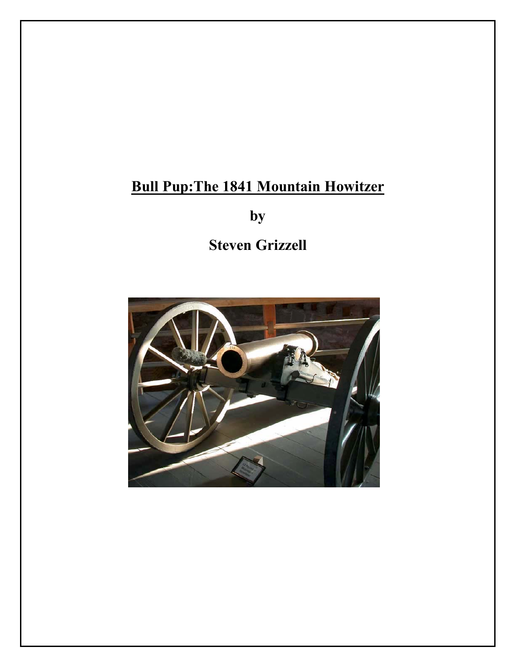# **Bull Pup:The 1841 Mountain Howitzer**

**by**

**Steven Grizzell** 

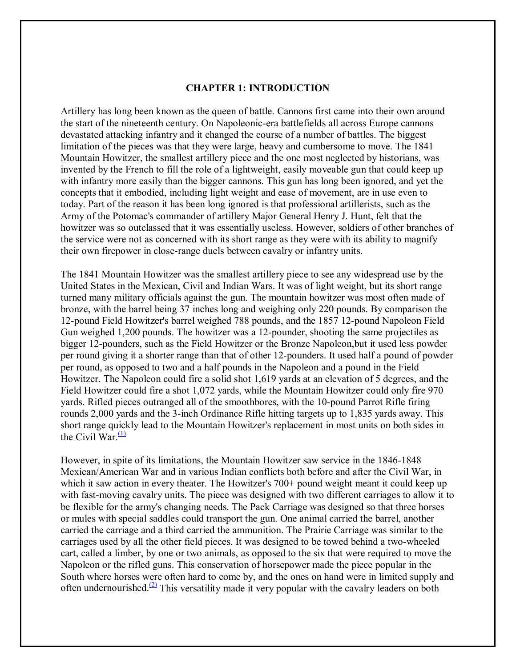#### **CHAPTER 1: INTRODUCTION**

Artillery has long been known as the queen of battle. Cannons first came into their own around the start of the nineteenth century. On Napoleonic-era battlefields all across Europe cannons devastated attacking infantry and it changed the course of a number of battles. The biggest limitation of the pieces was that they were large, heavy and cumbersome to move. The 1841 Mountain Howitzer, the smallest artillery piece and the one most neglected by historians, was invented by the French to fill the role of a lightweight, easily moveable gun that could keep up with infantry more easily than the bigger cannons. This gun has long been ignored, and yet the concepts that it embodied, including light weight and ease of movement, are in use even to today. Part of the reason it has been long ignored is that professional artillerists, such as the Army of the Potomac's commander of artillery Major General Henry J. Hunt, felt that the howitzer was so outclassed that it was essentially useless. However, soldiers of other branches of the service were not as concerned with its short range as they were with its ability to magnify their own firepower in close-range duels between cavalry or infantry units.

The 1841 Mountain Howitzer was the smallest artillery piece to see any widespread use by the United States in the Mexican, Civil and Indian Wars. It was of light weight, but its short range turned many military officials against the gun. The mountain howitzer was most often made of bronze, with the barrel being 37 inches long and weighing only 220 pounds. By comparison the 12-pound Field Howitzer's barrel weighed 788 pounds, and the 1857 12-pound Napoleon Field Gun weighed 1,200 pounds. The howitzer was a 12-pounder, shooting the same projectiles as bigger 12-pounders, such as the Field Howitzer or the Bronze Napoleon,but it used less powder per round giving it a shorter range than that of other 12-pounders. It used half a pound of powder per round, as opposed to two and a half pounds in the Napoleon and a pound in the Field Howitzer. The Napoleon could fire a solid shot 1,619 yards at an elevation of 5 degrees, and the Field Howitzer could fire a shot 1,072 yards, while the Mountain Howitzer could only fire 970 yards. Rifled pieces outranged all of the smoothbores, with the 10-pound Parrot Rifle firing rounds 2,000 yards and the 3-inch Ordinance Rifle hitting targets up to 1,835 yards away. This short range quickly lead to the Mountain Howitzer's replacement in most units on both sides in the Civil War. $\frac{(1)}{2}$ 

However, in spite of its limitations, the Mountain Howitzer saw service in the 1846-1848 Mexican/American War and in various Indian conflicts both before and after the Civil War, in which it saw action in every theater. The Howitzer's 700+ pound weight meant it could keep up with fast-moving cavalry units. The piece was designed with two different carriages to allow it to be flexible for the army's changing needs. The Pack Carriage was designed so that three horses or mules with special saddles could transport the gun. One animal carried the barrel, another carried the carriage and a third carried the ammunition. The Prairie Carriage was similar to the carriages used by all the other field pieces. It was designed to be towed behind a two-wheeled cart, called a limber, by one or two animals, as opposed to the six that were required to move the Napoleon or the rifled guns. This conservation of horsepower made the piece popular in the South where horses were often hard to come by, and the ones on hand were in limited supply and often undernourished.<sup>(2)</sup> This versatility made it very popular with the cavalry leaders on both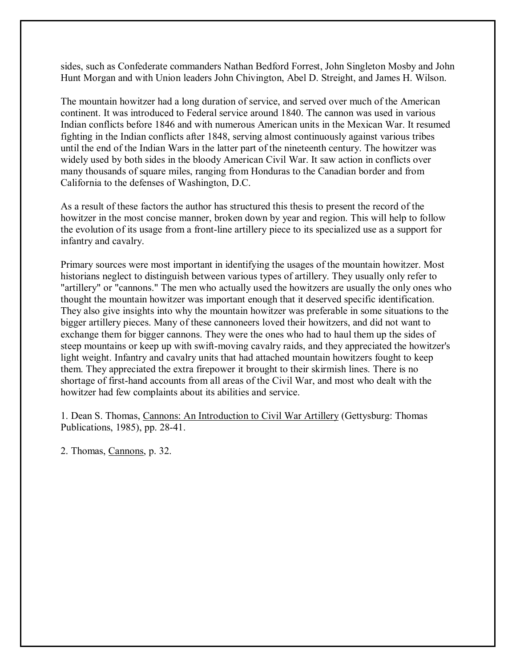sides, such as Confederate commanders Nathan Bedford Forrest, John Singleton Mosby and John Hunt Morgan and with Union leaders John Chivington, Abel D. Streight, and James H. Wilson.

The mountain howitzer had a long duration of service, and served over much of the American continent. It was introduced to Federal service around 1840. The cannon was used in various Indian conflicts before 1846 and with numerous American units in the Mexican War. It resumed fighting in the Indian conflicts after 1848, serving almost continuously against various tribes until the end of the Indian Wars in the latter part of the nineteenth century. The howitzer was widely used by both sides in the bloody American Civil War. It saw action in conflicts over many thousands of square miles, ranging from Honduras to the Canadian border and from California to the defenses of Washington, D.C.

As a result of these factors the author has structured this thesis to present the record of the howitzer in the most concise manner, broken down by year and region. This will help to follow the evolution of its usage from a front-line artillery piece to its specialized use as a support for infantry and cavalry.

Primary sources were most important in identifying the usages of the mountain howitzer. Most historians neglect to distinguish between various types of artillery. They usually only refer to "artillery" or "cannons." The men who actually used the howitzers are usually the only ones who thought the mountain howitzer was important enough that it deserved specific identification. They also give insights into why the mountain howitzer was preferable in some situations to the bigger artillery pieces. Many of these cannoneers loved their howitzers, and did not want to exchange them for bigger cannons. They were the ones who had to haul them up the sides of steep mountains or keep up with swift-moving cavalry raids, and they appreciated the howitzer's light weight. Infantry and cavalry units that had attached mountain howitzers fought to keep them. They appreciated the extra firepower it brought to their skirmish lines. There is no shortage of first-hand accounts from all areas of the Civil War, and most who dealt with the howitzer had few complaints about its abilities and service.

1. Dean S. Thomas, Cannons: An Introduction to Civil War Artillery (Gettysburg: Thomas Publications, 1985), pp. 28-41.

2. Thomas, Cannons, p. 32.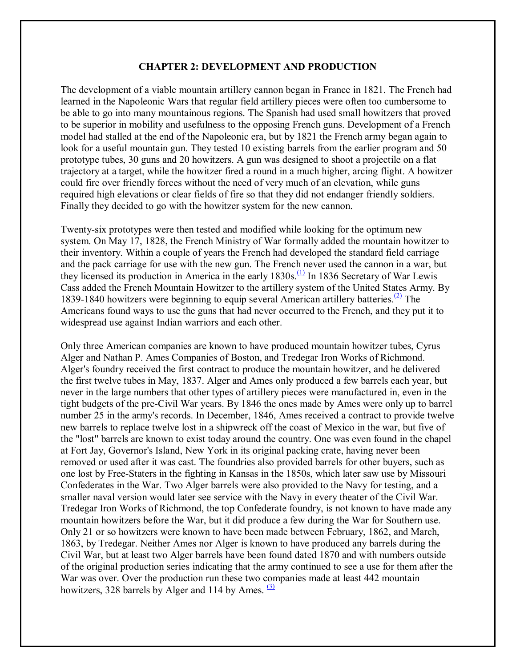#### **CHAPTER 2: DEVELOPMENT AND PRODUCTION**

The development of a viable mountain artillery cannon began in France in 1821. The French had learned in the Napoleonic Wars that regular field artillery pieces were often too cumbersome to be able to go into many mountainous regions. The Spanish had used small howitzers that proved to be superior in mobility and usefulness to the opposing French guns. Development of a French model had stalled at the end of the Napoleonic era, but by 1821 the French army began again to look for a useful mountain gun. They tested 10 existing barrels from the earlier program and 50 prototype tubes, 30 guns and 20 howitzers. A gun was designed to shoot a projectile on a flat trajectory at a target, while the howitzer fired a round in a much higher, arcing flight. A howitzer could fire over friendly forces without the need of very much of an elevation, while guns required high elevations or clear fields of fire so that they did not endanger friendly soldiers. Finally they decided to go with the howitzer system for the new cannon.

Twenty-six prototypes were then tested and modified while looking for the optimum new system. On May 17, 1828, the French Ministry of War formally added the mountain howitzer to their inventory. Within a couple of years the French had developed the standard field carriage and the pack carriage for use with the new gun. The French never used the cannon in a war, but they licensed its production in America in the early  $1830s$ .<sup>(1)</sup> In 1836 Secretary of War Lewis Cass added the French Mountain Howitzer to the artillery system of the United States Army. By 1839-1840 howitzers were beginning to equip several American artillery batteries.<sup>(2)</sup> The Americans found ways to use the guns that had never occurred to the French, and they put it to widespread use against Indian warriors and each other.

Only three American companies are known to have produced mountain howitzer tubes, Cyrus Alger and Nathan P. Ames Companies of Boston, and Tredegar Iron Works of Richmond. Alger's foundry received the first contract to produce the mountain howitzer, and he delivered the first twelve tubes in May, 1837. Alger and Ames only produced a few barrels each year, but never in the large numbers that other types of artillery pieces were manufactured in, even in the tight budgets of the pre-Civil War years. By 1846 the ones made by Ames were only up to barrel number 25 in the army's records. In December, 1846, Ames received a contract to provide twelve new barrels to replace twelve lost in a shipwreck off the coast of Mexico in the war, but five of the "lost" barrels are known to exist today around the country. One was even found in the chapel at Fort Jay, Governor's Island, New York in its original packing crate, having never been removed or used after it was cast. The foundries also provided barrels for other buyers, such as one lost by Free-Staters in the fighting in Kansas in the 1850s, which later saw use by Missouri Confederates in the War. Two Alger barrels were also provided to the Navy for testing, and a smaller naval version would later see service with the Navy in every theater of the Civil War. Tredegar Iron Works of Richmond, the top Confederate foundry, is not known to have made any mountain howitzers before the War, but it did produce a few during the War for Southern use. Only 21 or so howitzers were known to have been made between February, 1862, and March, 1863, by Tredegar. Neither Ames nor Alger is known to have produced any barrels during the Civil War, but at least two Alger barrels have been found dated 1870 and with numbers outside of the original production series indicating that the army continued to see a use for them after the War was over. Over the production run these two companies made at least 442 mountain howitzers, 328 barrels by Alger and 114 by Ames.  $(3)$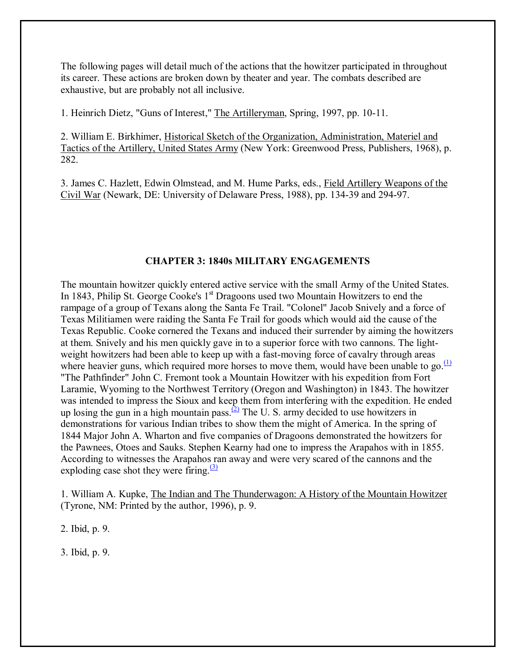The following pages will detail much of the actions that the howitzer participated in throughout its career. These actions are broken down by theater and year. The combats described are exhaustive, but are probably not all inclusive.

1. Heinrich Dietz, "Guns of Interest," The Artilleryman, Spring, 1997, pp. 10-11.

2. William E. Birkhimer, Historical Sketch of the Organization, Administration, Materiel and Tactics of the Artillery, United States Army (New York: Greenwood Press, Publishers, 1968), p. 282.

3. James C. Hazlett, Edwin Olmstead, and M. Hume Parks, eds., Field Artillery Weapons of the Civil War (Newark, DE: University of Delaware Press, 1988), pp. 134-39 and 294-97.

# **CHAPTER 3: 1840s MILITARY ENGAGEMENTS**

The mountain howitzer quickly entered active service with the small Army of the United States. In 1843, Philip St. George Cooke's  $1<sup>st</sup>$  Dragoons used two Mountain Howitzers to end the rampage of a group of Texans along the Santa Fe Trail. "Colonel" Jacob Snively and a force of Texas Militiamen were raiding the Santa Fe Trail for goods which would aid the cause of the Texas Republic. Cooke cornered the Texans and induced their surrender by aiming the howitzers at them. Snively and his men quickly gave in to a superior force with two cannons. The lightweight howitzers had been able to keep up with a fast-moving force of cavalry through areas where heavier guns, which required more horses to move them, would have been unable to go. $\frac{(1)}{(1)}$ "The Pathfinder" John C. Fremont took a Mountain Howitzer with his expedition from Fort Laramie, Wyoming to the Northwest Territory (Oregon and Washington) in 1843. The howitzer was intended to impress the Sioux and keep them from interfering with the expedition. He ended up losing the gun in a high mountain pass.  $(2)$  The U. S. army decided to use howitzers in demonstrations for various Indian tribes to show them the might of America. In the spring of 1844 Major John A. Wharton and five companies of Dragoons demonstrated the howitzers for the Pawnees, Otoes and Sauks. Stephen Kearny had one to impress the Arapahos with in 1855. According to witnesses the Arapahos ran away and were very scared of the cannons and the exploding case shot they were firing. $(3)$ 

1. William A. Kupke, The Indian and The Thunderwagon: A History of the Mountain Howitzer (Tyrone, NM: Printed by the author, 1996), p. 9.

2. Ibid, p. 9.

3. Ibid, p. 9.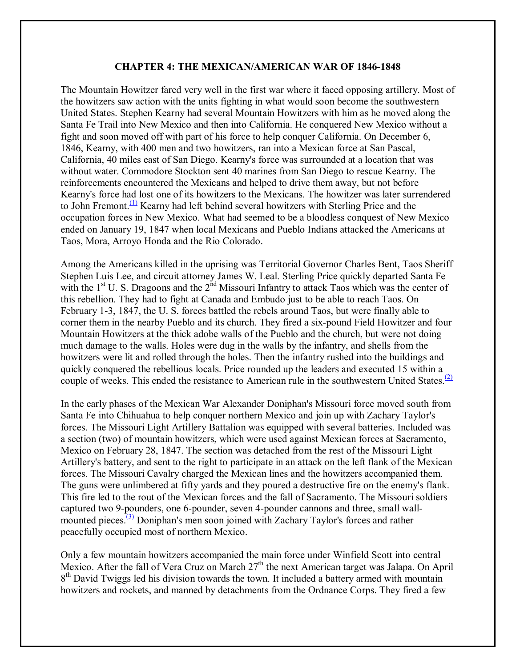#### **CHAPTER 4: THE MEXICAN/AMERICAN WAR OF 1846-1848**

The Mountain Howitzer fared very well in the first war where it faced opposing artillery. Most of the howitzers saw action with the units fighting in what would soon become the southwestern United States. Stephen Kearny had several Mountain Howitzers with him as he moved along the Santa Fe Trail into New Mexico and then into California. He conquered New Mexico without a fight and soon moved off with part of his force to help conquer California. On December 6, 1846, Kearny, with 400 men and two howitzers, ran into a Mexican force at San Pascal, California, 40 miles east of San Diego. Kearny's force was surrounded at a location that was without water. Commodore Stockton sent 40 marines from San Diego to rescue Kearny. The reinforcements encountered the Mexicans and helped to drive them away, but not before Kearny's force had lost one of its howitzers to the Mexicans. The howitzer was later surrendered to John Fremont.<sup>(1)</sup> Kearny had left behind several howitzers with Sterling Price and the occupation forces in New Mexico. What had seemed to be a bloodless conquest of New Mexico ended on January 19, 1847 when local Mexicans and Pueblo Indians attacked the Americans at Taos, Mora, Arroyo Honda and the Rio Colorado.

Among the Americans killed in the uprising was Territorial Governor Charles Bent, Taos Sheriff Stephen Luis Lee, and circuit attorney James W. Leal. Sterling Price quickly departed Santa Fe with the  $1<sup>st</sup>$  U. S. Dragoons and the  $2<sup>nd</sup>$  Missouri Infantry to attack Taos which was the center of this rebellion. They had to fight at Canada and Embudo just to be able to reach Taos. On February 1-3, 1847, the U. S. forces battled the rebels around Taos, but were finally able to corner them in the nearby Pueblo and its church. They fired a six-pound Field Howitzer and four Mountain Howitzers at the thick adobe walls of the Pueblo and the church, but were not doing much damage to the walls. Holes were dug in the walls by the infantry, and shells from the howitzers were lit and rolled through the holes. Then the infantry rushed into the buildings and quickly conquered the rebellious locals. Price rounded up the leaders and executed 15 within a couple of weeks. This ended the resistance to American rule in the southwestern United States.<sup>(2)</sup>

In the early phases of the Mexican War Alexander Doniphan's Missouri force moved south from Santa Fe into Chihuahua to help conquer northern Mexico and join up with Zachary Taylor's forces. The Missouri Light Artillery Battalion was equipped with several batteries. Included was a section (two) of mountain howitzers, which were used against Mexican forces at Sacramento, Mexico on February 28, 1847. The section was detached from the rest of the Missouri Light Artillery's battery, and sent to the right to participate in an attack on the left flank of the Mexican forces. The Missouri Cavalry charged the Mexican lines and the howitzers accompanied them. The guns were unlimbered at fifty yards and they poured a destructive fire on the enemy's flank. This fire led to the rout of the Mexican forces and the fall of Sacramento. The Missouri soldiers captured two 9-pounders, one 6-pounder, seven 4-pounder cannons and three, small wallmounted pieces.<sup>(3)</sup> Doniphan's men soon joined with Zachary Taylor's forces and rather peacefully occupied most of northern Mexico.

Only a few mountain howitzers accompanied the main force under Winfield Scott into central Mexico. After the fall of Vera Cruz on March  $27<sup>th</sup>$  the next American target was Jalapa. On April 8<sup>th</sup> David Twiggs led his division towards the town. It included a battery armed with mountain howitzers and rockets, and manned by detachments from the Ordnance Corps. They fired a few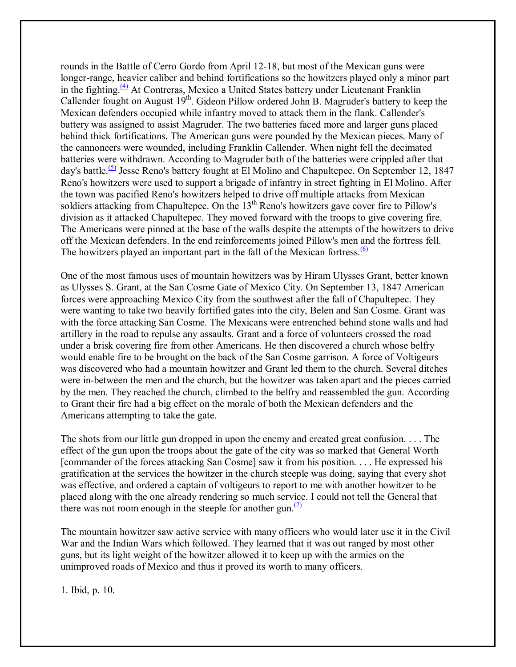rounds in the Battle of Cerro Gordo from April 12-18, but most of the Mexican guns were longer-range, heavier caliber and behind fortifications so the howitzers played only a minor part in the fighting. $(4)$  At Contreras, Mexico a United States battery under Lieutenant Franklin Callender fought on August  $19<sup>th</sup>$ . Gideon Pillow ordered John B. Magruder's battery to keep the Mexican defenders occupied while infantry moved to attack them in the flank. Callender's battery was assigned to assist Magruder. The two batteries faced more and larger guns placed behind thick fortifications. The American guns were pounded by the Mexican pieces. Many of the cannoneers were wounded, including Franklin Callender. When night fell the decimated batteries were withdrawn. According to Magruder both of the batteries were crippled after that day's battle.<sup>(5)</sup> Jesse Reno's battery fought at El Molino and Chapultepec. On September 12, 1847 Reno's howitzers were used to support a brigade of infantry in street fighting in El Molino. After the town was pacified Reno's howitzers helped to drive off multiple attacks from Mexican soldiers attacking from Chapultepec. On the 13<sup>th</sup> Reno's howitzers gave cover fire to Pillow's division as it attacked Chapultepec. They moved forward with the troops to give covering fire. The Americans were pinned at the base of the walls despite the attempts of the howitzers to drive off the Mexican defenders. In the end reinforcements joined Pillow's men and the fortress fell. The howitzers played an important part in the fall of the Mexican fortress. $\frac{(6)}{6}$ 

One of the most famous uses of mountain howitzers was by Hiram Ulysses Grant, better known as Ulysses S. Grant, at the San Cosme Gate of Mexico City. On September 13, 1847 American forces were approaching Mexico City from the southwest after the fall of Chapultepec. They were wanting to take two heavily fortified gates into the city, Belen and San Cosme. Grant was with the force attacking San Cosme. The Mexicans were entrenched behind stone walls and had artillery in the road to repulse any assaults. Grant and a force of volunteers crossed the road under a brisk covering fire from other Americans. He then discovered a church whose belfry would enable fire to be brought on the back of the San Cosme garrison. A force of Voltigeurs was discovered who had a mountain howitzer and Grant led them to the church. Several ditches were in-between the men and the church, but the howitzer was taken apart and the pieces carried by the men. They reached the church, climbed to the belfry and reassembled the gun. According to Grant their fire had a big effect on the morale of both the Mexican defenders and the Americans attempting to take the gate.

The shots from our little gun dropped in upon the enemy and created great confusion. . . . The effect of the gun upon the troops about the gate of the city was so marked that General Worth [commander of the forces attacking San Cosme] saw it from his position. . . . He expressed his gratification at the services the howitzer in the church steeple was doing, saying that every shot was effective, and ordered a captain of voltigeurs to report to me with another howitzer to be placed along with the one already rendering so much service. I could not tell the General that there was not room enough in the steeple for another gun. $\frac{1}{2}$ 

The mountain howitzer saw active service with many officers who would later use it in the Civil War and the Indian Wars which followed. They learned that it was out ranged by most other guns, but its light weight of the howitzer allowed it to keep up with the armies on the unimproved roads of Mexico and thus it proved its worth to many officers.

1. Ibid, p. 10.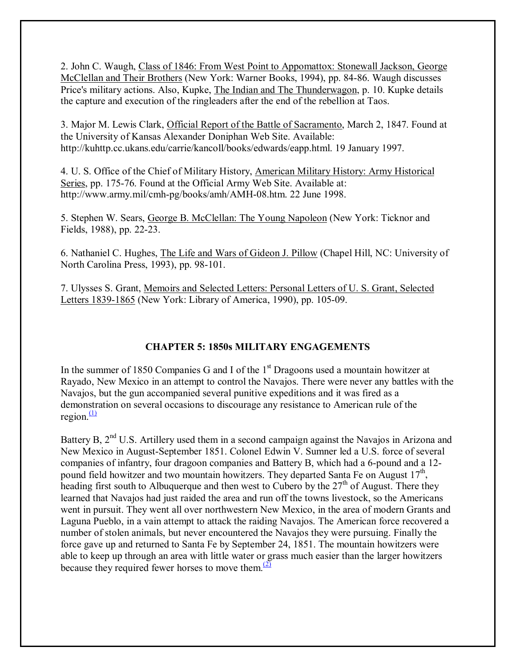2. John C. Waugh, Class of 1846: From West Point to Appomattox: Stonewall Jackson, George McClellan and Their Brothers (New York: Warner Books, 1994), pp. 84-86. Waugh discusses Price's military actions. Also, Kupke, The Indian and The Thunderwagon, p. 10. Kupke details the capture and execution of the ringleaders after the end of the rebellion at Taos.

3. Major M. Lewis Clark, Official Report of the Battle of Sacramento, March 2, 1847. Found at the University of Kansas Alexander Doniphan Web Site. Available: http://kuhttp.cc.ukans.edu/carrie/kancoll/books/edwards/eapp.html. 19 January 1997.

4. U. S. Office of the Chief of Military History, American Military History: Army Historical Series, pp. 175-76. Found at the Official Army Web Site. Available at: http://www.army.mil/cmh-pg/books/amh/AMH-08.htm. 22 June 1998.

5. Stephen W. Sears, George B. McClellan: The Young Napoleon (New York: Ticknor and Fields, 1988), pp. 22-23.

6. Nathaniel C. Hughes, The Life and Wars of Gideon J. Pillow (Chapel Hill, NC: University of North Carolina Press, 1993), pp. 98-101.

7. Ulysses S. Grant, Memoirs and Selected Letters: Personal Letters of U. S. Grant, Selected Letters 1839-1865 (New York: Library of America, 1990), pp. 105-09.

## **CHAPTER 5: 1850s MILITARY ENGAGEMENTS**

In the summer of 1850 Companies G and I of the  $1<sup>st</sup>$  Dragoons used a mountain howitzer at Rayado, New Mexico in an attempt to control the Navajos. There were never any battles with the Navajos, but the gun accompanied several punitive expeditions and it was fired as a demonstration on several occasions to discourage any resistance to American rule of the region. $\frac{(1)}{(1)}$ 

Battery B, 2<sup>nd</sup> U.S. Artillery used them in a second campaign against the Navajos in Arizona and New Mexico in August-September 1851. Colonel Edwin V. Sumner led a U.S. force of several companies of infantry, four dragoon companies and Battery B, which had a 6-pound and a 12 pound field howitzer and two mountain howitzers. They departed Santa Fe on August  $17<sup>th</sup>$ . heading first south to Albuquerque and then west to Cubero by the  $27<sup>th</sup>$  of August. There they learned that Navajos had just raided the area and run off the towns livestock, so the Americans went in pursuit. They went all over northwestern New Mexico, in the area of modern Grants and Laguna Pueblo, in a vain attempt to attack the raiding Navajos. The American force recovered a number of stolen animals, but never encountered the Navajos they were pursuing. Finally the force gave up and returned to Santa Fe by September 24, 1851. The mountain howitzers were able to keep up through an area with little water or grass much easier than the larger howitzers because they required fewer horses to move them. $\frac{(2)}{2}$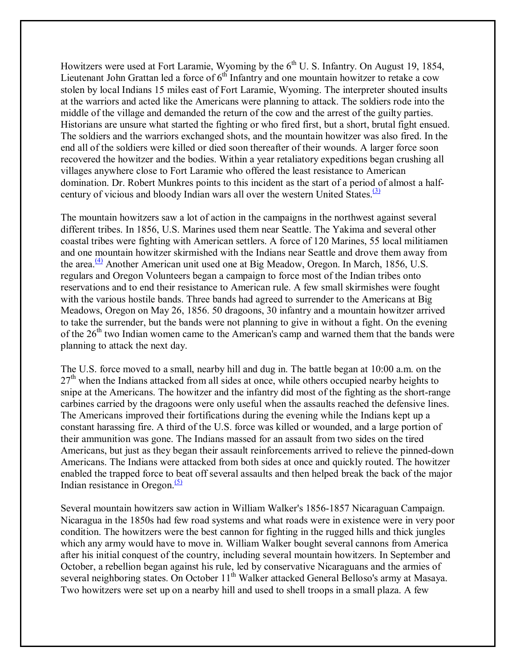Howitzers were used at Fort Laramie, Wyoming by the  $6<sup>th</sup>$  U. S. Infantry. On August 19, 1854, Lieutenant John Grattan led a force of  $6<sup>th</sup>$  Infantry and one mountain howitzer to retake a cow stolen by local Indians 15 miles east of Fort Laramie, Wyoming. The interpreter shouted insults at the warriors and acted like the Americans were planning to attack. The soldiers rode into the middle of the village and demanded the return of the cow and the arrest of the guilty parties. Historians are unsure what started the fighting or who fired first, but a short, brutal fight ensued. The soldiers and the warriors exchanged shots, and the mountain howitzer was also fired. In the end all of the soldiers were killed or died soon thereafter of their wounds. A larger force soon recovered the howitzer and the bodies. Within a year retaliatory expeditions began crushing all villages anywhere close to Fort Laramie who offered the least resistance to American domination. Dr. Robert Munkres points to this incident as the start of a period of almost a halfcentury of vicious and bloody Indian wars all over the western United States. $\frac{(3)}{2}$ 

The mountain howitzers saw a lot of action in the campaigns in the northwest against several different tribes. In 1856, U.S. Marines used them near Seattle. The Yakima and several other coastal tribes were fighting with American settlers. A force of 120 Marines, 55 local militiamen and one mountain howitzer skirmished with the Indians near Seattle and drove them away from the area. $\frac{(4)}{1}$  Another American unit used one at Big Meadow, Oregon. In March, 1856, U.S. regulars and Oregon Volunteers began a campaign to force most of the Indian tribes onto reservations and to end their resistance to American rule. A few small skirmishes were fought with the various hostile bands. Three bands had agreed to surrender to the Americans at Big Meadows, Oregon on May 26, 1856. 50 dragoons, 30 infantry and a mountain howitzer arrived to take the surrender, but the bands were not planning to give in without a fight. On the evening of the  $26<sup>th</sup>$  two Indian women came to the American's camp and warned them that the bands were planning to attack the next day.

The U.S. force moved to a small, nearby hill and dug in. The battle began at 10:00 a.m. on the  $27<sup>th</sup>$  when the Indians attacked from all sides at once, while others occupied nearby heights to snipe at the Americans. The howitzer and the infantry did most of the fighting as the short-range carbines carried by the dragoons were only useful when the assaults reached the defensive lines. The Americans improved their fortifications during the evening while the Indians kept up a constant harassing fire. A third of the U.S. force was killed or wounded, and a large portion of their ammunition was gone. The Indians massed for an assault from two sides on the tired Americans, but just as they began their assault reinforcements arrived to relieve the pinned-down Americans. The Indians were attacked from both sides at once and quickly routed. The howitzer enabled the trapped force to beat off several assaults and then helped break the back of the major Indian resistance in Oregon. $(5)$ 

Several mountain howitzers saw action in William Walker's 1856-1857 Nicaraguan Campaign. Nicaragua in the 1850s had few road systems and what roads were in existence were in very poor condition. The howitzers were the best cannon for fighting in the rugged hills and thick jungles which any army would have to move in. William Walker bought several cannons from America after his initial conquest of the country, including several mountain howitzers. In September and October, a rebellion began against his rule, led by conservative Nicaraguans and the armies of several neighboring states. On October 11<sup>th</sup> Walker attacked General Belloso's army at Masaya. Two howitzers were set up on a nearby hill and used to shell troops in a small plaza. A few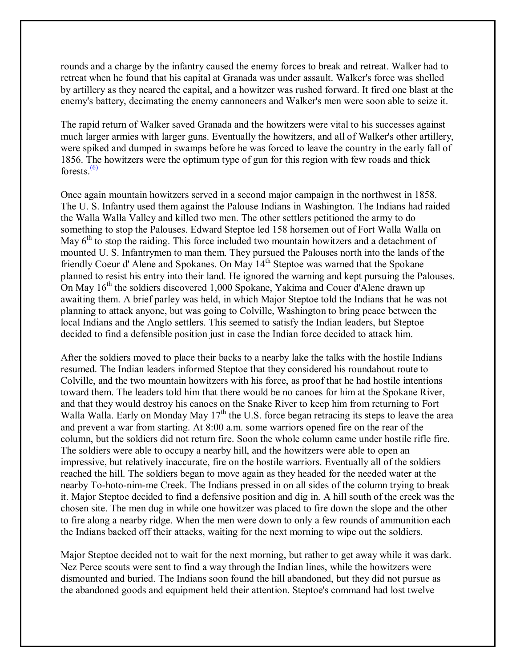rounds and a charge by the infantry caused the enemy forces to break and retreat. Walker had to retreat when he found that his capital at Granada was under assault. Walker's force was shelled by artillery as they neared the capital, and a howitzer was rushed forward. It fired one blast at the enemy's battery, decimating the enemy cannoneers and Walker's men were soon able to seize it.

The rapid return of Walker saved Granada and the howitzers were vital to his successes against much larger armies with larger guns. Eventually the howitzers, and all of Walker's other artillery, were spiked and dumped in swamps before he was forced to leave the country in the early fall of 1856. The howitzers were the optimum type of gun for this region with few roads and thick forests  $\frac{(6)}{6}$ 

Once again mountain howitzers served in a second major campaign in the northwest in 1858. The U. S. Infantry used them against the Palouse Indians in Washington. The Indians had raided the Walla Walla Valley and killed two men. The other settlers petitioned the army to do something to stop the Palouses. Edward Steptoe led 158 horsemen out of Fort Walla Walla on May  $6<sup>th</sup>$  to stop the raiding. This force included two mountain howitzers and a detachment of mounted U. S. Infantrymen to man them. They pursued the Palouses north into the lands of the friendly Coeur d' Alene and Spokanes. On May 14th Steptoe was warned that the Spokane planned to resist his entry into their land. He ignored the warning and kept pursuing the Palouses. On May 16<sup>th</sup> the soldiers discovered 1,000 Spokane, Yakima and Couer d'Alene drawn up awaiting them. A brief parley was held, in which Major Steptoe told the Indians that he was not planning to attack anyone, but was going to Colville, Washington to bring peace between the local Indians and the Anglo settlers. This seemed to satisfy the Indian leaders, but Steptoe decided to find a defensible position just in case the Indian force decided to attack him.

After the soldiers moved to place their backs to a nearby lake the talks with the hostile Indians resumed. The Indian leaders informed Steptoe that they considered his roundabout route to Colville, and the two mountain howitzers with his force, as proof that he had hostile intentions toward them. The leaders told him that there would be no canoes for him at the Spokane River, and that they would destroy his canoes on the Snake River to keep him from returning to Fort Walla Walla. Early on Monday May  $17<sup>th</sup>$  the U.S. force began retracing its steps to leave the area and prevent a war from starting. At 8:00 a.m. some warriors opened fire on the rear of the column, but the soldiers did not return fire. Soon the whole column came under hostile rifle fire. The soldiers were able to occupy a nearby hill, and the howitzers were able to open an impressive, but relatively inaccurate, fire on the hostile warriors. Eventually all of the soldiers reached the hill. The soldiers began to move again as they headed for the needed water at the nearby To-hoto-nim-me Creek. The Indians pressed in on all sides of the column trying to break it. Major Steptoe decided to find a defensive position and dig in. A hill south of the creek was the chosen site. The men dug in while one howitzer was placed to fire down the slope and the other to fire along a nearby ridge. When the men were down to only a few rounds of ammunition each the Indians backed off their attacks, waiting for the next morning to wipe out the soldiers.

Major Steptoe decided not to wait for the next morning, but rather to get away while it was dark. Nez Perce scouts were sent to find a way through the Indian lines, while the howitzers were dismounted and buried. The Indians soon found the hill abandoned, but they did not pursue as the abandoned goods and equipment held their attention. Steptoe's command had lost twelve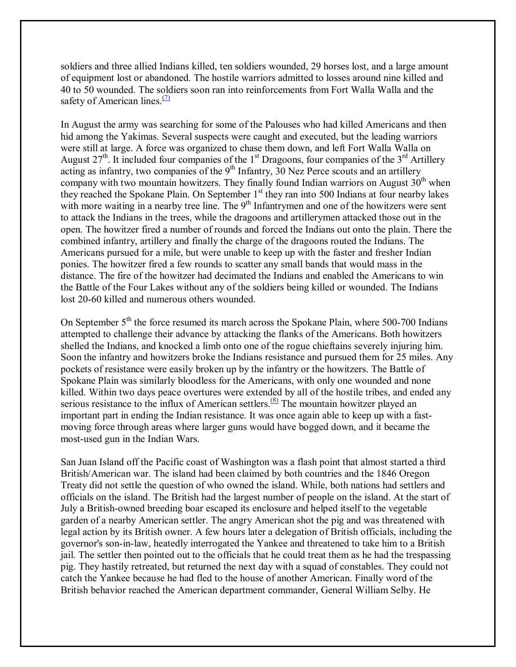soldiers and three allied Indians killed, ten soldiers wounded, 29 horses lost, and a large amount of equipment lost or abandoned. The hostile warriors admitted to losses around nine killed and 40 to 50 wounded. The soldiers soon ran into reinforcements from Fort Walla Walla and the safety of American lines. $\frac{7}{2}$ 

In August the army was searching for some of the Palouses who had killed Americans and then hid among the Yakimas. Several suspects were caught and executed, but the leading warriors were still at large. A force was organized to chase them down, and left Fort Walla Walla on August  $27<sup>th</sup>$ . It included four companies of the 1<sup>st</sup> Dragoons, four companies of the  $3<sup>rd</sup>$  Artillery acting as infantry, two companies of the  $9<sup>th</sup>$  Infantry, 30 Nez Perce scouts and an artillery company with two mountain howitzers. They finally found Indian warriors on August  $30<sup>th</sup>$  when they reached the Spokane Plain. On September 1<sup>st</sup> they ran into 500 Indians at four nearby lakes with more waiting in a nearby tree line. The 9<sup>th</sup> Infantrymen and one of the howitzers were sent to attack the Indians in the trees, while the dragoons and artillerymen attacked those out in the open. The howitzer fired a number of rounds and forced the Indians out onto the plain. There the combined infantry, artillery and finally the charge of the dragoons routed the Indians. The Americans pursued for a mile, but were unable to keep up with the faster and fresher Indian ponies. The howitzer fired a few rounds to scatter any small bands that would mass in the distance. The fire of the howitzer had decimated the Indians and enabled the Americans to win the Battle of the Four Lakes without any of the soldiers being killed or wounded. The Indians lost 20-60 killed and numerous others wounded.

On September  $5<sup>th</sup>$  the force resumed its march across the Spokane Plain, where 500-700 Indians attempted to challenge their advance by attacking the flanks of the Americans. Both howitzers shelled the Indians, and knocked a limb onto one of the rogue chieftains severely injuring him. Soon the infantry and howitzers broke the Indians resistance and pursued them for 25 miles. Any pockets of resistance were easily broken up by the infantry or the howitzers. The Battle of Spokane Plain was similarly bloodless for the Americans, with only one wounded and none killed. Within two days peace overtures were extended by all of the hostile tribes, and ended any serious resistance to the influx of American settlers.<sup>(8)</sup> The mountain howitzer played an important part in ending the Indian resistance. It was once again able to keep up with a fastmoving force through areas where larger guns would have bogged down, and it became the most-used gun in the Indian Wars.

San Juan Island off the Pacific coast of Washington was a flash point that almost started a third British/American war. The island had been claimed by both countries and the 1846 Oregon Treaty did not settle the question of who owned the island. While, both nations had settlers and officials on the island. The British had the largest number of people on the island. At the start of July a British-owned breeding boar escaped its enclosure and helped itself to the vegetable garden of a nearby American settler. The angry American shot the pig and was threatened with legal action by its British owner. A few hours later a delegation of British officials, including the governor's son-in-law, heatedly interrogated the Yankee and threatened to take him to a British jail. The settler then pointed out to the officials that he could treat them as he had the trespassing pig. They hastily retreated, but returned the next day with a squad of constables. They could not catch the Yankee because he had fled to the house of another American. Finally word of the British behavior reached the American department commander, General William Selby. He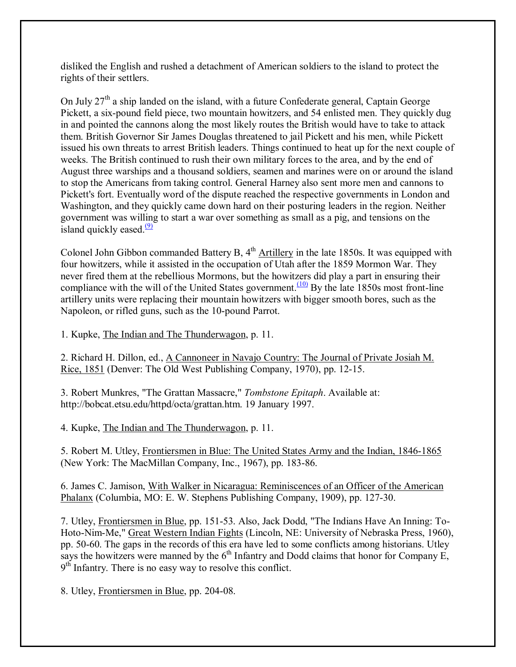disliked the English and rushed a detachment of American soldiers to the island to protect the rights of their settlers.

On July  $27<sup>th</sup>$  a ship landed on the island, with a future Confederate general, Captain George Pickett, a six-pound field piece, two mountain howitzers, and 54 enlisted men. They quickly dug in and pointed the cannons along the most likely routes the British would have to take to attack them. British Governor Sir James Douglas threatened to jail Pickett and his men, while Pickett issued his own threats to arrest British leaders. Things continued to heat up for the next couple of weeks. The British continued to rush their own military forces to the area, and by the end of August three warships and a thousand soldiers, seamen and marines were on or around the island to stop the Americans from taking control. General Harney also sent more men and cannons to Pickett's fort. Eventually word of the dispute reached the respective governments in London and Washington, and they quickly came down hard on their posturing leaders in the region. Neither government was willing to start a war over something as small as a pig, and tensions on the island quickly eased. $\frac{(9)}{9}$ 

Colonel John Gibbon commanded Battery B,  $4<sup>th</sup>$  Artillery in the late 1850s. It was equipped with four howitzers, while it assisted in the occupation of Utah after the 1859 Mormon War. They never fired them at the rebellious Mormons, but the howitzers did play a part in ensuring their compliance with the will of the United States government.<sup> $(10)$ </sup> By the late 1850s most front-line artillery units were replacing their mountain howitzers with bigger smooth bores, such as the Napoleon, or rifled guns, such as the 10-pound Parrot.

1. Kupke, The Indian and The Thunderwagon, p. 11.

2. Richard H. Dillon, ed., A Cannoneer in Navajo Country: The Journal of Private Josiah M. Rice, 1851 (Denver: The Old West Publishing Company, 1970), pp. 12-15.

3. Robert Munkres, "The Grattan Massacre," *Tombstone Epitaph*. Available at: http://bobcat.etsu.edu/httpd/octa/grattan.htm. 19 January 1997.

4. Kupke, The Indian and The Thunderwagon, p. 11.

5. Robert M. Utley, Frontiersmen in Blue: The United States Army and the Indian, 1846-1865 (New York: The MacMillan Company, Inc., 1967), pp. 183-86.

6. James C. Jamison, With Walker in Nicaragua: Reminiscences of an Officer of the American Phalanx (Columbia, MO: E. W. Stephens Publishing Company, 1909), pp. 127-30.

7. Utley, Frontiersmen in Blue, pp. 151-53. Also, Jack Dodd, "The Indians Have An Inning: To-Hoto-Nim-Me," Great Western Indian Fights (Lincoln, NE: University of Nebraska Press, 1960), pp. 50-60. The gaps in the records of this era have led to some conflicts among historians. Utley says the howitzers were manned by the  $6<sup>th</sup>$  Infantry and Dodd claims that honor for Company E,  $9<sup>th</sup>$  Infantry. There is no easy way to resolve this conflict.

8. Utley, Frontiersmen in Blue, pp. 204-08.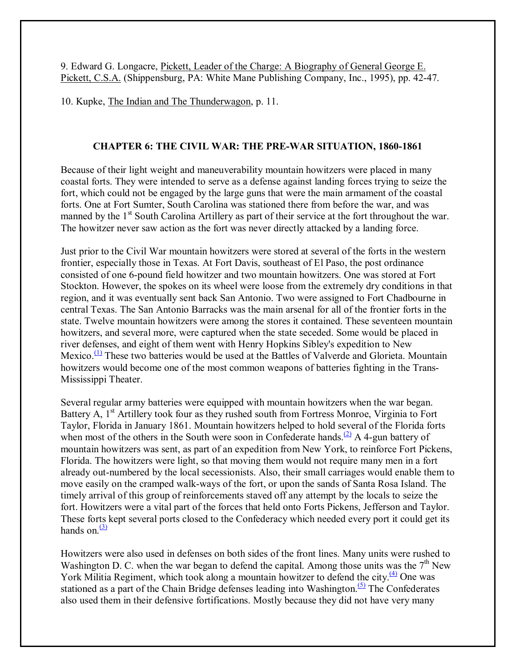9. Edward G. Longacre, Pickett, Leader of the Charge: A Biography of General George E. Pickett, C.S.A. (Shippensburg, PA: White Mane Publishing Company, Inc., 1995), pp. 42-47.

10. Kupke, The Indian and The Thunderwagon, p. 11.

# **CHAPTER 6: THE CIVIL WAR: THE PRE-WAR SITUATION, 1860-1861**

Because of their light weight and maneuverability mountain howitzers were placed in many coastal forts. They were intended to serve as a defense against landing forces trying to seize the fort, which could not be engaged by the large guns that were the main armament of the coastal forts. One at Fort Sumter, South Carolina was stationed there from before the war, and was manned by the  $1<sup>st</sup>$  South Carolina Artillery as part of their service at the fort throughout the war. The howitzer never saw action as the fort was never directly attacked by a landing force.

Just prior to the Civil War mountain howitzers were stored at several of the forts in the western frontier, especially those in Texas. At Fort Davis, southeast of El Paso, the post ordinance consisted of one 6-pound field howitzer and two mountain howitzers. One was stored at Fort Stockton. However, the spokes on its wheel were loose from the extremely dry conditions in that region, and it was eventually sent back San Antonio. Two were assigned to Fort Chadbourne in central Texas. The San Antonio Barracks was the main arsenal for all of the frontier forts in the state. Twelve mountain howitzers were among the stores it contained. These seventeen mountain howitzers, and several more, were captured when the state seceded. Some would be placed in river defenses, and eight of them went with Henry Hopkins Sibley's expedition to New Mexico. $\frac{(1)}{1}$  These two batteries would be used at the Battles of Valverde and Glorieta. Mountain howitzers would become one of the most common weapons of batteries fighting in the Trans-Mississippi Theater.

Several regular army batteries were equipped with mountain howitzers when the war began. Battery A, 1<sup>st</sup> Artillery took four as they rushed south from Fortress Monroe, Virginia to Fort Taylor, Florida in January 1861. Mountain howitzers helped to hold several of the Florida forts when most of the others in the South were soon in Confederate hands.<sup>(2)</sup> A 4-gun battery of mountain howitzers was sent, as part of an expedition from New York, to reinforce Fort Pickens, Florida. The howitzers were light, so that moving them would not require many men in a fort already out-numbered by the local secessionists. Also, their small carriages would enable them to move easily on the cramped walk-ways of the fort, or upon the sands of Santa Rosa Island. The timely arrival of this group of reinforcements staved off any attempt by the locals to seize the fort. Howitzers were a vital part of the forces that held onto Forts Pickens, Jefferson and Taylor. These forts kept several ports closed to the Confederacy which needed every port it could get its hands on  $\frac{(3)}{2}$ 

Howitzers were also used in defenses on both sides of the front lines. Many units were rushed to Washington D. C. when the war began to defend the capital. Among those units was the  $7<sup>th</sup>$  New York Militia Regiment, which took along a mountain howitzer to defend the city.<sup>(4)</sup> One was stationed as a part of the Chain Bridge defenses leading into Washington.<sup>(5)</sup> The Confederates also used them in their defensive fortifications. Mostly because they did not have very many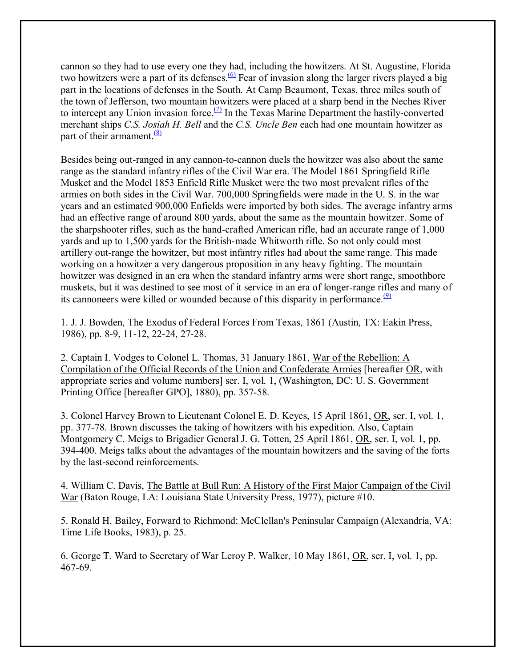cannon so they had to use every one they had, including the howitzers. At St. Augustine, Florida two howitzers were a part of its defenses.<sup>(6)</sup> Fear of invasion along the larger rivers played a big part in the locations of defenses in the South. At Camp Beaumont, Texas, three miles south of the town of Jefferson, two mountain howitzers were placed at a sharp bend in the Neches River to intercept any Union invasion force.<sup>(7)</sup> In the Texas Marine Department the hastily-converted merchant ships *C.S. Josiah H. Bell* and the *C.S. Uncle Ben* each had one mountain howitzer as part of their armament. $(8)$ 

Besides being out-ranged in any cannon-to-cannon duels the howitzer was also about the same range as the standard infantry rifles of the Civil War era. The Model 1861 Springfield Rifle Musket and the Model 1853 Enfield Rifle Musket were the two most prevalent rifles of the armies on both sides in the Civil War. 700,000 Springfields were made in the U. S. in the war years and an estimated 900,000 Enfields were imported by both sides. The average infantry arms had an effective range of around 800 yards, about the same as the mountain howitzer. Some of the sharpshooter rifles, such as the hand-crafted American rifle, had an accurate range of 1,000 yards and up to 1,500 yards for the British-made Whitworth rifle. So not only could most artillery out-range the howitzer, but most infantry rifles had about the same range. This made working on a howitzer a very dangerous proposition in any heavy fighting. The mountain howitzer was designed in an era when the standard infantry arms were short range, smoothbore muskets, but it was destined to see most of it service in an era of longer-range rifles and many of its cannoneers were killed or wounded because of this disparity in performance.<sup>(9)</sup>

1. J. J. Bowden, The Exodus of Federal Forces From Texas, 1861 (Austin, TX: Eakin Press, 1986), pp. 8-9, 11-12, 22-24, 27-28.

2. Captain I. Vodges to Colonel L. Thomas, 31 January 1861, War of the Rebellion: A Compilation of the Official Records of the Union and Confederate Armies [hereafter OR, with appropriate series and volume numbers] ser. I, vol. 1, (Washington, DC: U. S. Government Printing Office [hereafter GPO], 1880), pp. 357-58.

3. Colonel Harvey Brown to Lieutenant Colonel E. D. Keyes, 15 April 1861, OR, ser. I, vol. 1, pp. 377-78. Brown discusses the taking of howitzers with his expedition. Also, Captain Montgomery C. Meigs to Brigadier General J. G. Totten, 25 April 1861, OR, ser. I, vol. 1, pp. 394-400. Meigs talks about the advantages of the mountain howitzers and the saving of the forts by the last-second reinforcements.

4. William C. Davis, The Battle at Bull Run: A History of the First Major Campaign of the Civil War (Baton Rouge, LA: Louisiana State University Press, 1977), picture #10.

5. Ronald H. Bailey, Forward to Richmond: McClellan's Peninsular Campaign (Alexandria, VA: Time Life Books, 1983), p. 25.

6. George T. Ward to Secretary of War Leroy P. Walker, 10 May 1861, OR, ser. I, vol. 1, pp. 467-69.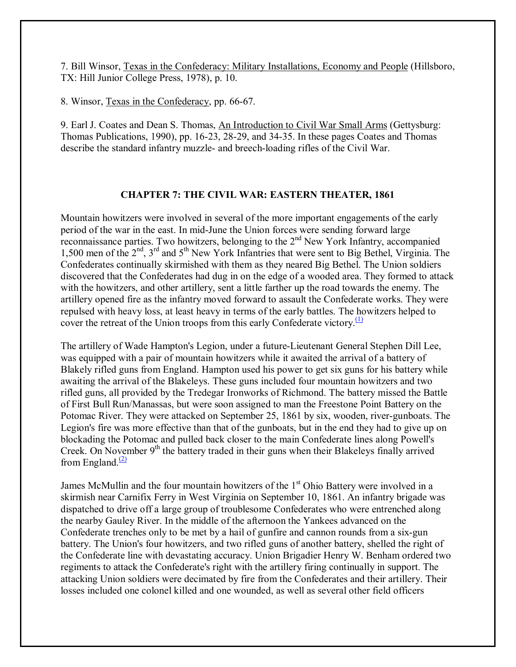7. Bill Winsor, Texas in the Confederacy: Military Installations, Economy and People (Hillsboro, TX: Hill Junior College Press, 1978), p. 10.

8. Winsor, Texas in the Confederacy, pp. 66-67.

9. Earl J. Coates and Dean S. Thomas, An Introduction to Civil War Small Arms (Gettysburg: Thomas Publications, 1990), pp. 16-23, 28-29, and 34-35. In these pages Coates and Thomas describe the standard infantry muzzle- and breech-loading rifles of the Civil War.

## **CHAPTER 7: THE CIVIL WAR: EASTERN THEATER, 1861**

Mountain howitzers were involved in several of the more important engagements of the early period of the war in the east. In mid-June the Union forces were sending forward large reconnaissance parties. Two howitzers, belonging to the  $2<sup>nd</sup>$  New York Infantry, accompanied 1,500 men of the 2<sup>nd</sup>, 3<sup>rd</sup> and 5<sup>th</sup> New York Infantries that were sent to Big Bethel, Virginia. The Confederates continually skirmished with them as they neared Big Bethel. The Union soldiers discovered that the Confederates had dug in on the edge of a wooded area. They formed to attack with the howitzers, and other artillery, sent a little farther up the road towards the enemy. The artillery opened fire as the infantry moved forward to assault the Confederate works. They were repulsed with heavy loss, at least heavy in terms of the early battles. The howitzers helped to cover the retreat of the Union troops from this early Confederate victory.<sup>(1)</sup>

The artillery of Wade Hampton's Legion, under a future-Lieutenant General Stephen Dill Lee, was equipped with a pair of mountain howitzers while it awaited the arrival of a battery of Blakely rifled guns from England. Hampton used his power to get six guns for his battery while awaiting the arrival of the Blakeleys. These guns included four mountain howitzers and two rifled guns, all provided by the Tredegar Ironworks of Richmond. The battery missed the Battle of First Bull Run/Manassas, but were soon assigned to man the Freestone Point Battery on the Potomac River. They were attacked on September 25, 1861 by six, wooden, river-gunboats. The Legion's fire was more effective than that of the gunboats, but in the end they had to give up on blockading the Potomac and pulled back closer to the main Confederate lines along Powell's Creek. On November  $9<sup>th</sup>$  the battery traded in their guns when their Blakeleys finally arrived from England. $\frac{(2)}{2}$ 

James McMullin and the four mountain howitzers of the  $1<sup>st</sup>$  Ohio Battery were involved in a skirmish near Carnifix Ferry in West Virginia on September 10, 1861. An infantry brigade was dispatched to drive off a large group of troublesome Confederates who were entrenched along the nearby Gauley River. In the middle of the afternoon the Yankees advanced on the Confederate trenches only to be met by a hail of gunfire and cannon rounds from a six-gun battery. The Union's four howitzers, and two rifled guns of another battery, shelled the right of the Confederate line with devastating accuracy. Union Brigadier Henry W. Benham ordered two regiments to attack the Confederate's right with the artillery firing continually in support. The attacking Union soldiers were decimated by fire from the Confederates and their artillery. Their losses included one colonel killed and one wounded, as well as several other field officers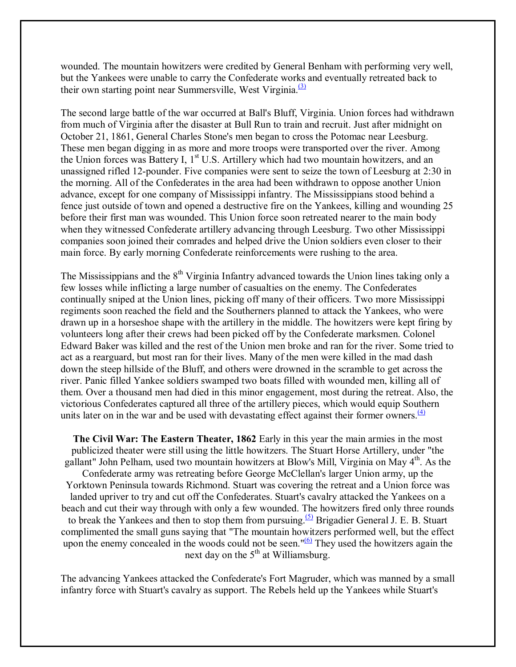wounded. The mountain howitzers were credited by General Benham with performing very well, but the Yankees were unable to carry the Confederate works and eventually retreated back to their own starting point near Summersville, West Virginia. $\frac{(3)}{2}$ 

The second large battle of the war occurred at Ball's Bluff, Virginia. Union forces had withdrawn from much of Virginia after the disaster at Bull Run to train and recruit. Just after midnight on October 21, 1861, General Charles Stone's men began to cross the Potomac near Leesburg. These men began digging in as more and more troops were transported over the river. Among the Union forces was Battery I, 1<sup>st</sup> U.S. Artillery which had two mountain howitzers, and an unassigned rifled 12-pounder. Five companies were sent to seize the town of Leesburg at 2:30 in the morning. All of the Confederates in the area had been withdrawn to oppose another Union advance, except for one company of Mississippi infantry. The Mississippians stood behind a fence just outside of town and opened a destructive fire on the Yankees, killing and wounding 25 before their first man was wounded. This Union force soon retreated nearer to the main body when they witnessed Confederate artillery advancing through Leesburg. Two other Mississippi companies soon joined their comrades and helped drive the Union soldiers even closer to their main force. By early morning Confederate reinforcements were rushing to the area.

The Mississippians and the  $8<sup>th</sup>$  Virginia Infantry advanced towards the Union lines taking only a few losses while inflicting a large number of casualties on the enemy. The Confederates continually sniped at the Union lines, picking off many of their officers. Two more Mississippi regiments soon reached the field and the Southerners planned to attack the Yankees, who were drawn up in a horseshoe shape with the artillery in the middle. The howitzers were kept firing by volunteers long after their crews had been picked off by the Confederate marksmen. Colonel Edward Baker was killed and the rest of the Union men broke and ran for the river. Some tried to act as a rearguard, but most ran for their lives. Many of the men were killed in the mad dash down the steep hillside of the Bluff, and others were drowned in the scramble to get across the river. Panic filled Yankee soldiers swamped two boats filled with wounded men, killing all of them. Over a thousand men had died in this minor engagement, most during the retreat. Also, the victorious Confederates captured all three of the artillery pieces, which would equip Southern units later on in the war and be used with devastating effect against their former owners.  $\frac{4}{1}$ 

**The Civil War: The Eastern Theater, 1862** Early in this year the main armies in the most publicized theater were still using the little howitzers. The Stuart Horse Artillery, under "the gallant" John Pelham, used two mountain howitzers at Blow's Mill, Virginia on May 4<sup>th</sup>. As the Confederate army was retreating before George McClellan's larger Union army, up the Yorktown Peninsula towards Richmond. Stuart was covering the retreat and a Union force was landed upriver to try and cut off the Confederates. Stuart's cavalry attacked the Yankees on a beach and cut their way through with only a few wounded. The howitzers fired only three rounds to break the Yankees and then to stop them from pursuing.<sup>(5)</sup> Brigadier General J. E. B. Stuart complimented the small guns saying that "The mountain howitzers performed well, but the effect upon the enemy concealed in the woods could not be seen."<sup>(6)</sup> They used the howitzers again the next day on the  $5<sup>th</sup>$  at Williamsburg.

The advancing Yankees attacked the Confederate's Fort Magruder, which was manned by a small infantry force with Stuart's cavalry as support. The Rebels held up the Yankees while Stuart's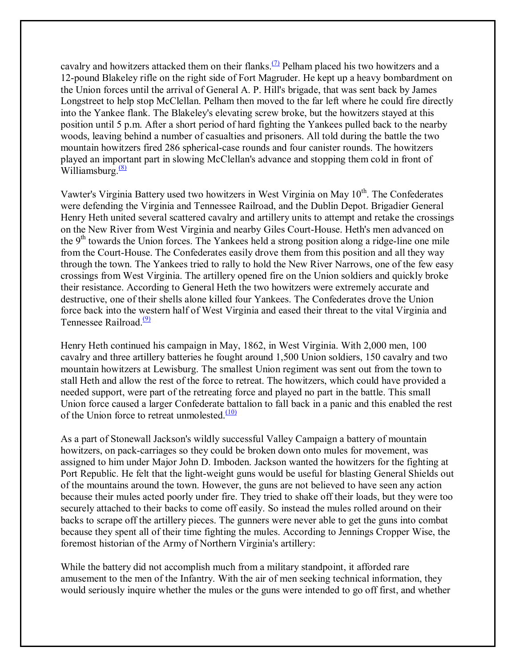cavalry and howitzers attacked them on their flanks.<sup>(7)</sup> Pelham placed his two howitzers and a 12-pound Blakeley rifle on the right side of Fort Magruder. He kept up a heavy bombardment on the Union forces until the arrival of General A. P. Hill's brigade, that was sent back by James Longstreet to help stop McClellan. Pelham then moved to the far left where he could fire directly into the Yankee flank. The Blakeley's elevating screw broke, but the howitzers stayed at this position until 5 p.m. After a short period of hard fighting the Yankees pulled back to the nearby woods, leaving behind a number of casualties and prisoners. All told during the battle the two mountain howitzers fired 286 spherical-case rounds and four canister rounds. The howitzers played an important part in slowing McClellan's advance and stopping them cold in front of Williamsburg. $\frac{(8)}{8}$ 

Vawter's Virginia Battery used two howitzers in West Virginia on May 10<sup>th</sup>. The Confederates were defending the Virginia and Tennessee Railroad, and the Dublin Depot. Brigadier General Henry Heth united several scattered cavalry and artillery units to attempt and retake the crossings on the New River from West Virginia and nearby Giles Court-House. Heth's men advanced on the  $9<sup>th</sup>$  towards the Union forces. The Yankees held a strong position along a ridge-line one mile from the Court-House. The Confederates easily drove them from this position and all they way through the town. The Yankees tried to rally to hold the New River Narrows, one of the few easy crossings from West Virginia. The artillery opened fire on the Union soldiers and quickly broke their resistance. According to General Heth the two howitzers were extremely accurate and destructive, one of their shells alone killed four Yankees. The Confederates drove the Union force back into the western half of West Virginia and eased their threat to the vital Virginia and Tennessee Railroad.<sup>(9)</sup>

Henry Heth continued his campaign in May, 1862, in West Virginia. With 2,000 men, 100 cavalry and three artillery batteries he fought around 1,500 Union soldiers, 150 cavalry and two mountain howitzers at Lewisburg. The smallest Union regiment was sent out from the town to stall Heth and allow the rest of the force to retreat. The howitzers, which could have provided a needed support, were part of the retreating force and played no part in the battle. This small Union force caused a larger Confederate battalion to fall back in a panic and this enabled the rest of the Union force to retreat unmolested. $\frac{(10)}{100}$ 

As a part of Stonewall Jackson's wildly successful Valley Campaign a battery of mountain howitzers, on pack-carriages so they could be broken down onto mules for movement, was assigned to him under Major John D. Imboden. Jackson wanted the howitzers for the fighting at Port Republic. He felt that the light-weight guns would be useful for blasting General Shields out of the mountains around the town. However, the guns are not believed to have seen any action because their mules acted poorly under fire. They tried to shake off their loads, but they were too securely attached to their backs to come off easily. So instead the mules rolled around on their backs to scrape off the artillery pieces. The gunners were never able to get the guns into combat because they spent all of their time fighting the mules. According to Jennings Cropper Wise, the foremost historian of the Army of Northern Virginia's artillery:

While the battery did not accomplish much from a military standpoint, it afforded rare amusement to the men of the Infantry. With the air of men seeking technical information, they would seriously inquire whether the mules or the guns were intended to go off first, and whether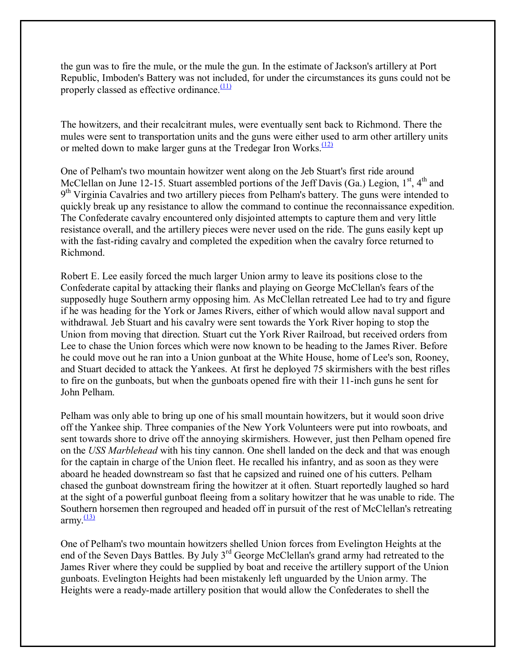the gun was to fire the mule, or the mule the gun. In the estimate of Jackson's artillery at Port Republic, Imboden's Battery was not included, for under the circumstances its guns could not be properly classed as effective ordinance. $\frac{(11)}{11}$ 

The howitzers, and their recalcitrant mules, were eventually sent back to Richmond. There the mules were sent to transportation units and the guns were either used to arm other artillery units or melted down to make larger guns at the Tredegar Iron Works. $\frac{(12)}{(12)}$ 

One of Pelham's two mountain howitzer went along on the Jeb Stuart's first ride around McClellan on June 12-15. Stuart assembled portions of the Jeff Davis (Ga.) Legion,  $1<sup>st</sup>$ ,  $4<sup>th</sup>$  and  $9<sup>th</sup> Virginia Cavalries$  and two artillery pieces from Pelham's battery. The guns were intended to quickly break up any resistance to allow the command to continue the reconnaissance expedition. The Confederate cavalry encountered only disjointed attempts to capture them and very little resistance overall, and the artillery pieces were never used on the ride. The guns easily kept up with the fast-riding cavalry and completed the expedition when the cavalry force returned to Richmond.

Robert E. Lee easily forced the much larger Union army to leave its positions close to the Confederate capital by attacking their flanks and playing on George McClellan's fears of the supposedly huge Southern army opposing him. As McClellan retreated Lee had to try and figure if he was heading for the York or James Rivers, either of which would allow naval support and withdrawal. Jeb Stuart and his cavalry were sent towards the York River hoping to stop the Union from moving that direction. Stuart cut the York River Railroad, but received orders from Lee to chase the Union forces which were now known to be heading to the James River. Before he could move out he ran into a Union gunboat at the White House, home of Lee's son, Rooney, and Stuart decided to attack the Yankees. At first he deployed 75 skirmishers with the best rifles to fire on the gunboats, but when the gunboats opened fire with their 11-inch guns he sent for John Pelham.

Pelham was only able to bring up one of his small mountain howitzers, but it would soon drive off the Yankee ship. Three companies of the New York Volunteers were put into rowboats, and sent towards shore to drive off the annoying skirmishers. However, just then Pelham opened fire on the *USS Marblehead* with his tiny cannon. One shell landed on the deck and that was enough for the captain in charge of the Union fleet. He recalled his infantry, and as soon as they were aboard he headed downstream so fast that he capsized and ruined one of his cutters. Pelham chased the gunboat downstream firing the howitzer at it often. Stuart reportedly laughed so hard at the sight of a powerful gunboat fleeing from a solitary howitzer that he was unable to ride. The Southern horsemen then regrouped and headed off in pursuit of the rest of McClellan's retreating army. $\frac{(13)}{2}$ 

One of Pelham's two mountain howitzers shelled Union forces from Evelington Heights at the end of the Seven Days Battles. By July 3<sup>rd</sup> George McClellan's grand army had retreated to the James River where they could be supplied by boat and receive the artillery support of the Union gunboats. Evelington Heights had been mistakenly left unguarded by the Union army. The Heights were a ready-made artillery position that would allow the Confederates to shell the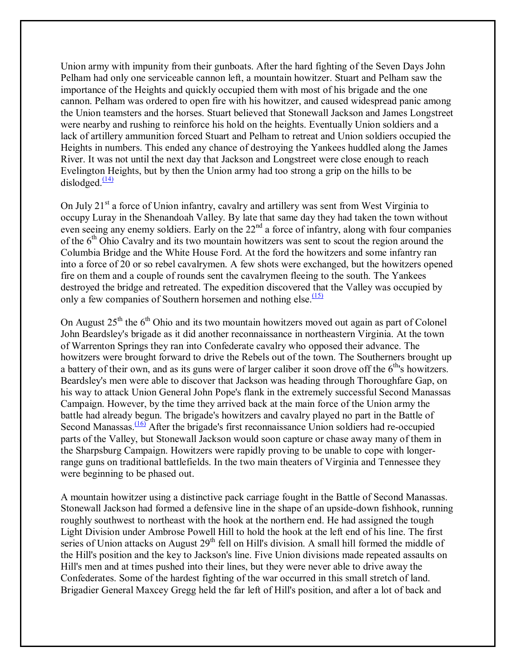Union army with impunity from their gunboats. After the hard fighting of the Seven Days John Pelham had only one serviceable cannon left, a mountain howitzer. Stuart and Pelham saw the importance of the Heights and quickly occupied them with most of his brigade and the one cannon. Pelham was ordered to open fire with his howitzer, and caused widespread panic among the Union teamsters and the horses. Stuart believed that Stonewall Jackson and James Longstreet were nearby and rushing to reinforce his hold on the heights. Eventually Union soldiers and a lack of artillery ammunition forced Stuart and Pelham to retreat and Union soldiers occupied the Heights in numbers. This ended any chance of destroying the Yankees huddled along the James River. It was not until the next day that Jackson and Longstreet were close enough to reach Evelington Heights, but by then the Union army had too strong a grip on the hills to be dislodged. $\frac{(14)}{2}$ 

On July  $21<sup>st</sup>$  a force of Union infantry, cavalry and artillery was sent from West Virginia to occupy Luray in the Shenandoah Valley. By late that same day they had taken the town without even seeing any enemy soldiers. Early on the  $22<sup>nd</sup>$  a force of infantry, along with four companies of the  $6<sup>th</sup>$  Ohio Cavalry and its two mountain howitzers was sent to scout the region around the Columbia Bridge and the White House Ford. At the ford the howitzers and some infantry ran into a force of 20 or so rebel cavalrymen. A few shots were exchanged, but the howitzers opened fire on them and a couple of rounds sent the cavalrymen fleeing to the south. The Yankees destroyed the bridge and retreated. The expedition discovered that the Valley was occupied by only a few companies of Southern horsemen and nothing else. $\frac{(15)}{(15)}$ 

On August  $25<sup>th</sup>$  the 6<sup>th</sup> Ohio and its two mountain howitzers moved out again as part of Colonel John Beardsley's brigade as it did another reconnaissance in northeastern Virginia. At the town of Warrenton Springs they ran into Confederate cavalry who opposed their advance. The howitzers were brought forward to drive the Rebels out of the town. The Southerners brought up a battery of their own, and as its guns were of larger caliber it soon drove off the 6<sup>th</sup>'s howitzers. Beardsley's men were able to discover that Jackson was heading through Thoroughfare Gap, on his way to attack Union General John Pope's flank in the extremely successful Second Manassas Campaign. However, by the time they arrived back at the main force of the Union army the battle had already begun. The brigade's howitzers and cavalry played no part in the Battle of Second Manassas.<sup>(16)</sup> After the brigade's first reconnaissance Union soldiers had re-occupied parts of the Valley, but Stonewall Jackson would soon capture or chase away many of them in the Sharpsburg Campaign. Howitzers were rapidly proving to be unable to cope with longerrange guns on traditional battlefields. In the two main theaters of Virginia and Tennessee they were beginning to be phased out.

A mountain howitzer using a distinctive pack carriage fought in the Battle of Second Manassas. Stonewall Jackson had formed a defensive line in the shape of an upside-down fishhook, running roughly southwest to northeast with the hook at the northern end. He had assigned the tough Light Division under Ambrose Powell Hill to hold the hook at the left end of his line. The first series of Union attacks on August  $29<sup>th</sup>$  fell on Hill's division. A small hill formed the middle of the Hill's position and the key to Jackson's line. Five Union divisions made repeated assaults on Hill's men and at times pushed into their lines, but they were never able to drive away the Confederates. Some of the hardest fighting of the war occurred in this small stretch of land. Brigadier General Maxcey Gregg held the far left of Hill's position, and after a lot of back and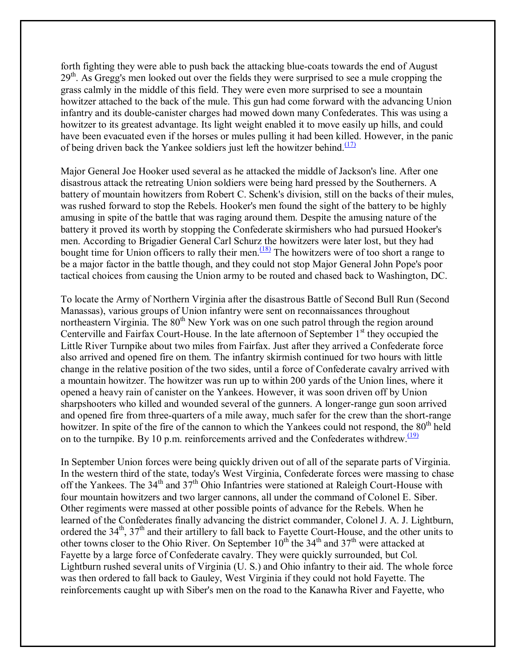forth fighting they were able to push back the attacking blue-coats towards the end of August 29<sup>th</sup>. As Gregg's men looked out over the fields they were surprised to see a mule cropping the grass calmly in the middle of this field. They were even more surprised to see a mountain howitzer attached to the back of the mule. This gun had come forward with the advancing Union infantry and its double-canister charges had mowed down many Confederates. This was using a howitzer to its greatest advantage. Its light weight enabled it to move easily up hills, and could have been evacuated even if the horses or mules pulling it had been killed. However, in the panic of being driven back the Yankee soldiers just left the howitzer behind. $(17)$ 

Major General Joe Hooker used several as he attacked the middle of Jackson's line. After one disastrous attack the retreating Union soldiers were being hard pressed by the Southerners. A battery of mountain howitzers from Robert C. Schenk's division, still on the backs of their mules, was rushed forward to stop the Rebels. Hooker's men found the sight of the battery to be highly amusing in spite of the battle that was raging around them. Despite the amusing nature of the battery it proved its worth by stopping the Confederate skirmishers who had pursued Hooker's men. According to Brigadier General Carl Schurz the howitzers were later lost, but they had bought time for Union officers to rally their men.<sup> $(18)$ </sup> The howitzers were of too short a range to be a major factor in the battle though, and they could not stop Major General John Pope's poor tactical choices from causing the Union army to be routed and chased back to Washington, DC.

To locate the Army of Northern Virginia after the disastrous Battle of Second Bull Run (Second Manassas), various groups of Union infantry were sent on reconnaissances throughout northeastern Virginia. The  $80<sup>th</sup>$  New York was on one such patrol through the region around Centerville and Fairfax Court-House. In the late afternoon of September  $1<sup>st</sup>$  they occupied the Little River Turnpike about two miles from Fairfax. Just after they arrived a Confederate force also arrived and opened fire on them. The infantry skirmish continued for two hours with little change in the relative position of the two sides, until a force of Confederate cavalry arrived with a mountain howitzer. The howitzer was run up to within 200 yards of the Union lines, where it opened a heavy rain of canister on the Yankees. However, it was soon driven off by Union sharpshooters who killed and wounded several of the gunners. A longer-range gun soon arrived and opened fire from three-quarters of a mile away, much safer for the crew than the short-range howitzer. In spite of the fire of the cannon to which the Yankees could not respond, the 80<sup>th</sup> held on to the turnpike. By 10 p.m. reinforcements arrived and the Confederates withdrew. $\frac{(19)}{(19)}$ 

In September Union forces were being quickly driven out of all of the separate parts of Virginia. In the western third of the state, today's West Virginia, Confederate forces were massing to chase off the Yankees. The  $34<sup>th</sup>$  and  $37<sup>th</sup>$  Ohio Infantries were stationed at Raleigh Court-House with four mountain howitzers and two larger cannons, all under the command of Colonel E. Siber. Other regiments were massed at other possible points of advance for the Rebels. When he learned of the Confederates finally advancing the district commander, Colonel J. A. J. Lightburn, ordered the 34<sup>th</sup>, 37<sup>th</sup> and their artillery to fall back to Fayette Court-House, and the other units to other towns closer to the Ohio River. On September  $10^{th}$  the 34<sup>th</sup> and 37<sup>th</sup> were attacked at Fayette by a large force of Confederate cavalry. They were quickly surrounded, but Col. Lightburn rushed several units of Virginia (U. S.) and Ohio infantry to their aid. The whole force was then ordered to fall back to Gauley, West Virginia if they could not hold Fayette. The reinforcements caught up with Siber's men on the road to the Kanawha River and Fayette, who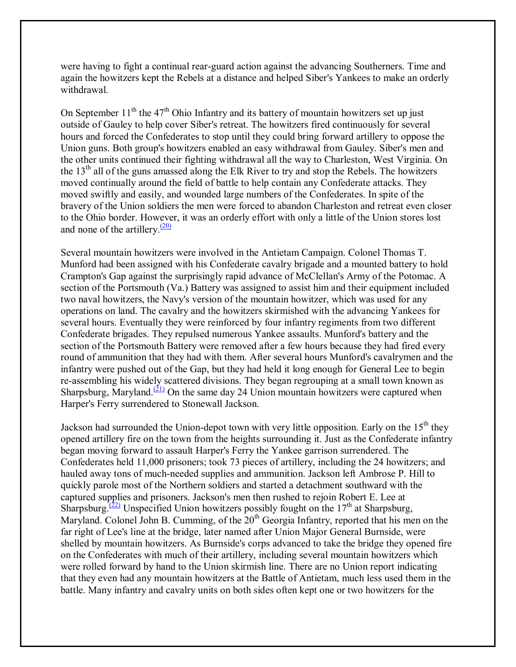were having to fight a continual rear-guard action against the advancing Southerners. Time and again the howitzers kept the Rebels at a distance and helped Siber's Yankees to make an orderly withdrawal.

On September  $11<sup>th</sup>$  the 47<sup>th</sup> Ohio Infantry and its battery of mountain howitzers set up just outside of Gauley to help cover Siber's retreat. The howitzers fired continuously for several hours and forced the Confederates to stop until they could bring forward artillery to oppose the Union guns. Both group's howitzers enabled an easy withdrawal from Gauley. Siber's men and the other units continued their fighting withdrawal all the way to Charleston, West Virginia. On the  $13<sup>th</sup>$  all of the guns amassed along the Elk River to try and stop the Rebels. The howitzers moved continually around the field of battle to help contain any Confederate attacks. They moved swiftly and easily, and wounded large numbers of the Confederates. In spite of the bravery of the Union soldiers the men were forced to abandon Charleston and retreat even closer to the Ohio border. However, it was an orderly effort with only a little of the Union stores lost and none of the artillery. $\frac{(20)}{20}$ 

Several mountain howitzers were involved in the Antietam Campaign. Colonel Thomas T. Munford had been assigned with his Confederate cavalry brigade and a mounted battery to hold Crampton's Gap against the surprisingly rapid advance of McClellan's Army of the Potomac. A section of the Portsmouth (Va.) Battery was assigned to assist him and their equipment included two naval howitzers, the Navy's version of the mountain howitzer, which was used for any operations on land. The cavalry and the howitzers skirmished with the advancing Yankees for several hours. Eventually they were reinforced by four infantry regiments from two different Confederate brigades. They repulsed numerous Yankee assaults. Munford's battery and the section of the Portsmouth Battery were removed after a few hours because they had fired every round of ammunition that they had with them. After several hours Munford's cavalrymen and the infantry were pushed out of the Gap, but they had held it long enough for General Lee to begin re-assembling his widely scattered divisions. They began regrouping at a small town known as Sharpsburg, Maryland.<sup>(21)</sup> On the same day 24 Union mountain howitzers were captured when Harper's Ferry surrendered to Stonewall Jackson.

Jackson had surrounded the Union-depot town with very little opposition. Early on the  $15<sup>th</sup>$  they opened artillery fire on the town from the heights surrounding it. Just as the Confederate infantry began moving forward to assault Harper's Ferry the Yankee garrison surrendered. The Confederates held 11,000 prisoners; took 73 pieces of artillery, including the 24 howitzers; and hauled away tons of much-needed supplies and ammunition. Jackson left Ambrose P. Hill to quickly parole most of the Northern soldiers and started a detachment southward with the captured supplies and prisoners. Jackson's men then rushed to rejoin Robert E. Lee at Sharpsburg.<sup>(22)</sup> Unspecified Union howitzers possibly fought on the 17<sup>th</sup> at Sharpsburg, Maryland. Colonel John B. Cumming, of the  $20<sup>th</sup>$  Georgia Infantry, reported that his men on the far right of Lee's line at the bridge, later named after Union Major General Burnside, were shelled by mountain howitzers. As Burnside's corps advanced to take the bridge they opened fire on the Confederates with much of their artillery, including several mountain howitzers which were rolled forward by hand to the Union skirmish line. There are no Union report indicating that they even had any mountain howitzers at the Battle of Antietam, much less used them in the battle. Many infantry and cavalry units on both sides often kept one or two howitzers for the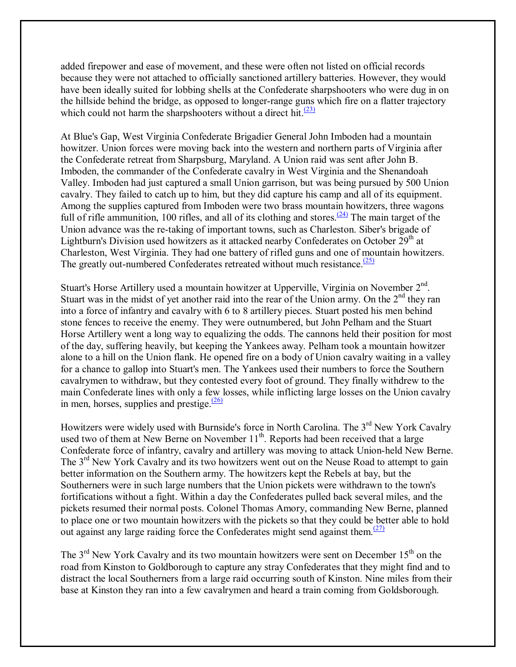added firepower and ease of movement, and these were often not listed on official records because they were not attached to officially sanctioned artillery batteries. However, they would have been ideally suited for lobbing shells at the Confederate sharpshooters who were dug in on the hillside behind the bridge, as opposed to longer-range guns which fire on a flatter trajectory which could not harm the sharpshooters without a direct hit. $\frac{(23)}{23}$ 

At Blue's Gap, West Virginia Confederate Brigadier General John Imboden had a mountain howitzer. Union forces were moving back into the western and northern parts of Virginia after the Confederate retreat from Sharpsburg, Maryland. A Union raid was sent after John B. Imboden, the commander of the Confederate cavalry in West Virginia and the Shenandoah Valley. Imboden had just captured a small Union garrison, but was being pursued by 500 Union cavalry. They failed to catch up to him, but they did capture his camp and all of its equipment. Among the supplies captured from Imboden were two brass mountain howitzers, three wagons full of rifle ammunition, 100 rifles, and all of its clothing and stores.<sup> $(24)$ </sup> The main target of the Union advance was the re-taking of important towns, such as Charleston. Siber's brigade of Lightburn's Division used howitzers as it attacked nearby Confederates on October 29<sup>th</sup> at Charleston, West Virginia. They had one battery of rifled guns and one of mountain howitzers. The greatly out-numbered Confederates retreated without much resistance. $(25)$ 

Stuart's Horse Artillery used a mountain howitzer at Upperville, Virginia on November  $2<sup>nd</sup>$ . Stuart was in the midst of yet another raid into the rear of the Union army. On the  $2<sup>nd</sup>$  they ran into a force of infantry and cavalry with 6 to 8 artillery pieces. Stuart posted his men behind stone fences to receive the enemy. They were outnumbered, but John Pelham and the Stuart Horse Artillery went a long way to equalizing the odds. The cannons held their position for most of the day, suffering heavily, but keeping the Yankees away. Pelham took a mountain howitzer alone to a hill on the Union flank. He opened fire on a body of Union cavalry waiting in a valley for a chance to gallop into Stuart's men. The Yankees used their numbers to force the Southern cavalrymen to withdraw, but they contested every foot of ground. They finally withdrew to the main Confederate lines with only a few losses, while inflicting large losses on the Union cavalry in men, horses, supplies and prestige. $\frac{(26)}{2}$ 

Howitzers were widely used with Burnside's force in North Carolina. The 3<sup>rd</sup> New York Cavalry used two of them at New Berne on November  $11<sup>th</sup>$ . Reports had been received that a large Confederate force of infantry, cavalry and artillery was moving to attack Union-held New Berne. The 3<sup>rd</sup> New York Cavalry and its two howitzers went out on the Neuse Road to attempt to gain better information on the Southern army. The howitzers kept the Rebels at bay, but the Southerners were in such large numbers that the Union pickets were withdrawn to the town's fortifications without a fight. Within a day the Confederates pulled back several miles, and the pickets resumed their normal posts. Colonel Thomas Amory, commanding New Berne, planned to place one or two mountain howitzers with the pickets so that they could be better able to hold out against any large raiding force the Confederates might send against them.<sup> $(27)$ </sup>

The  $3<sup>rd</sup>$  New York Cavalry and its two mountain howitzers were sent on December 15<sup>th</sup> on the road from Kinston to Goldborough to capture any stray Confederates that they might find and to distract the local Southerners from a large raid occurring south of Kinston. Nine miles from their base at Kinston they ran into a few cavalrymen and heard a train coming from Goldsborough.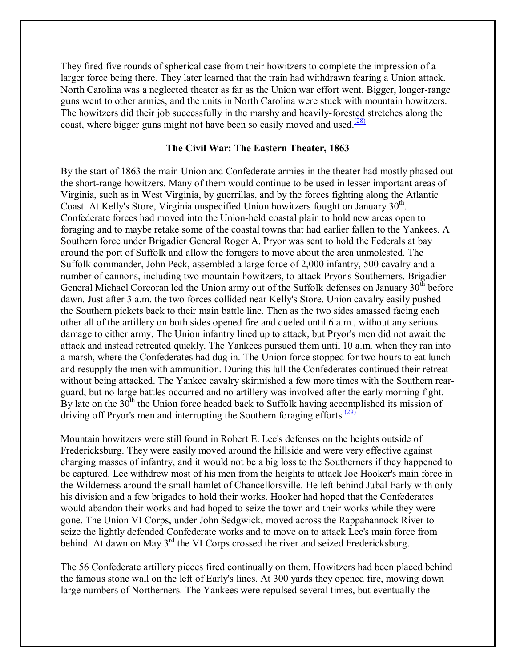They fired five rounds of spherical case from their howitzers to complete the impression of a larger force being there. They later learned that the train had withdrawn fearing a Union attack. North Carolina was a neglected theater as far as the Union war effort went. Bigger, longer-range guns went to other armies, and the units in North Carolina were stuck with mountain howitzers. The howitzers did their job successfully in the marshy and heavily-forested stretches along the coast, where bigger guns might not have been so easily moved and used. $\frac{(28)}{28}$ 

# **The Civil War: The Eastern Theater, 1863**

By the start of 1863 the main Union and Confederate armies in the theater had mostly phased out the short-range howitzers. Many of them would continue to be used in lesser important areas of Virginia, such as in West Virginia, by guerrillas, and by the forces fighting along the Atlantic Coast. At Kelly's Store, Virginia unspecified Union howitzers fought on January 30th. Confederate forces had moved into the Union-held coastal plain to hold new areas open to foraging and to maybe retake some of the coastal towns that had earlier fallen to the Yankees. A Southern force under Brigadier General Roger A. Pryor was sent to hold the Federals at bay around the port of Suffolk and allow the foragers to move about the area unmolested. The Suffolk commander, John Peck, assembled a large force of 2,000 infantry, 500 cavalry and a number of cannons, including two mountain howitzers, to attack Pryor's Southerners. Brigadier General Michael Corcoran led the Union army out of the Suffolk defenses on January 30<sup>th</sup> before dawn. Just after 3 a.m. the two forces collided near Kelly's Store. Union cavalry easily pushed the Southern pickets back to their main battle line. Then as the two sides amassed facing each other all of the artillery on both sides opened fire and dueled until 6 a.m., without any serious damage to either army. The Union infantry lined up to attack, but Pryor's men did not await the attack and instead retreated quickly. The Yankees pursued them until 10 a.m. when they ran into a marsh, where the Confederates had dug in. The Union force stopped for two hours to eat lunch and resupply the men with ammunition. During this lull the Confederates continued their retreat without being attacked. The Yankee cavalry skirmished a few more times with the Southern rearguard, but no large battles occurred and no artillery was involved after the early morning fight. By late on the  $30<sup>th</sup>$  the Union force headed back to Suffolk having accomplished its mission of driving off Pryor's men and interrupting the Southern foraging efforts. $(29)$ 

Mountain howitzers were still found in Robert E. Lee's defenses on the heights outside of Fredericksburg. They were easily moved around the hillside and were very effective against charging masses of infantry, and it would not be a big loss to the Southerners if they happened to be captured. Lee withdrew most of his men from the heights to attack Joe Hooker's main force in the Wilderness around the small hamlet of Chancellorsville. He left behind Jubal Early with only his division and a few brigades to hold their works. Hooker had hoped that the Confederates would abandon their works and had hoped to seize the town and their works while they were gone. The Union VI Corps, under John Sedgwick, moved across the Rappahannock River to seize the lightly defended Confederate works and to move on to attack Lee's main force from behind. At dawn on May 3<sup>rd</sup> the VI Corps crossed the river and seized Fredericksburg.

The 56 Confederate artillery pieces fired continually on them. Howitzers had been placed behind the famous stone wall on the left of Early's lines. At 300 yards they opened fire, mowing down large numbers of Northerners. The Yankees were repulsed several times, but eventually the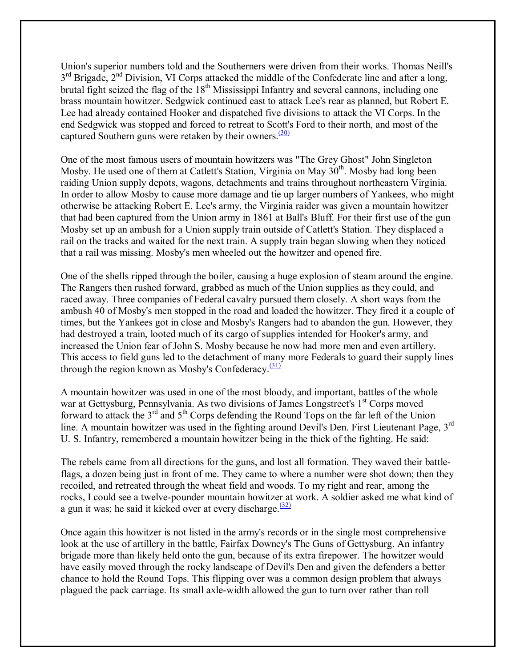Union's superior numbers told and the Southerners were driven from their works. Thomas Neill's 3<sup>rd</sup> Brigade, 2<sup>nd</sup> Division, VI Corps attacked the middle of the Confederate line and after a long, brutal fight seized the flag of the 18<sup>th</sup> Mississippi Infantry and several cannons, including one brass mountain howitzer. Sedgwick continued east to attack Lee's rear as planned, but Robert E. Lee had already contained Hooker and dispatched five divisions to attack the VI Corps. In the end Sedgwick was stopped and forced to retreat to Scott's Ford to their north, and most of the captured Southern guns were retaken by their owners. $\frac{(30)}{20}$ 

One of the most famous users of mountain howitzers was "The Grey Ghost" John Singleton Mosby. He used one of them at Catlett's Station, Virginia on May  $30<sup>th</sup>$ . Mosby had long been raiding Union supply depots, wagons, detachments and trains throughout northeastern Virginia. In order to allow Mosby to cause more damage and tie up larger numbers of Yankees, who might otherwise be attacking Robert E. Lee's army, the Virginia raider was given a mountain howitzer that had been captured from the Union army in 1861 at Ball's Bluff. For their first use of the gun Mosby set up an ambush for a Union supply train outside of Catlett's Station. They displaced a rail on the tracks and waited for the next train. A supply train began slowing when they noticed that a rail was missing. Mosby's men wheeled out the howitzer and opened fire.

One of the shells ripped through the boiler, causing a huge explosion of steam around the engine. The Rangers then rushed forward, grabbed as much of the Union supplies as they could, and raced away. Three companies of Federal cavalry pursued them closely. A short ways from the ambush 40 of Mosby's men stopped in the road and loaded the howitzer. They fired it a couple of times, but the Yankees got in close and Mosby's Rangers had to abandon the gun. However, they had destroyed a train, looted much of its cargo of supplies intended for Hooker's army, and increased the Union fear of John S. Mosby because he now had more men and even artillery. This access to field guns led to the detachment of many more Federals to guard their supply lines through the region known as Mosby's Confederacy. $\frac{(31)}{21}$ 

A mountain howitzer was used in one of the most bloody, and important, battles of the whole war at Gettysburg, Pennsylvania. As two divisions of James Longstreet's 1<sup>st</sup> Corps moved forward to attack the  $3<sup>rd</sup>$  and  $5<sup>th</sup>$  Corps defending the Round Tops on the far left of the Union line. A mountain howitzer was used in the fighting around Devil's Den. First Lieutenant Page, 3rd U. S. Infantry, remembered a mountain howitzer being in the thick of the fighting. He said:

The rebels came from all directions for the guns, and lost all formation. They waved their battleflags, a dozen being just in front of me. They came to where a number were shot down; then they recoiled, and retreated through the wheat field and woods. To my right and rear, among the rocks, I could see a twelve-pounder mountain howitzer at work. A soldier asked me what kind of a gun it was; he said it kicked over at every discharge. $(32)$ 

Once again this howitzer is not listed in the army's records or in the single most comprehensive look at the use of artillery in the battle, Fairfax Downey's The Guns of Gettysburg. An infantry brigade more than likely held onto the gun, because of its extra firepower. The howitzer would have easily moved through the rocky landscape of Devil's Den and given the defenders a better chance to hold the Round Tops. This flipping over was a common design problem that always plagued the pack carriage. Its small axle-width allowed the gun to turn over rather than roll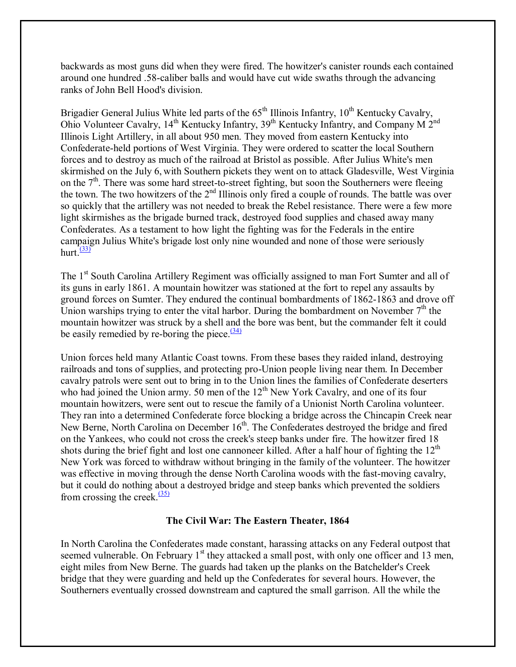backwards as most guns did when they were fired. The howitzer's canister rounds each contained around one hundred .58-caliber balls and would have cut wide swaths through the advancing ranks of John Bell Hood's division.

Brigadier General Julius White led parts of the 65<sup>th</sup> Illinois Infantry, 10<sup>th</sup> Kentucky Cavalry, Ohio Volunteer Cavalry, 14<sup>th</sup> Kentucky Infantry, 39<sup>th</sup> Kentucky Infantry, and Company M 2<sup>nd</sup> Illinois Light Artillery, in all about 950 men. They moved from eastern Kentucky into Confederate-held portions of West Virginia. They were ordered to scatter the local Southern forces and to destroy as much of the railroad at Bristol as possible. After Julius White's men skirmished on the July 6, with Southern pickets they went on to attack Gladesville, West Virginia on the 7<sup>th</sup>. There was some hard street-to-street fighting, but soon the Southerners were fleeing the town. The two howitzers of the  $2<sup>nd</sup>$  Illinois only fired a couple of rounds. The battle was over so quickly that the artillery was not needed to break the Rebel resistance. There were a few more light skirmishes as the brigade burned track, destroyed food supplies and chased away many Confederates. As a testament to how light the fighting was for the Federals in the entire campaign Julius White's brigade lost only nine wounded and none of those were seriously hurt. $\frac{(33)}{2}$ 

The 1<sup>st</sup> South Carolina Artillery Regiment was officially assigned to man Fort Sumter and all of its guns in early 1861. A mountain howitzer was stationed at the fort to repel any assaults by ground forces on Sumter. They endured the continual bombardments of 1862-1863 and drove off Union warships trying to enter the vital harbor. During the bombardment on November  $7<sup>th</sup>$  the mountain howitzer was struck by a shell and the bore was bent, but the commander felt it could be easily remedied by re-boring the piece. $\frac{(34)}{2}$ 

Union forces held many Atlantic Coast towns. From these bases they raided inland, destroying railroads and tons of supplies, and protecting pro-Union people living near them. In December cavalry patrols were sent out to bring in to the Union lines the families of Confederate deserters who had joined the Union army. 50 men of the 12<sup>th</sup> New York Cavalry, and one of its four mountain howitzers, were sent out to rescue the family of a Unionist North Carolina volunteer. They ran into a determined Confederate force blocking a bridge across the Chincapin Creek near New Berne, North Carolina on December  $16<sup>th</sup>$ . The Confederates destroyed the bridge and fired on the Yankees, who could not cross the creek's steep banks under fire. The howitzer fired 18 shots during the brief fight and lost one cannoneer killed. After a half hour of fighting the  $12<sup>th</sup>$ New York was forced to withdraw without bringing in the family of the volunteer. The howitzer was effective in moving through the dense North Carolina woods with the fast-moving cavalry, but it could do nothing about a destroyed bridge and steep banks which prevented the soldiers from crossing the creek. $\frac{(35)}{2}$ 

## **The Civil War: The Eastern Theater, 1864**

In North Carolina the Confederates made constant, harassing attacks on any Federal outpost that seemed vulnerable. On February  $1<sup>st</sup>$  they attacked a small post, with only one officer and 13 men, eight miles from New Berne. The guards had taken up the planks on the Batchelder's Creek bridge that they were guarding and held up the Confederates for several hours. However, the Southerners eventually crossed downstream and captured the small garrison. All the while the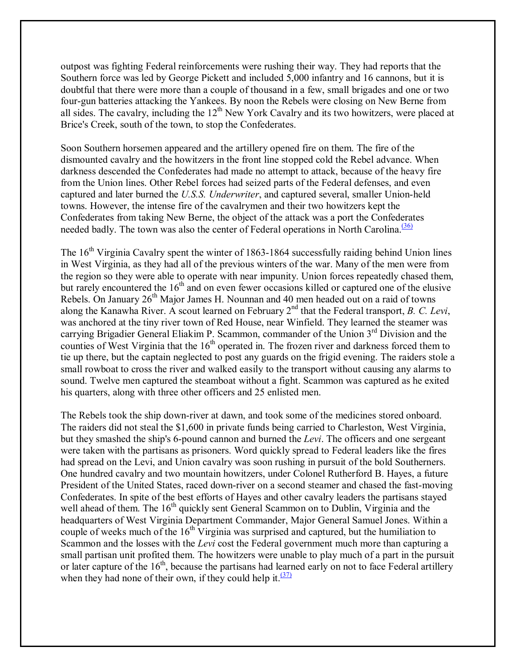outpost was fighting Federal reinforcements were rushing their way. They had reports that the Southern force was led by George Pickett and included 5,000 infantry and 16 cannons, but it is doubtful that there were more than a couple of thousand in a few, small brigades and one or two four-gun batteries attacking the Yankees. By noon the Rebels were closing on New Berne from all sides. The cavalry, including the  $12<sup>th</sup>$  New York Cavalry and its two howitzers, were placed at Brice's Creek, south of the town, to stop the Confederates.

Soon Southern horsemen appeared and the artillery opened fire on them. The fire of the dismounted cavalry and the howitzers in the front line stopped cold the Rebel advance. When darkness descended the Confederates had made no attempt to attack, because of the heavy fire from the Union lines. Other Rebel forces had seized parts of the Federal defenses, and even captured and later burned the *U.S.S. Underwriter*, and captured several, smaller Union-held towns. However, the intense fire of the cavalrymen and their two howitzers kept the Confederates from taking New Berne, the object of the attack was a port the Confederates needed badly. The town was also the center of Federal operations in North Carolina.<sup>[36]</sup>

The  $16<sup>th</sup>$  Virginia Cavalry spent the winter of 1863-1864 successfully raiding behind Union lines in West Virginia, as they had all of the previous winters of the war. Many of the men were from the region so they were able to operate with near impunity. Union forces repeatedly chased them, but rarely encountered the  $16<sup>th</sup>$  and on even fewer occasions killed or captured one of the elusive Rebels. On January 26<sup>th</sup> Major James H. Nounnan and 40 men headed out on a raid of towns along the Kanawha River. A scout learned on February 2nd that the Federal transport, *B. C. Levi*, was anchored at the tiny river town of Red House, near Winfield. They learned the steamer was carrying Brigadier General Eliakim P. Scammon, commander of the Union 3<sup>rd</sup> Division and the counties of West Virginia that the  $16<sup>th</sup>$  operated in. The frozen river and darkness forced them to tie up there, but the captain neglected to post any guards on the frigid evening. The raiders stole a small rowboat to cross the river and walked easily to the transport without causing any alarms to sound. Twelve men captured the steamboat without a fight. Scammon was captured as he exited his quarters, along with three other officers and 25 enlisted men.

The Rebels took the ship down-river at dawn, and took some of the medicines stored onboard. The raiders did not steal the \$1,600 in private funds being carried to Charleston, West Virginia, but they smashed the ship's 6-pound cannon and burned the *Levi*. The officers and one sergeant were taken with the partisans as prisoners. Word quickly spread to Federal leaders like the fires had spread on the Levi, and Union cavalry was soon rushing in pursuit of the bold Southerners. One hundred cavalry and two mountain howitzers, under Colonel Rutherford B. Hayes, a future President of the United States, raced down-river on a second steamer and chased the fast-moving Confederates. In spite of the best efforts of Hayes and other cavalry leaders the partisans stayed well ahead of them. The 16<sup>th</sup> quickly sent General Scammon on to Dublin, Virginia and the headquarters of West Virginia Department Commander, Major General Samuel Jones. Within a couple of weeks much of the 16<sup>th</sup> Virginia was surprised and captured, but the humiliation to Scammon and the losses with the *Levi* cost the Federal government much more than capturing a small partisan unit profited them. The howitzers were unable to play much of a part in the pursuit or later capture of the  $16<sup>th</sup>$ , because the partisans had learned early on not to face Federal artillery when they had none of their own, if they could help it. $\frac{(37)}{27}$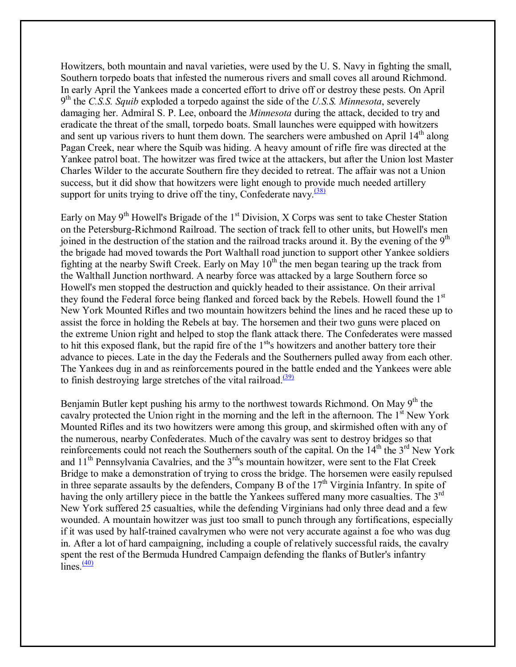Howitzers, both mountain and naval varieties, were used by the U. S. Navy in fighting the small, Southern torpedo boats that infested the numerous rivers and small coves all around Richmond. In early April the Yankees made a concerted effort to drive off or destroy these pests. On April 9th the *C.S.S. Squib* exploded a torpedo against the side of the *U.S.S. Minnesota*, severely damaging her. Admiral S. P. Lee, onboard the *Minnesota* during the attack, decided to try and eradicate the threat of the small, torpedo boats. Small launches were equipped with howitzers and sent up various rivers to hunt them down. The searchers were ambushed on April 14<sup>th</sup> along Pagan Creek, near where the Squib was hiding. A heavy amount of rifle fire was directed at the Yankee patrol boat. The howitzer was fired twice at the attackers, but after the Union lost Master Charles Wilder to the accurate Southern fire they decided to retreat. The affair was not a Union success, but it did show that howitzers were light enough to provide much needed artillery support for units trying to drive off the tiny, Confederate navy. $(38)$ 

Early on May  $9<sup>th</sup>$  Howell's Brigade of the 1<sup>st</sup> Division, X Corps was sent to take Chester Station on the Petersburg-Richmond Railroad. The section of track fell to other units, but Howell's men joined in the destruction of the station and the railroad tracks around it. By the evening of the 9<sup>th</sup> the brigade had moved towards the Port Walthall road junction to support other Yankee soldiers fighting at the nearby Swift Creek. Early on May  $10<sup>th</sup>$  the men began tearing up the track from the Walthall Junction northward. A nearby force was attacked by a large Southern force so Howell's men stopped the destruction and quickly headed to their assistance. On their arrival they found the Federal force being flanked and forced back by the Rebels. Howell found the 1<sup>st</sup> New York Mounted Rifles and two mountain howitzers behind the lines and he raced these up to assist the force in holding the Rebels at bay. The horsemen and their two guns were placed on the extreme Union right and helped to stop the flank attack there. The Confederates were massed to hit this exposed flank, but the rapid fire of the 1<sup>st</sup>'s howitzers and another battery tore their advance to pieces. Late in the day the Federals and the Southerners pulled away from each other. The Yankees dug in and as reinforcements poured in the battle ended and the Yankees were able to finish destroying large stretches of the vital railroad. $\frac{(39)}{(39)}$ 

Benjamin Butler kept pushing his army to the northwest towards Richmond. On May  $9<sup>th</sup>$  the cavalry protected the Union right in the morning and the left in the afternoon. The  $1<sup>st</sup>$  New York Mounted Rifles and its two howitzers were among this group, and skirmished often with any of the numerous, nearby Confederates. Much of the cavalry was sent to destroy bridges so that reinforcements could not reach the Southerners south of the capital. On the  $14<sup>th</sup>$  the  $3<sup>rd</sup>$  New York and  $11<sup>th</sup>$  Pennsylvania Cavalries, and the  $3<sup>rd</sup>$ 's mountain howitzer, were sent to the Flat Creek Bridge to make a demonstration of trying to cross the bridge. The horsemen were easily repulsed in three separate assaults by the defenders, Company B of the  $17<sup>th</sup>$  Virginia Infantry. In spite of having the only artillery piece in the battle the Yankees suffered many more casualties. The 3<sup>rd</sup> New York suffered 25 casualties, while the defending Virginians had only three dead and a few wounded. A mountain howitzer was just too small to punch through any fortifications, especially if it was used by half-trained cavalrymen who were not very accurate against a foe who was dug in. After a lot of hard campaigning, including a couple of relatively successful raids, the cavalry spent the rest of the Bermuda Hundred Campaign defending the flanks of Butler's infantry  $\text{lines.}^{\text{(40)}}$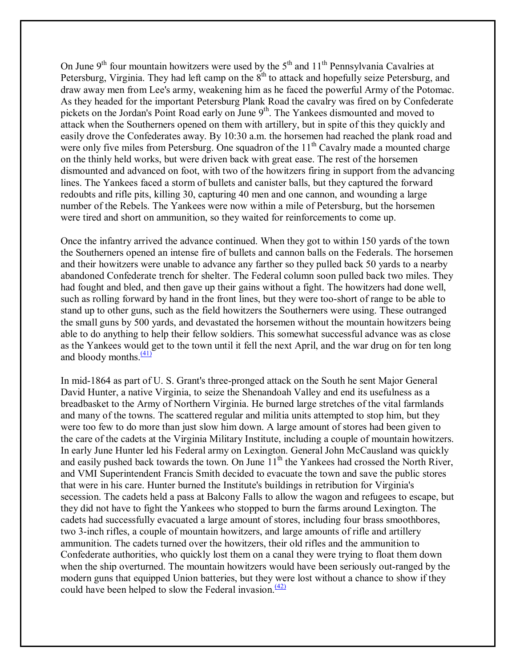On June  $9<sup>th</sup>$  four mountain howitzers were used by the  $5<sup>th</sup>$  and  $11<sup>th</sup>$  Pennsylvania Cavalries at Petersburg, Virginia. They had left camp on the  $8<sup>th</sup>$  to attack and hopefully seize Petersburg, and draw away men from Lee's army, weakening him as he faced the powerful Army of the Potomac. As they headed for the important Petersburg Plank Road the cavalry was fired on by Confederate pickets on the Jordan's Point Road early on June 9<sup>th</sup>. The Yankees dismounted and moved to attack when the Southerners opened on them with artillery, but in spite of this they quickly and easily drove the Confederates away. By 10:30 a.m. the horsemen had reached the plank road and were only five miles from Petersburg. One squadron of the  $11<sup>th</sup>$  Cavalry made a mounted charge on the thinly held works, but were driven back with great ease. The rest of the horsemen dismounted and advanced on foot, with two of the howitzers firing in support from the advancing lines. The Yankees faced a storm of bullets and canister balls, but they captured the forward redoubts and rifle pits, killing 30, capturing 40 men and one cannon, and wounding a large number of the Rebels. The Yankees were now within a mile of Petersburg, but the horsemen were tired and short on ammunition, so they waited for reinforcements to come up.

Once the infantry arrived the advance continued. When they got to within 150 yards of the town the Southerners opened an intense fire of bullets and cannon balls on the Federals. The horsemen and their howitzers were unable to advance any farther so they pulled back 50 yards to a nearby abandoned Confederate trench for shelter. The Federal column soon pulled back two miles. They had fought and bled, and then gave up their gains without a fight. The howitzers had done well, such as rolling forward by hand in the front lines, but they were too-short of range to be able to stand up to other guns, such as the field howitzers the Southerners were using. These outranged the small guns by 500 yards, and devastated the horsemen without the mountain howitzers being able to do anything to help their fellow soldiers. This somewhat successful advance was as close as the Yankees would get to the town until it fell the next April, and the war drug on for ten long and bloody months. $\frac{(41)}{4}$ 

In mid-1864 as part of U. S. Grant's three-pronged attack on the South he sent Major General David Hunter, a native Virginia, to seize the Shenandoah Valley and end its usefulness as a breadbasket to the Army of Northern Virginia. He burned large stretches of the vital farmlands and many of the towns. The scattered regular and militia units attempted to stop him, but they were too few to do more than just slow him down. A large amount of stores had been given to the care of the cadets at the Virginia Military Institute, including a couple of mountain howitzers. In early June Hunter led his Federal army on Lexington. General John McCausland was quickly and easily pushed back towards the town. On June  $11<sup>th</sup>$  the Yankees had crossed the North River, and VMI Superintendent Francis Smith decided to evacuate the town and save the public stores that were in his care. Hunter burned the Institute's buildings in retribution for Virginia's secession. The cadets held a pass at Balcony Falls to allow the wagon and refugees to escape, but they did not have to fight the Yankees who stopped to burn the farms around Lexington. The cadets had successfully evacuated a large amount of stores, including four brass smoothbores, two 3-inch rifles, a couple of mountain howitzers, and large amounts of rifle and artillery ammunition. The cadets turned over the howitzers, their old rifles and the ammunition to Confederate authorities, who quickly lost them on a canal they were trying to float them down when the ship overturned. The mountain howitzers would have been seriously out-ranged by the modern guns that equipped Union batteries, but they were lost without a chance to show if they could have been helped to slow the Federal invasion.  $\frac{(42)}{2}$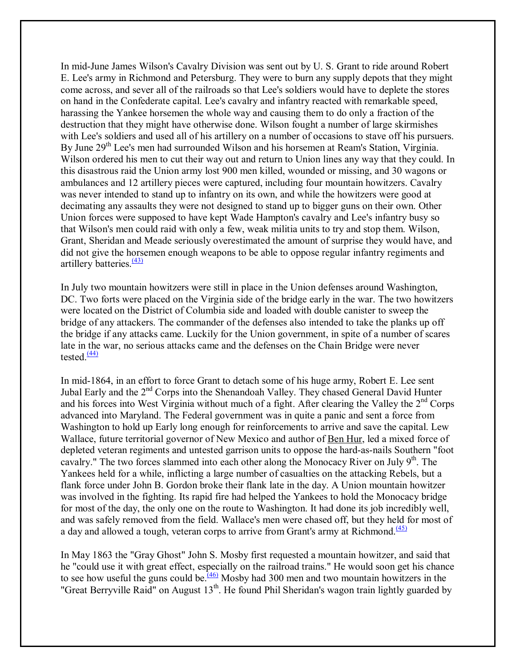In mid-June James Wilson's Cavalry Division was sent out by U. S. Grant to ride around Robert E. Lee's army in Richmond and Petersburg. They were to burn any supply depots that they might come across, and sever all of the railroads so that Lee's soldiers would have to deplete the stores on hand in the Confederate capital. Lee's cavalry and infantry reacted with remarkable speed, harassing the Yankee horsemen the whole way and causing them to do only a fraction of the destruction that they might have otherwise done. Wilson fought a number of large skirmishes with Lee's soldiers and used all of his artillery on a number of occasions to stave off his pursuers. By June 29<sup>th</sup> Lee's men had surrounded Wilson and his horsemen at Ream's Station, Virginia. Wilson ordered his men to cut their way out and return to Union lines any way that they could. In this disastrous raid the Union army lost 900 men killed, wounded or missing, and 30 wagons or ambulances and 12 artillery pieces were captured, including four mountain howitzers. Cavalry was never intended to stand up to infantry on its own, and while the howitzers were good at decimating any assaults they were not designed to stand up to bigger guns on their own. Other Union forces were supposed to have kept Wade Hampton's cavalry and Lee's infantry busy so that Wilson's men could raid with only a few, weak militia units to try and stop them. Wilson, Grant, Sheridan and Meade seriously overestimated the amount of surprise they would have, and did not give the horsemen enough weapons to be able to oppose regular infantry regiments and artillery batteries. $\frac{(43)}{2}$ 

In July two mountain howitzers were still in place in the Union defenses around Washington, DC. Two forts were placed on the Virginia side of the bridge early in the war. The two howitzers were located on the District of Columbia side and loaded with double canister to sweep the bridge of any attackers. The commander of the defenses also intended to take the planks up off the bridge if any attacks came. Luckily for the Union government, in spite of a number of scares late in the war, no serious attacks came and the defenses on the Chain Bridge were never tested. $\frac{(44)}{4}$ 

In mid-1864, in an effort to force Grant to detach some of his huge army, Robert E. Lee sent Jubal Early and the 2nd Corps into the Shenandoah Valley. They chased General David Hunter and his forces into West Virginia without much of a fight. After clearing the Valley the  $2<sup>nd</sup>$  Corps advanced into Maryland. The Federal government was in quite a panic and sent a force from Washington to hold up Early long enough for reinforcements to arrive and save the capital. Lew Wallace, future territorial governor of New Mexico and author of Ben Hur, led a mixed force of depleted veteran regiments and untested garrison units to oppose the hard-as-nails Southern "foot cavalry." The two forces slammed into each other along the Monocacy River on July 9<sup>th</sup>. The Yankees held for a while, inflicting a large number of casualties on the attacking Rebels, but a flank force under John B. Gordon broke their flank late in the day. A Union mountain howitzer was involved in the fighting. Its rapid fire had helped the Yankees to hold the Monocacy bridge for most of the day, the only one on the route to Washington. It had done its job incredibly well, and was safely removed from the field. Wallace's men were chased off, but they held for most of a day and allowed a tough, veteran corps to arrive from Grant's army at Richmond.<sup>(45)</sup>

In May 1863 the "Gray Ghost" John S. Mosby first requested a mountain howitzer, and said that he "could use it with great effect, especially on the railroad trains." He would soon get his chance to see how useful the guns could be.<sup> $(46)$ </sup> Mosby had 300 men and two mountain howitzers in the "Great Berryville Raid" on August 13<sup>th</sup>. He found Phil Sheridan's wagon train lightly guarded by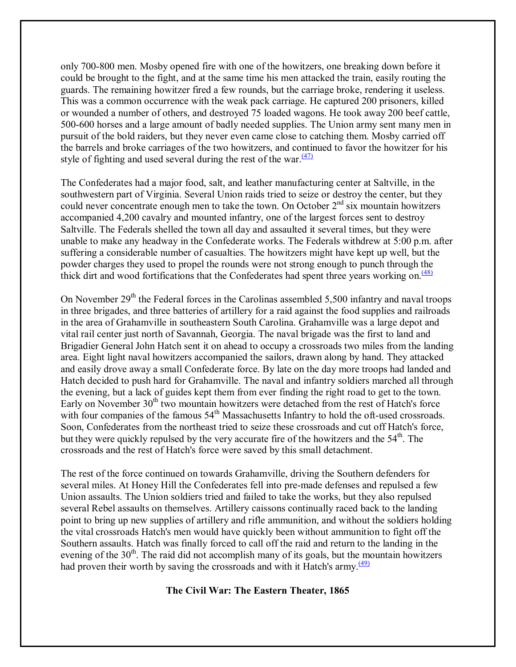only 700-800 men. Mosby opened fire with one of the howitzers, one breaking down before it could be brought to the fight, and at the same time his men attacked the train, easily routing the guards. The remaining howitzer fired a few rounds, but the carriage broke, rendering it useless. This was a common occurrence with the weak pack carriage. He captured 200 prisoners, killed or wounded a number of others, and destroyed 75 loaded wagons. He took away 200 beef cattle, 500-600 horses and a large amount of badly needed supplies. The Union army sent many men in pursuit of the bold raiders, but they never even came close to catching them. Mosby carried off the barrels and broke carriages of the two howitzers, and continued to favor the howitzer for his style of fighting and used several during the rest of the war. $\frac{(47)}{2}$ 

The Confederates had a major food, salt, and leather manufacturing center at Saltville, in the southwestern part of Virginia. Several Union raids tried to seize or destroy the center, but they could never concentrate enough men to take the town. On October  $2<sup>nd</sup>$  six mountain howitzers accompanied 4,200 cavalry and mounted infantry, one of the largest forces sent to destroy Saltville. The Federals shelled the town all day and assaulted it several times, but they were unable to make any headway in the Confederate works. The Federals withdrew at 5:00 p.m. after suffering a considerable number of casualties. The howitzers might have kept up well, but the powder charges they used to propel the rounds were not strong enough to punch through the thick dirt and wood fortifications that the Confederates had spent three years working on. $\frac{(48)}{2}$ 

On November  $29<sup>th</sup>$  the Federal forces in the Carolinas assembled 5,500 infantry and naval troops in three brigades, and three batteries of artillery for a raid against the food supplies and railroads in the area of Grahamville in southeastern South Carolina. Grahamville was a large depot and vital rail center just north of Savannah, Georgia. The naval brigade was the first to land and Brigadier General John Hatch sent it on ahead to occupy a crossroads two miles from the landing area. Eight light naval howitzers accompanied the sailors, drawn along by hand. They attacked and easily drove away a small Confederate force. By late on the day more troops had landed and Hatch decided to push hard for Grahamville. The naval and infantry soldiers marched all through the evening, but a lack of guides kept them from ever finding the right road to get to the town. Early on November  $30<sup>th</sup>$  two mountain howitzers were detached from the rest of Hatch's force with four companies of the famous  $54<sup>th</sup>$  Massachusetts Infantry to hold the oft-used crossroads. Soon, Confederates from the northeast tried to seize these crossroads and cut off Hatch's force, but they were quickly repulsed by the very accurate fire of the howitzers and the  $54<sup>th</sup>$ . The crossroads and the rest of Hatch's force were saved by this small detachment.

The rest of the force continued on towards Grahamville, driving the Southern defenders for several miles. At Honey Hill the Confederates fell into pre-made defenses and repulsed a few Union assaults. The Union soldiers tried and failed to take the works, but they also repulsed several Rebel assaults on themselves. Artillery caissons continually raced back to the landing point to bring up new supplies of artillery and rifle ammunition, and without the soldiers holding the vital crossroads Hatch's men would have quickly been without ammunition to fight off the Southern assaults. Hatch was finally forced to call off the raid and return to the landing in the evening of the  $30<sup>th</sup>$ . The raid did not accomplish many of its goals, but the mountain howitzers had proven their worth by saving the crossroads and with it Hatch's army. $\frac{(49)}{(49)}$ 

#### **The Civil War: The Eastern Theater, 1865**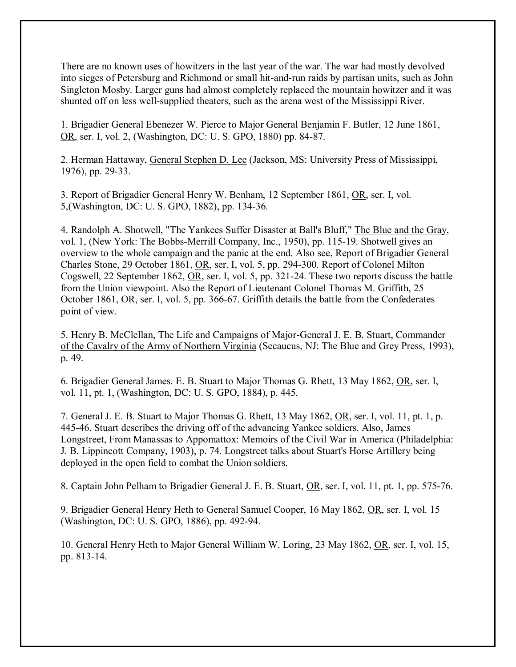There are no known uses of howitzers in the last year of the war. The war had mostly devolved into sieges of Petersburg and Richmond or small hit-and-run raids by partisan units, such as John Singleton Mosby. Larger guns had almost completely replaced the mountain howitzer and it was shunted off on less well-supplied theaters, such as the arena west of the Mississippi River.

1. Brigadier General Ebenezer W. Pierce to Major General Benjamin F. Butler, 12 June 1861, OR, ser. I, vol. 2, (Washington, DC: U. S. GPO, 1880) pp. 84-87.

2. Herman Hattaway, General Stephen D. Lee (Jackson, MS: University Press of Mississippi, 1976), pp. 29-33.

3. Report of Brigadier General Henry W. Benham, 12 September 1861, OR, ser. I, vol. 5,(Washington, DC: U. S. GPO, 1882), pp. 134-36.

4. Randolph A. Shotwell, "The Yankees Suffer Disaster at Ball's Bluff," The Blue and the Gray, vol. 1, (New York: The Bobbs-Merrill Company, Inc., 1950), pp. 115-19. Shotwell gives an overview to the whole campaign and the panic at the end. Also see, Report of Brigadier General Charles Stone, 29 October 1861, OR, ser. I, vol. 5, pp. 294-300. Report of Colonel Milton Cogswell, 22 September 1862, OR, ser. I, vol. 5, pp. 321-24. These two reports discuss the battle from the Union viewpoint. Also the Report of Lieutenant Colonel Thomas M. Griffith, 25 October 1861, OR, ser. I, vol. 5, pp. 366-67. Griffith details the battle from the Confederates point of view.

5. Henry B. McClellan, The Life and Campaigns of Major-General J. E. B. Stuart, Commander of the Cavalry of the Army of Northern Virginia (Secaucus, NJ: The Blue and Grey Press, 1993), p. 49.

6. Brigadier General James. E. B. Stuart to Major Thomas G. Rhett, 13 May 1862, OR, ser. I, vol. 11, pt. 1, (Washington, DC: U. S. GPO, 1884), p. 445.

7. General J. E. B. Stuart to Major Thomas G. Rhett, 13 May 1862, OR, ser. I, vol. 11, pt. 1, p. 445-46. Stuart describes the driving off of the advancing Yankee soldiers. Also, James Longstreet, From Manassas to Appomattox: Memoirs of the Civil War in America (Philadelphia: J. B. Lippincott Company, 1903), p. 74. Longstreet talks about Stuart's Horse Artillery being deployed in the open field to combat the Union soldiers.

8. Captain John Pelham to Brigadier General J. E. B. Stuart, OR, ser. I, vol. 11, pt. 1, pp. 575-76.

9. Brigadier General Henry Heth to General Samuel Cooper, 16 May 1862, OR, ser. I, vol. 15 (Washington, DC: U. S. GPO, 1886), pp. 492-94.

10. General Henry Heth to Major General William W. Loring, 23 May 1862, OR, ser. I, vol. 15, pp. 813-14.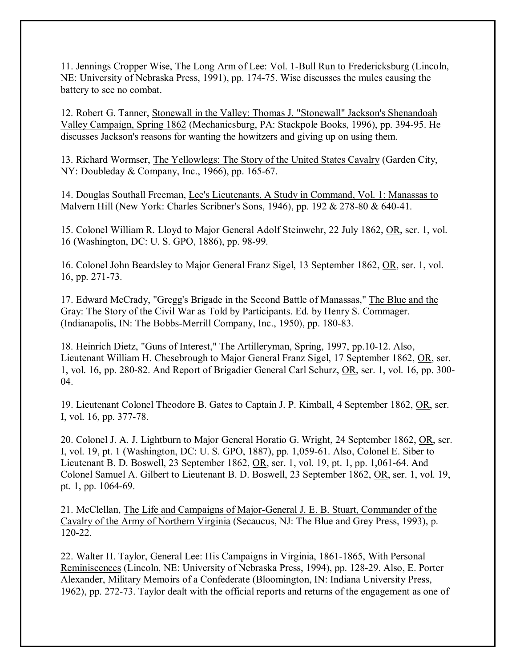11. Jennings Cropper Wise, The Long Arm of Lee: Vol. 1-Bull Run to Fredericksburg (Lincoln, NE: University of Nebraska Press, 1991), pp. 174-75. Wise discusses the mules causing the battery to see no combat.

12. Robert G. Tanner, Stonewall in the Valley: Thomas J. "Stonewall" Jackson's Shenandoah Valley Campaign, Spring 1862 (Mechanicsburg, PA: Stackpole Books, 1996), pp. 394-95. He discusses Jackson's reasons for wanting the howitzers and giving up on using them.

13. Richard Wormser, The Yellowlegs: The Story of the United States Cavalry (Garden City, NY: Doubleday & Company, Inc., 1966), pp. 165-67.

14. Douglas Southall Freeman, Lee's Lieutenants, A Study in Command, Vol. 1: Manassas to Malvern Hill (New York: Charles Scribner's Sons, 1946), pp. 192 & 278-80 & 640-41.

15. Colonel William R. Lloyd to Major General Adolf Steinwehr, 22 July 1862, OR, ser. 1, vol. 16 (Washington, DC: U. S. GPO, 1886), pp. 98-99.

16. Colonel John Beardsley to Major General Franz Sigel, 13 September 1862, OR, ser. 1, vol. 16, pp. 271-73.

17. Edward McCrady, "Gregg's Brigade in the Second Battle of Manassas," The Blue and the Gray: The Story of the Civil War as Told by Participants. Ed. by Henry S. Commager. (Indianapolis, IN: The Bobbs-Merrill Company, Inc., 1950), pp. 180-83.

18. Heinrich Dietz, "Guns of Interest," The Artilleryman, Spring, 1997, pp.10-12. Also, Lieutenant William H. Chesebrough to Major General Franz Sigel, 17 September 1862, OR, ser. 1, vol. 16, pp. 280-82. And Report of Brigadier General Carl Schurz, OR, ser. 1, vol. 16, pp. 300- 04.

19. Lieutenant Colonel Theodore B. Gates to Captain J. P. Kimball, 4 September 1862, OR, ser. I, vol. 16, pp. 377-78.

20. Colonel J. A. J. Lightburn to Major General Horatio G. Wright, 24 September 1862, OR, ser. I, vol. 19, pt. 1 (Washington, DC: U. S. GPO, 1887), pp. 1,059-61. Also, Colonel E. Siber to Lieutenant B. D. Boswell, 23 September 1862, OR, ser. 1, vol. 19, pt. 1, pp. 1,061-64. And Colonel Samuel A. Gilbert to Lieutenant B. D. Boswell, 23 September 1862, OR, ser. 1, vol. 19, pt. 1, pp. 1064-69.

21. McClellan, The Life and Campaigns of Major-General J. E. B. Stuart, Commander of the Cavalry of the Army of Northern Virginia (Secaucus, NJ: The Blue and Grey Press, 1993), p. 120-22.

22. Walter H. Taylor, General Lee: His Campaigns in Virginia, 1861-1865, With Personal Reminiscences (Lincoln, NE: University of Nebraska Press, 1994), pp. 128-29. Also, E. Porter Alexander, Military Memoirs of a Confederate (Bloomington, IN: Indiana University Press, 1962), pp. 272-73. Taylor dealt with the official reports and returns of the engagement as one of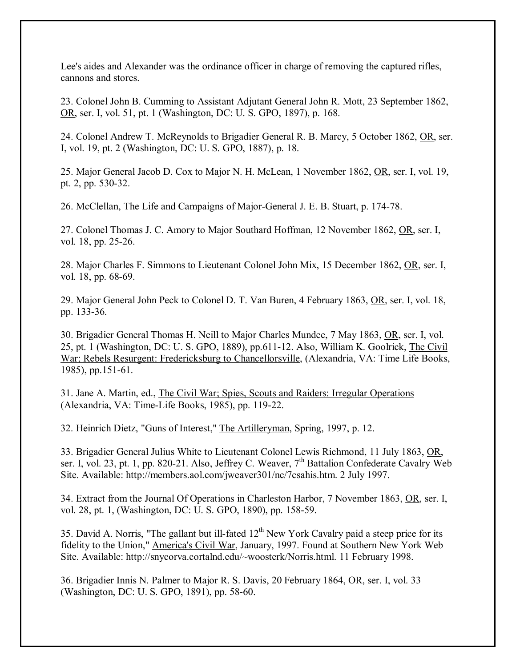Lee's aides and Alexander was the ordinance officer in charge of removing the captured rifles, cannons and stores.

23. Colonel John B. Cumming to Assistant Adjutant General John R. Mott, 23 September 1862, OR, ser. I, vol. 51, pt. 1 (Washington, DC: U. S. GPO, 1897), p. 168.

24. Colonel Andrew T. McReynolds to Brigadier General R. B. Marcy, 5 October 1862, OR, ser. I, vol. 19, pt. 2 (Washington, DC: U. S. GPO, 1887), p. 18.

25. Major General Jacob D. Cox to Major N. H. McLean, 1 November 1862, OR, ser. I, vol. 19, pt. 2, pp. 530-32.

26. McClellan, The Life and Campaigns of Major-General J. E. B. Stuart, p. 174-78.

27. Colonel Thomas J. C. Amory to Major Southard Hoffman, 12 November 1862, OR, ser. I, vol. 18, pp. 25-26.

28. Major Charles F. Simmons to Lieutenant Colonel John Mix, 15 December 1862, OR, ser. I, vol. 18, pp. 68-69.

29. Major General John Peck to Colonel D. T. Van Buren, 4 February 1863, OR, ser. I, vol. 18, pp. 133-36.

30. Brigadier General Thomas H. Neill to Major Charles Mundee, 7 May 1863, OR, ser. I, vol. 25, pt. 1 (Washington, DC: U. S. GPO, 1889), pp.611-12. Also, William K. Goolrick, The Civil War; Rebels Resurgent: Fredericksburg to Chancellorsville, (Alexandria, VA: Time Life Books, 1985), pp.151-61.

31. Jane A. Martin, ed., The Civil War; Spies, Scouts and Raiders: Irregular Operations (Alexandria, VA: Time-Life Books, 1985), pp. 119-22.

32. Heinrich Dietz, "Guns of Interest," The Artilleryman, Spring, 1997, p. 12.

33. Brigadier General Julius White to Lieutenant Colonel Lewis Richmond, 11 July 1863, OR, ser. I, vol. 23, pt. 1, pp. 820-21. Also, Jeffrey C. Weaver,  $7<sup>th</sup>$  Battalion Confederate Cavalry Web Site. Available: http://members.aol.com/jweaver301/nc/7csahis.htm. 2 July 1997.

34. Extract from the Journal Of Operations in Charleston Harbor, 7 November 1863, OR, ser. I, vol. 28, pt. 1, (Washington, DC: U. S. GPO, 1890), pp. 158-59.

35. David A. Norris, "The gallant but ill-fated  $12<sup>th</sup>$  New York Cavalry paid a steep price for its fidelity to the Union," America's Civil War, January, 1997. Found at Southern New York Web Site. Available: http://snycorva.cortalnd.edu/~woosterk/Norris.html. 11 February 1998.

36. Brigadier Innis N. Palmer to Major R. S. Davis, 20 February 1864, OR, ser. I, vol. 33 (Washington, DC: U. S. GPO, 1891), pp. 58-60.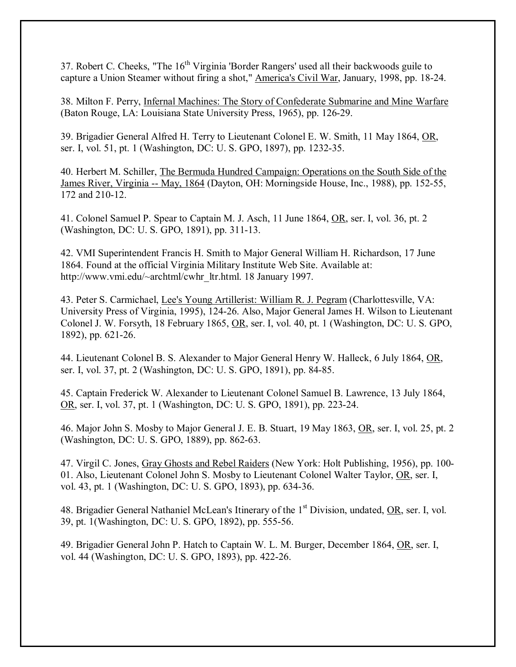37. Robert C. Cheeks, "The 16<sup>th</sup> Virginia 'Border Rangers' used all their backwoods guile to capture a Union Steamer without firing a shot," America's Civil War, January, 1998, pp. 18-24.

38. Milton F. Perry, Infernal Machines: The Story of Confederate Submarine and Mine Warfare (Baton Rouge, LA: Louisiana State University Press, 1965), pp. 126-29.

39. Brigadier General Alfred H. Terry to Lieutenant Colonel E. W. Smith, 11 May 1864, OR, ser. I, vol. 51, pt. 1 (Washington, DC: U. S. GPO, 1897), pp. 1232-35.

40. Herbert M. Schiller, The Bermuda Hundred Campaign: Operations on the South Side of the James River, Virginia -- May, 1864 (Dayton, OH: Morningside House, Inc., 1988), pp. 152-55, 172 and 210-12.

41. Colonel Samuel P. Spear to Captain M. J. Asch, 11 June 1864, OR, ser. I, vol. 36, pt. 2 (Washington, DC: U. S. GPO, 1891), pp. 311-13.

42. VMI Superintendent Francis H. Smith to Major General William H. Richardson, 17 June 1864. Found at the official Virginia Military Institute Web Site. Available at: http://www.vmi.edu/~archtml/cwhr\_ltr.html. 18 January 1997.

43. Peter S. Carmichael, Lee's Young Artillerist: William R. J. Pegram (Charlottesville, VA: University Press of Virginia, 1995), 124-26. Also, Major General James H. Wilson to Lieutenant Colonel J. W. Forsyth, 18 February 1865, OR, ser. I, vol. 40, pt. 1 (Washington, DC: U. S. GPO, 1892), pp. 621-26.

44. Lieutenant Colonel B. S. Alexander to Major General Henry W. Halleck, 6 July 1864, OR, ser. I, vol. 37, pt. 2 (Washington, DC: U. S. GPO, 1891), pp. 84-85.

45. Captain Frederick W. Alexander to Lieutenant Colonel Samuel B. Lawrence, 13 July 1864, OR, ser. I, vol. 37, pt. 1 (Washington, DC: U. S. GPO, 1891), pp. 223-24.

46. Major John S. Mosby to Major General J. E. B. Stuart, 19 May 1863, OR, ser. I, vol. 25, pt. 2 (Washington, DC: U. S. GPO, 1889), pp. 862-63.

47. Virgil C. Jones, Gray Ghosts and Rebel Raiders (New York: Holt Publishing, 1956), pp. 100- 01. Also, Lieutenant Colonel John S. Mosby to Lieutenant Colonel Walter Taylor, OR, ser. I, vol. 43, pt. 1 (Washington, DC: U. S. GPO, 1893), pp. 634-36.

48. Brigadier General Nathaniel McLean's Itinerary of the 1<sup>st</sup> Division, undated, OR, ser. I, vol. 39, pt. 1(Washington, DC: U. S. GPO, 1892), pp. 555-56.

49. Brigadier General John P. Hatch to Captain W. L. M. Burger, December 1864, OR, ser. I, vol. 44 (Washington, DC: U. S. GPO, 1893), pp. 422-26.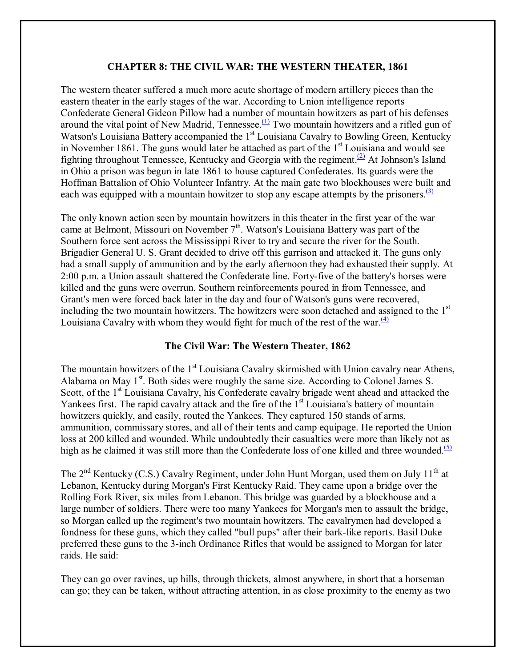# **CHAPTER 8: THE CIVIL WAR: THE WESTERN THEATER, 1861**

The western theater suffered a much more acute shortage of modern artillery pieces than the eastern theater in the early stages of the war. According to Union intelligence reports Confederate General Gideon Pillow had a number of mountain howitzers as part of his defenses around the vital point of New Madrid, Tennessee.<sup>(1)</sup> Two mountain howitzers and a rifled gun of Watson's Louisiana Battery accompanied the 1<sup>st</sup> Louisiana Cavalry to Bowling Green, Kentucky in November 1861. The guns would later be attached as part of the  $1<sup>st</sup>$  Louisiana and would see fighting throughout Tennessee, Kentucky and Georgia with the regiment.<sup>(2)</sup> At Johnson's Island in Ohio a prison was begun in late 1861 to house captured Confederates. Its guards were the Hoffman Battalion of Ohio Volunteer Infantry. At the main gate two blockhouses were built and each was equipped with a mountain howitzer to stop any escape attempts by the prisoners.<sup>(3)</sup>

The only known action seen by mountain howitzers in this theater in the first year of the war came at Belmont, Missouri on November  $7<sup>th</sup>$ . Watson's Louisiana Battery was part of the Southern force sent across the Mississippi River to try and secure the river for the South. Brigadier General U. S. Grant decided to drive off this garrison and attacked it. The guns only had a small supply of ammunition and by the early afternoon they had exhausted their supply. At 2:00 p.m. a Union assault shattered the Confederate line. Forty-five of the battery's horses were killed and the guns were overrun. Southern reinforcements poured in from Tennessee, and Grant's men were forced back later in the day and four of Watson's guns were recovered, including the two mountain howitzers. The howitzers were soon detached and assigned to the 1<sup>st</sup> Louisiana Cavalry with whom they would fight for much of the rest of the war. $\frac{4}{4}$ 

## **The Civil War: The Western Theater, 1862**

The mountain howitzers of the 1<sup>st</sup> Louisiana Cavalry skirmished with Union cavalry near Athens, Alabama on May 1<sup>st</sup>. Both sides were roughly the same size. According to Colonel James S. Scott, of the 1<sup>st</sup> Louisiana Cavalry, his Confederate cavalry brigade went ahead and attacked the Yankees first. The rapid cavalry attack and the fire of the 1<sup>st</sup> Louisiana's battery of mountain howitzers quickly, and easily, routed the Yankees. They captured 150 stands of arms, ammunition, commissary stores, and all of their tents and camp equipage. He reported the Union loss at 200 killed and wounded. While undoubtedly their casualties were more than likely not as high as he claimed it was still more than the Confederate loss of one killed and three wounded.<sup>(5)</sup>

The  $2<sup>nd</sup>$  Kentucky (C.S.) Cavalry Regiment, under John Hunt Morgan, used them on July 11<sup>th</sup> at Lebanon, Kentucky during Morgan's First Kentucky Raid. They came upon a bridge over the Rolling Fork River, six miles from Lebanon. This bridge was guarded by a blockhouse and a large number of soldiers. There were too many Yankees for Morgan's men to assault the bridge, so Morgan called up the regiment's two mountain howitzers. The cavalrymen had developed a fondness for these guns, which they called "bull pups" after their bark-like reports. Basil Duke preferred these guns to the 3-inch Ordinance Rifles that would be assigned to Morgan for later raids. He said:

They can go over ravines, up hills, through thickets, almost anywhere, in short that a horseman can go; they can be taken, without attracting attention, in as close proximity to the enemy as two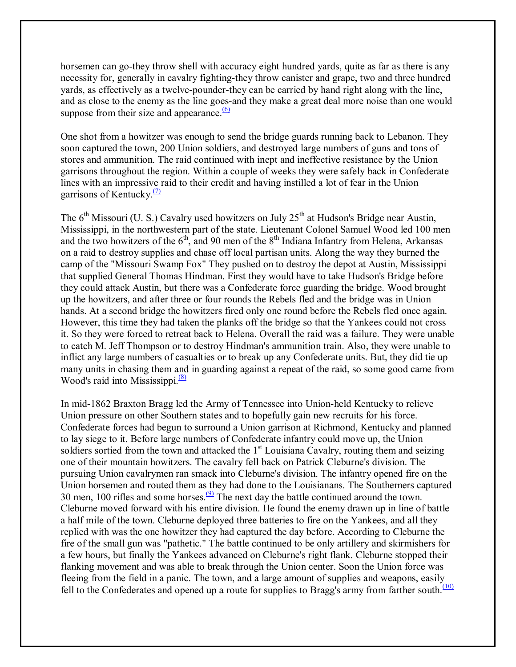horsemen can go-they throw shell with accuracy eight hundred yards, quite as far as there is any necessity for, generally in cavalry fighting-they throw canister and grape, two and three hundred yards, as effectively as a twelve-pounder-they can be carried by hand right along with the line, and as close to the enemy as the line goes-and they make a great deal more noise than one would suppose from their size and appearance. $\frac{(6)}{6}$ 

One shot from a howitzer was enough to send the bridge guards running back to Lebanon. They soon captured the town, 200 Union soldiers, and destroyed large numbers of guns and tons of stores and ammunition. The raid continued with inept and ineffective resistance by the Union garrisons throughout the region. Within a couple of weeks they were safely back in Confederate lines with an impressive raid to their credit and having instilled a lot of fear in the Union garrisons of Kentucky. $(7)$ 

The  $6<sup>th</sup>$  Missouri (U. S.) Cavalry used howitzers on July 25<sup>th</sup> at Hudson's Bridge near Austin, Mississippi, in the northwestern part of the state. Lieutenant Colonel Samuel Wood led 100 men and the two howitzers of the  $6<sup>th</sup>$ , and 90 men of the  $8<sup>th</sup>$  Indiana Infantry from Helena, Arkansas on a raid to destroy supplies and chase off local partisan units. Along the way they burned the camp of the "Missouri Swamp Fox" They pushed on to destroy the depot at Austin, Mississippi that supplied General Thomas Hindman. First they would have to take Hudson's Bridge before they could attack Austin, but there was a Confederate force guarding the bridge. Wood brought up the howitzers, and after three or four rounds the Rebels fled and the bridge was in Union hands. At a second bridge the howitzers fired only one round before the Rebels fled once again. However, this time they had taken the planks off the bridge so that the Yankees could not cross it. So they were forced to retreat back to Helena. Overall the raid was a failure. They were unable to catch M. Jeff Thompson or to destroy Hindman's ammunition train. Also, they were unable to inflict any large numbers of casualties or to break up any Confederate units. But, they did tie up many units in chasing them and in guarding against a repeat of the raid, so some good came from Wood's raid into Mississippi. $\frac{(8)}{8}$ 

In mid-1862 Braxton Bragg led the Army of Tennessee into Union-held Kentucky to relieve Union pressure on other Southern states and to hopefully gain new recruits for his force. Confederate forces had begun to surround a Union garrison at Richmond, Kentucky and planned to lay siege to it. Before large numbers of Confederate infantry could move up, the Union soldiers sortied from the town and attacked the  $1<sup>st</sup>$  Louisiana Cavalry, routing them and seizing one of their mountain howitzers. The cavalry fell back on Patrick Cleburne's division. The pursuing Union cavalrymen ran smack into Cleburne's division. The infantry opened fire on the Union horsemen and routed them as they had done to the Louisianans. The Southerners captured 30 men, 100 rifles and some horses.  $\frac{9}{2}$  The next day the battle continued around the town. Cleburne moved forward with his entire division. He found the enemy drawn up in line of battle a half mile of the town. Cleburne deployed three batteries to fire on the Yankees, and all they replied with was the one howitzer they had captured the day before. According to Cleburne the fire of the small gun was "pathetic." The battle continued to be only artillery and skirmishers for a few hours, but finally the Yankees advanced on Cleburne's right flank. Cleburne stopped their flanking movement and was able to break through the Union center. Soon the Union force was fleeing from the field in a panic. The town, and a large amount of supplies and weapons, easily fell to the Confederates and opened up a route for supplies to Bragg's army from farther south. $(10)$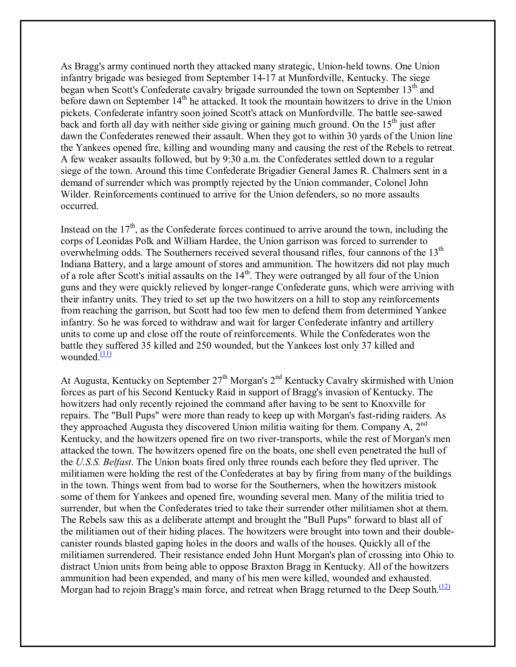As Bragg's army continued north they attacked many strategic, Union-held towns. One Union infantry brigade was besieged from September 14-17 at Munfordville, Kentucky. The siege began when Scott's Confederate cavalry brigade surrounded the town on September 13<sup>th</sup> and before dawn on September 14<sup>th</sup> he attacked. It took the mountain howitzers to drive in the Union pickets. Confederate infantry soon joined Scott's attack on Munfordville. The battle see-sawed back and forth all day with neither side giving or gaining much ground. On the  $15<sup>th</sup>$  just after dawn the Confederates renewed their assault. When they got to within 30 yards of the Union line the Yankees opened fire, killing and wounding many and causing the rest of the Rebels to retreat. A few weaker assaults followed, but by 9:30 a.m. the Confederates settled down to a regular siege of the town. Around this time Confederate Brigadier General James R. Chalmers sent in a demand of surrender which was promptly rejected by the Union commander, Colonel John Wilder. Reinforcements continued to arrive for the Union defenders, so no more assaults occurred.

Instead on the  $17<sup>th</sup>$ , as the Confederate forces continued to arrive around the town, including the corps of Leonidas Polk and William Hardee, the Union garrison was forced to surrender to overwhelming odds. The Southerners received several thousand rifles, four cannons of the 13<sup>th</sup> Indiana Battery, and a large amount of stores and ammunition. The howitzers did not play much of a role after Scott's initial assaults on the 14<sup>th</sup>. They were outranged by all four of the Union guns and they were quickly relieved by longer-range Confederate guns, which were arriving with their infantry units. They tried to set up the two howitzers on a hill to stop any reinforcements from reaching the garrison, but Scott had too few men to defend them from determined Yankee infantry. So he was forced to withdraw and wait for larger Confederate infantry and artillery units to come up and close off the route of reinforcements. While the Confederates won the battle they suffered 35 killed and 250 wounded, but the Yankees lost only 37 killed and wounded. $\frac{(11)}{1}$ 

At Augusta, Kentucky on September  $27<sup>th</sup> Morgan's  $2<sup>nd</sup>$  Kentucky Cavalry skirmished with Union$ forces as part of his Second Kentucky Raid in support of Bragg's invasion of Kentucky. The howitzers had only recently rejoined the command after having to be sent to Knoxville for repairs. The "Bull Pups" were more than ready to keep up with Morgan's fast-riding raiders. As they approached Augusta they discovered Union militia waiting for them. Company A,  $2^{nd}$ Kentucky, and the howitzers opened fire on two river-transports, while the rest of Morgan's men attacked the town. The howitzers opened fire on the boats, one shell even penetrated the hull of the *U.S.S. Belfast*. The Union boats fired only three rounds each before they fled upriver. The militiamen were holding the rest of the Confederates at bay by firing from many of the buildings in the town. Things went from bad to worse for the Southerners, when the howitzers mistook some of them for Yankees and opened fire, wounding several men. Many of the militia tried to surrender, but when the Confederates tried to take their surrender other militiamen shot at them. The Rebels saw this as a deliberate attempt and brought the "Bull Pups" forward to blast all of the militiamen out of their hiding places. The howitzers were brought into town and their doublecanister rounds blasted gaping holes in the doors and walls of the houses. Quickly all of the militiamen surrendered. Their resistance ended John Hunt Morgan's plan of crossing into Ohio to distract Union units from being able to oppose Braxton Bragg in Kentucky. All of the howitzers ammunition had been expended, and many of his men were killed, wounded and exhausted. Morgan had to rejoin Bragg's main force, and retreat when Bragg returned to the Deep South.<sup>(12)</sup>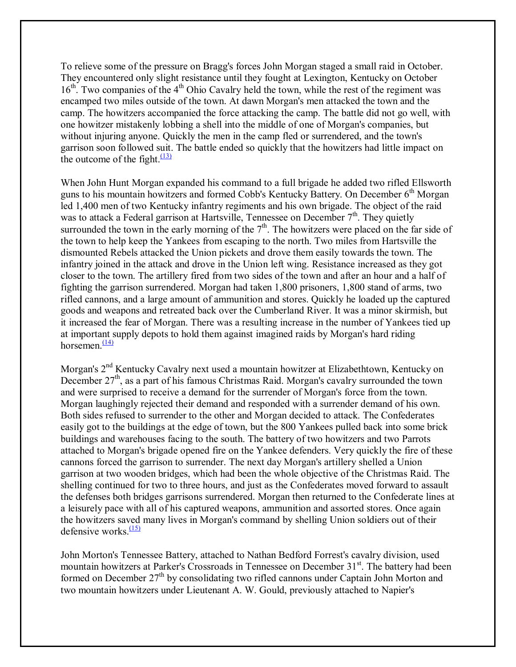To relieve some of the pressure on Bragg's forces John Morgan staged a small raid in October. They encountered only slight resistance until they fought at Lexington, Kentucky on October  $16<sup>th</sup>$ . Two companies of the  $4<sup>th</sup>$  Ohio Cavalry held the town, while the rest of the regiment was encamped two miles outside of the town. At dawn Morgan's men attacked the town and the camp. The howitzers accompanied the force attacking the camp. The battle did not go well, with one howitzer mistakenly lobbing a shell into the middle of one of Morgan's companies, but without injuring anyone. Quickly the men in the camp fled or surrendered, and the town's garrison soon followed suit. The battle ended so quickly that the howitzers had little impact on the outcome of the fight. $\frac{(13)}{2}$ 

When John Hunt Morgan expanded his command to a full brigade he added two rifled Ellsworth guns to his mountain howitzers and formed Cobb's Kentucky Battery. On December  $6<sup>th</sup>$  Morgan led 1,400 men of two Kentucky infantry regiments and his own brigade. The object of the raid was to attack a Federal garrison at Hartsville, Tennessee on December  $7<sup>th</sup>$ . They quietly surrounded the town in the early morning of the  $7<sup>th</sup>$ . The howitzers were placed on the far side of the town to help keep the Yankees from escaping to the north. Two miles from Hartsville the dismounted Rebels attacked the Union pickets and drove them easily towards the town. The infantry joined in the attack and drove in the Union left wing. Resistance increased as they got closer to the town. The artillery fired from two sides of the town and after an hour and a half of fighting the garrison surrendered. Morgan had taken 1,800 prisoners, 1,800 stand of arms, two rifled cannons, and a large amount of ammunition and stores. Quickly he loaded up the captured goods and weapons and retreated back over the Cumberland River. It was a minor skirmish, but it increased the fear of Morgan. There was a resulting increase in the number of Yankees tied up at important supply depots to hold them against imagined raids by Morgan's hard riding horsemen $\frac{(14)}{2}$ 

Morgan's 2<sup>nd</sup> Kentucky Cavalry next used a mountain howitzer at Elizabethtown, Kentucky on December  $27<sup>th</sup>$ , as a part of his famous Christmas Raid. Morgan's cavalry surrounded the town and were surprised to receive a demand for the surrender of Morgan's force from the town. Morgan laughingly rejected their demand and responded with a surrender demand of his own. Both sides refused to surrender to the other and Morgan decided to attack. The Confederates easily got to the buildings at the edge of town, but the 800 Yankees pulled back into some brick buildings and warehouses facing to the south. The battery of two howitzers and two Parrots attached to Morgan's brigade opened fire on the Yankee defenders. Very quickly the fire of these cannons forced the garrison to surrender. The next day Morgan's artillery shelled a Union garrison at two wooden bridges, which had been the whole objective of the Christmas Raid. The shelling continued for two to three hours, and just as the Confederates moved forward to assault the defenses both bridges garrisons surrendered. Morgan then returned to the Confederate lines at a leisurely pace with all of his captured weapons, ammunition and assorted stores. Once again the howitzers saved many lives in Morgan's command by shelling Union soldiers out of their defensive works. $\frac{(15)}{2}$ 

John Morton's Tennessee Battery, attached to Nathan Bedford Forrest's cavalry division, used mountain howitzers at Parker's Crossroads in Tennessee on December 31<sup>st</sup>. The battery had been formed on December 27<sup>th</sup> by consolidating two rifled cannons under Captain John Morton and two mountain howitzers under Lieutenant A. W. Gould, previously attached to Napier's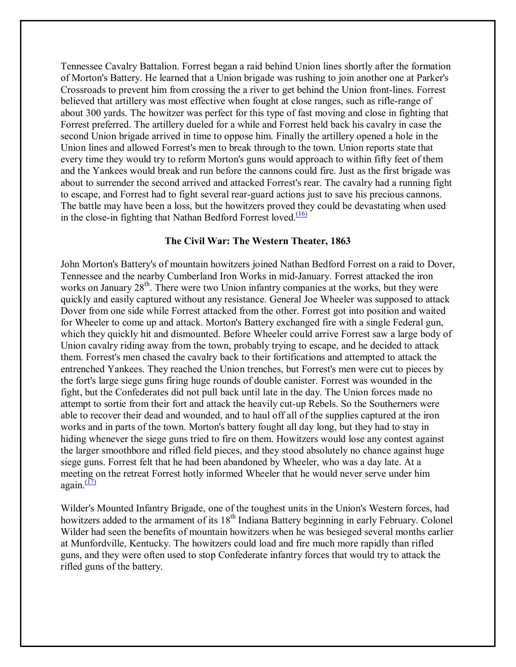Tennessee Cavalry Battalion. Forrest began a raid behind Union lines shortly after the formation of Morton's Battery. He learned that a Union brigade was rushing to join another one at Parker's Crossroads to prevent him from crossing the a river to get behind the Union front-lines. Forrest believed that artillery was most effective when fought at close ranges, such as rifle-range of about 300 yards. The howitzer was perfect for this type of fast moving and close in fighting that Forrest preferred. The artillery dueled for a while and Forrest held back his cavalry in case the second Union brigade arrived in time to oppose him. Finally the artillery opened a hole in the Union lines and allowed Forrest's men to break through to the town. Union reports state that every time they would try to reform Morton's guns would approach to within fifty feet of them and the Yankees would break and run before the cannons could fire. Just as the first brigade was about to surrender the second arrived and attacked Forrest's rear. The cavalry had a running fight to escape, and Forrest had to fight several rear-guard actions just to save his precious cannons. The battle may have been a loss, but the howitzers proved they could be devastating when used in the close-in fighting that Nathan Bedford Forrest loved. $\frac{(16)}{16}$ 

# **The Civil War: The Western Theater, 1863**

John Morton's Battery's of mountain howitzers joined Nathan Bedford Forrest on a raid to Dover, Tennessee and the nearby Cumberland Iron Works in mid-January. Forrest attacked the iron works on January  $28<sup>th</sup>$ . There were two Union infantry companies at the works, but they were quickly and easily captured without any resistance. General Joe Wheeler was supposed to attack Dover from one side while Forrest attacked from the other. Forrest got into position and waited for Wheeler to come up and attack. Morton's Battery exchanged fire with a single Federal gun, which they quickly hit and dismounted. Before Wheeler could arrive Forrest saw a large body of Union cavalry riding away from the town, probably trying to escape, and he decided to attack them. Forrest's men chased the cavalry back to their fortifications and attempted to attack the entrenched Yankees. They reached the Union trenches, but Forrest's men were cut to pieces by the fort's large siege guns firing huge rounds of double canister. Forrest was wounded in the fight, but the Confederates did not pull back until late in the day. The Union forces made no attempt to sortie from their fort and attack the heavily cut-up Rebels. So the Southerners were able to recover their dead and wounded, and to haul off all of the supplies captured at the iron works and in parts of the town. Morton's battery fought all day long, but they had to stay in hiding whenever the siege guns tried to fire on them. Howitzers would lose any contest against the larger smoothbore and rifled field pieces, and they stood absolutely no chance against huge siege guns. Forrest felt that he had been abandoned by Wheeler, who was a day late. At a meeting on the retreat Forrest hotly informed Wheeler that he would never serve under him again. $\frac{(17)}{2}$ 

Wilder's Mounted Infantry Brigade, one of the toughest units in the Union's Western forces, had howitzers added to the armament of its 18<sup>th</sup> Indiana Battery beginning in early February. Colonel Wilder had seen the benefits of mountain howitzers when he was besieged several months earlier at Munfordville, Kentucky. The howitzers could load and fire much more rapidly than rifled guns, and they were often used to stop Confederate infantry forces that would try to attack the rifled guns of the battery.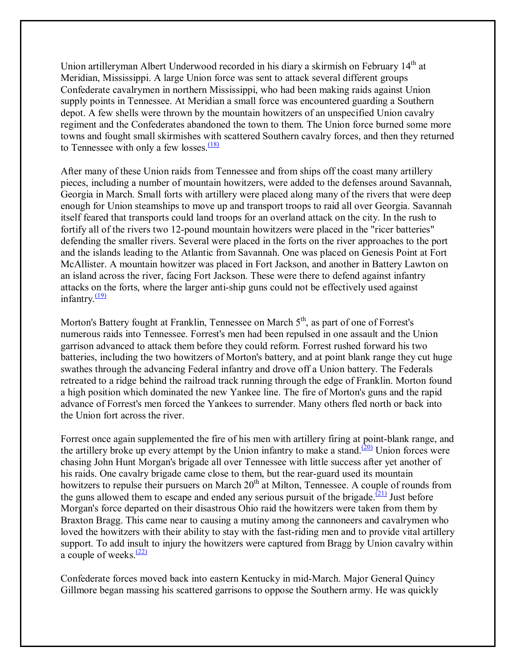Union artilleryman Albert Underwood recorded in his diary a skirmish on February 14<sup>th</sup> at Meridian, Mississippi. A large Union force was sent to attack several different groups Confederate cavalrymen in northern Mississippi, who had been making raids against Union supply points in Tennessee. At Meridian a small force was encountered guarding a Southern depot. A few shells were thrown by the mountain howitzers of an unspecified Union cavalry regiment and the Confederates abandoned the town to them. The Union force burned some more towns and fought small skirmishes with scattered Southern cavalry forces, and then they returned to Tennessee with only a few losses. $\frac{(18)}{2}$ 

After many of these Union raids from Tennessee and from ships off the coast many artillery pieces, including a number of mountain howitzers, were added to the defenses around Savannah, Georgia in March. Small forts with artillery were placed along many of the rivers that were deep enough for Union steamships to move up and transport troops to raid all over Georgia. Savannah itself feared that transports could land troops for an overland attack on the city. In the rush to fortify all of the rivers two 12-pound mountain howitzers were placed in the "ricer batteries" defending the smaller rivers. Several were placed in the forts on the river approaches to the port and the islands leading to the Atlantic from Savannah. One was placed on Genesis Point at Fort McAllister. A mountain howitzer was placed in Fort Jackson, and another in Battery Lawton on an island across the river, facing Fort Jackson. These were there to defend against infantry attacks on the forts, where the larger anti-ship guns could not be effectively used against infantry. $\frac{(19)}{2}$ 

Morton's Battery fought at Franklin, Tennessee on March  $5<sup>th</sup>$ , as part of one of Forrest's numerous raids into Tennessee. Forrest's men had been repulsed in one assault and the Union garrison advanced to attack them before they could reform. Forrest rushed forward his two batteries, including the two howitzers of Morton's battery, and at point blank range they cut huge swathes through the advancing Federal infantry and drove off a Union battery. The Federals retreated to a ridge behind the railroad track running through the edge of Franklin. Morton found a high position which dominated the new Yankee line. The fire of Morton's guns and the rapid advance of Forrest's men forced the Yankees to surrender. Many others fled north or back into the Union fort across the river.

Forrest once again supplemented the fire of his men with artillery firing at point-blank range, and the artillery broke up every attempt by the Union infantry to make a stand.<sup>(20)</sup> Union forces were chasing John Hunt Morgan's brigade all over Tennessee with little success after yet another of his raids. One cavalry brigade came close to them, but the rear-guard used its mountain howitzers to repulse their pursuers on March  $20<sup>th</sup>$  at Milton, Tennessee. A couple of rounds from the guns allowed them to escape and ended any serious pursuit of the brigade.<sup>(21)</sup> Just before Morgan's force departed on their disastrous Ohio raid the howitzers were taken from them by Braxton Bragg. This came near to causing a mutiny among the cannoneers and cavalrymen who loved the howitzers with their ability to stay with the fast-riding men and to provide vital artillery support. To add insult to injury the howitzers were captured from Bragg by Union cavalry within a couple of weeks. $(22)$ 

Confederate forces moved back into eastern Kentucky in mid-March. Major General Quincy Gillmore began massing his scattered garrisons to oppose the Southern army. He was quickly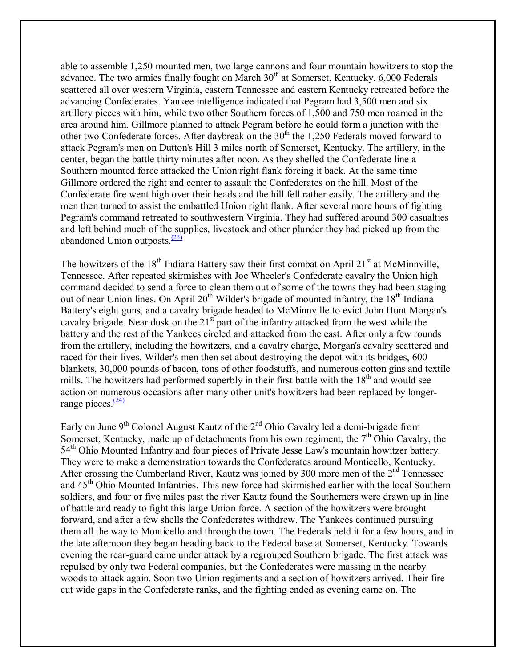able to assemble 1,250 mounted men, two large cannons and four mountain howitzers to stop the advance. The two armies finally fought on March  $30<sup>th</sup>$  at Somerset, Kentucky. 6,000 Federals scattered all over western Virginia, eastern Tennessee and eastern Kentucky retreated before the advancing Confederates. Yankee intelligence indicated that Pegram had 3,500 men and six artillery pieces with him, while two other Southern forces of 1,500 and 750 men roamed in the area around him. Gillmore planned to attack Pegram before he could form a junction with the other two Confederate forces. After daybreak on the  $30<sup>th</sup>$  the 1,250 Federals moved forward to attack Pegram's men on Dutton's Hill 3 miles north of Somerset, Kentucky. The artillery, in the center, began the battle thirty minutes after noon. As they shelled the Confederate line a Southern mounted force attacked the Union right flank forcing it back. At the same time Gillmore ordered the right and center to assault the Confederates on the hill. Most of the Confederate fire went high over their heads and the hill fell rather easily. The artillery and the men then turned to assist the embattled Union right flank. After several more hours of fighting Pegram's command retreated to southwestern Virginia. They had suffered around 300 casualties and left behind much of the supplies, livestock and other plunder they had picked up from the abandoned Union outposts. $\frac{(23)}{2}$ 

The howitzers of the  $18<sup>th</sup>$  Indiana Battery saw their first combat on April 21<sup>st</sup> at McMinnville, Tennessee. After repeated skirmishes with Joe Wheeler's Confederate cavalry the Union high command decided to send a force to clean them out of some of the towns they had been staging out of near Union lines. On April 20<sup>th</sup> Wilder's brigade of mounted infantry, the 18<sup>th</sup> Indiana Battery's eight guns, and a cavalry brigade headed to McMinnville to evict John Hunt Morgan's cavalry brigade. Near dusk on the  $21<sup>st</sup>$  part of the infantry attacked from the west while the battery and the rest of the Yankees circled and attacked from the east. After only a few rounds from the artillery, including the howitzers, and a cavalry charge, Morgan's cavalry scattered and raced for their lives. Wilder's men then set about destroying the depot with its bridges, 600 blankets, 30,000 pounds of bacon, tons of other foodstuffs, and numerous cotton gins and textile mills. The howitzers had performed superbly in their first battle with the  $18<sup>th</sup>$  and would see action on numerous occasions after many other unit's howitzers had been replaced by longerrange pieces. $\frac{(24)}{2}$ 

Early on June  $9<sup>th</sup>$  Colonel August Kautz of the  $2<sup>nd</sup>$  Ohio Cavalry led a demi-brigade from Somerset, Kentucky, made up of detachments from his own regiment, the  $7<sup>th</sup>$  Ohio Cavalry, the 54<sup>th</sup> Ohio Mounted Infantry and four pieces of Private Jesse Law's mountain howitzer battery. They were to make a demonstration towards the Confederates around Monticello, Kentucky. After crossing the Cumberland River, Kautz was joined by 300 more men of the  $2<sup>nd</sup>$  Tennessee and 45<sup>th</sup> Ohio Mounted Infantries. This new force had skirmished earlier with the local Southern soldiers, and four or five miles past the river Kautz found the Southerners were drawn up in line of battle and ready to fight this large Union force. A section of the howitzers were brought forward, and after a few shells the Confederates withdrew. The Yankees continued pursuing them all the way to Monticello and through the town. The Federals held it for a few hours, and in the late afternoon they began heading back to the Federal base at Somerset, Kentucky. Towards evening the rear-guard came under attack by a regrouped Southern brigade. The first attack was repulsed by only two Federal companies, but the Confederates were massing in the nearby woods to attack again. Soon two Union regiments and a section of howitzers arrived. Their fire cut wide gaps in the Confederate ranks, and the fighting ended as evening came on. The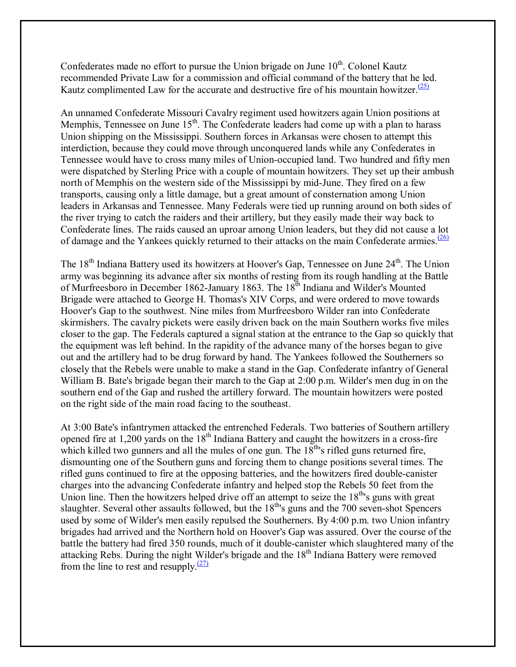Confederates made no effort to pursue the Union brigade on June  $10<sup>th</sup>$ . Colonel Kautz recommended Private Law for a commission and official command of the battery that he led. Kautz complimented Law for the accurate and destructive fire of his mountain howitzer.<sup>(25)</sup>

An unnamed Confederate Missouri Cavalry regiment used howitzers again Union positions at Memphis, Tennessee on June 15<sup>th</sup>. The Confederate leaders had come up with a plan to harass Union shipping on the Mississippi. Southern forces in Arkansas were chosen to attempt this interdiction, because they could move through unconquered lands while any Confederates in Tennessee would have to cross many miles of Union-occupied land. Two hundred and fifty men were dispatched by Sterling Price with a couple of mountain howitzers. They set up their ambush north of Memphis on the western side of the Mississippi by mid-June. They fired on a few transports, causing only a little damage, but a great amount of consternation among Union leaders in Arkansas and Tennessee. Many Federals were tied up running around on both sides of the river trying to catch the raiders and their artillery, but they easily made their way back to Confederate lines. The raids caused an uproar among Union leaders, but they did not cause a lot of damage and the Yankees quickly returned to their attacks on the main Confederate armies. $\frac{(26)}{26}$ 

The 18<sup>th</sup> Indiana Battery used its howitzers at Hoover's Gap, Tennessee on June 24<sup>th</sup>. The Union army was beginning its advance after six months of resting from its rough handling at the Battle of Murfreesboro in December 1862-January 1863. The 18<sup>th</sup> Indiana and Wilder's Mounted Brigade were attached to George H. Thomas's XIV Corps, and were ordered to move towards Hoover's Gap to the southwest. Nine miles from Murfreesboro Wilder ran into Confederate skirmishers. The cavalry pickets were easily driven back on the main Southern works five miles closer to the gap. The Federals captured a signal station at the entrance to the Gap so quickly that the equipment was left behind. In the rapidity of the advance many of the horses began to give out and the artillery had to be drug forward by hand. The Yankees followed the Southerners so closely that the Rebels were unable to make a stand in the Gap. Confederate infantry of General William B. Bate's brigade began their march to the Gap at 2:00 p.m. Wilder's men dug in on the southern end of the Gap and rushed the artillery forward. The mountain howitzers were posted on the right side of the main road facing to the southeast.

At 3:00 Bate's infantrymen attacked the entrenched Federals. Two batteries of Southern artillery opened fire at 1,200 yards on the 18<sup>th</sup> Indiana Battery and caught the howitzers in a cross-fire which killed two gunners and all the mules of one gun. The  $18<sup>th</sup>$ 's rifled guns returned fire, dismounting one of the Southern guns and forcing them to change positions several times. The rifled guns continued to fire at the opposing batteries, and the howitzers fired double-canister charges into the advancing Confederate infantry and helped stop the Rebels 50 feet from the Union line. Then the howitzers helped drive off an attempt to seize the  $18<sup>th</sup>$ 's guns with great slaughter. Several other assaults followed, but the  $18<sup>th</sup>$ 's guns and the 700 seven-shot Spencers used by some of Wilder's men easily repulsed the Southerners. By 4:00 p.m. two Union infantry brigades had arrived and the Northern hold on Hoover's Gap was assured. Over the course of the battle the battery had fired 350 rounds, much of it double-canister which slaughtered many of the attacking Rebs. During the night Wilder's brigade and the 18<sup>th</sup> Indiana Battery were removed from the line to rest and resupply. $\frac{(27)}{27}$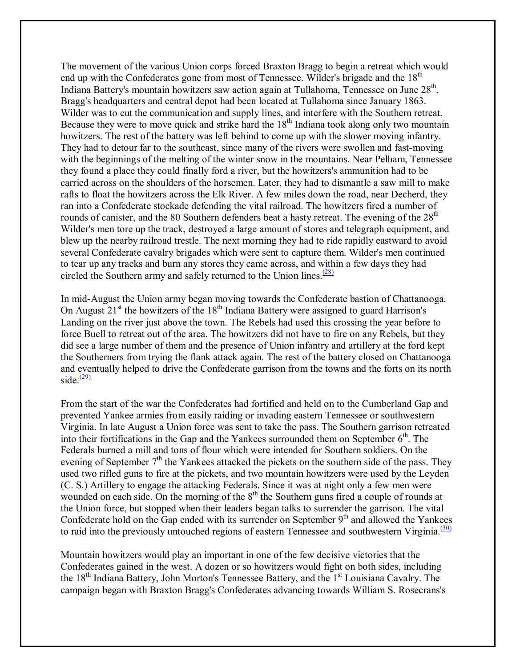The movement of the various Union corps forced Braxton Bragg to begin a retreat which would end up with the Confederates gone from most of Tennessee. Wilder's brigade and the 18<sup>th</sup> Indiana Battery's mountain howitzers saw action again at Tullahoma, Tennessee on June 28<sup>th</sup>. Bragg's headquarters and central depot had been located at Tullahoma since January 1863. Wilder was to cut the communication and supply lines, and interfere with the Southern retreat. Because they were to move quick and strike hard the  $18<sup>th</sup>$  Indiana took along only two mountain howitzers. The rest of the battery was left behind to come up with the slower moving infantry. They had to detour far to the southeast, since many of the rivers were swollen and fast-moving with the beginnings of the melting of the winter snow in the mountains. Near Pelham, Tennessee they found a place they could finally ford a river, but the howitzers's ammunition had to be carried across on the shoulders of the horsemen. Later, they had to dismantle a saw mill to make rafts to float the howitzers across the Elk River. A few miles down the road, near Decherd, they ran into a Confederate stockade defending the vital railroad. The howitzers fired a number of rounds of canister, and the 80 Southern defenders beat a hasty retreat. The evening of the 28<sup>th</sup> Wilder's men tore up the track, destroyed a large amount of stores and telegraph equipment, and blew up the nearby railroad trestle. The next morning they had to ride rapidly eastward to avoid several Confederate cavalry brigades which were sent to capture them. Wilder's men continued to tear up any tracks and burn any stores they came across, and within a few days they had circled the Southern army and safely returned to the Union lines. $\frac{(28)}{28}$ 

In mid-August the Union army began moving towards the Confederate bastion of Chattanooga. On August  $21<sup>st</sup>$  the howitzers of the  $18<sup>th</sup>$  Indiana Battery were assigned to guard Harrison's Landing on the river just above the town. The Rebels had used this crossing the year before to force Buell to retreat out of the area. The howitzers did not have to fire on any Rebels, but they did see a large number of them and the presence of Union infantry and artillery at the ford kept the Southerners from trying the flank attack again. The rest of the battery closed on Chattanooga and eventually helped to drive the Confederate garrison from the towns and the forts on its north side  $\frac{(29)}{2}$ 

From the start of the war the Confederates had fortified and held on to the Cumberland Gap and prevented Yankee armies from easily raiding or invading eastern Tennessee or southwestern Virginia. In late August a Union force was sent to take the pass. The Southern garrison retreated into their fortifications in the Gap and the Yankees surrounded them on September  $6<sup>th</sup>$ . The Federals burned a mill and tons of flour which were intended for Southern soldiers. On the evening of September  $7<sup>th</sup>$  the Yankees attacked the pickets on the southern side of the pass. They used two rifled guns to fire at the pickets, and two mountain howitzers were used by the Leyden (C. S.) Artillery to engage the attacking Federals. Since it was at night only a few men were wounded on each side. On the morning of the  $8<sup>th</sup>$  the Southern guns fired a couple of rounds at the Union force, but stopped when their leaders began talks to surrender the garrison. The vital Confederate hold on the Gap ended with its surrender on September  $9<sup>th</sup>$  and allowed the Yankees to raid into the previously untouched regions of eastern Tennessee and southwestern Virginia. $(30)$ 

Mountain howitzers would play an important in one of the few decisive victories that the Confederates gained in the west. A dozen or so howitzers would fight on both sides, including the 18<sup>th</sup> Indiana Battery, John Morton's Tennessee Battery, and the 1<sup>st</sup> Louisiana Cavalry. The campaign began with Braxton Bragg's Confederates advancing towards William S. Rosecrans's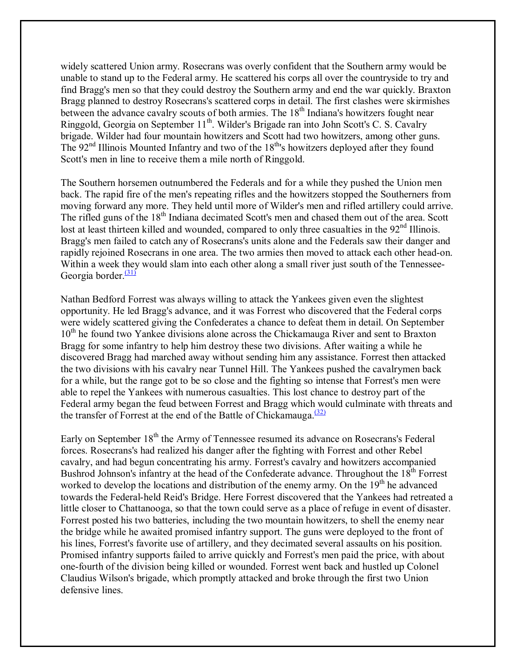widely scattered Union army. Rosecrans was overly confident that the Southern army would be unable to stand up to the Federal army. He scattered his corps all over the countryside to try and find Bragg's men so that they could destroy the Southern army and end the war quickly. Braxton Bragg planned to destroy Rosecrans's scattered corps in detail. The first clashes were skirmishes between the advance cavalry scouts of both armies. The  $18<sup>th</sup>$  Indiana's howitzers fought near Ringgold, Georgia on September 11<sup>th</sup>. Wilder's Brigade ran into John Scott's C. S. Cavalry brigade. Wilder had four mountain howitzers and Scott had two howitzers, among other guns. The  $92<sup>nd</sup>$  Illinois Mounted Infantry and two of the  $18<sup>th</sup>$ 's howitzers deployed after they found Scott's men in line to receive them a mile north of Ringgold.

The Southern horsemen outnumbered the Federals and for a while they pushed the Union men back. The rapid fire of the men's repeating rifles and the howitzers stopped the Southerners from moving forward any more. They held until more of Wilder's men and rifled artillery could arrive. The rifled guns of the 18<sup>th</sup> Indiana decimated Scott's men and chased them out of the area. Scott lost at least thirteen killed and wounded, compared to only three casualties in the 92<sup>nd</sup> Illinois. Bragg's men failed to catch any of Rosecrans's units alone and the Federals saw their danger and rapidly rejoined Rosecrans in one area. The two armies then moved to attack each other head-on. Within a week they would slam into each other along a small river just south of the Tennessee-Georgia border. $\frac{(31)}{2}$ 

Nathan Bedford Forrest was always willing to attack the Yankees given even the slightest opportunity. He led Bragg's advance, and it was Forrest who discovered that the Federal corps were widely scattered giving the Confederates a chance to defeat them in detail. On September  $10<sup>th</sup>$  he found two Yankee divisions alone across the Chickamauga River and sent to Braxton Bragg for some infantry to help him destroy these two divisions. After waiting a while he discovered Bragg had marched away without sending him any assistance. Forrest then attacked the two divisions with his cavalry near Tunnel Hill. The Yankees pushed the cavalrymen back for a while, but the range got to be so close and the fighting so intense that Forrest's men were able to repel the Yankees with numerous casualties. This lost chance to destroy part of the Federal army began the feud between Forrest and Bragg which would culminate with threats and the transfer of Forrest at the end of the Battle of Chickamauga. $\frac{(32)}{2}$ 

Early on September 18<sup>th</sup> the Army of Tennessee resumed its advance on Rosecrans's Federal forces. Rosecrans's had realized his danger after the fighting with Forrest and other Rebel cavalry, and had begun concentrating his army. Forrest's cavalry and howitzers accompanied Bushrod Johnson's infantry at the head of the Confederate advance. Throughout the  $18<sup>th</sup>$  Forrest worked to develop the locations and distribution of the enemy army. On the 19<sup>th</sup> he advanced towards the Federal-held Reid's Bridge. Here Forrest discovered that the Yankees had retreated a little closer to Chattanooga, so that the town could serve as a place of refuge in event of disaster. Forrest posted his two batteries, including the two mountain howitzers, to shell the enemy near the bridge while he awaited promised infantry support. The guns were deployed to the front of his lines, Forrest's favorite use of artillery, and they decimated several assaults on his position. Promised infantry supports failed to arrive quickly and Forrest's men paid the price, with about one-fourth of the division being killed or wounded. Forrest went back and hustled up Colonel Claudius Wilson's brigade, which promptly attacked and broke through the first two Union defensive lines.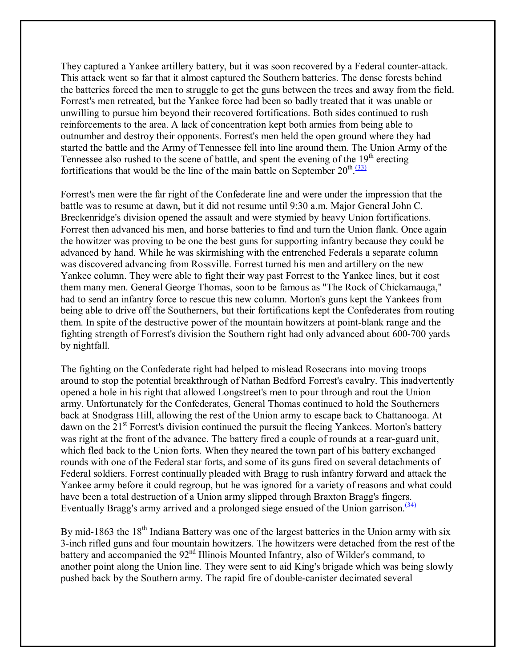They captured a Yankee artillery battery, but it was soon recovered by a Federal counter-attack. This attack went so far that it almost captured the Southern batteries. The dense forests behind the batteries forced the men to struggle to get the guns between the trees and away from the field. Forrest's men retreated, but the Yankee force had been so badly treated that it was unable or unwilling to pursue him beyond their recovered fortifications. Both sides continued to rush reinforcements to the area. A lack of concentration kept both armies from being able to outnumber and destroy their opponents. Forrest's men held the open ground where they had started the battle and the Army of Tennessee fell into line around them. The Union Army of the Tennessee also rushed to the scene of battle, and spent the evening of the  $19<sup>th</sup>$  erecting fortifications that would be the line of the main battle on September  $20^{\text{th}}$ .  $(33)$ 

Forrest's men were the far right of the Confederate line and were under the impression that the battle was to resume at dawn, but it did not resume until 9:30 a.m. Major General John C. Breckenridge's division opened the assault and were stymied by heavy Union fortifications. Forrest then advanced his men, and horse batteries to find and turn the Union flank. Once again the howitzer was proving to be one the best guns for supporting infantry because they could be advanced by hand. While he was skirmishing with the entrenched Federals a separate column was discovered advancing from Rossville. Forrest turned his men and artillery on the new Yankee column. They were able to fight their way past Forrest to the Yankee lines, but it cost them many men. General George Thomas, soon to be famous as "The Rock of Chickamauga," had to send an infantry force to rescue this new column. Morton's guns kept the Yankees from being able to drive off the Southerners, but their fortifications kept the Confederates from routing them. In spite of the destructive power of the mountain howitzers at point-blank range and the fighting strength of Forrest's division the Southern right had only advanced about 600-700 yards by nightfall.

The fighting on the Confederate right had helped to mislead Rosecrans into moving troops around to stop the potential breakthrough of Nathan Bedford Forrest's cavalry. This inadvertently opened a hole in his right that allowed Longstreet's men to pour through and rout the Union army. Unfortunately for the Confederates, General Thomas continued to hold the Southerners back at Snodgrass Hill, allowing the rest of the Union army to escape back to Chattanooga. At dawn on the  $21<sup>st</sup>$  Forrest's division continued the pursuit the fleeing Yankees. Morton's battery was right at the front of the advance. The battery fired a couple of rounds at a rear-guard unit, which fled back to the Union forts. When they neared the town part of his battery exchanged rounds with one of the Federal star forts, and some of its guns fired on several detachments of Federal soldiers. Forrest continually pleaded with Bragg to rush infantry forward and attack the Yankee army before it could regroup, but he was ignored for a variety of reasons and what could have been a total destruction of a Union army slipped through Braxton Bragg's fingers. Eventually Bragg's army arrived and a prolonged siege ensued of the Union garrison. $(34)$ 

By mid-1863 the 18<sup>th</sup> Indiana Battery was one of the largest batteries in the Union army with six 3-inch rifled guns and four mountain howitzers. The howitzers were detached from the rest of the battery and accompanied the  $92<sup>nd</sup>$  Illinois Mounted Infantry, also of Wilder's command, to another point along the Union line. They were sent to aid King's brigade which was being slowly pushed back by the Southern army. The rapid fire of double-canister decimated several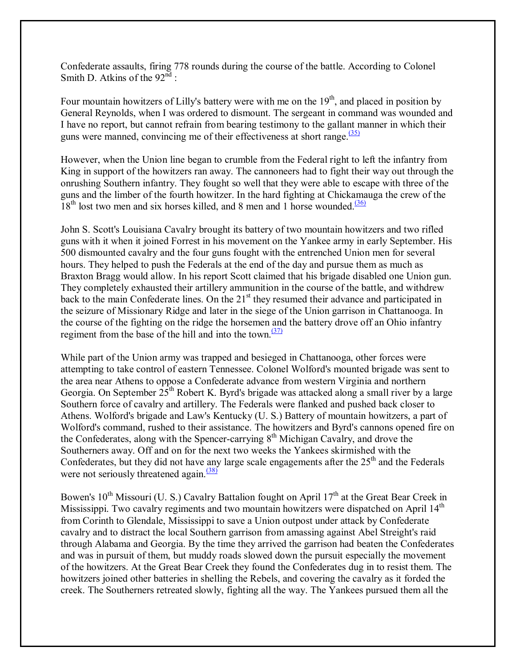Confederate assaults, firing 778 rounds during the course of the battle. According to Colonel Smith D. Atkins of the  $92<sup>nd</sup>$ :

Four mountain howitzers of Lilly's battery were with me on the  $19<sup>th</sup>$ , and placed in position by General Reynolds, when I was ordered to dismount. The sergeant in command was wounded and I have no report, but cannot refrain from bearing testimony to the gallant manner in which their guns were manned, convincing me of their effectiveness at short range. $\frac{(35)}{25}$ 

However, when the Union line began to crumble from the Federal right to left the infantry from King in support of the howitzers ran away. The cannoneers had to fight their way out through the onrushing Southern infantry. They fought so well that they were able to escape with three of the guns and the limber of the fourth howitzer. In the hard fighting at Chickamauga the crew of the  $18<sup>th</sup>$  lost two men and six horses killed, and 8 men and 1 horse wounded.<sup>(36)</sup>

John S. Scott's Louisiana Cavalry brought its battery of two mountain howitzers and two rifled guns with it when it joined Forrest in his movement on the Yankee army in early September. His 500 dismounted cavalry and the four guns fought with the entrenched Union men for several hours. They helped to push the Federals at the end of the day and pursue them as much as Braxton Bragg would allow. In his report Scott claimed that his brigade disabled one Union gun. They completely exhausted their artillery ammunition in the course of the battle, and withdrew back to the main Confederate lines. On the  $21<sup>st</sup>$  they resumed their advance and participated in the seizure of Missionary Ridge and later in the siege of the Union garrison in Chattanooga. In the course of the fighting on the ridge the horsemen and the battery drove off an Ohio infantry regiment from the base of the hill and into the town.<sup> $(37)$ </sup>

While part of the Union army was trapped and besieged in Chattanooga, other forces were attempting to take control of eastern Tennessee. Colonel Wolford's mounted brigade was sent to the area near Athens to oppose a Confederate advance from western Virginia and northern Georgia. On September  $25<sup>th</sup>$  Robert K. Byrd's brigade was attacked along a small river by a large Southern force of cavalry and artillery. The Federals were flanked and pushed back closer to Athens. Wolford's brigade and Law's Kentucky (U. S.) Battery of mountain howitzers, a part of Wolford's command, rushed to their assistance. The howitzers and Byrd's cannons opened fire on the Confederates, along with the Spencer-carrying 8th Michigan Cavalry, and drove the Southerners away. Off and on for the next two weeks the Yankees skirmished with the Confederates, but they did not have any large scale engagements after the  $25<sup>th</sup>$  and the Federals were not seriously threatened again. $\frac{(38)}{38}$ 

Bowen's  $10^{th}$  Missouri (U. S.) Cavalry Battalion fought on April  $17^{th}$  at the Great Bear Creek in Mississippi. Two cavalry regiments and two mountain howitzers were dispatched on April 14<sup>th</sup> from Corinth to Glendale, Mississippi to save a Union outpost under attack by Confederate cavalry and to distract the local Southern garrison from amassing against Abel Streight's raid through Alabama and Georgia. By the time they arrived the garrison had beaten the Confederates and was in pursuit of them, but muddy roads slowed down the pursuit especially the movement of the howitzers. At the Great Bear Creek they found the Confederates dug in to resist them. The howitzers joined other batteries in shelling the Rebels, and covering the cavalry as it forded the creek. The Southerners retreated slowly, fighting all the way. The Yankees pursued them all the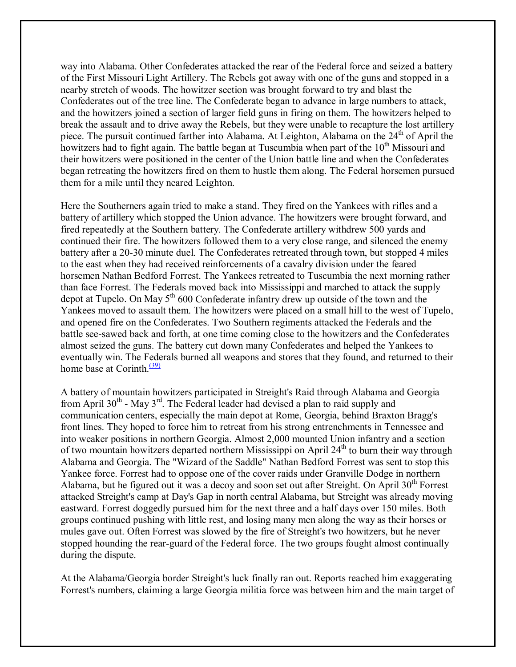way into Alabama. Other Confederates attacked the rear of the Federal force and seized a battery of the First Missouri Light Artillery. The Rebels got away with one of the guns and stopped in a nearby stretch of woods. The howitzer section was brought forward to try and blast the Confederates out of the tree line. The Confederate began to advance in large numbers to attack, and the howitzers joined a section of larger field guns in firing on them. The howitzers helped to break the assault and to drive away the Rebels, but they were unable to recapture the lost artillery piece. The pursuit continued farther into Alabama. At Leighton, Alabama on the 24<sup>th</sup> of April the howitzers had to fight again. The battle began at Tuscumbia when part of the 10<sup>th</sup> Missouri and their howitzers were positioned in the center of the Union battle line and when the Confederates began retreating the howitzers fired on them to hustle them along. The Federal horsemen pursued them for a mile until they neared Leighton.

Here the Southerners again tried to make a stand. They fired on the Yankees with rifles and a battery of artillery which stopped the Union advance. The howitzers were brought forward, and fired repeatedly at the Southern battery. The Confederate artillery withdrew 500 yards and continued their fire. The howitzers followed them to a very close range, and silenced the enemy battery after a 20-30 minute duel. The Confederates retreated through town, but stopped 4 miles to the east when they had received reinforcements of a cavalry division under the feared horsemen Nathan Bedford Forrest. The Yankees retreated to Tuscumbia the next morning rather than face Forrest. The Federals moved back into Mississippi and marched to attack the supply depot at Tupelo. On May  $5<sup>th</sup> 600$  Confederate infantry drew up outside of the town and the Yankees moved to assault them. The howitzers were placed on a small hill to the west of Tupelo, and opened fire on the Confederates. Two Southern regiments attacked the Federals and the battle see-sawed back and forth, at one time coming close to the howitzers and the Confederates almost seized the guns. The battery cut down many Confederates and helped the Yankees to eventually win. The Federals burned all weapons and stores that they found, and returned to their home base at Corinth. $\frac{(39)}{2}$ 

A battery of mountain howitzers participated in Streight's Raid through Alabama and Georgia from April  $30<sup>th</sup>$  - May  $3<sup>rd</sup>$ . The Federal leader had devised a plan to raid supply and communication centers, especially the main depot at Rome, Georgia, behind Braxton Bragg's front lines. They hoped to force him to retreat from his strong entrenchments in Tennessee and into weaker positions in northern Georgia. Almost 2,000 mounted Union infantry and a section of two mountain howitzers departed northern Mississippi on April 24<sup>th</sup> to burn their way through Alabama and Georgia. The "Wizard of the Saddle" Nathan Bedford Forrest was sent to stop this Yankee force. Forrest had to oppose one of the cover raids under Granville Dodge in northern Alabama, but he figured out it was a decoy and soon set out after Streight. On April  $30<sup>th</sup>$  Forrest attacked Streight's camp at Day's Gap in north central Alabama, but Streight was already moving eastward. Forrest doggedly pursued him for the next three and a half days over 150 miles. Both groups continued pushing with little rest, and losing many men along the way as their horses or mules gave out. Often Forrest was slowed by the fire of Streight's two howitzers, but he never stopped hounding the rear-guard of the Federal force. The two groups fought almost continually during the dispute.

At the Alabama/Georgia border Streight's luck finally ran out. Reports reached him exaggerating Forrest's numbers, claiming a large Georgia militia force was between him and the main target of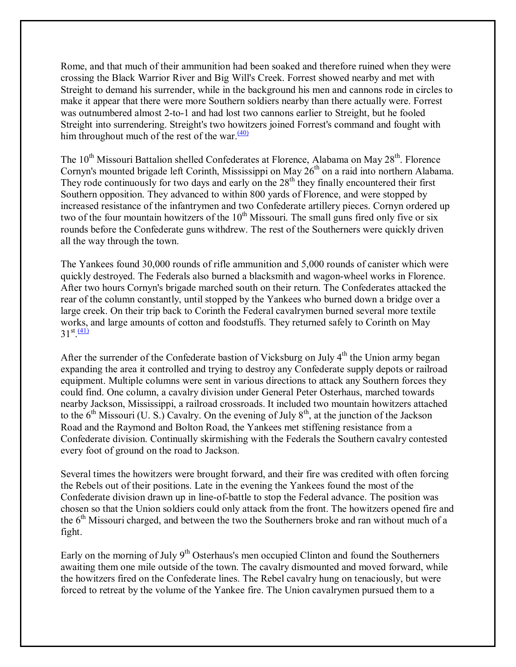Rome, and that much of their ammunition had been soaked and therefore ruined when they were crossing the Black Warrior River and Big Will's Creek. Forrest showed nearby and met with Streight to demand his surrender, while in the background his men and cannons rode in circles to make it appear that there were more Southern soldiers nearby than there actually were. Forrest was outnumbered almost 2-to-1 and had lost two cannons earlier to Streight, but he fooled Streight into surrendering. Streight's two howitzers joined Forrest's command and fought with him throughout much of the rest of the war. $\frac{(40)}{2}$ 

The  $10^{th}$  Missouri Battalion shelled Confederates at Florence, Alabama on May  $28^{th}$ . Florence Cornyn's mounted brigade left Corinth, Mississippi on May 26<sup>th</sup> on a raid into northern Alabama. They rode continuously for two days and early on the  $28<sup>th</sup>$  they finally encountered their first Southern opposition. They advanced to within 800 yards of Florence, and were stopped by increased resistance of the infantrymen and two Confederate artillery pieces. Cornyn ordered up two of the four mountain howitzers of the  $10<sup>th</sup>$  Missouri. The small guns fired only five or six rounds before the Confederate guns withdrew. The rest of the Southerners were quickly driven all the way through the town.

The Yankees found 30,000 rounds of rifle ammunition and 5,000 rounds of canister which were quickly destroyed. The Federals also burned a blacksmith and wagon-wheel works in Florence. After two hours Cornyn's brigade marched south on their return. The Confederates attacked the rear of the column constantly, until stopped by the Yankees who burned down a bridge over a large creek. On their trip back to Corinth the Federal cavalrymen burned several more textile works, and large amounts of cotton and foodstuffs. They returned safely to Corinth on May  $31^{st}$ .  $\frac{(41)}{6}$ 

After the surrender of the Confederate bastion of Vicksburg on July  $4<sup>th</sup>$  the Union army began expanding the area it controlled and trying to destroy any Confederate supply depots or railroad equipment. Multiple columns were sent in various directions to attack any Southern forces they could find. One column, a cavalry division under General Peter Osterhaus, marched towards nearby Jackson, Mississippi, a railroad crossroads. It included two mountain howitzers attached to the  $6<sup>th</sup>$  Missouri (U. S.) Cavalry. On the evening of July  $8<sup>th</sup>$ , at the junction of the Jackson Road and the Raymond and Bolton Road, the Yankees met stiffening resistance from a Confederate division. Continually skirmishing with the Federals the Southern cavalry contested every foot of ground on the road to Jackson.

Several times the howitzers were brought forward, and their fire was credited with often forcing the Rebels out of their positions. Late in the evening the Yankees found the most of the Confederate division drawn up in line-of-battle to stop the Federal advance. The position was chosen so that the Union soldiers could only attack from the front. The howitzers opened fire and the  $6<sup>th</sup>$  Missouri charged, and between the two the Southerners broke and ran without much of a fight.

Early on the morning of July 9<sup>th</sup> Osterhaus's men occupied Clinton and found the Southerners awaiting them one mile outside of the town. The cavalry dismounted and moved forward, while the howitzers fired on the Confederate lines. The Rebel cavalry hung on tenaciously, but were forced to retreat by the volume of the Yankee fire. The Union cavalrymen pursued them to a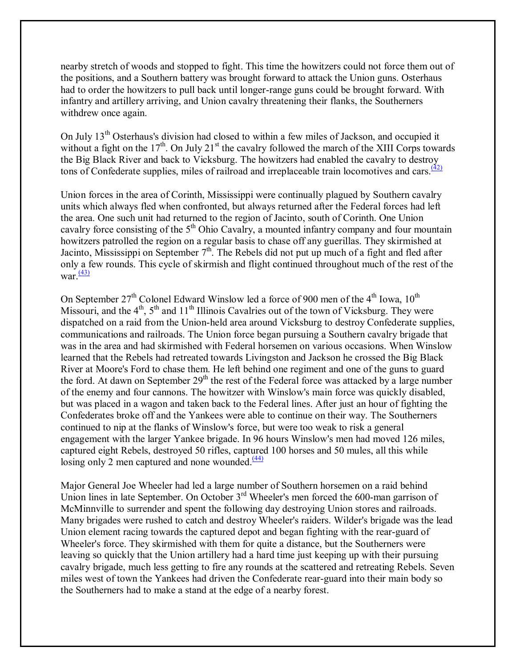nearby stretch of woods and stopped to fight. This time the howitzers could not force them out of the positions, and a Southern battery was brought forward to attack the Union guns. Osterhaus had to order the howitzers to pull back until longer-range guns could be brought forward. With infantry and artillery arriving, and Union cavalry threatening their flanks, the Southerners withdrew once again.

On July 13<sup>th</sup> Osterhaus's division had closed to within a few miles of Jackson, and occupied it without a fight on the  $17<sup>th</sup>$ . On July 21<sup>st</sup> the cavalry followed the march of the XIII Corps towards the Big Black River and back to Vicksburg. The howitzers had enabled the cavalry to destroy tons of Confederate supplies, miles of railroad and irreplaceable train locomotives and cars. $\frac{(42)}{(42)}$ 

Union forces in the area of Corinth, Mississippi were continually plagued by Southern cavalry units which always fled when confronted, but always returned after the Federal forces had left the area. One such unit had returned to the region of Jacinto, south of Corinth. One Union cavalry force consisting of the 5<sup>th</sup> Ohio Cavalry, a mounted infantry company and four mountain howitzers patrolled the region on a regular basis to chase off any guerillas. They skirmished at Jacinto, Mississippi on September  $7<sup>th</sup>$ . The Rebels did not put up much of a fight and fled after only a few rounds. This cycle of skirmish and flight continued throughout much of the rest of the war. $\frac{(43)}{2}$ 

On September  $27<sup>th</sup>$  Colonel Edward Winslow led a force of 900 men of the  $4<sup>th</sup>$  Iowa,  $10<sup>th</sup>$ Missouri, and the  $4<sup>th</sup>$ ,  $5<sup>th</sup>$  and  $11<sup>th</sup>$  Illinois Cavalries out of the town of Vicksburg. They were dispatched on a raid from the Union-held area around Vicksburg to destroy Confederate supplies, communications and railroads. The Union force began pursuing a Southern cavalry brigade that was in the area and had skirmished with Federal horsemen on various occasions. When Winslow learned that the Rebels had retreated towards Livingston and Jackson he crossed the Big Black River at Moore's Ford to chase them. He left behind one regiment and one of the guns to guard the ford. At dawn on September  $29<sup>th</sup>$  the rest of the Federal force was attacked by a large number of the enemy and four cannons. The howitzer with Winslow's main force was quickly disabled, but was placed in a wagon and taken back to the Federal lines. After just an hour of fighting the Confederates broke off and the Yankees were able to continue on their way. The Southerners continued to nip at the flanks of Winslow's force, but were too weak to risk a general engagement with the larger Yankee brigade. In 96 hours Winslow's men had moved 126 miles, captured eight Rebels, destroyed 50 rifles, captured 100 horses and 50 mules, all this while losing only 2 men captured and none wounded. $\frac{(44)}{4}$ 

Major General Joe Wheeler had led a large number of Southern horsemen on a raid behind Union lines in late September. On October 3<sup>rd</sup> Wheeler's men forced the 600-man garrison of McMinnville to surrender and spent the following day destroying Union stores and railroads. Many brigades were rushed to catch and destroy Wheeler's raiders. Wilder's brigade was the lead Union element racing towards the captured depot and began fighting with the rear-guard of Wheeler's force. They skirmished with them for quite a distance, but the Southerners were leaving so quickly that the Union artillery had a hard time just keeping up with their pursuing cavalry brigade, much less getting to fire any rounds at the scattered and retreating Rebels. Seven miles west of town the Yankees had driven the Confederate rear-guard into their main body so the Southerners had to make a stand at the edge of a nearby forest.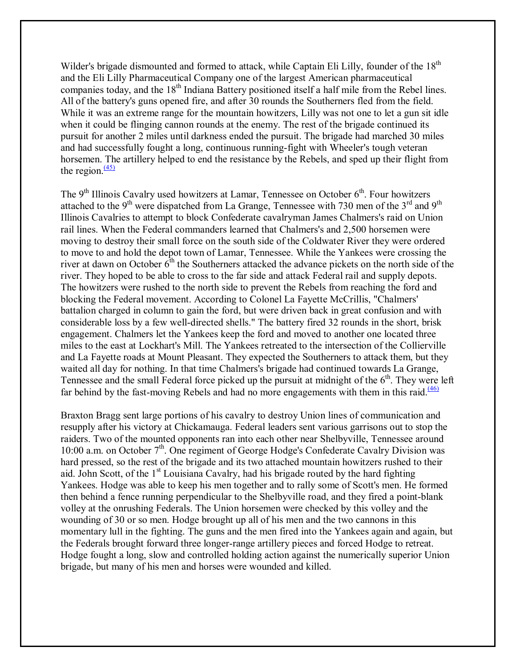Wilder's brigade dismounted and formed to attack, while Captain Eli Lilly, founder of the 18<sup>th</sup> and the Eli Lilly Pharmaceutical Company one of the largest American pharmaceutical companies today, and the 18<sup>th</sup> Indiana Battery positioned itself a half mile from the Rebel lines. All of the battery's guns opened fire, and after 30 rounds the Southerners fled from the field. While it was an extreme range for the mountain howitzers, Lilly was not one to let a gun sit idle when it could be flinging cannon rounds at the enemy. The rest of the brigade continued its pursuit for another 2 miles until darkness ended the pursuit. The brigade had marched 30 miles and had successfully fought a long, continuous running-fight with Wheeler's tough veteran horsemen. The artillery helped to end the resistance by the Rebels, and sped up their flight from the region. $\frac{(45)}{2}$ 

The 9<sup>th</sup> Illinois Cavalry used howitzers at Lamar, Tennessee on October 6<sup>th</sup>. Four howitzers attached to the 9<sup>th</sup> were dispatched from La Grange, Tennessee with 730 men of the 3<sup>rd</sup> and 9<sup>th</sup> Illinois Cavalries to attempt to block Confederate cavalryman James Chalmers's raid on Union rail lines. When the Federal commanders learned that Chalmers's and 2,500 horsemen were moving to destroy their small force on the south side of the Coldwater River they were ordered to move to and hold the depot town of Lamar, Tennessee. While the Yankees were crossing the river at dawn on October  $6<sup>th</sup>$  the Southerners attacked the advance pickets on the north side of the river. They hoped to be able to cross to the far side and attack Federal rail and supply depots. The howitzers were rushed to the north side to prevent the Rebels from reaching the ford and blocking the Federal movement. According to Colonel La Fayette McCrillis, "Chalmers' battalion charged in column to gain the ford, but were driven back in great confusion and with considerable loss by a few well-directed shells." The battery fired 32 rounds in the short, brisk engagement. Chalmers let the Yankees keep the ford and moved to another one located three miles to the east at Lockhart's Mill. The Yankees retreated to the intersection of the Collierville and La Fayette roads at Mount Pleasant. They expected the Southerners to attack them, but they waited all day for nothing. In that time Chalmers's brigade had continued towards La Grange, Tennessee and the small Federal force picked up the pursuit at midnight of the  $6<sup>th</sup>$ . They were left far behind by the fast-moving Rebels and had no more engagements with them in this raid. $\frac{(46)}{ }$ 

Braxton Bragg sent large portions of his cavalry to destroy Union lines of communication and resupply after his victory at Chickamauga. Federal leaders sent various garrisons out to stop the raiders. Two of the mounted opponents ran into each other near Shelbyville, Tennessee around 10:00 a.m. on October  $7<sup>th</sup>$ . One regiment of George Hodge's Confederate Cavalry Division was hard pressed, so the rest of the brigade and its two attached mountain howitzers rushed to their aid. John Scott, of the  $1<sup>st</sup>$  Louisiana Cavalry, had his brigade routed by the hard fighting Yankees. Hodge was able to keep his men together and to rally some of Scott's men. He formed then behind a fence running perpendicular to the Shelbyville road, and they fired a point-blank volley at the onrushing Federals. The Union horsemen were checked by this volley and the wounding of 30 or so men. Hodge brought up all of his men and the two cannons in this momentary lull in the fighting. The guns and the men fired into the Yankees again and again, but the Federals brought forward three longer-range artillery pieces and forced Hodge to retreat. Hodge fought a long, slow and controlled holding action against the numerically superior Union brigade, but many of his men and horses were wounded and killed.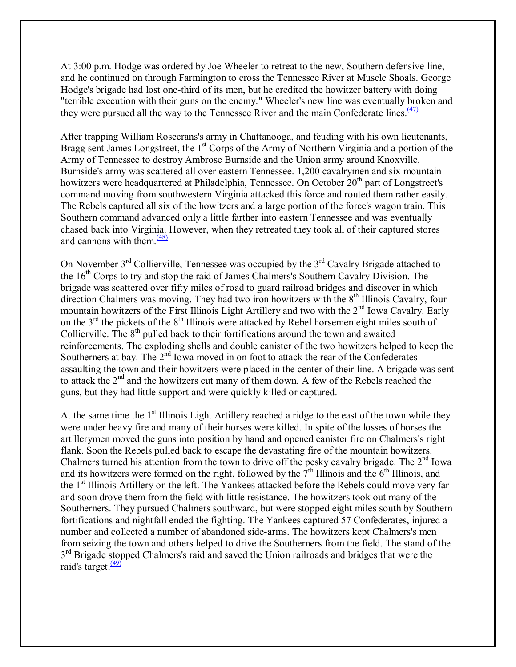At 3:00 p.m. Hodge was ordered by Joe Wheeler to retreat to the new, Southern defensive line, and he continued on through Farmington to cross the Tennessee River at Muscle Shoals. George Hodge's brigade had lost one-third of its men, but he credited the howitzer battery with doing "terrible execution with their guns on the enemy." Wheeler's new line was eventually broken and they were pursued all the way to the Tennessee River and the main Confederate lines.  $(47)$ 

After trapping William Rosecrans's army in Chattanooga, and feuding with his own lieutenants, Bragg sent James Longstreet, the 1<sup>st</sup> Corps of the Army of Northern Virginia and a portion of the Army of Tennessee to destroy Ambrose Burnside and the Union army around Knoxville. Burnside's army was scattered all over eastern Tennessee. 1,200 cavalrymen and six mountain howitzers were headquartered at Philadelphia, Tennessee. On October 20<sup>th</sup> part of Longstreet's command moving from southwestern Virginia attacked this force and routed them rather easily. The Rebels captured all six of the howitzers and a large portion of the force's wagon train. This Southern command advanced only a little farther into eastern Tennessee and was eventually chased back into Virginia. However, when they retreated they took all of their captured stores and cannons with them. $\frac{(48)}{9}$ 

On November  $3<sup>rd</sup>$  Collierville, Tennessee was occupied by the  $3<sup>rd</sup>$  Cavalry Brigade attached to the 16<sup>th</sup> Corps to try and stop the raid of James Chalmers's Southern Cavalry Division. The brigade was scattered over fifty miles of road to guard railroad bridges and discover in which direction Chalmers was moving. They had two iron howitzers with the  $8<sup>th</sup>$  Illinois Cavalry, four mountain howitzers of the First Illinois Light Artillery and two with the 2<sup>nd</sup> Iowa Cavalry. Early on the  $3<sup>rd</sup>$  the pickets of the  $8<sup>th</sup>$  Illinois were attacked by Rebel horsemen eight miles south of Collierville. The  $8<sup>th</sup>$  pulled back to their fortifications around the town and awaited reinforcements. The exploding shells and double canister of the two howitzers helped to keep the Southerners at bay. The  $2<sup>nd</sup>$  Iowa moved in on foot to attack the rear of the Confederates assaulting the town and their howitzers were placed in the center of their line. A brigade was sent to attack the 2<sup>nd</sup> and the howitzers cut many of them down. A few of the Rebels reached the guns, but they had little support and were quickly killed or captured.

At the same time the  $1<sup>st</sup>$  Illinois Light Artillery reached a ridge to the east of the town while they were under heavy fire and many of their horses were killed. In spite of the losses of horses the artillerymen moved the guns into position by hand and opened canister fire on Chalmers's right flank. Soon the Rebels pulled back to escape the devastating fire of the mountain howitzers. Chalmers turned his attention from the town to drive off the pesky cavalry brigade. The  $2<sup>nd</sup>$  Iowa and its howitzers were formed on the right, followed by the  $7<sup>th</sup>$  Illinois and the  $6<sup>th</sup>$  Illinois, and the 1<sup>st</sup> Illinois Artillery on the left. The Yankees attacked before the Rebels could move very far and soon drove them from the field with little resistance. The howitzers took out many of the Southerners. They pursued Chalmers southward, but were stopped eight miles south by Southern fortifications and nightfall ended the fighting. The Yankees captured 57 Confederates, injured a number and collected a number of abandoned side-arms. The howitzers kept Chalmers's men from seizing the town and others helped to drive the Southerners from the field. The stand of the  $3<sup>rd</sup>$  Brigade stopped Chalmers's raid and saved the Union railroads and bridges that were the raid's target. $\frac{(49)}{2}$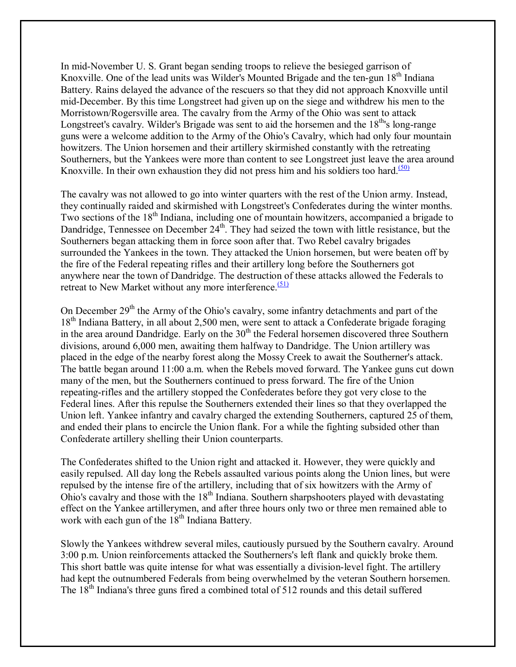In mid-November U. S. Grant began sending troops to relieve the besieged garrison of Knoxville. One of the lead units was Wilder's Mounted Brigade and the ten-gun  $18<sup>th</sup>$  Indiana Battery. Rains delayed the advance of the rescuers so that they did not approach Knoxville until mid-December. By this time Longstreet had given up on the siege and withdrew his men to the Morristown/Rogersville area. The cavalry from the Army of the Ohio was sent to attack Longstreet's cavalry. Wilder's Brigade was sent to aid the horsemen and the 18<sup>th</sup>'s long-range guns were a welcome addition to the Army of the Ohio's Cavalry, which had only four mountain howitzers. The Union horsemen and their artillery skirmished constantly with the retreating Southerners, but the Yankees were more than content to see Longstreet just leave the area around Knoxville. In their own exhaustion they did not press him and his soldiers too hard. $(50)$ 

The cavalry was not allowed to go into winter quarters with the rest of the Union army. Instead, they continually raided and skirmished with Longstreet's Confederates during the winter months. Two sections of the 18<sup>th</sup> Indiana, including one of mountain howitzers, accompanied a brigade to Dandridge, Tennessee on December 24<sup>th</sup>. They had seized the town with little resistance, but the Southerners began attacking them in force soon after that. Two Rebel cavalry brigades surrounded the Yankees in the town. They attacked the Union horsemen, but were beaten off by the fire of the Federal repeating rifles and their artillery long before the Southerners got anywhere near the town of Dandridge. The destruction of these attacks allowed the Federals to retreat to New Market without any more interference.<sup>(51)</sup>

On December  $29<sup>th</sup>$  the Army of the Ohio's cavalry, some infantry detachments and part of the 18<sup>th</sup> Indiana Battery, in all about 2,500 men, were sent to attack a Confederate brigade foraging in the area around Dandridge. Early on the  $30<sup>th</sup>$  the Federal horsemen discovered three Southern divisions, around 6,000 men, awaiting them halfway to Dandridge. The Union artillery was placed in the edge of the nearby forest along the Mossy Creek to await the Southerner's attack. The battle began around 11:00 a.m. when the Rebels moved forward. The Yankee guns cut down many of the men, but the Southerners continued to press forward. The fire of the Union repeating-rifles and the artillery stopped the Confederates before they got very close to the Federal lines. After this repulse the Southerners extended their lines so that they overlapped the Union left. Yankee infantry and cavalry charged the extending Southerners, captured 25 of them, and ended their plans to encircle the Union flank. For a while the fighting subsided other than Confederate artillery shelling their Union counterparts.

The Confederates shifted to the Union right and attacked it. However, they were quickly and easily repulsed. All day long the Rebels assaulted various points along the Union lines, but were repulsed by the intense fire of the artillery, including that of six howitzers with the Army of Ohio's cavalry and those with the  $18<sup>th</sup>$  Indiana. Southern sharpshooters played with devastating effect on the Yankee artillerymen, and after three hours only two or three men remained able to work with each gun of the 18<sup>th</sup> Indiana Battery.

Slowly the Yankees withdrew several miles, cautiously pursued by the Southern cavalry. Around 3:00 p.m. Union reinforcements attacked the Southerners's left flank and quickly broke them. This short battle was quite intense for what was essentially a division-level fight. The artillery had kept the outnumbered Federals from being overwhelmed by the veteran Southern horsemen. The 18<sup>th</sup> Indiana's three guns fired a combined total of 512 rounds and this detail suffered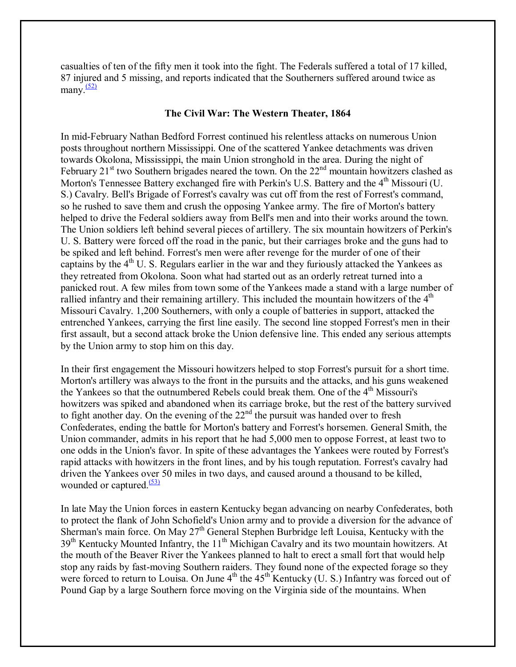casualties of ten of the fifty men it took into the fight. The Federals suffered a total of 17 killed, 87 injured and 5 missing, and reports indicated that the Southerners suffered around twice as many. $\frac{(52)}{2}$ 

#### **The Civil War: The Western Theater, 1864**

In mid-February Nathan Bedford Forrest continued his relentless attacks on numerous Union posts throughout northern Mississippi. One of the scattered Yankee detachments was driven towards Okolona, Mississippi, the main Union stronghold in the area. During the night of February  $21^{\text{st}}$  two Southern brigades neared the town. On the  $22^{\text{nd}}$  mountain howitzers clashed as Morton's Tennessee Battery exchanged fire with Perkin's U.S. Battery and the 4<sup>th</sup> Missouri (U. S.) Cavalry. Bell's Brigade of Forrest's cavalry was cut off from the rest of Forrest's command, so he rushed to save them and crush the opposing Yankee army. The fire of Morton's battery helped to drive the Federal soldiers away from Bell's men and into their works around the town. The Union soldiers left behind several pieces of artillery. The six mountain howitzers of Perkin's U. S. Battery were forced off the road in the panic, but their carriages broke and the guns had to be spiked and left behind. Forrest's men were after revenge for the murder of one of their captains by the  $4<sup>th</sup>$  U. S. Regulars earlier in the war and they furiously attacked the Yankees as they retreated from Okolona. Soon what had started out as an orderly retreat turned into a panicked rout. A few miles from town some of the Yankees made a stand with a large number of rallied infantry and their remaining artillery. This included the mountain howitzers of the  $4<sup>th</sup>$ Missouri Cavalry. 1,200 Southerners, with only a couple of batteries in support, attacked the entrenched Yankees, carrying the first line easily. The second line stopped Forrest's men in their first assault, but a second attack broke the Union defensive line. This ended any serious attempts by the Union army to stop him on this day.

In their first engagement the Missouri howitzers helped to stop Forrest's pursuit for a short time. Morton's artillery was always to the front in the pursuits and the attacks, and his guns weakened the Yankees so that the outnumbered Rebels could break them. One of the 4<sup>th</sup> Missouri's howitzers was spiked and abandoned when its carriage broke, but the rest of the battery survived to fight another day. On the evening of the  $22<sup>nd</sup>$  the pursuit was handed over to fresh Confederates, ending the battle for Morton's battery and Forrest's horsemen. General Smith, the Union commander, admits in his report that he had 5,000 men to oppose Forrest, at least two to one odds in the Union's favor. In spite of these advantages the Yankees were routed by Forrest's rapid attacks with howitzers in the front lines, and by his tough reputation. Forrest's cavalry had driven the Yankees over 50 miles in two days, and caused around a thousand to be killed, wounded or captured. $(53)$ 

In late May the Union forces in eastern Kentucky began advancing on nearby Confederates, both to protect the flank of John Schofield's Union army and to provide a diversion for the advance of Sherman's main force. On May 27<sup>th</sup> General Stephen Burbridge left Louisa, Kentucky with the 39<sup>th</sup> Kentucky Mounted Infantry, the 11<sup>th</sup> Michigan Cavalry and its two mountain howitzers. At the mouth of the Beaver River the Yankees planned to halt to erect a small fort that would help stop any raids by fast-moving Southern raiders. They found none of the expected forage so they were forced to return to Louisa. On June  $4<sup>th</sup>$  the  $45<sup>th</sup>$  Kentucky (U. S.) Infantry was forced out of Pound Gap by a large Southern force moving on the Virginia side of the mountains. When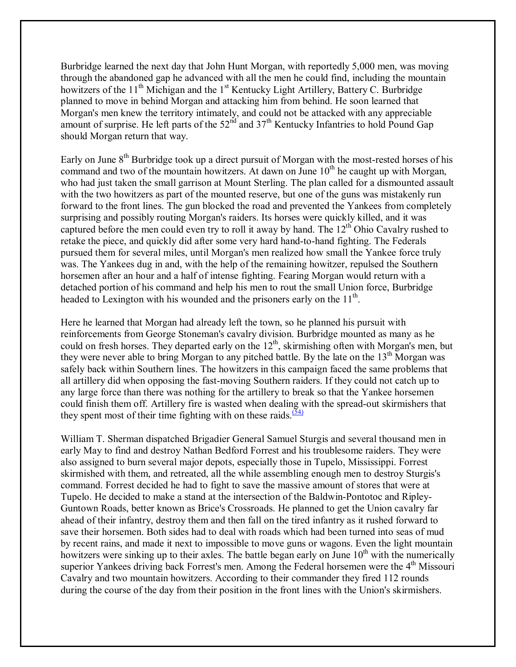Burbridge learned the next day that John Hunt Morgan, with reportedly 5,000 men, was moving through the abandoned gap he advanced with all the men he could find, including the mountain howitzers of the 11<sup>th</sup> Michigan and the 1<sup>st</sup> Kentucky Light Artillery, Battery C. Burbridge planned to move in behind Morgan and attacking him from behind. He soon learned that Morgan's men knew the territory intimately, and could not be attacked with any appreciable amount of surprise. He left parts of the  $52<sup>nd</sup>$  and  $37<sup>th</sup>$  Kentucky Infantries to hold Pound Gap should Morgan return that way.

Early on June  $8<sup>th</sup>$  Burbridge took up a direct pursuit of Morgan with the most-rested horses of his command and two of the mountain howitzers. At dawn on June  $10<sup>th</sup>$  he caught up with Morgan, who had just taken the small garrison at Mount Sterling. The plan called for a dismounted assault with the two howitzers as part of the mounted reserve, but one of the guns was mistakenly run forward to the front lines. The gun blocked the road and prevented the Yankees from completely surprising and possibly routing Morgan's raiders. Its horses were quickly killed, and it was captured before the men could even try to roll it away by hand. The  $12<sup>th</sup>$  Ohio Cavalry rushed to retake the piece, and quickly did after some very hard hand-to-hand fighting. The Federals pursued them for several miles, until Morgan's men realized how small the Yankee force truly was. The Yankees dug in and, with the help of the remaining howitzer, repulsed the Southern horsemen after an hour and a half of intense fighting. Fearing Morgan would return with a detached portion of his command and help his men to rout the small Union force, Burbridge headed to Lexington with his wounded and the prisoners early on the  $11<sup>th</sup>$ .

Here he learned that Morgan had already left the town, so he planned his pursuit with reinforcements from George Stoneman's cavalry division. Burbridge mounted as many as he could on fresh horses. They departed early on the 12<sup>th</sup>, skirmishing often with Morgan's men, but they were never able to bring Morgan to any pitched battle. By the late on the  $13<sup>th</sup>$  Morgan was safely back within Southern lines. The howitzers in this campaign faced the same problems that all artillery did when opposing the fast-moving Southern raiders. If they could not catch up to any large force than there was nothing for the artillery to break so that the Yankee horsemen could finish them off. Artillery fire is wasted when dealing with the spread-out skirmishers that they spent most of their time fighting with on these raids.  $(54)$ 

William T. Sherman dispatched Brigadier General Samuel Sturgis and several thousand men in early May to find and destroy Nathan Bedford Forrest and his troublesome raiders. They were also assigned to burn several major depots, especially those in Tupelo, Mississippi. Forrest skirmished with them, and retreated, all the while assembling enough men to destroy Sturgis's command. Forrest decided he had to fight to save the massive amount of stores that were at Tupelo. He decided to make a stand at the intersection of the Baldwin-Pontotoc and Ripley-Guntown Roads, better known as Brice's Crossroads. He planned to get the Union cavalry far ahead of their infantry, destroy them and then fall on the tired infantry as it rushed forward to save their horsemen. Both sides had to deal with roads which had been turned into seas of mud by recent rains, and made it next to impossible to move guns or wagons. Even the light mountain howitzers were sinking up to their axles. The battle began early on June  $10^{th}$  with the numerically superior Yankees driving back Forrest's men. Among the Federal horsemen were the  $4<sup>th</sup>$  Missouri Cavalry and two mountain howitzers. According to their commander they fired 112 rounds during the course of the day from their position in the front lines with the Union's skirmishers.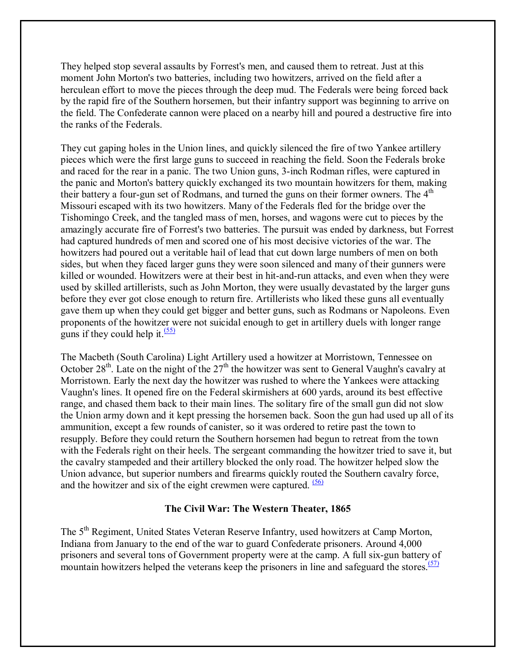They helped stop several assaults by Forrest's men, and caused them to retreat. Just at this moment John Morton's two batteries, including two howitzers, arrived on the field after a herculean effort to move the pieces through the deep mud. The Federals were being forced back by the rapid fire of the Southern horsemen, but their infantry support was beginning to arrive on the field. The Confederate cannon were placed on a nearby hill and poured a destructive fire into the ranks of the Federals.

They cut gaping holes in the Union lines, and quickly silenced the fire of two Yankee artillery pieces which were the first large guns to succeed in reaching the field. Soon the Federals broke and raced for the rear in a panic. The two Union guns, 3-inch Rodman rifles, were captured in the panic and Morton's battery quickly exchanged its two mountain howitzers for them, making their battery a four-gun set of Rodmans, and turned the guns on their former owners. The  $4<sup>th</sup>$ Missouri escaped with its two howitzers. Many of the Federals fled for the bridge over the Tishomingo Creek, and the tangled mass of men, horses, and wagons were cut to pieces by the amazingly accurate fire of Forrest's two batteries. The pursuit was ended by darkness, but Forrest had captured hundreds of men and scored one of his most decisive victories of the war. The howitzers had poured out a veritable hail of lead that cut down large numbers of men on both sides, but when they faced larger guns they were soon silenced and many of their gunners were killed or wounded. Howitzers were at their best in hit-and-run attacks, and even when they were used by skilled artillerists, such as John Morton, they were usually devastated by the larger guns before they ever got close enough to return fire. Artillerists who liked these guns all eventually gave them up when they could get bigger and better guns, such as Rodmans or Napoleons. Even proponents of the howitzer were not suicidal enough to get in artillery duels with longer range guns if they could help it. $\frac{(55)}{2}$ 

The Macbeth (South Carolina) Light Artillery used a howitzer at Morristown, Tennessee on October  $28<sup>th</sup>$ . Late on the night of the  $27<sup>th</sup>$  the howitzer was sent to General Vaughn's cavalry at Morristown. Early the next day the howitzer was rushed to where the Yankees were attacking Vaughn's lines. It opened fire on the Federal skirmishers at 600 yards, around its best effective range, and chased them back to their main lines. The solitary fire of the small gun did not slow the Union army down and it kept pressing the horsemen back. Soon the gun had used up all of its ammunition, except a few rounds of canister, so it was ordered to retire past the town to resupply. Before they could return the Southern horsemen had begun to retreat from the town with the Federals right on their heels. The sergeant commanding the howitzer tried to save it, but the cavalry stampeded and their artillery blocked the only road. The howitzer helped slow the Union advance, but superior numbers and firearms quickly routed the Southern cavalry force, and the howitzer and six of the eight crewmen were captured.  $(56)$ 

# **The Civil War: The Western Theater, 1865**

The 5<sup>th</sup> Regiment, United States Veteran Reserve Infantry, used howitzers at Camp Morton, Indiana from January to the end of the war to guard Confederate prisoners. Around 4,000 prisoners and several tons of Government property were at the camp. A full six-gun battery of mountain howitzers helped the veterans keep the prisoners in line and safeguard the stores.<sup> $(57)$ </sup>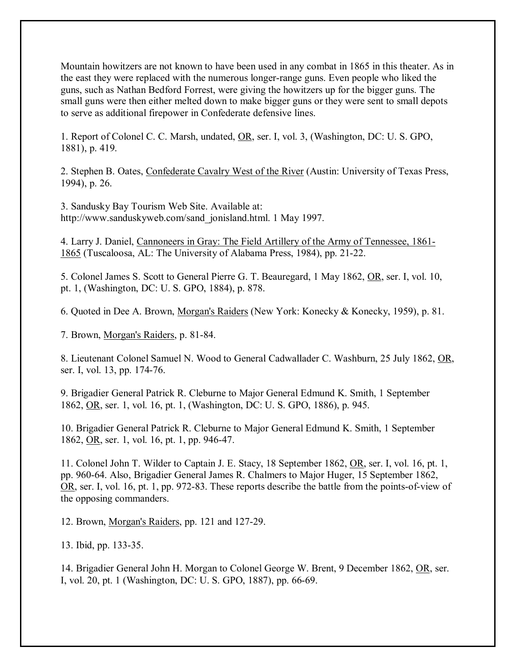Mountain howitzers are not known to have been used in any combat in 1865 in this theater. As in the east they were replaced with the numerous longer-range guns. Even people who liked the guns, such as Nathan Bedford Forrest, were giving the howitzers up for the bigger guns. The small guns were then either melted down to make bigger guns or they were sent to small depots to serve as additional firepower in Confederate defensive lines.

1. Report of Colonel C. C. Marsh, undated, OR, ser. I, vol. 3, (Washington, DC: U. S. GPO, 1881), p. 419.

2. Stephen B. Oates, Confederate Cavalry West of the River (Austin: University of Texas Press, 1994), p. 26.

3. Sandusky Bay Tourism Web Site. Available at: http://www.sanduskyweb.com/sand\_jonisland.html. 1 May 1997.

4. Larry J. Daniel, Cannoneers in Gray: The Field Artillery of the Army of Tennessee, 1861- 1865 (Tuscaloosa, AL: The University of Alabama Press, 1984), pp. 21-22.

5. Colonel James S. Scott to General Pierre G. T. Beauregard, 1 May 1862, OR, ser. I, vol. 10, pt. 1, (Washington, DC: U. S. GPO, 1884), p. 878.

6. Quoted in Dee A. Brown, Morgan's Raiders (New York: Konecky & Konecky, 1959), p. 81.

7. Brown, Morgan's Raiders, p. 81-84.

8. Lieutenant Colonel Samuel N. Wood to General Cadwallader C. Washburn, 25 July 1862, OR, ser. I, vol. 13, pp. 174-76.

9. Brigadier General Patrick R. Cleburne to Major General Edmund K. Smith, 1 September 1862, OR, ser. 1, vol. 16, pt. 1, (Washington, DC: U. S. GPO, 1886), p. 945.

10. Brigadier General Patrick R. Cleburne to Major General Edmund K. Smith, 1 September 1862, OR, ser. 1, vol. 16, pt. 1, pp. 946-47.

11. Colonel John T. Wilder to Captain J. E. Stacy, 18 September 1862, OR, ser. I, vol. 16, pt. 1, pp. 960-64. Also, Brigadier General James R. Chalmers to Major Huger, 15 September 1862, OR, ser. I, vol. 16, pt. 1, pp. 972-83. These reports describe the battle from the points-of-view of the opposing commanders.

12. Brown, Morgan's Raiders, pp. 121 and 127-29.

13. Ibid, pp. 133-35.

14. Brigadier General John H. Morgan to Colonel George W. Brent, 9 December 1862, OR, ser. I, vol. 20, pt. 1 (Washington, DC: U. S. GPO, 1887), pp. 66-69.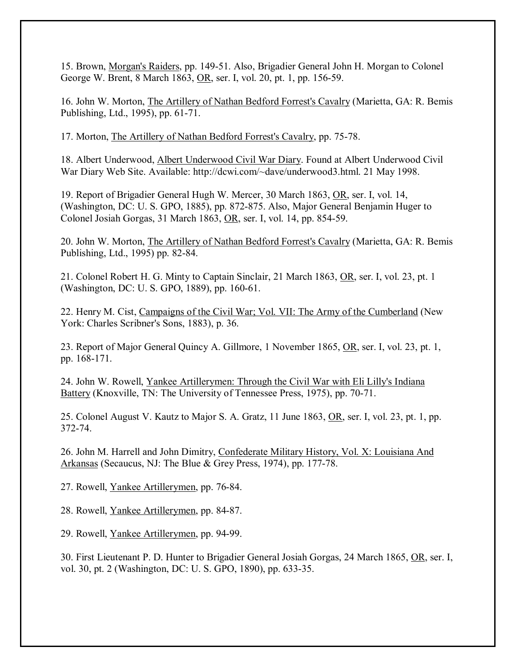15. Brown, Morgan's Raiders, pp. 149-51. Also, Brigadier General John H. Morgan to Colonel George W. Brent, 8 March 1863, OR, ser. I, vol. 20, pt. 1, pp. 156-59.

16. John W. Morton, The Artillery of Nathan Bedford Forrest's Cavalry (Marietta, GA: R. Bemis Publishing, Ltd., 1995), pp. 61-71.

17. Morton, The Artillery of Nathan Bedford Forrest's Cavalry, pp. 75-78.

18. Albert Underwood, Albert Underwood Civil War Diary. Found at Albert Underwood Civil War Diary Web Site. Available: http://dcwi.com/~dave/underwood3.html. 21 May 1998.

19. Report of Brigadier General Hugh W. Mercer, 30 March 1863, OR, ser. I, vol. 14, (Washington, DC: U. S. GPO, 1885), pp. 872-875. Also, Major General Benjamin Huger to Colonel Josiah Gorgas, 31 March 1863, OR, ser. I, vol. 14, pp. 854-59.

20. John W. Morton, The Artillery of Nathan Bedford Forrest's Cavalry (Marietta, GA: R. Bemis Publishing, Ltd., 1995) pp. 82-84.

21. Colonel Robert H. G. Minty to Captain Sinclair, 21 March 1863, OR, ser. I, vol. 23, pt. 1 (Washington, DC: U. S. GPO, 1889), pp. 160-61.

22. Henry M. Cist, Campaigns of the Civil War; Vol. VII: The Army of the Cumberland (New York: Charles Scribner's Sons, 1883), p. 36.

23. Report of Major General Quincy A. Gillmore, 1 November 1865, OR, ser. I, vol. 23, pt. 1, pp. 168-171.

24. John W. Rowell, Yankee Artillerymen: Through the Civil War with Eli Lilly's Indiana Battery (Knoxville, TN: The University of Tennessee Press, 1975), pp. 70-71.

25. Colonel August V. Kautz to Major S. A. Gratz, 11 June 1863, OR, ser. I, vol. 23, pt. 1, pp. 372-74.

26. John M. Harrell and John Dimitry, Confederate Military History, Vol. X: Louisiana And Arkansas (Secaucus, NJ: The Blue & Grey Press, 1974), pp. 177-78.

27. Rowell, Yankee Artillerymen, pp. 76-84.

28. Rowell, Yankee Artillerymen, pp. 84-87.

29. Rowell, Yankee Artillerymen, pp. 94-99.

30. First Lieutenant P. D. Hunter to Brigadier General Josiah Gorgas, 24 March 1865, OR, ser. I, vol. 30, pt. 2 (Washington, DC: U. S. GPO, 1890), pp. 633-35.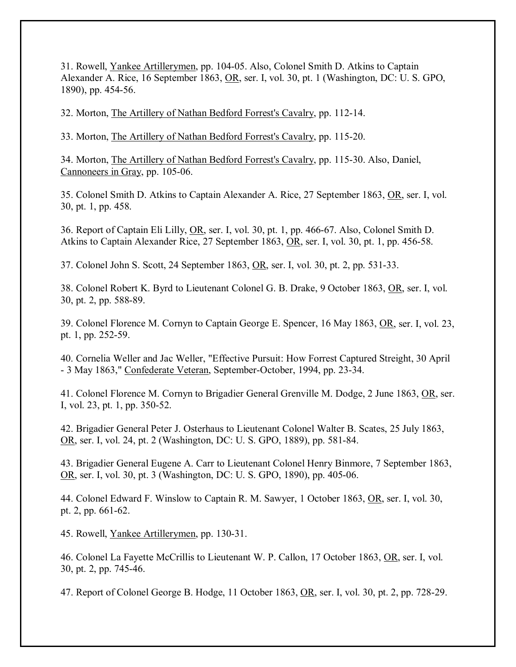31. Rowell, Yankee Artillerymen, pp. 104-05. Also, Colonel Smith D. Atkins to Captain Alexander A. Rice, 16 September 1863, OR, ser. I, vol. 30, pt. 1 (Washington, DC: U. S. GPO, 1890), pp. 454-56.

32. Morton, The Artillery of Nathan Bedford Forrest's Cavalry, pp. 112-14.

33. Morton, The Artillery of Nathan Bedford Forrest's Cavalry, pp. 115-20.

34. Morton, The Artillery of Nathan Bedford Forrest's Cavalry, pp. 115-30. Also, Daniel, Cannoneers in Gray, pp. 105-06.

35. Colonel Smith D. Atkins to Captain Alexander A. Rice, 27 September 1863, OR, ser. I, vol. 30, pt. 1, pp. 458.

36. Report of Captain Eli Lilly, OR, ser. I, vol. 30, pt. 1, pp. 466-67. Also, Colonel Smith D. Atkins to Captain Alexander Rice, 27 September 1863, OR, ser. I, vol. 30, pt. 1, pp. 456-58.

37. Colonel John S. Scott, 24 September 1863, OR, ser. I, vol. 30, pt. 2, pp. 531-33.

38. Colonel Robert K. Byrd to Lieutenant Colonel G. B. Drake, 9 October 1863, OR, ser. I, vol. 30, pt. 2, pp. 588-89.

39. Colonel Florence M. Cornyn to Captain George E. Spencer, 16 May 1863, OR, ser. I, vol. 23, pt. 1, pp. 252-59.

40. Cornelia Weller and Jac Weller, "Effective Pursuit: How Forrest Captured Streight, 30 April - 3 May 1863," Confederate Veteran, September-October, 1994, pp. 23-34.

41. Colonel Florence M. Cornyn to Brigadier General Grenville M. Dodge, 2 June 1863, OR, ser. I, vol. 23, pt. 1, pp. 350-52.

42. Brigadier General Peter J. Osterhaus to Lieutenant Colonel Walter B. Scates, 25 July 1863, OR, ser. I, vol. 24, pt. 2 (Washington, DC: U. S. GPO, 1889), pp. 581-84.

43. Brigadier General Eugene A. Carr to Lieutenant Colonel Henry Binmore, 7 September 1863, OR, ser. I, vol. 30, pt. 3 (Washington, DC: U. S. GPO, 1890), pp. 405-06.

44. Colonel Edward F. Winslow to Captain R. M. Sawyer, 1 October 1863, OR, ser. I, vol. 30, pt. 2, pp. 661-62.

45. Rowell, Yankee Artillerymen, pp. 130-31.

46. Colonel La Fayette McCrillis to Lieutenant W. P. Callon, 17 October 1863, OR, ser. I, vol. 30, pt. 2, pp. 745-46.

47. Report of Colonel George B. Hodge, 11 October 1863, OR, ser. I, vol. 30, pt. 2, pp. 728-29.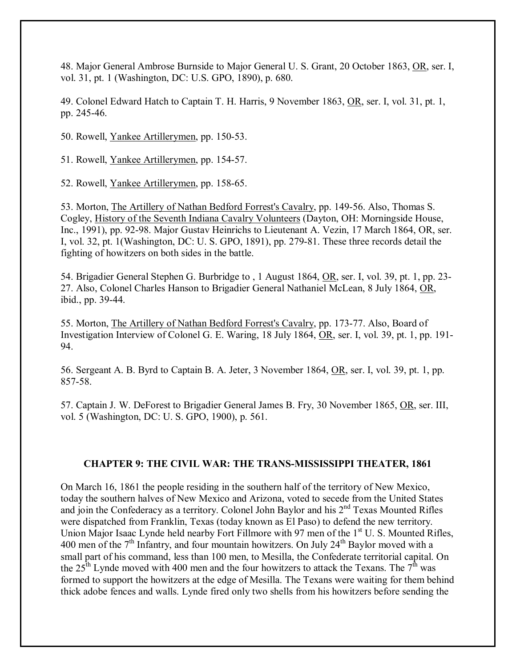48. Major General Ambrose Burnside to Major General U. S. Grant, 20 October 1863, OR, ser. I, vol. 31, pt. 1 (Washington, DC: U.S. GPO, 1890), p. 680.

49. Colonel Edward Hatch to Captain T. H. Harris, 9 November 1863, OR, ser. I, vol. 31, pt. 1, pp. 245-46.

50. Rowell, Yankee Artillerymen, pp. 150-53.

51. Rowell, Yankee Artillerymen, pp. 154-57.

52. Rowell, Yankee Artillerymen, pp. 158-65.

53. Morton, The Artillery of Nathan Bedford Forrest's Cavalry, pp. 149-56. Also, Thomas S. Cogley, History of the Seventh Indiana Cavalry Volunteers (Dayton, OH: Morningside House, Inc., 1991), pp. 92-98. Major Gustav Heinrichs to Lieutenant A. Vezin, 17 March 1864, OR, ser. I, vol. 32, pt. 1(Washington, DC: U. S. GPO, 1891), pp. 279-81. These three records detail the fighting of howitzers on both sides in the battle.

54. Brigadier General Stephen G. Burbridge to , 1 August 1864, OR, ser. I, vol. 39, pt. 1, pp. 23- 27. Also, Colonel Charles Hanson to Brigadier General Nathaniel McLean, 8 July 1864, OR, ibid., pp. 39-44.

55. Morton, The Artillery of Nathan Bedford Forrest's Cavalry, pp. 173-77. Also, Board of Investigation Interview of Colonel G. E. Waring, 18 July 1864, OR, ser. I, vol. 39, pt. 1, pp. 191- 94.

56. Sergeant A. B. Byrd to Captain B. A. Jeter, 3 November 1864, OR, ser. I, vol. 39, pt. 1, pp. 857-58.

57. Captain J. W. DeForest to Brigadier General James B. Fry, 30 November 1865, OR, ser. III, vol. 5 (Washington, DC: U. S. GPO, 1900), p. 561.

# **CHAPTER 9: THE CIVIL WAR: THE TRANS-MISSISSIPPI THEATER, 1861**

On March 16, 1861 the people residing in the southern half of the territory of New Mexico, today the southern halves of New Mexico and Arizona, voted to secede from the United States and join the Confederacy as a territory. Colonel John Baylor and his  $2<sup>nd</sup>$  Texas Mounted Rifles were dispatched from Franklin, Texas (today known as El Paso) to defend the new territory. Union Major Isaac Lynde held nearby Fort Fillmore with 97 men of the  $1<sup>st</sup>$  U. S. Mounted Rifles, 400 men of the  $7<sup>th</sup>$  Infantry, and four mountain howitzers. On July 24<sup>th</sup> Baylor moved with a small part of his command, less than 100 men, to Mesilla, the Confederate territorial capital. On the  $25<sup>th</sup>$  Lynde moved with 400 men and the four howitzers to attack the Texans. The  $7<sup>th</sup>$  was formed to support the howitzers at the edge of Mesilla. The Texans were waiting for them behind thick adobe fences and walls. Lynde fired only two shells from his howitzers before sending the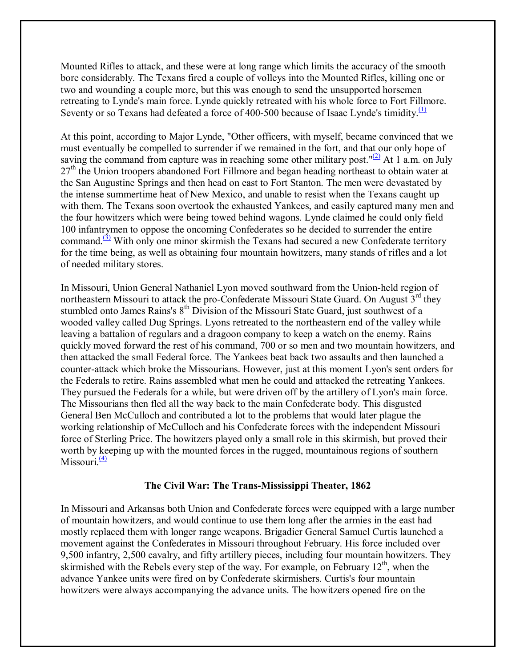Mounted Rifles to attack, and these were at long range which limits the accuracy of the smooth bore considerably. The Texans fired a couple of volleys into the Mounted Rifles, killing one or two and wounding a couple more, but this was enough to send the unsupported horsemen retreating to Lynde's main force. Lynde quickly retreated with his whole force to Fort Fillmore. Seventy or so Texans had defeated a force of 400-500 because of Isaac Lynde's timidity.<sup>(1)</sup>

At this point, according to Major Lynde, "Other officers, with myself, became convinced that we must eventually be compelled to surrender if we remained in the fort, and that our only hope of saving the command from capture was in reaching some other military post." $(2)$  At 1 a.m. on July  $27<sup>th</sup>$  the Union troopers abandoned Fort Fillmore and began heading northeast to obtain water at the San Augustine Springs and then head on east to Fort Stanton. The men were devastated by the intense summertime heat of New Mexico, and unable to resist when the Texans caught up with them. The Texans soon overtook the exhausted Yankees, and easily captured many men and the four howitzers which were being towed behind wagons. Lynde claimed he could only field 100 infantrymen to oppose the oncoming Confederates so he decided to surrender the entire command. $\frac{(3)}{2}$  With only one minor skirmish the Texans had secured a new Confederate territory for the time being, as well as obtaining four mountain howitzers, many stands of rifles and a lot of needed military stores.

In Missouri, Union General Nathaniel Lyon moved southward from the Union-held region of northeastern Missouri to attack the pro-Confederate Missouri State Guard. On August  $3<sup>rd</sup>$  they stumbled onto James Rains's  $8<sup>th</sup>$  Division of the Missouri State Guard, just southwest of a wooded valley called Dug Springs. Lyons retreated to the northeastern end of the valley while leaving a battalion of regulars and a dragoon company to keep a watch on the enemy. Rains quickly moved forward the rest of his command, 700 or so men and two mountain howitzers, and then attacked the small Federal force. The Yankees beat back two assaults and then launched a counter-attack which broke the Missourians. However, just at this moment Lyon's sent orders for the Federals to retire. Rains assembled what men he could and attacked the retreating Yankees. They pursued the Federals for a while, but were driven off by the artillery of Lyon's main force. The Missourians then fled all the way back to the main Confederate body. This disgusted General Ben McCulloch and contributed a lot to the problems that would later plague the working relationship of McCulloch and his Confederate forces with the independent Missouri force of Sterling Price. The howitzers played only a small role in this skirmish, but proved their worth by keeping up with the mounted forces in the rugged, mountainous regions of southern Missouri $\frac{(4)}{4}$ 

#### **The Civil War: The Trans-Mississippi Theater, 1862**

In Missouri and Arkansas both Union and Confederate forces were equipped with a large number of mountain howitzers, and would continue to use them long after the armies in the east had mostly replaced them with longer range weapons. Brigadier General Samuel Curtis launched a movement against the Confederates in Missouri throughout February. His force included over 9,500 infantry, 2,500 cavalry, and fifty artillery pieces, including four mountain howitzers. They skirmished with the Rebels every step of the way. For example, on February  $12<sup>th</sup>$ , when the advance Yankee units were fired on by Confederate skirmishers. Curtis's four mountain howitzers were always accompanying the advance units. The howitzers opened fire on the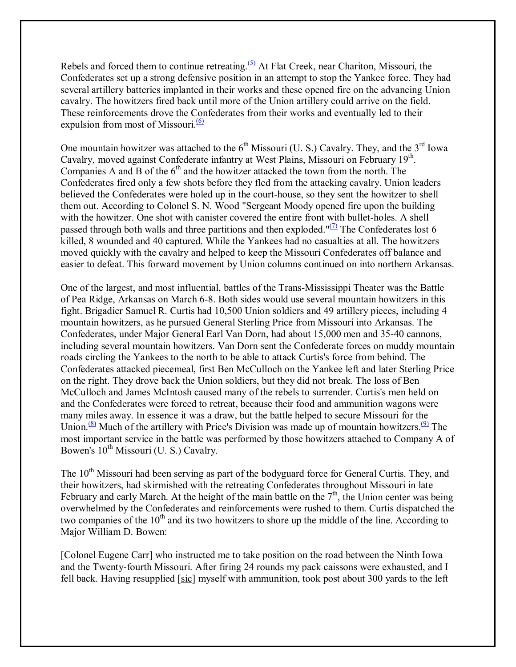Rebels and forced them to continue retreating.<sup> $(5)$ </sup> At Flat Creek, near Chariton, Missouri, the Confederates set up a strong defensive position in an attempt to stop the Yankee force. They had several artillery batteries implanted in their works and these opened fire on the advancing Union cavalry. The howitzers fired back until more of the Union artillery could arrive on the field. These reinforcements drove the Confederates from their works and eventually led to their expulsion from most of Missouri. $\frac{(6)}{6}$ 

One mountain howitzer was attached to the  $6<sup>th</sup>$  Missouri (U. S.) Cavalry. They, and the  $3<sup>rd</sup>$  Iowa Cavalry, moved against Confederate infantry at West Plains, Missouri on February 19<sup>th</sup>. Companies A and B of the  $6<sup>th</sup>$  and the howitzer attacked the town from the north. The Confederates fired only a few shots before they fled from the attacking cavalry. Union leaders believed the Confederates were holed up in the court-house, so they sent the howitzer to shell them out. According to Colonel S. N. Wood "Sergeant Moody opened fire upon the building with the howitzer. One shot with canister covered the entire front with bullet-holes. A shell passed through both walls and three partitions and then exploded." $\frac{1}{2}$  The Confederates lost 6 killed, 8 wounded and 40 captured. While the Yankees had no casualties at all. The howitzers moved quickly with the cavalry and helped to keep the Missouri Confederates off balance and easier to defeat. This forward movement by Union columns continued on into northern Arkansas.

One of the largest, and most influential, battles of the Trans-Mississippi Theater was the Battle of Pea Ridge, Arkansas on March 6-8. Both sides would use several mountain howitzers in this fight. Brigadier Samuel R. Curtis had 10,500 Union soldiers and 49 artillery pieces, including 4 mountain howitzers, as he pursued General Sterling Price from Missouri into Arkansas. The Confederates, under Major General Earl Van Dorn, had about 15,000 men and 35-40 cannons, including several mountain howitzers. Van Dorn sent the Confederate forces on muddy mountain roads circling the Yankees to the north to be able to attack Curtis's force from behind. The Confederates attacked piecemeal, first Ben McCulloch on the Yankee left and later Sterling Price on the right. They drove back the Union soldiers, but they did not break. The loss of Ben McCulloch and James McIntosh caused many of the rebels to surrender. Curtis's men held on and the Confederates were forced to retreat, because their food and ammunition wagons were many miles away. In essence it was a draw, but the battle helped to secure Missouri for the Union.<sup>(8)</sup> Much of the artillery with Price's Division was made up of mountain howitzers.<sup>(9)</sup> The most important service in the battle was performed by those howitzers attached to Company A of Bowen's  $10^{th}$  Missouri (U. S.) Cavalry.

The 10<sup>th</sup> Missouri had been serving as part of the bodyguard force for General Curtis. They, and their howitzers, had skirmished with the retreating Confederates throughout Missouri in late February and early March. At the height of the main battle on the  $7<sup>th</sup>$ , the Union center was being overwhelmed by the Confederates and reinforcements were rushed to them. Curtis dispatched the two companies of the  $10<sup>th</sup>$  and its two howitzers to shore up the middle of the line. According to Major William D. Bowen:

[Colonel Eugene Carr] who instructed me to take position on the road between the Ninth Iowa and the Twenty-fourth Missouri. After firing 24 rounds my pack caissons were exhausted, and I fell back. Having resupplied [sic] myself with ammunition, took post about 300 yards to the left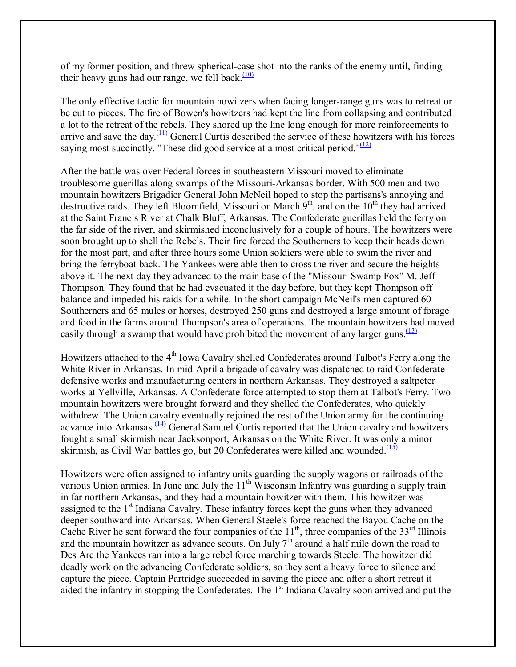of my former position, and threw spherical-case shot into the ranks of the enemy until, finding their heavy guns had our range, we fell back. $(10)$ 

The only effective tactic for mountain howitzers when facing longer-range guns was to retreat or be cut to pieces. The fire of Bowen's howitzers had kept the line from collapsing and contributed a lot to the retreat of the rebels. They shored up the line long enough for more reinforcements to arrive and save the day. $\frac{(11)}{2}$  General Curtis described the service of these howitzers with his forces saying most succinctly. "These did good service at a most critical period." $\frac{(12)}{2}$ 

After the battle was over Federal forces in southeastern Missouri moved to eliminate troublesome guerillas along swamps of the Missouri-Arkansas border. With 500 men and two mountain howitzers Brigadier General John McNeil hoped to stop the partisans's annoying and destructive raids. They left Bloomfield, Missouri on March  $9<sup>th</sup>$ , and on the 10<sup>th</sup> they had arrived at the Saint Francis River at Chalk Bluff, Arkansas. The Confederate guerillas held the ferry on the far side of the river, and skirmished inconclusively for a couple of hours. The howitzers were soon brought up to shell the Rebels. Their fire forced the Southerners to keep their heads down for the most part, and after three hours some Union soldiers were able to swim the river and bring the ferryboat back. The Yankees were able then to cross the river and secure the heights above it. The next day they advanced to the main base of the "Missouri Swamp Fox" M. Jeff Thompson. They found that he had evacuated it the day before, but they kept Thompson off balance and impeded his raids for a while. In the short campaign McNeil's men captured 60 Southerners and 65 mules or horses, destroyed 250 guns and destroyed a large amount of forage and food in the farms around Thompson's area of operations. The mountain howitzers had moved easily through a swamp that would have prohibited the movement of any larger guns.  $\frac{(13)}{(13)}$ 

Howitzers attached to the 4<sup>th</sup> Iowa Cavalry shelled Confederates around Talbot's Ferry along the White River in Arkansas. In mid-April a brigade of cavalry was dispatched to raid Confederate defensive works and manufacturing centers in northern Arkansas. They destroyed a saltpeter works at Yellville, Arkansas. A Confederate force attempted to stop them at Talbot's Ferry. Two mountain howitzers were brought forward and they shelled the Confederates, who quickly withdrew. The Union cavalry eventually rejoined the rest of the Union army for the continuing advance into Arkansas.<sup> $(14)$ </sup> General Samuel Curtis reported that the Union cavalry and howitzers fought a small skirmish near Jacksonport, Arkansas on the White River. It was only a minor skirmish, as Civil War battles go, but 20 Confederates were killed and wounded. $\frac{(15)}{(15)}$ 

Howitzers were often assigned to infantry units guarding the supply wagons or railroads of the various Union armies. In June and July the  $11<sup>th</sup>$  Wisconsin Infantry was guarding a supply train in far northern Arkansas, and they had a mountain howitzer with them. This howitzer was assigned to the  $1<sup>st</sup>$  Indiana Cavalry. These infantry forces kept the guns when they advanced deeper southward into Arkansas. When General Steele's force reached the Bayou Cache on the Cache River he sent forward the four companies of the  $11<sup>th</sup>$ , three companies of the 33<sup>rd</sup> Illinois and the mountain howitzer as advance scouts. On July  $7<sup>th</sup>$  around a half mile down the road to Des Arc the Yankees ran into a large rebel force marching towards Steele. The howitzer did deadly work on the advancing Confederate soldiers, so they sent a heavy force to silence and capture the piece. Captain Partridge succeeded in saving the piece and after a short retreat it aided the infantry in stopping the Confederates. The 1<sup>st</sup> Indiana Cavalry soon arrived and put the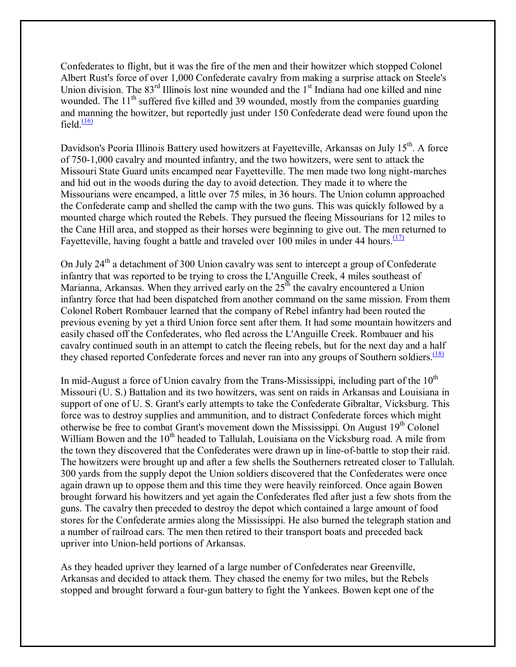Confederates to flight, but it was the fire of the men and their howitzer which stopped Colonel Albert Rust's force of over 1,000 Confederate cavalry from making a surprise attack on Steele's Union division. The  $83<sup>rd</sup>$  Illinois lost nine wounded and the  $1<sup>st</sup>$  Indiana had one killed and nine wounded. The 11<sup>th</sup> suffered five killed and 39 wounded, mostly from the companies guarding and manning the howitzer, but reportedly just under 150 Confederate dead were found upon the field  $\frac{(16)}{1}$ 

Davidson's Peoria Illinois Battery used howitzers at Fayetteville, Arkansas on July 15<sup>th</sup>. A force of 750-1,000 cavalry and mounted infantry, and the two howitzers, were sent to attack the Missouri State Guard units encamped near Fayetteville. The men made two long night-marches and hid out in the woods during the day to avoid detection. They made it to where the Missourians were encamped, a little over 75 miles, in 36 hours. The Union column approached the Confederate camp and shelled the camp with the two guns. This was quickly followed by a mounted charge which routed the Rebels. They pursued the fleeing Missourians for 12 miles to the Cane Hill area, and stopped as their horses were beginning to give out. The men returned to Fayetteville, having fought a battle and traveled over 100 miles in under 44 hours.  $(17)$ 

On July  $24<sup>th</sup>$  a detachment of 300 Union cavalry was sent to intercept a group of Confederate infantry that was reported to be trying to cross the L'Anguille Creek, 4 miles southeast of Marianna, Arkansas. When they arrived early on the  $25<sup>th</sup>$  the cavalry encountered a Union infantry force that had been dispatched from another command on the same mission. From them Colonel Robert Rombauer learned that the company of Rebel infantry had been routed the previous evening by yet a third Union force sent after them. It had some mountain howitzers and easily chased off the Confederates, who fled across the L'Anguille Creek. Rombauer and his cavalry continued south in an attempt to catch the fleeing rebels, but for the next day and a half they chased reported Confederate forces and never ran into any groups of Southern soldiers.<sup> $(18)$ </sup>

In mid-August a force of Union cavalry from the Trans-Mississippi, including part of the  $10<sup>th</sup>$ Missouri (U. S.) Battalion and its two howitzers, was sent on raids in Arkansas and Louisiana in support of one of U. S. Grant's early attempts to take the Confederate Gibraltar, Vicksburg. This force was to destroy supplies and ammunition, and to distract Confederate forces which might otherwise be free to combat Grant's movement down the Mississippi. On August 19<sup>th</sup> Colonel William Bowen and the  $10<sup>th</sup>$  headed to Tallulah, Louisiana on the Vicksburg road. A mile from the town they discovered that the Confederates were drawn up in line-of-battle to stop their raid. The howitzers were brought up and after a few shells the Southerners retreated closer to Tallulah. 300 yards from the supply depot the Union soldiers discovered that the Confederates were once again drawn up to oppose them and this time they were heavily reinforced. Once again Bowen brought forward his howitzers and yet again the Confederates fled after just a few shots from the guns. The cavalry then preceded to destroy the depot which contained a large amount of food stores for the Confederate armies along the Mississippi. He also burned the telegraph station and a number of railroad cars. The men then retired to their transport boats and preceded back upriver into Union-held portions of Arkansas.

As they headed upriver they learned of a large number of Confederates near Greenville, Arkansas and decided to attack them. They chased the enemy for two miles, but the Rebels stopped and brought forward a four-gun battery to fight the Yankees. Bowen kept one of the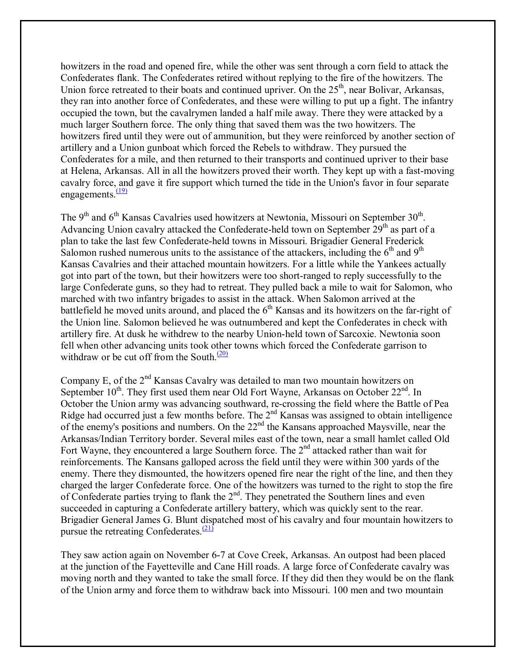howitzers in the road and opened fire, while the other was sent through a corn field to attack the Confederates flank. The Confederates retired without replying to the fire of the howitzers. The Union force retreated to their boats and continued upriver. On the  $25<sup>th</sup>$ , near Bolivar, Arkansas, they ran into another force of Confederates, and these were willing to put up a fight. The infantry occupied the town, but the cavalrymen landed a half mile away. There they were attacked by a much larger Southern force. The only thing that saved them was the two howitzers. The howitzers fired until they were out of ammunition, but they were reinforced by another section of artillery and a Union gunboat which forced the Rebels to withdraw. They pursued the Confederates for a mile, and then returned to their transports and continued upriver to their base at Helena, Arkansas. All in all the howitzers proved their worth. They kept up with a fast-moving cavalry force, and gave it fire support which turned the tide in the Union's favor in four separate engagements. $\frac{(19)}{2}$ 

The  $9<sup>th</sup>$  and  $6<sup>th</sup>$  Kansas Cavalries used howitzers at Newtonia, Missouri on September 30<sup>th</sup>. Advancing Union cavalry attacked the Confederate-held town on September  $29<sup>th</sup>$  as part of a plan to take the last few Confederate-held towns in Missouri. Brigadier General Frederick Salomon rushed numerous units to the assistance of the attackers, including the  $6<sup>th</sup>$  and  $9<sup>th</sup>$ Kansas Cavalries and their attached mountain howitzers. For a little while the Yankees actually got into part of the town, but their howitzers were too short-ranged to reply successfully to the large Confederate guns, so they had to retreat. They pulled back a mile to wait for Salomon, who marched with two infantry brigades to assist in the attack. When Salomon arrived at the battlefield he moved units around, and placed the  $6<sup>th</sup>$  Kansas and its howitzers on the far-right of the Union line. Salomon believed he was outnumbered and kept the Confederates in check with artillery fire. At dusk he withdrew to the nearby Union-held town of Sarcoxie. Newtonia soon fell when other advancing units took other towns which forced the Confederate garrison to withdraw or be cut off from the South. $\frac{(20)}{20}$ 

Company E, of the  $2<sup>nd</sup>$  Kansas Cavalry was detailed to man two mountain howitzers on September  $10^{th}$ . They first used them near Old Fort Wayne, Arkansas on October  $22^{nd}$ . In October the Union army was advancing southward, re-crossing the field where the Battle of Pea Ridge had occurred just a few months before. The 2<sup>nd</sup> Kansas was assigned to obtain intelligence of the enemy's positions and numbers. On the 22nd the Kansans approached Maysville, near the Arkansas/Indian Territory border. Several miles east of the town, near a small hamlet called Old Fort Wayne, they encountered a large Southern force. The  $2<sup>nd</sup>$  attacked rather than wait for reinforcements. The Kansans galloped across the field until they were within 300 yards of the enemy. There they dismounted, the howitzers opened fire near the right of the line, and then they charged the larger Confederate force. One of the howitzers was turned to the right to stop the fire of Confederate parties trying to flank the  $2<sup>nd</sup>$ . They penetrated the Southern lines and even succeeded in capturing a Confederate artillery battery, which was quickly sent to the rear. Brigadier General James G. Blunt dispatched most of his cavalry and four mountain howitzers to pursue the retreating Confederates. $\frac{(21)}{2}$ 

They saw action again on November 6-7 at Cove Creek, Arkansas. An outpost had been placed at the junction of the Fayetteville and Cane Hill roads. A large force of Confederate cavalry was moving north and they wanted to take the small force. If they did then they would be on the flank of the Union army and force them to withdraw back into Missouri. 100 men and two mountain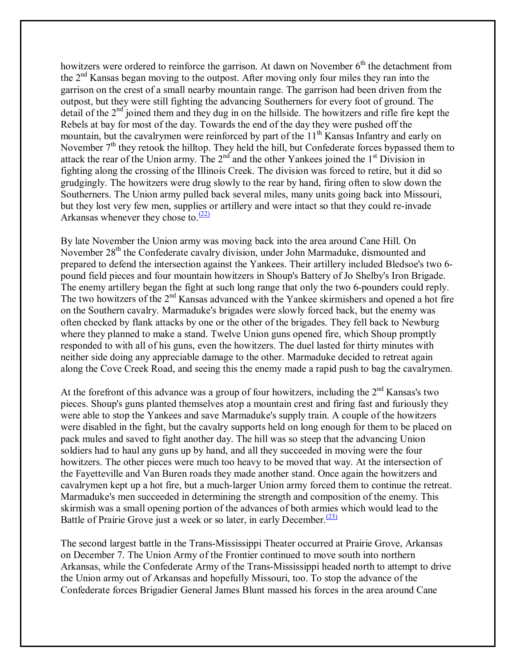howitzers were ordered to reinforce the garrison. At dawn on November  $6<sup>th</sup>$  the detachment from the  $2<sup>nd</sup>$  Kansas began moving to the outpost. After moving only four miles they ran into the garrison on the crest of a small nearby mountain range. The garrison had been driven from the outpost, but they were still fighting the advancing Southerners for every foot of ground. The detail of the  $2<sup>nd</sup>$  joined them and they dug in on the hillside. The howitzers and rifle fire kept the Rebels at bay for most of the day. Towards the end of the day they were pushed off the mountain, but the cavalrymen were reinforced by part of the 11<sup>th</sup> Kansas Infantry and early on November  $7<sup>th</sup>$  they retook the hilltop. They held the hill, but Confederate forces bypassed them to attack the rear of the Union army. The  $2<sup>nd</sup>$  and the other Yankees joined the  $1<sup>st</sup>$  Division in fighting along the crossing of the Illinois Creek. The division was forced to retire, but it did so grudgingly. The howitzers were drug slowly to the rear by hand, firing often to slow down the Southerners. The Union army pulled back several miles, many units going back into Missouri, but they lost very few men, supplies or artillery and were intact so that they could re-invade Arkansas whenever they chose to. $\frac{(22)}{2}$ 

By late November the Union army was moving back into the area around Cane Hill. On November 28<sup>th</sup> the Confederate cavalry division, under John Marmaduke, dismounted and prepared to defend the intersection against the Yankees. Their artillery included Bledsoe's two 6 pound field pieces and four mountain howitzers in Shoup's Battery of Jo Shelby's Iron Brigade. The enemy artillery began the fight at such long range that only the two 6-pounders could reply. The two howitzers of the 2<sup>nd</sup> Kansas advanced with the Yankee skirmishers and opened a hot fire on the Southern cavalry. Marmaduke's brigades were slowly forced back, but the enemy was often checked by flank attacks by one or the other of the brigades. They fell back to Newburg where they planned to make a stand. Twelve Union guns opened fire, which Shoup promptly responded to with all of his guns, even the howitzers. The duel lasted for thirty minutes with neither side doing any appreciable damage to the other. Marmaduke decided to retreat again along the Cove Creek Road, and seeing this the enemy made a rapid push to bag the cavalrymen.

At the forefront of this advance was a group of four howitzers, including the  $2<sup>nd</sup>$  Kansas's two pieces. Shoup's guns planted themselves atop a mountain crest and firing fast and furiously they were able to stop the Yankees and save Marmaduke's supply train. A couple of the howitzers were disabled in the fight, but the cavalry supports held on long enough for them to be placed on pack mules and saved to fight another day. The hill was so steep that the advancing Union soldiers had to haul any guns up by hand, and all they succeeded in moving were the four howitzers. The other pieces were much too heavy to be moved that way. At the intersection of the Fayetteville and Van Buren roads they made another stand. Once again the howitzers and cavalrymen kept up a hot fire, but a much-larger Union army forced them to continue the retreat. Marmaduke's men succeeded in determining the strength and composition of the enemy. This skirmish was a small opening portion of the advances of both armies which would lead to the Battle of Prairie Grove just a week or so later, in early December.<sup> $(23)$ </sup>

The second largest battle in the Trans-Mississippi Theater occurred at Prairie Grove, Arkansas on December 7. The Union Army of the Frontier continued to move south into northern Arkansas, while the Confederate Army of the Trans-Mississippi headed north to attempt to drive the Union army out of Arkansas and hopefully Missouri, too. To stop the advance of the Confederate forces Brigadier General James Blunt massed his forces in the area around Cane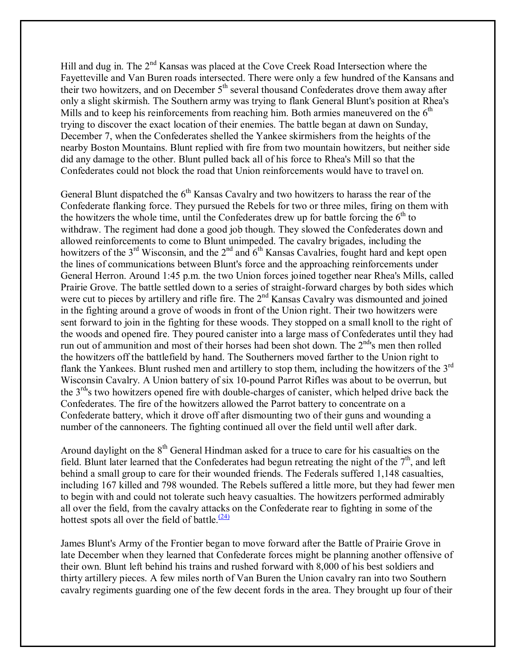Hill and dug in. The 2<sup>nd</sup> Kansas was placed at the Cove Creek Road Intersection where the Fayetteville and Van Buren roads intersected. There were only a few hundred of the Kansans and their two howitzers, and on December  $5<sup>th</sup>$  several thousand Confederates drove them away after only a slight skirmish. The Southern army was trying to flank General Blunt's position at Rhea's Mills and to keep his reinforcements from reaching him. Both armies maneuvered on the  $6<sup>th</sup>$ trying to discover the exact location of their enemies. The battle began at dawn on Sunday, December 7, when the Confederates shelled the Yankee skirmishers from the heights of the nearby Boston Mountains. Blunt replied with fire from two mountain howitzers, but neither side did any damage to the other. Blunt pulled back all of his force to Rhea's Mill so that the Confederates could not block the road that Union reinforcements would have to travel on.

General Blunt dispatched the  $6<sup>th</sup>$  Kansas Cavalry and two howitzers to harass the rear of the Confederate flanking force. They pursued the Rebels for two or three miles, firing on them with the howitzers the whole time, until the Confederates drew up for battle forcing the  $6<sup>th</sup>$  to withdraw. The regiment had done a good job though. They slowed the Confederates down and allowed reinforcements to come to Blunt unimpeded. The cavalry brigades, including the howitzers of the 3<sup>rd</sup> Wisconsin, and the 2<sup>nd</sup> and 6<sup>th</sup> Kansas Cavalries, fought hard and kept open the lines of communications between Blunt's force and the approaching reinforcements under General Herron. Around 1:45 p.m. the two Union forces joined together near Rhea's Mills, called Prairie Grove. The battle settled down to a series of straight-forward charges by both sides which were cut to pieces by artillery and rifle fire. The 2<sup>nd</sup> Kansas Cavalry was dismounted and joined in the fighting around a grove of woods in front of the Union right. Their two howitzers were sent forward to join in the fighting for these woods. They stopped on a small knoll to the right of the woods and opened fire. They poured canister into a large mass of Confederates until they had run out of ammunition and most of their horses had been shot down. The  $2<sup>nd</sup>$ 's men then rolled the howitzers off the battlefield by hand. The Southerners moved farther to the Union right to flank the Yankees. Blunt rushed men and artillery to stop them, including the howitzers of the 3rd Wisconsin Cavalry. A Union battery of six 10-pound Parrot Rifles was about to be overrun, but the  $3<sup>rd</sup>$ 's two howitzers opened fire with double-charges of canister, which helped drive back the Confederates. The fire of the howitzers allowed the Parrot battery to concentrate on a Confederate battery, which it drove off after dismounting two of their guns and wounding a number of the cannoneers. The fighting continued all over the field until well after dark.

Around daylight on the  $8<sup>th</sup>$  General Hindman asked for a truce to care for his casualties on the field. Blunt later learned that the Confederates had begun retreating the night of the  $7<sup>th</sup>$ , and left behind a small group to care for their wounded friends. The Federals suffered 1,148 casualties, including 167 killed and 798 wounded. The Rebels suffered a little more, but they had fewer men to begin with and could not tolerate such heavy casualties. The howitzers performed admirably all over the field, from the cavalry attacks on the Confederate rear to fighting in some of the hottest spots all over the field of battle. $(24)$ 

James Blunt's Army of the Frontier began to move forward after the Battle of Prairie Grove in late December when they learned that Confederate forces might be planning another offensive of their own. Blunt left behind his trains and rushed forward with 8,000 of his best soldiers and thirty artillery pieces. A few miles north of Van Buren the Union cavalry ran into two Southern cavalry regiments guarding one of the few decent fords in the area. They brought up four of their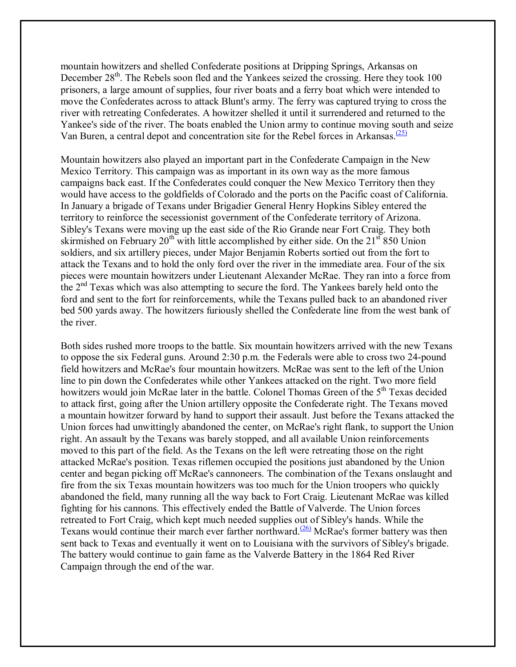mountain howitzers and shelled Confederate positions at Dripping Springs, Arkansas on December 28<sup>th</sup>. The Rebels soon fled and the Yankees seized the crossing. Here they took 100 prisoners, a large amount of supplies, four river boats and a ferry boat which were intended to move the Confederates across to attack Blunt's army. The ferry was captured trying to cross the river with retreating Confederates. A howitzer shelled it until it surrendered and returned to the Yankee's side of the river. The boats enabled the Union army to continue moving south and seize Van Buren, a central depot and concentration site for the Rebel forces in Arkansas. $\frac{(25)}{25}$ 

Mountain howitzers also played an important part in the Confederate Campaign in the New Mexico Territory. This campaign was as important in its own way as the more famous campaigns back east. If the Confederates could conquer the New Mexico Territory then they would have access to the goldfields of Colorado and the ports on the Pacific coast of California. In January a brigade of Texans under Brigadier General Henry Hopkins Sibley entered the territory to reinforce the secessionist government of the Confederate territory of Arizona. Sibley's Texans were moving up the east side of the Rio Grande near Fort Craig. They both skirmished on February  $20^{th}$  with little accomplished by either side. On the  $21^{st}$  850 Union soldiers, and six artillery pieces, under Major Benjamin Roberts sortied out from the fort to attack the Texans and to hold the only ford over the river in the immediate area. Four of the six pieces were mountain howitzers under Lieutenant Alexander McRae. They ran into a force from the 2<sup>nd</sup> Texas which was also attempting to secure the ford. The Yankees barely held onto the ford and sent to the fort for reinforcements, while the Texans pulled back to an abandoned river bed 500 yards away. The howitzers furiously shelled the Confederate line from the west bank of the river.

Both sides rushed more troops to the battle. Six mountain howitzers arrived with the new Texans to oppose the six Federal guns. Around 2:30 p.m. the Federals were able to cross two 24-pound field howitzers and McRae's four mountain howitzers. McRae was sent to the left of the Union line to pin down the Confederates while other Yankees attacked on the right. Two more field howitzers would join McRae later in the battle. Colonel Thomas Green of the 5<sup>th</sup> Texas decided to attack first, going after the Union artillery opposite the Confederate right. The Texans moved a mountain howitzer forward by hand to support their assault. Just before the Texans attacked the Union forces had unwittingly abandoned the center, on McRae's right flank, to support the Union right. An assault by the Texans was barely stopped, and all available Union reinforcements moved to this part of the field. As the Texans on the left were retreating those on the right attacked McRae's position. Texas riflemen occupied the positions just abandoned by the Union center and began picking off McRae's cannoneers. The combination of the Texans onslaught and fire from the six Texas mountain howitzers was too much for the Union troopers who quickly abandoned the field, many running all the way back to Fort Craig. Lieutenant McRae was killed fighting for his cannons. This effectively ended the Battle of Valverde. The Union forces retreated to Fort Craig, which kept much needed supplies out of Sibley's hands. While the Texans would continue their march ever farther northward.<sup>(26)</sup> McRae's former battery was then sent back to Texas and eventually it went on to Louisiana with the survivors of Sibley's brigade. The battery would continue to gain fame as the Valverde Battery in the 1864 Red River Campaign through the end of the war.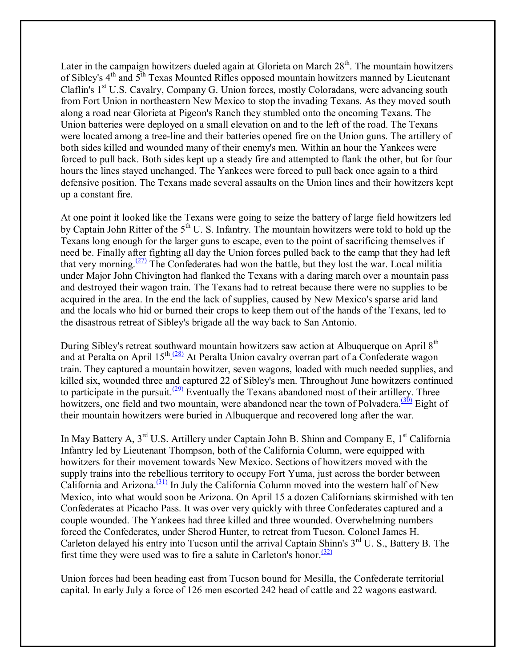Later in the campaign howitzers dueled again at Glorieta on March  $28<sup>th</sup>$ . The mountain howitzers of Sibley's 4<sup>th</sup> and 5<sup>th</sup> Texas Mounted Rifles opposed mountain howitzers manned by Lieutenant Claflin's  $1<sup>st</sup>$  U.S. Cavalry, Company G. Union forces, mostly Coloradans, were advancing south from Fort Union in northeastern New Mexico to stop the invading Texans. As they moved south along a road near Glorieta at Pigeon's Ranch they stumbled onto the oncoming Texans. The Union batteries were deployed on a small elevation on and to the left of the road. The Texans were located among a tree-line and their batteries opened fire on the Union guns. The artillery of both sides killed and wounded many of their enemy's men. Within an hour the Yankees were forced to pull back. Both sides kept up a steady fire and attempted to flank the other, but for four hours the lines stayed unchanged. The Yankees were forced to pull back once again to a third defensive position. The Texans made several assaults on the Union lines and their howitzers kept up a constant fire.

At one point it looked like the Texans were going to seize the battery of large field howitzers led by Captain John Ritter of the  $5<sup>th</sup>$  U. S. Infantry. The mountain howitzers were told to hold up the Texans long enough for the larger guns to escape, even to the point of sacrificing themselves if need be. Finally after fighting all day the Union forces pulled back to the camp that they had left that very morning. $\frac{(27)}{27}$  The Confederates had won the battle, but they lost the war. Local militia under Major John Chivington had flanked the Texans with a daring march over a mountain pass and destroyed their wagon train. The Texans had to retreat because there were no supplies to be acquired in the area. In the end the lack of supplies, caused by New Mexico's sparse arid land and the locals who hid or burned their crops to keep them out of the hands of the Texans, led to the disastrous retreat of Sibley's brigade all the way back to San Antonio.

During Sibley's retreat southward mountain howitzers saw action at Albuquerque on April 8<sup>th</sup> and at Peralta on April 15<sup>th</sup>.<sup>(28)</sup> At Peralta Union cavalry overran part of a Confederate wagon train. They captured a mountain howitzer, seven wagons, loaded with much needed supplies, and killed six, wounded three and captured 22 of Sibley's men. Throughout June howitzers continued to participate in the pursuit. $\frac{(29)}{29}$  Eventually the Texans abandoned most of their artillery. Three howitzers, one field and two mountain, were abandoned near the town of Polvadera.<sup> $(30)$ </sup> Eight of their mountain howitzers were buried in Albuquerque and recovered long after the war.

In May Battery A,  $3^{rd}$  U.S. Artillery under Captain John B. Shinn and Company E,  $1^{st}$  California Infantry led by Lieutenant Thompson, both of the California Column, were equipped with howitzers for their movement towards New Mexico. Sections of howitzers moved with the supply trains into the rebellious territory to occupy Fort Yuma, just across the border between California and Arizona. $(31)$  In July the California Column moved into the western half of New Mexico, into what would soon be Arizona. On April 15 a dozen Californians skirmished with ten Confederates at Picacho Pass. It was over very quickly with three Confederates captured and a couple wounded. The Yankees had three killed and three wounded. Overwhelming numbers forced the Confederates, under Sherod Hunter, to retreat from Tucson. Colonel James H. Carleton delayed his entry into Tucson until the arrival Captain Shinn's 3<sup>rd</sup> U. S., Battery B. The first time they were used was to fire a salute in Carleton's honor.<sup> $(32)$ </sup>

Union forces had been heading east from Tucson bound for Mesilla, the Confederate territorial capital. In early July a force of 126 men escorted 242 head of cattle and 22 wagons eastward.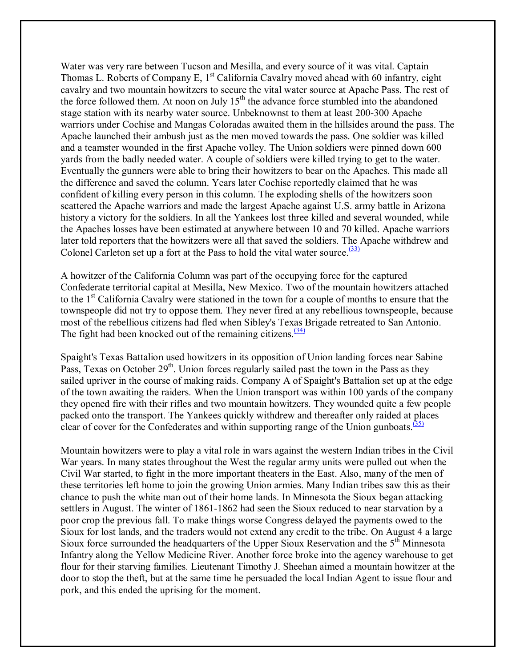Water was very rare between Tucson and Mesilla, and every source of it was vital. Captain Thomas L. Roberts of Company E,  $1<sup>st</sup>$  California Cavalry moved ahead with 60 infantry, eight cavalry and two mountain howitzers to secure the vital water source at Apache Pass. The rest of the force followed them. At noon on July  $15<sup>th</sup>$  the advance force stumbled into the abandoned stage station with its nearby water source. Unbeknownst to them at least 200-300 Apache warriors under Cochise and Mangas Coloradas awaited them in the hillsides around the pass. The Apache launched their ambush just as the men moved towards the pass. One soldier was killed and a teamster wounded in the first Apache volley. The Union soldiers were pinned down 600 yards from the badly needed water. A couple of soldiers were killed trying to get to the water. Eventually the gunners were able to bring their howitzers to bear on the Apaches. This made all the difference and saved the column. Years later Cochise reportedly claimed that he was confident of killing every person in this column. The exploding shells of the howitzers soon scattered the Apache warriors and made the largest Apache against U.S. army battle in Arizona history a victory for the soldiers. In all the Yankees lost three killed and several wounded, while the Apaches losses have been estimated at anywhere between 10 and 70 killed. Apache warriors later told reporters that the howitzers were all that saved the soldiers. The Apache withdrew and Colonel Carleton set up a fort at the Pass to hold the vital water source. $\frac{(33)}{2}$ 

A howitzer of the California Column was part of the occupying force for the captured Confederate territorial capital at Mesilla, New Mexico. Two of the mountain howitzers attached to the 1st California Cavalry were stationed in the town for a couple of months to ensure that the townspeople did not try to oppose them. They never fired at any rebellious townspeople, because most of the rebellious citizens had fled when Sibley's Texas Brigade retreated to San Antonio. The fight had been knocked out of the remaining citizens. $(34)$ 

Spaight's Texas Battalion used howitzers in its opposition of Union landing forces near Sabine Pass, Texas on October  $29<sup>th</sup>$ . Union forces regularly sailed past the town in the Pass as they sailed upriver in the course of making raids. Company A of Spaight's Battalion set up at the edge of the town awaiting the raiders. When the Union transport was within 100 yards of the company they opened fire with their rifles and two mountain howitzers. They wounded quite a few people packed onto the transport. The Yankees quickly withdrew and thereafter only raided at places clear of cover for the Confederates and within supporting range of the Union gunboats.<sup> $(35)$ </sup>

Mountain howitzers were to play a vital role in wars against the western Indian tribes in the Civil War years. In many states throughout the West the regular army units were pulled out when the Civil War started, to fight in the more important theaters in the East. Also, many of the men of these territories left home to join the growing Union armies. Many Indian tribes saw this as their chance to push the white man out of their home lands. In Minnesota the Sioux began attacking settlers in August. The winter of 1861-1862 had seen the Sioux reduced to near starvation by a poor crop the previous fall. To make things worse Congress delayed the payments owed to the Sioux for lost lands, and the traders would not extend any credit to the tribe. On August 4 a large Sioux force surrounded the headquarters of the Upper Sioux Reservation and the 5<sup>th</sup> Minnesota Infantry along the Yellow Medicine River. Another force broke into the agency warehouse to get flour for their starving families. Lieutenant Timothy J. Sheehan aimed a mountain howitzer at the door to stop the theft, but at the same time he persuaded the local Indian Agent to issue flour and pork, and this ended the uprising for the moment.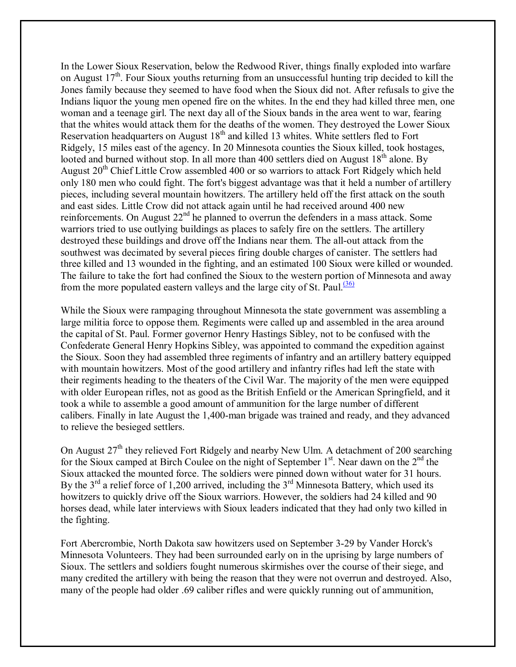In the Lower Sioux Reservation, below the Redwood River, things finally exploded into warfare on August  $17<sup>th</sup>$ . Four Sioux youths returning from an unsuccessful hunting trip decided to kill the Jones family because they seemed to have food when the Sioux did not. After refusals to give the Indians liquor the young men opened fire on the whites. In the end they had killed three men, one woman and a teenage girl. The next day all of the Sioux bands in the area went to war, fearing that the whites would attack them for the deaths of the women. They destroyed the Lower Sioux Reservation headquarters on August 18<sup>th</sup> and killed 13 whites. White settlers fled to Fort Ridgely, 15 miles east of the agency. In 20 Minnesota counties the Sioux killed, took hostages, looted and burned without stop. In all more than 400 settlers died on August  $18<sup>th</sup>$  alone. By August  $20<sup>th</sup>$  Chief Little Crow assembled 400 or so warriors to attack Fort Ridgely which held only 180 men who could fight. The fort's biggest advantage was that it held a number of artillery pieces, including several mountain howitzers. The artillery held off the first attack on the south and east sides. Little Crow did not attack again until he had received around 400 new reinforcements. On August 22<sup>nd</sup> he planned to overrun the defenders in a mass attack. Some warriors tried to use outlying buildings as places to safely fire on the settlers. The artillery destroyed these buildings and drove off the Indians near them. The all-out attack from the southwest was decimated by several pieces firing double charges of canister. The settlers had three killed and 13 wounded in the fighting, and an estimated 100 Sioux were killed or wounded. The failure to take the fort had confined the Sioux to the western portion of Minnesota and away from the more populated eastern valleys and the large city of St. Paul. $\frac{(36)}{20}$ 

While the Sioux were rampaging throughout Minnesota the state government was assembling a large militia force to oppose them. Regiments were called up and assembled in the area around the capital of St. Paul. Former governor Henry Hastings Sibley, not to be confused with the Confederate General Henry Hopkins Sibley, was appointed to command the expedition against the Sioux. Soon they had assembled three regiments of infantry and an artillery battery equipped with mountain howitzers. Most of the good artillery and infantry rifles had left the state with their regiments heading to the theaters of the Civil War. The majority of the men were equipped with older European rifles, not as good as the British Enfield or the American Springfield, and it took a while to assemble a good amount of ammunition for the large number of different calibers. Finally in late August the 1,400-man brigade was trained and ready, and they advanced to relieve the besieged settlers.

On August  $27<sup>th</sup>$  they relieved Fort Ridgely and nearby New Ulm. A detachment of 200 searching for the Sioux camped at Birch Coulee on the night of September 1<sup>st</sup>. Near dawn on the 2<sup>nd</sup> the Sioux attacked the mounted force. The soldiers were pinned down without water for 31 hours. By the  $3<sup>rd</sup>$  a relief force of 1,200 arrived, including the  $3<sup>rd</sup>$  Minnesota Battery, which used its howitzers to quickly drive off the Sioux warriors. However, the soldiers had 24 killed and 90 horses dead, while later interviews with Sioux leaders indicated that they had only two killed in the fighting.

Fort Abercrombie, North Dakota saw howitzers used on September 3-29 by Vander Horck's Minnesota Volunteers. They had been surrounded early on in the uprising by large numbers of Sioux. The settlers and soldiers fought numerous skirmishes over the course of their siege, and many credited the artillery with being the reason that they were not overrun and destroyed. Also, many of the people had older .69 caliber rifles and were quickly running out of ammunition,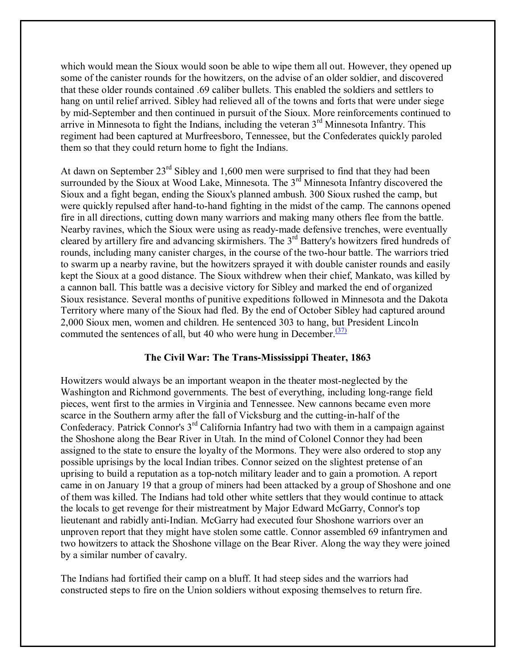which would mean the Sioux would soon be able to wipe them all out. However, they opened up some of the canister rounds for the howitzers, on the advise of an older soldier, and discovered that these older rounds contained .69 caliber bullets. This enabled the soldiers and settlers to hang on until relief arrived. Sibley had relieved all of the towns and forts that were under siege by mid-September and then continued in pursuit of the Sioux. More reinforcements continued to arrive in Minnesota to fight the Indians, including the veteran  $3<sup>rd</sup>$  Minnesota Infantry. This regiment had been captured at Murfreesboro, Tennessee, but the Confederates quickly paroled them so that they could return home to fight the Indians.

At dawn on September 23rd Sibley and 1,600 men were surprised to find that they had been surrounded by the Sioux at Wood Lake, Minnesota. The 3<sup>rd</sup> Minnesota Infantry discovered the Sioux and a fight began, ending the Sioux's planned ambush. 300 Sioux rushed the camp, but were quickly repulsed after hand-to-hand fighting in the midst of the camp. The cannons opened fire in all directions, cutting down many warriors and making many others flee from the battle. Nearby ravines, which the Sioux were using as ready-made defensive trenches, were eventually cleared by artillery fire and advancing skirmishers. The 3rd Battery's howitzers fired hundreds of rounds, including many canister charges, in the course of the two-hour battle. The warriors tried to swarm up a nearby ravine, but the howitzers sprayed it with double canister rounds and easily kept the Sioux at a good distance. The Sioux withdrew when their chief, Mankato, was killed by a cannon ball. This battle was a decisive victory for Sibley and marked the end of organized Sioux resistance. Several months of punitive expeditions followed in Minnesota and the Dakota Territory where many of the Sioux had fled. By the end of October Sibley had captured around 2,000 Sioux men, women and children. He sentenced 303 to hang, but President Lincoln commuted the sentences of all, but 40 who were hung in December.<sup> $(37)$ </sup>

# **The Civil War: The Trans-Mississippi Theater, 1863**

Howitzers would always be an important weapon in the theater most-neglected by the Washington and Richmond governments. The best of everything, including long-range field pieces, went first to the armies in Virginia and Tennessee. New cannons became even more scarce in the Southern army after the fall of Vicksburg and the cutting-in-half of the Confederacy. Patrick Connor's 3rd California Infantry had two with them in a campaign against the Shoshone along the Bear River in Utah. In the mind of Colonel Connor they had been assigned to the state to ensure the loyalty of the Mormons. They were also ordered to stop any possible uprisings by the local Indian tribes. Connor seized on the slightest pretense of an uprising to build a reputation as a top-notch military leader and to gain a promotion. A report came in on January 19 that a group of miners had been attacked by a group of Shoshone and one of them was killed. The Indians had told other white settlers that they would continue to attack the locals to get revenge for their mistreatment by Major Edward McGarry, Connor's top lieutenant and rabidly anti-Indian. McGarry had executed four Shoshone warriors over an unproven report that they might have stolen some cattle. Connor assembled 69 infantrymen and two howitzers to attack the Shoshone village on the Bear River. Along the way they were joined by a similar number of cavalry.

The Indians had fortified their camp on a bluff. It had steep sides and the warriors had constructed steps to fire on the Union soldiers without exposing themselves to return fire.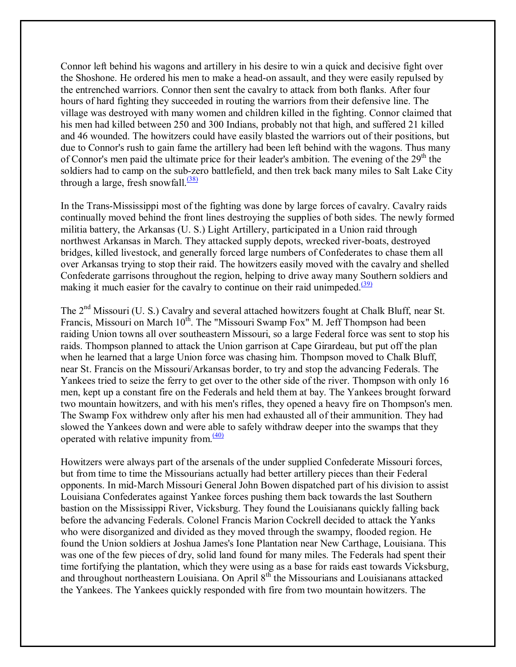Connor left behind his wagons and artillery in his desire to win a quick and decisive fight over the Shoshone. He ordered his men to make a head-on assault, and they were easily repulsed by the entrenched warriors. Connor then sent the cavalry to attack from both flanks. After four hours of hard fighting they succeeded in routing the warriors from their defensive line. The village was destroyed with many women and children killed in the fighting. Connor claimed that his men had killed between 250 and 300 Indians, probably not that high, and suffered 21 killed and 46 wounded. The howitzers could have easily blasted the warriors out of their positions, but due to Connor's rush to gain fame the artillery had been left behind with the wagons. Thus many of Connor's men paid the ultimate price for their leader's ambition. The evening of the  $29<sup>th</sup>$  the soldiers had to camp on the sub-zero battlefield, and then trek back many miles to Salt Lake City through a large, fresh snowfall. $\frac{(38)}{2}$ 

In the Trans-Mississippi most of the fighting was done by large forces of cavalry. Cavalry raids continually moved behind the front lines destroying the supplies of both sides. The newly formed militia battery, the Arkansas (U. S.) Light Artillery, participated in a Union raid through northwest Arkansas in March. They attacked supply depots, wrecked river-boats, destroyed bridges, killed livestock, and generally forced large numbers of Confederates to chase them all over Arkansas trying to stop their raid. The howitzers easily moved with the cavalry and shelled Confederate garrisons throughout the region, helping to drive away many Southern soldiers and making it much easier for the cavalry to continue on their raid unimpeded. $(39)$ 

The 2<sup>nd</sup> Missouri (U. S.) Cavalry and several attached howitzers fought at Chalk Bluff, near St. Francis, Missouri on March 10<sup>th</sup>. The "Missouri Swamp Fox" M. Jeff Thompson had been raiding Union towns all over southeastern Missouri, so a large Federal force was sent to stop his raids. Thompson planned to attack the Union garrison at Cape Girardeau, but put off the plan when he learned that a large Union force was chasing him. Thompson moved to Chalk Bluff, near St. Francis on the Missouri/Arkansas border, to try and stop the advancing Federals. The Yankees tried to seize the ferry to get over to the other side of the river. Thompson with only 16 men, kept up a constant fire on the Federals and held them at bay. The Yankees brought forward two mountain howitzers, and with his men's rifles, they opened a heavy fire on Thompson's men. The Swamp Fox withdrew only after his men had exhausted all of their ammunition. They had slowed the Yankees down and were able to safely withdraw deeper into the swamps that they operated with relative impunity from. $\frac{(40)}{6}$ 

Howitzers were always part of the arsenals of the under supplied Confederate Missouri forces, but from time to time the Missourians actually had better artillery pieces than their Federal opponents. In mid-March Missouri General John Bowen dispatched part of his division to assist Louisiana Confederates against Yankee forces pushing them back towards the last Southern bastion on the Mississippi River, Vicksburg. They found the Louisianans quickly falling back before the advancing Federals. Colonel Francis Marion Cockrell decided to attack the Yanks who were disorganized and divided as they moved through the swampy, flooded region. He found the Union soldiers at Joshua James's Ione Plantation near New Carthage, Louisiana. This was one of the few pieces of dry, solid land found for many miles. The Federals had spent their time fortifying the plantation, which they were using as a base for raids east towards Vicksburg, and throughout northeastern Louisiana. On April 8<sup>th</sup> the Missourians and Louisianans attacked the Yankees. The Yankees quickly responded with fire from two mountain howitzers. The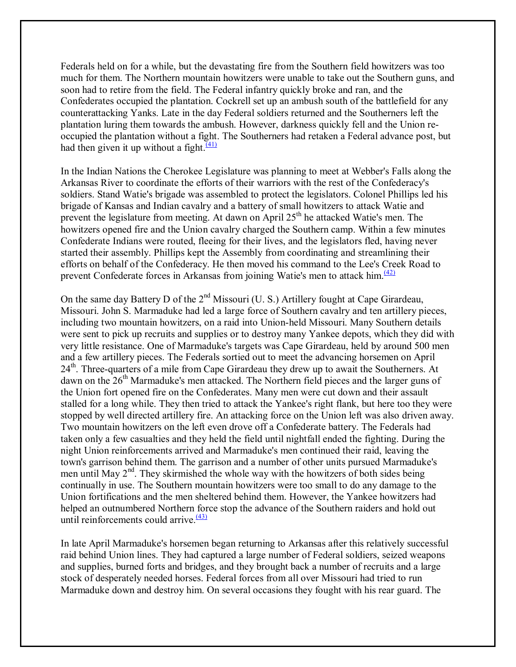Federals held on for a while, but the devastating fire from the Southern field howitzers was too much for them. The Northern mountain howitzers were unable to take out the Southern guns, and soon had to retire from the field. The Federal infantry quickly broke and ran, and the Confederates occupied the plantation. Cockrell set up an ambush south of the battlefield for any counterattacking Yanks. Late in the day Federal soldiers returned and the Southerners left the plantation luring them towards the ambush. However, darkness quickly fell and the Union reoccupied the plantation without a fight. The Southerners had retaken a Federal advance post, but had then given it up without a fight. $\frac{(41)}{2}$ 

In the Indian Nations the Cherokee Legislature was planning to meet at Webber's Falls along the Arkansas River to coordinate the efforts of their warriors with the rest of the Confederacy's soldiers. Stand Watie's brigade was assembled to protect the legislators. Colonel Phillips led his brigade of Kansas and Indian cavalry and a battery of small howitzers to attack Watie and prevent the legislature from meeting. At dawn on April 25<sup>th</sup> he attacked Watie's men. The howitzers opened fire and the Union cavalry charged the Southern camp. Within a few minutes Confederate Indians were routed, fleeing for their lives, and the legislators fled, having never started their assembly. Phillips kept the Assembly from coordinating and streamlining their efforts on behalf of the Confederacy. He then moved his command to the Lee's Creek Road to prevent Confederate forces in Arkansas from joining Watie's men to attack him. $\frac{(42)}{2}$ 

On the same day Battery D of the 2<sup>nd</sup> Missouri (U. S.) Artillery fought at Cape Girardeau, Missouri. John S. Marmaduke had led a large force of Southern cavalry and ten artillery pieces, including two mountain howitzers, on a raid into Union-held Missouri. Many Southern details were sent to pick up recruits and supplies or to destroy many Yankee depots, which they did with very little resistance. One of Marmaduke's targets was Cape Girardeau, held by around 500 men and a few artillery pieces. The Federals sortied out to meet the advancing horsemen on April  $24<sup>th</sup>$ . Three-quarters of a mile from Cape Girardeau they drew up to await the Southerners. At dawn on the  $26<sup>th</sup>$  Marmaduke's men attacked. The Northern field pieces and the larger guns of the Union fort opened fire on the Confederates. Many men were cut down and their assault stalled for a long while. They then tried to attack the Yankee's right flank, but here too they were stopped by well directed artillery fire. An attacking force on the Union left was also driven away. Two mountain howitzers on the left even drove off a Confederate battery. The Federals had taken only a few casualties and they held the field until nightfall ended the fighting. During the night Union reinforcements arrived and Marmaduke's men continued their raid, leaving the town's garrison behind them. The garrison and a number of other units pursued Marmaduke's men until May  $2<sup>nd</sup>$ . They skirmished the whole way with the howitzers of both sides being continually in use. The Southern mountain howitzers were too small to do any damage to the Union fortifications and the men sheltered behind them. However, the Yankee howitzers had helped an outnumbered Northern force stop the advance of the Southern raiders and hold out until reinforcements could arrive. $\frac{(43)}{2}$ 

In late April Marmaduke's horsemen began returning to Arkansas after this relatively successful raid behind Union lines. They had captured a large number of Federal soldiers, seized weapons and supplies, burned forts and bridges, and they brought back a number of recruits and a large stock of desperately needed horses. Federal forces from all over Missouri had tried to run Marmaduke down and destroy him. On several occasions they fought with his rear guard. The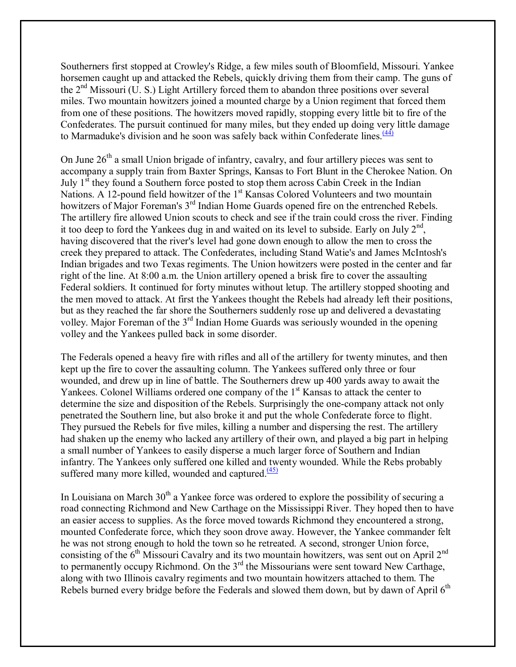Southerners first stopped at Crowley's Ridge, a few miles south of Bloomfield, Missouri. Yankee horsemen caught up and attacked the Rebels, quickly driving them from their camp. The guns of the  $2<sup>nd</sup>$  Missouri (U. S.) Light Artillery forced them to abandon three positions over several miles. Two mountain howitzers joined a mounted charge by a Union regiment that forced them from one of these positions. The howitzers moved rapidly, stopping every little bit to fire of the Confederates. The pursuit continued for many miles, but they ended up doing very little damage to Marmaduke's division and he soon was safely back within Confederate lines. $\frac{(44)}{(44)}$ 

On June  $26<sup>th</sup>$  a small Union brigade of infantry, cavalry, and four artillery pieces was sent to accompany a supply train from Baxter Springs, Kansas to Fort Blunt in the Cherokee Nation. On July  $1<sup>st</sup>$  they found a Southern force posted to stop them across Cabin Creek in the Indian Nations. A 12-pound field howitzer of the 1<sup>st</sup> Kansas Colored Volunteers and two mountain howitzers of Major Foreman's 3<sup>rd</sup> Indian Home Guards opened fire on the entrenched Rebels. The artillery fire allowed Union scouts to check and see if the train could cross the river. Finding it too deep to ford the Yankees dug in and waited on its level to subside. Early on July  $2<sup>nd</sup>$ , having discovered that the river's level had gone down enough to allow the men to cross the creek they prepared to attack. The Confederates, including Stand Watie's and James McIntosh's Indian brigades and two Texas regiments. The Union howitzers were posted in the center and far right of the line. At 8:00 a.m. the Union artillery opened a brisk fire to cover the assaulting Federal soldiers. It continued for forty minutes without letup. The artillery stopped shooting and the men moved to attack. At first the Yankees thought the Rebels had already left their positions, but as they reached the far shore the Southerners suddenly rose up and delivered a devastating volley. Major Foreman of the 3<sup>rd</sup> Indian Home Guards was seriously wounded in the opening volley and the Yankees pulled back in some disorder.

The Federals opened a heavy fire with rifles and all of the artillery for twenty minutes, and then kept up the fire to cover the assaulting column. The Yankees suffered only three or four wounded, and drew up in line of battle. The Southerners drew up 400 yards away to await the Yankees. Colonel Williams ordered one company of the 1<sup>st</sup> Kansas to attack the center to determine the size and disposition of the Rebels. Surprisingly the one-company attack not only penetrated the Southern line, but also broke it and put the whole Confederate force to flight. They pursued the Rebels for five miles, killing a number and dispersing the rest. The artillery had shaken up the enemy who lacked any artillery of their own, and played a big part in helping a small number of Yankees to easily disperse a much larger force of Southern and Indian infantry. The Yankees only suffered one killed and twenty wounded. While the Rebs probably suffered many more killed, wounded and captured. $(45)$ 

In Louisiana on March  $30<sup>th</sup>$  a Yankee force was ordered to explore the possibility of securing a road connecting Richmond and New Carthage on the Mississippi River. They hoped then to have an easier access to supplies. As the force moved towards Richmond they encountered a strong, mounted Confederate force, which they soon drove away. However, the Yankee commander felt he was not strong enough to hold the town so he retreated. A second, stronger Union force, consisting of the  $6<sup>th</sup>$  Missouri Cavalry and its two mountain howitzers, was sent out on April 2<sup>nd</sup> to permanently occupy Richmond. On the  $3<sup>rd</sup>$  the Missourians were sent toward New Carthage, along with two Illinois cavalry regiments and two mountain howitzers attached to them. The Rebels burned every bridge before the Federals and slowed them down, but by dawn of April 6<sup>th</sup>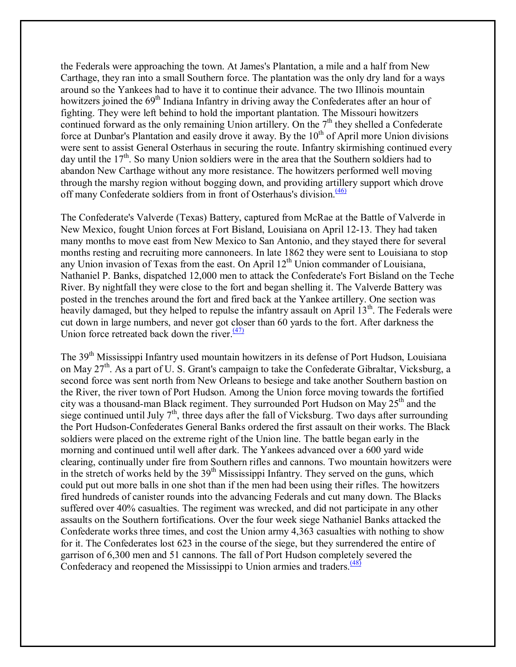the Federals were approaching the town. At James's Plantation, a mile and a half from New Carthage, they ran into a small Southern force. The plantation was the only dry land for a ways around so the Yankees had to have it to continue their advance. The two Illinois mountain howitzers joined the 69<sup>th</sup> Indiana Infantry in driving away the Confederates after an hour of fighting. They were left behind to hold the important plantation. The Missouri howitzers continued forward as the only remaining Union artillery. On the  $7<sup>th</sup>$  they shelled a Confederate force at Dunbar's Plantation and easily drove it away. By the  $10<sup>th</sup>$  of April more Union divisions were sent to assist General Osterhaus in securing the route. Infantry skirmishing continued every day until the  $17<sup>th</sup>$ . So many Union soldiers were in the area that the Southern soldiers had to abandon New Carthage without any more resistance. The howitzers performed well moving through the marshy region without bogging down, and providing artillery support which drove off many Confederate soldiers from in front of Osterhaus's division.<sup>(46)</sup>

The Confederate's Valverde (Texas) Battery, captured from McRae at the Battle of Valverde in New Mexico, fought Union forces at Fort Bisland, Louisiana on April 12-13. They had taken many months to move east from New Mexico to San Antonio, and they stayed there for several months resting and recruiting more cannoneers. In late 1862 they were sent to Louisiana to stop any Union invasion of Texas from the east. On April  $12<sup>th</sup>$  Union commander of Louisiana, Nathaniel P. Banks, dispatched 12,000 men to attack the Confederate's Fort Bisland on the Teche River. By nightfall they were close to the fort and began shelling it. The Valverde Battery was posted in the trenches around the fort and fired back at the Yankee artillery. One section was heavily damaged, but they helped to repulse the infantry assault on April  $13<sup>th</sup>$ . The Federals were cut down in large numbers, and never got closer than 60 yards to the fort. After darkness the Union force retreated back down the river. $(47)$ 

The 39<sup>th</sup> Mississippi Infantry used mountain howitzers in its defense of Port Hudson, Louisiana on May 27<sup>th</sup>. As a part of U. S. Grant's campaign to take the Confederate Gibraltar, Vicksburg, a second force was sent north from New Orleans to besiege and take another Southern bastion on the River, the river town of Port Hudson. Among the Union force moving towards the fortified city was a thousand-man Black regiment. They surrounded Port Hudson on May 25<sup>th</sup> and the siege continued until July  $7<sup>th</sup>$ , three days after the fall of Vicksburg. Two days after surrounding the Port Hudson-Confederates General Banks ordered the first assault on their works. The Black soldiers were placed on the extreme right of the Union line. The battle began early in the morning and continued until well after dark. The Yankees advanced over a 600 yard wide clearing, continually under fire from Southern rifles and cannons. Two mountain howitzers were in the stretch of works held by the  $39<sup>th</sup>$  Mississippi Infantry. They served on the guns, which could put out more balls in one shot than if the men had been using their rifles. The howitzers fired hundreds of canister rounds into the advancing Federals and cut many down. The Blacks suffered over 40% casualties. The regiment was wrecked, and did not participate in any other assaults on the Southern fortifications. Over the four week siege Nathaniel Banks attacked the Confederate works three times, and cost the Union army 4,363 casualties with nothing to show for it. The Confederates lost 623 in the course of the siege, but they surrendered the entire of garrison of 6,300 men and 51 cannons. The fall of Port Hudson completely severed the Confederacy and reopened the Mississippi to Union armies and traders. $\frac{(48)}{(48)}$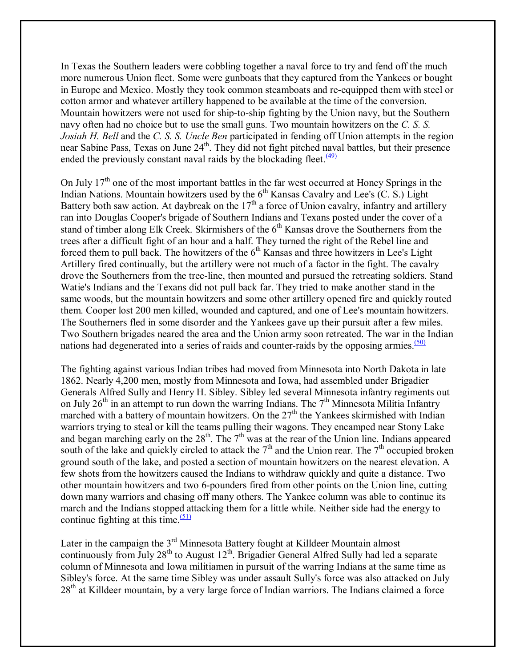In Texas the Southern leaders were cobbling together a naval force to try and fend off the much more numerous Union fleet. Some were gunboats that they captured from the Yankees or bought in Europe and Mexico. Mostly they took common steamboats and re-equipped them with steel or cotton armor and whatever artillery happened to be available at the time of the conversion. Mountain howitzers were not used for ship-to-ship fighting by the Union navy, but the Southern navy often had no choice but to use the small guns. Two mountain howitzers on the *C. S. S. Josiah H. Bell* and the *C. S. S. Uncle Ben* participated in fending off Union attempts in the region near Sabine Pass, Texas on June 24<sup>th</sup>. They did not fight pitched naval battles, but their presence ended the previously constant naval raids by the blockading fleet. $\frac{(49)}{(49)}$ 

On July  $17<sup>th</sup>$  one of the most important battles in the far west occurred at Honey Springs in the Indian Nations. Mountain howitzers used by the  $6<sup>th</sup>$  Kansas Cavalry and Lee's (C. S.) Light Battery both saw action. At daybreak on the  $17<sup>th</sup>$  a force of Union cavalry, infantry and artillery ran into Douglas Cooper's brigade of Southern Indians and Texans posted under the cover of a stand of timber along Elk Creek. Skirmishers of the  $6<sup>th</sup>$  Kansas drove the Southerners from the trees after a difficult fight of an hour and a half. They turned the right of the Rebel line and forced them to pull back. The howitzers of the  $6<sup>th</sup>$  Kansas and three howitzers in Lee's Light Artillery fired continually, but the artillery were not much of a factor in the fight. The cavalry drove the Southerners from the tree-line, then mounted and pursued the retreating soldiers. Stand Watie's Indians and the Texans did not pull back far. They tried to make another stand in the same woods, but the mountain howitzers and some other artillery opened fire and quickly routed them. Cooper lost 200 men killed, wounded and captured, and one of Lee's mountain howitzers. The Southerners fled in some disorder and the Yankees gave up their pursuit after a few miles. Two Southern brigades neared the area and the Union army soon retreated. The war in the Indian nations had degenerated into a series of raids and counter-raids by the opposing armies. $\frac{(50)}{20}$ 

The fighting against various Indian tribes had moved from Minnesota into North Dakota in late 1862. Nearly 4,200 men, mostly from Minnesota and Iowa, had assembled under Brigadier Generals Alfred Sully and Henry H. Sibley. Sibley led several Minnesota infantry regiments out on July 26<sup>th</sup> in an attempt to run down the warring Indians. The  $7<sup>th</sup>$  Minnesota Militia Infantry marched with a battery of mountain howitzers. On the  $27<sup>th</sup>$  the Yankees skirmished with Indian warriors trying to steal or kill the teams pulling their wagons. They encamped near Stony Lake and began marching early on the  $28<sup>th</sup>$ . The  $7<sup>th</sup>$  was at the rear of the Union line. Indians appeared south of the lake and quickly circled to attack the  $7<sup>th</sup>$  and the Union rear. The  $7<sup>th</sup>$  occupied broken ground south of the lake, and posted a section of mountain howitzers on the nearest elevation. A few shots from the howitzers caused the Indians to withdraw quickly and quite a distance. Two other mountain howitzers and two 6-pounders fired from other points on the Union line, cutting down many warriors and chasing off many others. The Yankee column was able to continue its march and the Indians stopped attacking them for a little while. Neither side had the energy to continue fighting at this time.  $\frac{(51)}{2}$ 

Later in the campaign the  $3<sup>rd</sup>$  Minnesota Battery fought at Killdeer Mountain almost continuously from July 28<sup>th</sup> to August  $12^{th}$ . Brigadier General Alfred Sully had led a separate column of Minnesota and Iowa militiamen in pursuit of the warring Indians at the same time as Sibley's force. At the same time Sibley was under assault Sully's force was also attacked on July  $28<sup>th</sup>$  at Killdeer mountain, by a very large force of Indian warriors. The Indians claimed a force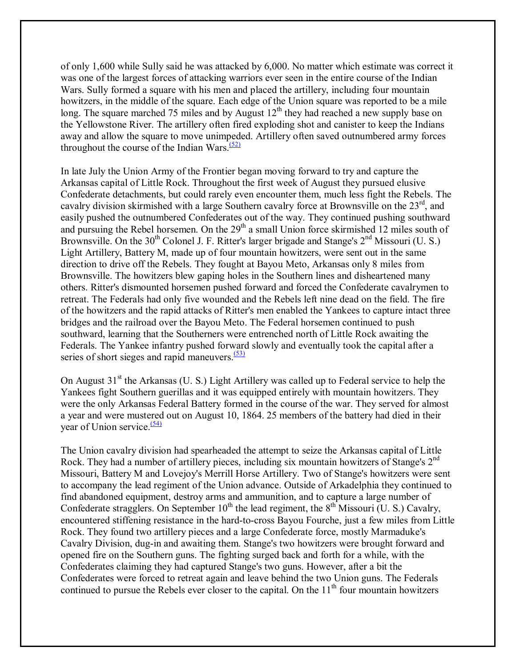of only 1,600 while Sully said he was attacked by 6,000. No matter which estimate was correct it was one of the largest forces of attacking warriors ever seen in the entire course of the Indian Wars. Sully formed a square with his men and placed the artillery, including four mountain howitzers, in the middle of the square. Each edge of the Union square was reported to be a mile long. The square marched 75 miles and by August  $12<sup>th</sup>$  they had reached a new supply base on the Yellowstone River. The artillery often fired exploding shot and canister to keep the Indians away and allow the square to move unimpeded. Artillery often saved outnumbered army forces throughout the course of the Indian Wars. $(52)$ 

In late July the Union Army of the Frontier began moving forward to try and capture the Arkansas capital of Little Rock. Throughout the first week of August they pursued elusive Confederate detachments, but could rarely even encounter them, much less fight the Rebels. The cavalry division skirmished with a large Southern cavalry force at Brownsville on the 23<sup>rd</sup>, and easily pushed the outnumbered Confederates out of the way. They continued pushing southward and pursuing the Rebel horsemen. On the  $29<sup>th</sup>$  a small Union force skirmished 12 miles south of Brownsville. On the  $30<sup>th</sup>$  Colonel J. F. Ritter's larger brigade and Stange's  $2<sup>nd</sup>$  Missouri (U. S.) Light Artillery, Battery M, made up of four mountain howitzers, were sent out in the same direction to drive off the Rebels. They fought at Bayou Meto, Arkansas only 8 miles from Brownsville. The howitzers blew gaping holes in the Southern lines and disheartened many others. Ritter's dismounted horsemen pushed forward and forced the Confederate cavalrymen to retreat. The Federals had only five wounded and the Rebels left nine dead on the field. The fire of the howitzers and the rapid attacks of Ritter's men enabled the Yankees to capture intact three bridges and the railroad over the Bayou Meto. The Federal horsemen continued to push southward, learning that the Southerners were entrenched north of Little Rock awaiting the Federals. The Yankee infantry pushed forward slowly and eventually took the capital after a series of short sieges and rapid maneuvers. $(53)$ 

On August  $31<sup>st</sup>$  the Arkansas (U. S.) Light Artillery was called up to Federal service to help the Yankees fight Southern guerillas and it was equipped entirely with mountain howitzers. They were the only Arkansas Federal Battery formed in the course of the war. They served for almost a year and were mustered out on August 10, 1864. 25 members of the battery had died in their year of Union service. $(54)$ 

The Union cavalry division had spearheaded the attempt to seize the Arkansas capital of Little Rock. They had a number of artillery pieces, including six mountain howitzers of Stange's 2<sup>nd</sup> Missouri, Battery M and Lovejoy's Merrill Horse Artillery. Two of Stange's howitzers were sent to accompany the lead regiment of the Union advance. Outside of Arkadelphia they continued to find abandoned equipment, destroy arms and ammunition, and to capture a large number of Confederate stragglers. On September  $10^{th}$  the lead regiment, the  $8^{th}$  Missouri (U. S.) Cavalry, encountered stiffening resistance in the hard-to-cross Bayou Fourche, just a few miles from Little Rock. They found two artillery pieces and a large Confederate force, mostly Marmaduke's Cavalry Division, dug-in and awaiting them. Stange's two howitzers were brought forward and opened fire on the Southern guns. The fighting surged back and forth for a while, with the Confederates claiming they had captured Stange's two guns. However, after a bit the Confederates were forced to retreat again and leave behind the two Union guns. The Federals continued to pursue the Rebels ever closer to the capital. On the  $11<sup>th</sup>$  four mountain howitzers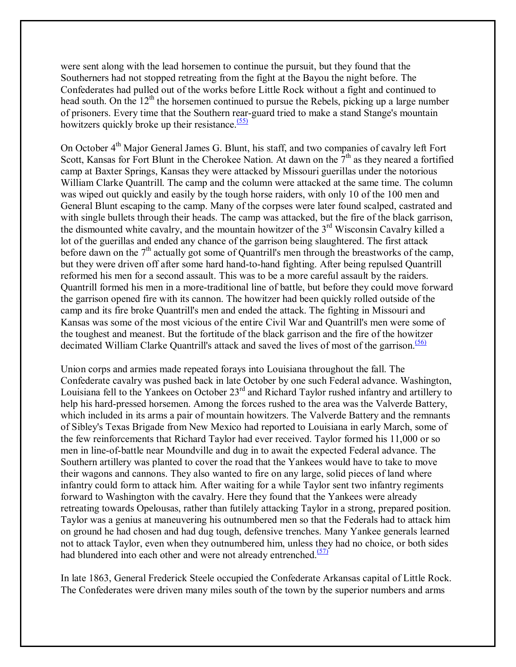were sent along with the lead horsemen to continue the pursuit, but they found that the Southerners had not stopped retreating from the fight at the Bayou the night before. The Confederates had pulled out of the works before Little Rock without a fight and continued to head south. On the 12<sup>th</sup> the horsemen continued to pursue the Rebels, picking up a large number of prisoners. Every time that the Southern rear-guard tried to make a stand Stange's mountain howitzers quickly broke up their resistance. $(55)$ 

On October 4<sup>th</sup> Major General James G. Blunt, his staff, and two companies of cavalry left Fort Scott, Kansas for Fort Blunt in the Cherokee Nation. At dawn on the  $7<sup>th</sup>$  as they neared a fortified camp at Baxter Springs, Kansas they were attacked by Missouri guerillas under the notorious William Clarke Quantrill. The camp and the column were attacked at the same time. The column was wiped out quickly and easily by the tough horse raiders, with only 10 of the 100 men and General Blunt escaping to the camp. Many of the corpses were later found scalped, castrated and with single bullets through their heads. The camp was attacked, but the fire of the black garrison, the dismounted white cavalry, and the mountain howitzer of the 3rd Wisconsin Cavalry killed a lot of the guerillas and ended any chance of the garrison being slaughtered. The first attack before dawn on the  $7<sup>th</sup>$  actually got some of Quantrill's men through the breastworks of the camp, but they were driven off after some hard hand-to-hand fighting. After being repulsed Quantrill reformed his men for a second assault. This was to be a more careful assault by the raiders. Quantrill formed his men in a more-traditional line of battle, but before they could move forward the garrison opened fire with its cannon. The howitzer had been quickly rolled outside of the camp and its fire broke Quantrill's men and ended the attack. The fighting in Missouri and Kansas was some of the most vicious of the entire Civil War and Quantrill's men were some of the toughest and meanest. But the fortitude of the black garrison and the fire of the howitzer decimated William Clarke Quantrill's attack and saved the lives of most of the garrison.<sup>(56)</sup>

Union corps and armies made repeated forays into Louisiana throughout the fall. The Confederate cavalry was pushed back in late October by one such Federal advance. Washington, Louisiana fell to the Yankees on October 23rd and Richard Taylor rushed infantry and artillery to help his hard-pressed horsemen. Among the forces rushed to the area was the Valverde Battery, which included in its arms a pair of mountain howitzers. The Valverde Battery and the remnants of Sibley's Texas Brigade from New Mexico had reported to Louisiana in early March, some of the few reinforcements that Richard Taylor had ever received. Taylor formed his 11,000 or so men in line-of-battle near Moundville and dug in to await the expected Federal advance. The Southern artillery was planted to cover the road that the Yankees would have to take to move their wagons and cannons. They also wanted to fire on any large, solid pieces of land where infantry could form to attack him. After waiting for a while Taylor sent two infantry regiments forward to Washington with the cavalry. Here they found that the Yankees were already retreating towards Opelousas, rather than futilely attacking Taylor in a strong, prepared position. Taylor was a genius at maneuvering his outnumbered men so that the Federals had to attack him on ground he had chosen and had dug tough, defensive trenches. Many Yankee generals learned not to attack Taylor, even when they outnumbered him, unless they had no choice, or both sides had blundered into each other and were not already entrenched. $(57)$ 

In late 1863, General Frederick Steele occupied the Confederate Arkansas capital of Little Rock. The Confederates were driven many miles south of the town by the superior numbers and arms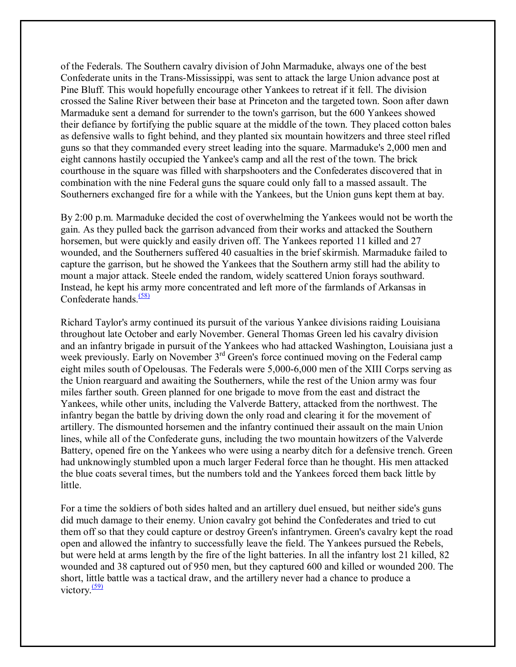of the Federals. The Southern cavalry division of John Marmaduke, always one of the best Confederate units in the Trans-Mississippi, was sent to attack the large Union advance post at Pine Bluff. This would hopefully encourage other Yankees to retreat if it fell. The division crossed the Saline River between their base at Princeton and the targeted town. Soon after dawn Marmaduke sent a demand for surrender to the town's garrison, but the 600 Yankees showed their defiance by fortifying the public square at the middle of the town. They placed cotton bales as defensive walls to fight behind, and they planted six mountain howitzers and three steel rifled guns so that they commanded every street leading into the square. Marmaduke's 2,000 men and eight cannons hastily occupied the Yankee's camp and all the rest of the town. The brick courthouse in the square was filled with sharpshooters and the Confederates discovered that in combination with the nine Federal guns the square could only fall to a massed assault. The Southerners exchanged fire for a while with the Yankees, but the Union guns kept them at bay.

By 2:00 p.m. Marmaduke decided the cost of overwhelming the Yankees would not be worth the gain. As they pulled back the garrison advanced from their works and attacked the Southern horsemen, but were quickly and easily driven off. The Yankees reported 11 killed and 27 wounded, and the Southerners suffered 40 casualties in the brief skirmish. Marmaduke failed to capture the garrison, but he showed the Yankees that the Southern army still had the ability to mount a major attack. Steele ended the random, widely scattered Union forays southward. Instead, he kept his army more concentrated and left more of the farmlands of Arkansas in Confederate hands. $(58)$ 

Richard Taylor's army continued its pursuit of the various Yankee divisions raiding Louisiana throughout late October and early November. General Thomas Green led his cavalry division and an infantry brigade in pursuit of the Yankees who had attacked Washington, Louisiana just a week previously. Early on November 3<sup>rd</sup> Green's force continued moving on the Federal camp eight miles south of Opelousas. The Federals were 5,000-6,000 men of the XIII Corps serving as the Union rearguard and awaiting the Southerners, while the rest of the Union army was four miles farther south. Green planned for one brigade to move from the east and distract the Yankees, while other units, including the Valverde Battery, attacked from the northwest. The infantry began the battle by driving down the only road and clearing it for the movement of artillery. The dismounted horsemen and the infantry continued their assault on the main Union lines, while all of the Confederate guns, including the two mountain howitzers of the Valverde Battery, opened fire on the Yankees who were using a nearby ditch for a defensive trench. Green had unknowingly stumbled upon a much larger Federal force than he thought. His men attacked the blue coats several times, but the numbers told and the Yankees forced them back little by little.

For a time the soldiers of both sides halted and an artillery duel ensued, but neither side's guns did much damage to their enemy. Union cavalry got behind the Confederates and tried to cut them off so that they could capture or destroy Green's infantrymen. Green's cavalry kept the road open and allowed the infantry to successfully leave the field. The Yankees pursued the Rebels, but were held at arms length by the fire of the light batteries. In all the infantry lost 21 killed, 82 wounded and 38 captured out of 950 men, but they captured 600 and killed or wounded 200. The short, little battle was a tactical draw, and the artillery never had a chance to produce a victory $\frac{(59)}{2}$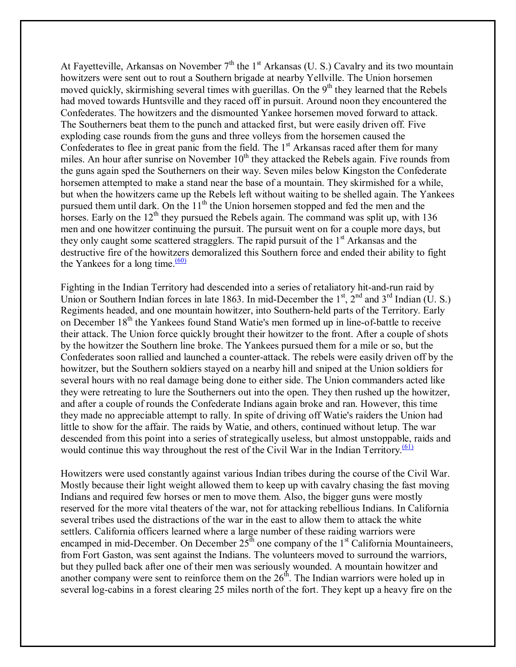At Fayetteville, Arkansas on November  $7<sup>th</sup>$  the 1<sup>st</sup> Arkansas (U. S.) Cavalry and its two mountain howitzers were sent out to rout a Southern brigade at nearby Yellville. The Union horsemen moved quickly, skirmishing several times with guerillas. On the  $9<sup>th</sup>$  they learned that the Rebels had moved towards Huntsville and they raced off in pursuit. Around noon they encountered the Confederates. The howitzers and the dismounted Yankee horsemen moved forward to attack. The Southerners beat them to the punch and attacked first, but were easily driven off. Five exploding case rounds from the guns and three volleys from the horsemen caused the Confederates to flee in great panic from the field. The  $1<sup>st</sup>$  Arkansas raced after them for many miles. An hour after sunrise on November  $10<sup>th</sup>$  they attacked the Rebels again. Five rounds from the guns again sped the Southerners on their way. Seven miles below Kingston the Confederate horsemen attempted to make a stand near the base of a mountain. They skirmished for a while, but when the howitzers came up the Rebels left without waiting to be shelled again. The Yankees pursued them until dark. On the  $11<sup>th</sup>$  the Union horsemen stopped and fed the men and the horses. Early on the  $12<sup>th</sup>$  they pursued the Rebels again. The command was split up, with 136 men and one howitzer continuing the pursuit. The pursuit went on for a couple more days, but they only caught some scattered stragglers. The rapid pursuit of the  $1<sup>st</sup>$  Arkansas and the destructive fire of the howitzers demoralized this Southern force and ended their ability to fight the Yankees for a long time. $\frac{(60)}{60}$ 

Fighting in the Indian Territory had descended into a series of retaliatory hit-and-run raid by Union or Southern Indian forces in late 1863. In mid-December the  $1<sup>st</sup>$ ,  $2<sup>nd</sup>$  and  $3<sup>rd</sup>$  Indian (U. S.) Regiments headed, and one mountain howitzer, into Southern-held parts of the Territory. Early on December 18<sup>th</sup> the Yankees found Stand Watie's men formed up in line-of-battle to receive their attack. The Union force quickly brought their howitzer to the front. After a couple of shots by the howitzer the Southern line broke. The Yankees pursued them for a mile or so, but the Confederates soon rallied and launched a counter-attack. The rebels were easily driven off by the howitzer, but the Southern soldiers stayed on a nearby hill and sniped at the Union soldiers for several hours with no real damage being done to either side. The Union commanders acted like they were retreating to lure the Southerners out into the open. They then rushed up the howitzer, and after a couple of rounds the Confederate Indians again broke and ran. However, this time they made no appreciable attempt to rally. In spite of driving off Watie's raiders the Union had little to show for the affair. The raids by Watie, and others, continued without letup. The war descended from this point into a series of strategically useless, but almost unstoppable, raids and would continue this way throughout the rest of the Civil War in the Indian Territory.<sup>(61)</sup>

Howitzers were used constantly against various Indian tribes during the course of the Civil War. Mostly because their light weight allowed them to keep up with cavalry chasing the fast moving Indians and required few horses or men to move them. Also, the bigger guns were mostly reserved for the more vital theaters of the war, not for attacking rebellious Indians. In California several tribes used the distractions of the war in the east to allow them to attack the white settlers. California officers learned where a large number of these raiding warriors were encamped in mid-December. On December  $25<sup>th</sup>$  one company of the  $1<sup>st</sup>$  California Mountaineers, from Fort Gaston, was sent against the Indians. The volunteers moved to surround the warriors, but they pulled back after one of their men was seriously wounded. A mountain howitzer and another company were sent to reinforce them on the  $26<sup>th</sup>$ . The Indian warriors were holed up in several log-cabins in a forest clearing 25 miles north of the fort. They kept up a heavy fire on the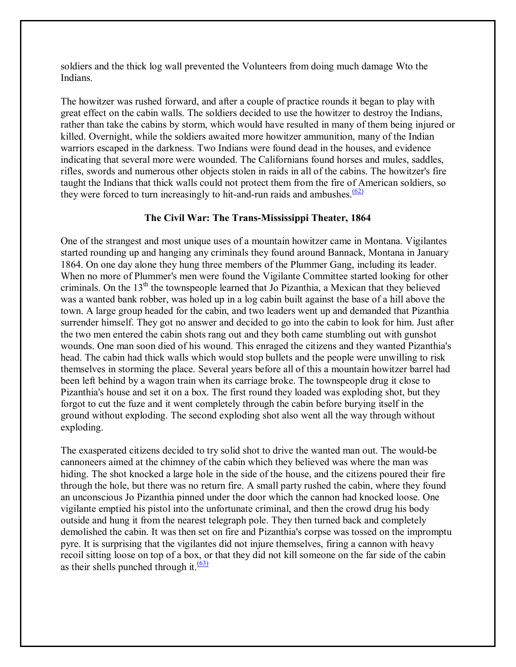soldiers and the thick log wall prevented the Volunteers from doing much damage Wto the Indians.

The howitzer was rushed forward, and after a couple of practice rounds it began to play with great effect on the cabin walls. The soldiers decided to use the howitzer to destroy the Indians, rather than take the cabins by storm, which would have resulted in many of them being injured or killed. Overnight, while the soldiers awaited more howitzer ammunition, many of the Indian warriors escaped in the darkness. Two Indians were found dead in the houses, and evidence indicating that several more were wounded. The Californians found horses and mules, saddles, rifles, swords and numerous other objects stolen in raids in all of the cabins. The howitzer's fire taught the Indians that thick walls could not protect them from the fire of American soldiers, so they were forced to turn increasingly to hit-and-run raids and ambushes. $\frac{(62)}{2}$ 

# **The Civil War: The Trans-Mississippi Theater, 1864**

One of the strangest and most unique uses of a mountain howitzer came in Montana. Vigilantes started rounding up and hanging any criminals they found around Bannack, Montana in January 1864. On one day alone they hung three members of the Plummer Gang, including its leader. When no more of Plummer's men were found the Vigilante Committee started looking for other criminals. On the  $13<sup>th</sup>$  the townspeople learned that Jo Pizanthia, a Mexican that they believed was a wanted bank robber, was holed up in a log cabin built against the base of a hill above the town. A large group headed for the cabin, and two leaders went up and demanded that Pizanthia surrender himself. They got no answer and decided to go into the cabin to look for him. Just after the two men entered the cabin shots rang out and they both came stumbling out with gunshot wounds. One man soon died of his wound. This enraged the citizens and they wanted Pizanthia's head. The cabin had thick walls which would stop bullets and the people were unwilling to risk themselves in storming the place. Several years before all of this a mountain howitzer barrel had been left behind by a wagon train when its carriage broke. The townspeople drug it close to Pizanthia's house and set it on a box. The first round they loaded was exploding shot, but they forgot to cut the fuze and it went completely through the cabin before burying itself in the ground without exploding. The second exploding shot also went all the way through without exploding.

The exasperated citizens decided to try solid shot to drive the wanted man out. The would-be cannoneers aimed at the chimney of the cabin which they believed was where the man was hiding. The shot knocked a large hole in the side of the house, and the citizens poured their fire through the hole, but there was no return fire. A small party rushed the cabin, where they found an unconscious Jo Pizanthia pinned under the door which the cannon had knocked loose. One vigilante emptied his pistol into the unfortunate criminal, and then the crowd drug his body outside and hung it from the nearest telegraph pole. They then turned back and completely demolished the cabin. It was then set on fire and Pizanthia's corpse was tossed on the impromptu pyre. It is surprising that the vigilantes did not injure themselves, firing a cannon with heavy recoil sitting loose on top of a box, or that they did not kill someone on the far side of the cabin as their shells punched through it. $\frac{(63)}{2}$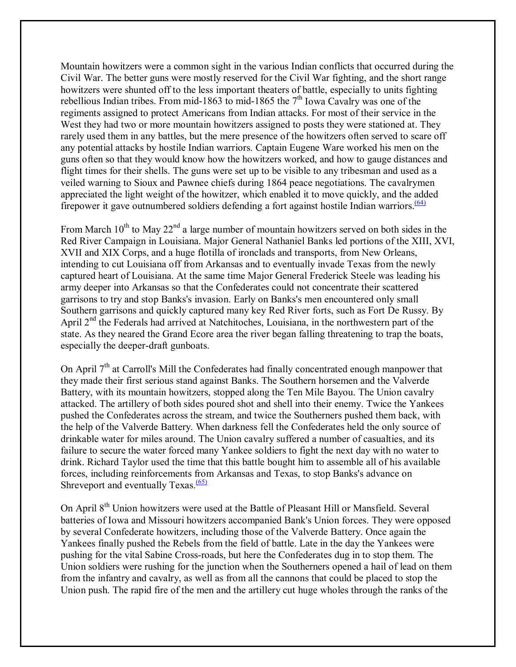Mountain howitzers were a common sight in the various Indian conflicts that occurred during the Civil War. The better guns were mostly reserved for the Civil War fighting, and the short range howitzers were shunted off to the less important theaters of battle, especially to units fighting rebellious Indian tribes. From mid-1863 to mid-1865 the  $7<sup>th</sup>$  Iowa Cavalry was one of the regiments assigned to protect Americans from Indian attacks. For most of their service in the West they had two or more mountain howitzers assigned to posts they were stationed at. They rarely used them in any battles, but the mere presence of the howitzers often served to scare off any potential attacks by hostile Indian warriors. Captain Eugene Ware worked his men on the guns often so that they would know how the howitzers worked, and how to gauge distances and flight times for their shells. The guns were set up to be visible to any tribesman and used as a veiled warning to Sioux and Pawnee chiefs during 1864 peace negotiations. The cavalrymen appreciated the light weight of the howitzer, which enabled it to move quickly, and the added firepower it gave outnumbered soldiers defending a fort against hostile Indian warriors.<sup> $(64)$ </sup>

From March  $10^{th}$  to May  $22^{nd}$  a large number of mountain howitzers served on both sides in the Red River Campaign in Louisiana. Major General Nathaniel Banks led portions of the XIII, XVI, XVII and XIX Corps, and a huge flotilla of ironclads and transports, from New Orleans, intending to cut Louisiana off from Arkansas and to eventually invade Texas from the newly captured heart of Louisiana. At the same time Major General Frederick Steele was leading his army deeper into Arkansas so that the Confederates could not concentrate their scattered garrisons to try and stop Banks's invasion. Early on Banks's men encountered only small Southern garrisons and quickly captured many key Red River forts, such as Fort De Russy. By April  $2<sup>nd</sup>$  the Federals had arrived at Natchitoches, Louisiana, in the northwestern part of the state. As they neared the Grand Ecore area the river began falling threatening to trap the boats, especially the deeper-draft gunboats.

On April 7<sup>th</sup> at Carroll's Mill the Confederates had finally concentrated enough manpower that they made their first serious stand against Banks. The Southern horsemen and the Valverde Battery, with its mountain howitzers, stopped along the Ten Mile Bayou. The Union cavalry attacked. The artillery of both sides poured shot and shell into their enemy. Twice the Yankees pushed the Confederates across the stream, and twice the Southerners pushed them back, with the help of the Valverde Battery. When darkness fell the Confederates held the only source of drinkable water for miles around. The Union cavalry suffered a number of casualties, and its failure to secure the water forced many Yankee soldiers to fight the next day with no water to drink. Richard Taylor used the time that this battle bought him to assemble all of his available forces, including reinforcements from Arkansas and Texas, to stop Banks's advance on Shreveport and eventually  $T$ exas.<sup> $(65)$ </sup>

On April 8th Union howitzers were used at the Battle of Pleasant Hill or Mansfield. Several batteries of Iowa and Missouri howitzers accompanied Bank's Union forces. They were opposed by several Confederate howitzers, including those of the Valverde Battery. Once again the Yankees finally pushed the Rebels from the field of battle. Late in the day the Yankees were pushing for the vital Sabine Cross-roads, but here the Confederates dug in to stop them. The Union soldiers were rushing for the junction when the Southerners opened a hail of lead on them from the infantry and cavalry, as well as from all the cannons that could be placed to stop the Union push. The rapid fire of the men and the artillery cut huge wholes through the ranks of the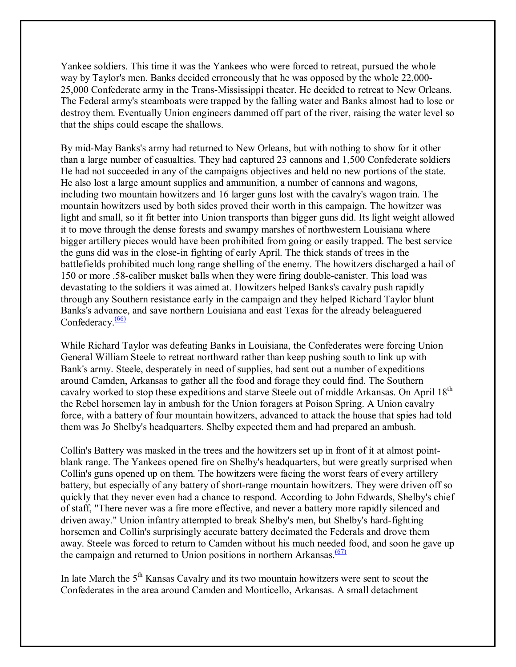Yankee soldiers. This time it was the Yankees who were forced to retreat, pursued the whole way by Taylor's men. Banks decided erroneously that he was opposed by the whole 22,000- 25,000 Confederate army in the Trans-Mississippi theater. He decided to retreat to New Orleans. The Federal army's steamboats were trapped by the falling water and Banks almost had to lose or destroy them. Eventually Union engineers dammed off part of the river, raising the water level so that the ships could escape the shallows.

By mid-May Banks's army had returned to New Orleans, but with nothing to show for it other than a large number of casualties. They had captured 23 cannons and 1,500 Confederate soldiers He had not succeeded in any of the campaigns objectives and held no new portions of the state. He also lost a large amount supplies and ammunition, a number of cannons and wagons, including two mountain howitzers and 16 larger guns lost with the cavalry's wagon train. The mountain howitzers used by both sides proved their worth in this campaign. The howitzer was light and small, so it fit better into Union transports than bigger guns did. Its light weight allowed it to move through the dense forests and swampy marshes of northwestern Louisiana where bigger artillery pieces would have been prohibited from going or easily trapped. The best service the guns did was in the close-in fighting of early April. The thick stands of trees in the battlefields prohibited much long range shelling of the enemy. The howitzers discharged a hail of 150 or more .58-caliber musket balls when they were firing double-canister. This load was devastating to the soldiers it was aimed at. Howitzers helped Banks's cavalry push rapidly through any Southern resistance early in the campaign and they helped Richard Taylor blunt Banks's advance, and save northern Louisiana and east Texas for the already beleaguered Confederacy. $\frac{(66)}{66}$ 

While Richard Taylor was defeating Banks in Louisiana, the Confederates were forcing Union General William Steele to retreat northward rather than keep pushing south to link up with Bank's army. Steele, desperately in need of supplies, had sent out a number of expeditions around Camden, Arkansas to gather all the food and forage they could find. The Southern cavalry worked to stop these expeditions and starve Steele out of middle Arkansas. On April 18th the Rebel horsemen lay in ambush for the Union foragers at Poison Spring. A Union cavalry force, with a battery of four mountain howitzers, advanced to attack the house that spies had told them was Jo Shelby's headquarters. Shelby expected them and had prepared an ambush.

Collin's Battery was masked in the trees and the howitzers set up in front of it at almost pointblank range. The Yankees opened fire on Shelby's headquarters, but were greatly surprised when Collin's guns opened up on them. The howitzers were facing the worst fears of every artillery battery, but especially of any battery of short-range mountain howitzers. They were driven off so quickly that they never even had a chance to respond. According to John Edwards, Shelby's chief of staff, "There never was a fire more effective, and never a battery more rapidly silenced and driven away." Union infantry attempted to break Shelby's men, but Shelby's hard-fighting horsemen and Collin's surprisingly accurate battery decimated the Federals and drove them away. Steele was forced to return to Camden without his much needed food, and soon he gave up the campaign and returned to Union positions in northern Arkansas. $(67)$ 

In late March the 5<sup>th</sup> Kansas Cavalry and its two mountain howitzers were sent to scout the Confederates in the area around Camden and Monticello, Arkansas. A small detachment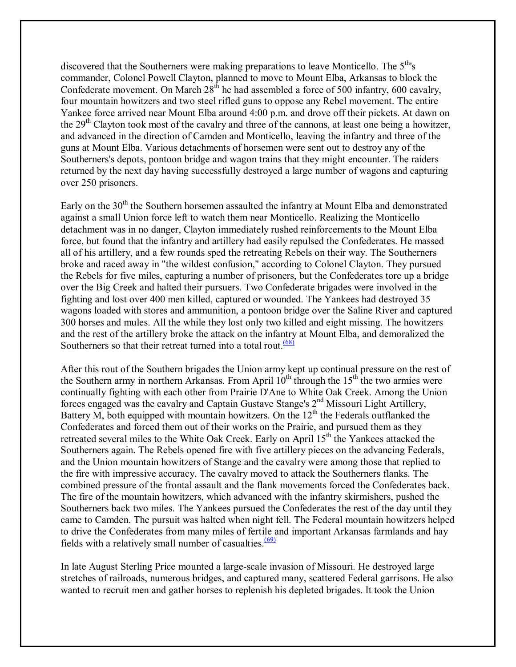discovered that the Southerners were making preparations to leave Monticello. The 5<sup>th</sup>'s commander, Colonel Powell Clayton, planned to move to Mount Elba, Arkansas to block the Confederate movement. On March  $28<sup>th</sup>$  he had assembled a force of 500 infantry, 600 cavalry, four mountain howitzers and two steel rifled guns to oppose any Rebel movement. The entire Yankee force arrived near Mount Elba around 4:00 p.m. and drove off their pickets. At dawn on the 29<sup>th</sup> Clayton took most of the cavalry and three of the cannons, at least one being a howitzer, and advanced in the direction of Camden and Monticello, leaving the infantry and three of the guns at Mount Elba. Various detachments of horsemen were sent out to destroy any of the Southerners's depots, pontoon bridge and wagon trains that they might encounter. The raiders returned by the next day having successfully destroyed a large number of wagons and capturing over 250 prisoners.

Early on the 30<sup>th</sup> the Southern horsemen assaulted the infantry at Mount Elba and demonstrated against a small Union force left to watch them near Monticello. Realizing the Monticello detachment was in no danger, Clayton immediately rushed reinforcements to the Mount Elba force, but found that the infantry and artillery had easily repulsed the Confederates. He massed all of his artillery, and a few rounds sped the retreating Rebels on their way. The Southerners broke and raced away in "the wildest confusion," according to Colonel Clayton. They pursued the Rebels for five miles, capturing a number of prisoners, but the Confederates tore up a bridge over the Big Creek and halted their pursuers. Two Confederate brigades were involved in the fighting and lost over 400 men killed, captured or wounded. The Yankees had destroyed 35 wagons loaded with stores and ammunition, a pontoon bridge over the Saline River and captured 300 horses and mules. All the while they lost only two killed and eight missing. The howitzers and the rest of the artillery broke the attack on the infantry at Mount Elba, and demoralized the Southerners so that their retreat turned into a total rout. $\frac{(68)}{68}$ 

After this rout of the Southern brigades the Union army kept up continual pressure on the rest of the Southern army in northern Arkansas. From April  $10<sup>th</sup>$  through the  $15<sup>th</sup>$  the two armies were continually fighting with each other from Prairie D'Ane to White Oak Creek. Among the Union forces engaged was the cavalry and Captain Gustave Stange's 2<sup>nd</sup> Missouri Light Artillery, Battery M, both equipped with mountain howitzers. On the  $12<sup>th</sup>$  the Federals outflanked the Confederates and forced them out of their works on the Prairie, and pursued them as they retreated several miles to the White Oak Creek. Early on April 15<sup>th</sup> the Yankees attacked the Southerners again. The Rebels opened fire with five artillery pieces on the advancing Federals, and the Union mountain howitzers of Stange and the cavalry were among those that replied to the fire with impressive accuracy. The cavalry moved to attack the Southerners flanks. The combined pressure of the frontal assault and the flank movements forced the Confederates back. The fire of the mountain howitzers, which advanced with the infantry skirmishers, pushed the Southerners back two miles. The Yankees pursued the Confederates the rest of the day until they came to Camden. The pursuit was halted when night fell. The Federal mountain howitzers helped to drive the Confederates from many miles of fertile and important Arkansas farmlands and hay fields with a relatively small number of casualties. $\frac{(69)}{699}$ 

In late August Sterling Price mounted a large-scale invasion of Missouri. He destroyed large stretches of railroads, numerous bridges, and captured many, scattered Federal garrisons. He also wanted to recruit men and gather horses to replenish his depleted brigades. It took the Union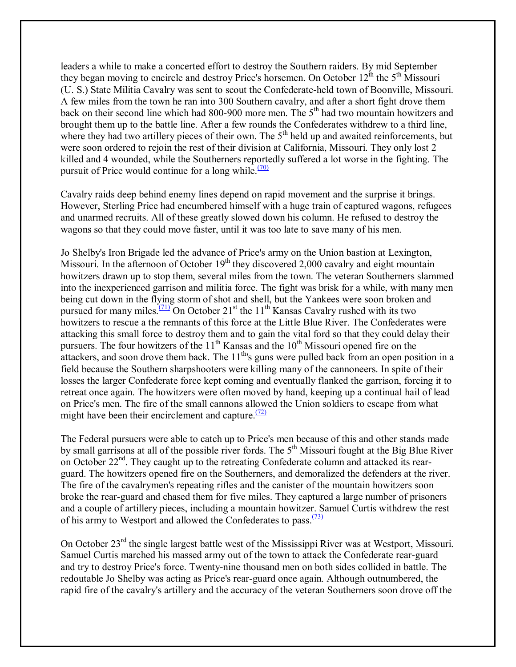leaders a while to make a concerted effort to destroy the Southern raiders. By mid September they began moving to encircle and destroy Price's horsemen. On October  $12^{th}$  the  $5^{th}$  Missouri (U. S.) State Militia Cavalry was sent to scout the Confederate-held town of Boonville, Missouri. A few miles from the town he ran into 300 Southern cavalry, and after a short fight drove them back on their second line which had 800-900 more men. The  $5<sup>th</sup>$  had two mountain howitzers and brought them up to the battle line. After a few rounds the Confederates withdrew to a third line, where they had two artillery pieces of their own. The 5<sup>th</sup> held up and awaited reinforcements, but were soon ordered to rejoin the rest of their division at California, Missouri. They only lost 2 killed and 4 wounded, while the Southerners reportedly suffered a lot worse in the fighting. The pursuit of Price would continue for a long while.<sup> $(70)$ </sup>

Cavalry raids deep behind enemy lines depend on rapid movement and the surprise it brings. However, Sterling Price had encumbered himself with a huge train of captured wagons, refugees and unarmed recruits. All of these greatly slowed down his column. He refused to destroy the wagons so that they could move faster, until it was too late to save many of his men.

Jo Shelby's Iron Brigade led the advance of Price's army on the Union bastion at Lexington, Missouri. In the afternoon of October  $19<sup>th</sup>$  they discovered 2,000 cavalry and eight mountain howitzers drawn up to stop them, several miles from the town. The veteran Southerners slammed into the inexperienced garrison and militia force. The fight was brisk for a while, with many men being cut down in the flying storm of shot and shell, but the Yankees were soon broken and pursued for many miles.<sup> $(71)$ </sup> On October 21<sup>st</sup> the 11<sup>th</sup> Kansas Cavalry rushed with its two howitzers to rescue a the remnants of this force at the Little Blue River. The Confederates were attacking this small force to destroy them and to gain the vital ford so that they could delay their pursuers. The four howitzers of the  $11<sup>th</sup>$  Kansas and the  $10<sup>th</sup>$  Missouri opened fire on the attackers, and soon drove them back. The  $11<sup>th</sup>$ 's guns were pulled back from an open position in a field because the Southern sharpshooters were killing many of the cannoneers. In spite of their losses the larger Confederate force kept coming and eventually flanked the garrison, forcing it to retreat once again. The howitzers were often moved by hand, keeping up a continual hail of lead on Price's men. The fire of the small cannons allowed the Union soldiers to escape from what might have been their encirclement and capture.  $(72)$ 

The Federal pursuers were able to catch up to Price's men because of this and other stands made by small garrisons at all of the possible river fords. The  $5<sup>th</sup>$  Missouri fought at the Big Blue River on October  $22<sup>nd</sup>$ . They caught up to the retreating Confederate column and attacked its rearguard. The howitzers opened fire on the Southerners, and demoralized the defenders at the river. The fire of the cavalrymen's repeating rifles and the canister of the mountain howitzers soon broke the rear-guard and chased them for five miles. They captured a large number of prisoners and a couple of artillery pieces, including a mountain howitzer. Samuel Curtis withdrew the rest of his army to Westport and allowed the Confederates to pass.  $\frac{(73)}{(73)}$ 

On October 23<sup>rd</sup> the single largest battle west of the Mississippi River was at Westport, Missouri. Samuel Curtis marched his massed army out of the town to attack the Confederate rear-guard and try to destroy Price's force. Twenty-nine thousand men on both sides collided in battle. The redoutable Jo Shelby was acting as Price's rear-guard once again. Although outnumbered, the rapid fire of the cavalry's artillery and the accuracy of the veteran Southerners soon drove off the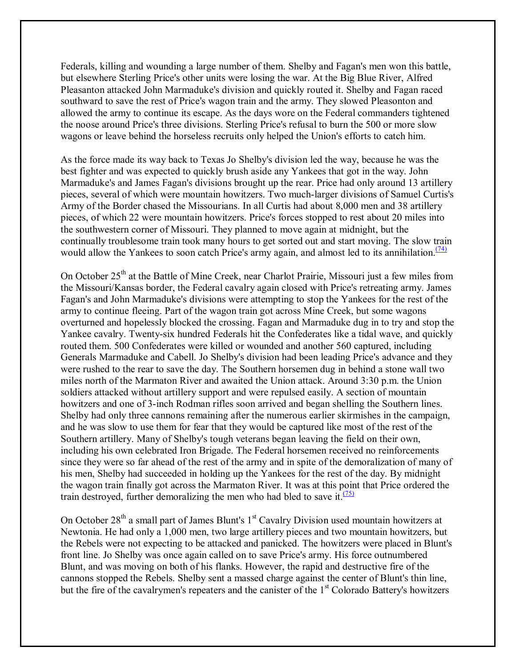Federals, killing and wounding a large number of them. Shelby and Fagan's men won this battle, but elsewhere Sterling Price's other units were losing the war. At the Big Blue River, Alfred Pleasanton attacked John Marmaduke's division and quickly routed it. Shelby and Fagan raced southward to save the rest of Price's wagon train and the army. They slowed Pleasonton and allowed the army to continue its escape. As the days wore on the Federal commanders tightened the noose around Price's three divisions. Sterling Price's refusal to burn the 500 or more slow wagons or leave behind the horseless recruits only helped the Union's efforts to catch him.

As the force made its way back to Texas Jo Shelby's division led the way, because he was the best fighter and was expected to quickly brush aside any Yankees that got in the way. John Marmaduke's and James Fagan's divisions brought up the rear. Price had only around 13 artillery pieces, several of which were mountain howitzers. Two much-larger divisions of Samuel Curtis's Army of the Border chased the Missourians. In all Curtis had about 8,000 men and 38 artillery pieces, of which 22 were mountain howitzers. Price's forces stopped to rest about 20 miles into the southwestern corner of Missouri. They planned to move again at midnight, but the continually troublesome train took many hours to get sorted out and start moving. The slow train would allow the Yankees to soon catch Price's army again, and almost led to its annihilation.<sup> $(74)$ </sup>

On October 25<sup>th</sup> at the Battle of Mine Creek, near Charlot Prairie, Missouri just a few miles from the Missouri/Kansas border, the Federal cavalry again closed with Price's retreating army. James Fagan's and John Marmaduke's divisions were attempting to stop the Yankees for the rest of the army to continue fleeing. Part of the wagon train got across Mine Creek, but some wagons overturned and hopelessly blocked the crossing. Fagan and Marmaduke dug in to try and stop the Yankee cavalry. Twenty-six hundred Federals hit the Confederates like a tidal wave, and quickly routed them. 500 Confederates were killed or wounded and another 560 captured, including Generals Marmaduke and Cabell. Jo Shelby's division had been leading Price's advance and they were rushed to the rear to save the day. The Southern horsemen dug in behind a stone wall two miles north of the Marmaton River and awaited the Union attack. Around 3:30 p.m. the Union soldiers attacked without artillery support and were repulsed easily. A section of mountain howitzers and one of 3-inch Rodman rifles soon arrived and began shelling the Southern lines. Shelby had only three cannons remaining after the numerous earlier skirmishes in the campaign, and he was slow to use them for fear that they would be captured like most of the rest of the Southern artillery. Many of Shelby's tough veterans began leaving the field on their own, including his own celebrated Iron Brigade. The Federal horsemen received no reinforcements since they were so far ahead of the rest of the army and in spite of the demoralization of many of his men, Shelby had succeeded in holding up the Yankees for the rest of the day. By midnight the wagon train finally got across the Marmaton River. It was at this point that Price ordered the train destroyed, further demoralizing the men who had bled to save it.<sup> $(75)$ </sup>

On October  $28<sup>th</sup>$  a small part of James Blunt's  $1<sup>st</sup>$  Cavalry Division used mountain howitzers at Newtonia. He had only a 1,000 men, two large artillery pieces and two mountain howitzers, but the Rebels were not expecting to be attacked and panicked. The howitzers were placed in Blunt's front line. Jo Shelby was once again called on to save Price's army. His force outnumbered Blunt, and was moving on both of his flanks. However, the rapid and destructive fire of the cannons stopped the Rebels. Shelby sent a massed charge against the center of Blunt's thin line, but the fire of the cavalrymen's repeaters and the canister of the 1<sup>st</sup> Colorado Battery's howitzers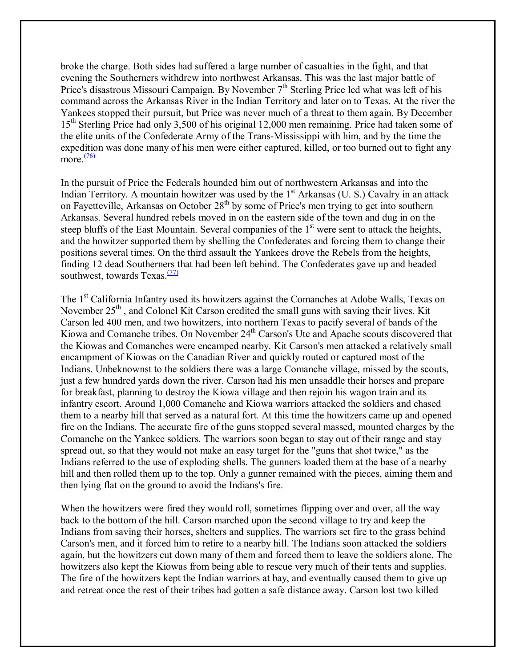broke the charge. Both sides had suffered a large number of casualties in the fight, and that evening the Southerners withdrew into northwest Arkansas. This was the last major battle of Price's disastrous Missouri Campaign. By November 7<sup>th</sup> Sterling Price led what was left of his command across the Arkansas River in the Indian Territory and later on to Texas. At the river the Yankees stopped their pursuit, but Price was never much of a threat to them again. By December 15th Sterling Price had only 3,500 of his original 12,000 men remaining. Price had taken some of the elite units of the Confederate Army of the Trans-Mississippi with him, and by the time the expedition was done many of his men were either captured, killed, or too burned out to fight any more. $\frac{(76)}{2}$ 

In the pursuit of Price the Federals hounded him out of northwestern Arkansas and into the Indian Territory. A mountain howitzer was used by the  $1<sup>st</sup>$  Arkansas (U. S.) Cavalry in an attack on Fayetteville, Arkansas on October 28<sup>th</sup> by some of Price's men trying to get into southern Arkansas. Several hundred rebels moved in on the eastern side of the town and dug in on the steep bluffs of the East Mountain. Several companies of the  $1<sup>st</sup>$  were sent to attack the heights, and the howitzer supported them by shelling the Confederates and forcing them to change their positions several times. On the third assault the Yankees drove the Rebels from the heights, finding 12 dead Southerners that had been left behind. The Confederates gave up and headed southwest, towards Texas. $\frac{(77)}{77}$ 

The 1<sup>st</sup> California Infantry used its howitzers against the Comanches at Adobe Walls, Texas on November 25<sup>th</sup>, and Colonel Kit Carson credited the small guns with saving their lives. Kit Carson led 400 men, and two howitzers, into northern Texas to pacify several of bands of the Kiowa and Comanche tribes. On November 24<sup>th</sup> Carson's Ute and Apache scouts discovered that the Kiowas and Comanches were encamped nearby. Kit Carson's men attacked a relatively small encampment of Kiowas on the Canadian River and quickly routed or captured most of the Indians. Unbeknownst to the soldiers there was a large Comanche village, missed by the scouts, just a few hundred yards down the river. Carson had his men unsaddle their horses and prepare for breakfast, planning to destroy the Kiowa village and then rejoin his wagon train and its infantry escort. Around 1,000 Comanche and Kiowa warriors attacked the soldiers and chased them to a nearby hill that served as a natural fort. At this time the howitzers came up and opened fire on the Indians. The accurate fire of the guns stopped several massed, mounted charges by the Comanche on the Yankee soldiers. The warriors soon began to stay out of their range and stay spread out, so that they would not make an easy target for the "guns that shot twice," as the Indians referred to the use of exploding shells. The gunners loaded them at the base of a nearby hill and then rolled them up to the top. Only a gunner remained with the pieces, aiming them and then lying flat on the ground to avoid the Indians's fire.

When the howitzers were fired they would roll, sometimes flipping over and over, all the way back to the bottom of the hill. Carson marched upon the second village to try and keep the Indians from saving their horses, shelters and supplies. The warriors set fire to the grass behind Carson's men, and it forced him to retire to a nearby hill. The Indians soon attacked the soldiers again, but the howitzers cut down many of them and forced them to leave the soldiers alone. The howitzers also kept the Kiowas from being able to rescue very much of their tents and supplies. The fire of the howitzers kept the Indian warriors at bay, and eventually caused them to give up and retreat once the rest of their tribes had gotten a safe distance away. Carson lost two killed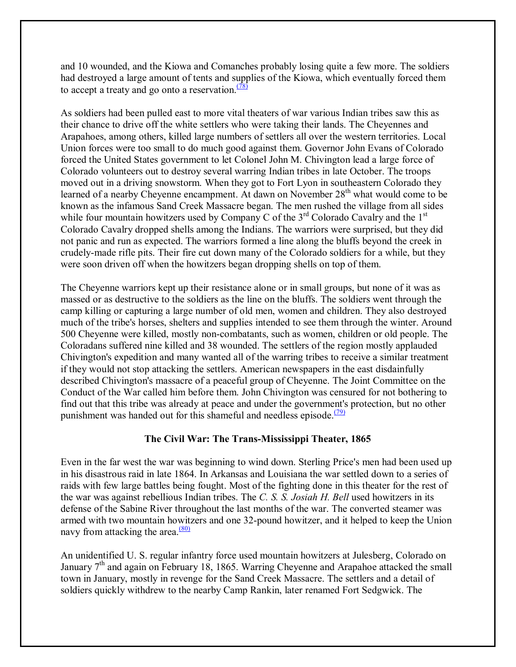and 10 wounded, and the Kiowa and Comanches probably losing quite a few more. The soldiers had destroyed a large amount of tents and supplies of the Kiowa, which eventually forced them to accept a treaty and go onto a reservation. $\frac{(78)}{2}$ 

As soldiers had been pulled east to more vital theaters of war various Indian tribes saw this as their chance to drive off the white settlers who were taking their lands. The Cheyennes and Arapahoes, among others, killed large numbers of settlers all over the western territories. Local Union forces were too small to do much good against them. Governor John Evans of Colorado forced the United States government to let Colonel John M. Chivington lead a large force of Colorado volunteers out to destroy several warring Indian tribes in late October. The troops moved out in a driving snowstorm. When they got to Fort Lyon in southeastern Colorado they learned of a nearby Cheyenne encampment. At dawn on November 28<sup>th</sup> what would come to be known as the infamous Sand Creek Massacre began. The men rushed the village from all sides while four mountain howitzers used by Company C of the  $3<sup>rd</sup>$  Colorado Cavalry and the  $1<sup>st</sup>$ Colorado Cavalry dropped shells among the Indians. The warriors were surprised, but they did not panic and run as expected. The warriors formed a line along the bluffs beyond the creek in crudely-made rifle pits. Their fire cut down many of the Colorado soldiers for a while, but they were soon driven off when the howitzers began dropping shells on top of them.

The Cheyenne warriors kept up their resistance alone or in small groups, but none of it was as massed or as destructive to the soldiers as the line on the bluffs. The soldiers went through the camp killing or capturing a large number of old men, women and children. They also destroyed much of the tribe's horses, shelters and supplies intended to see them through the winter. Around 500 Cheyenne were killed, mostly non-combatants, such as women, children or old people. The Coloradans suffered nine killed and 38 wounded. The settlers of the region mostly applauded Chivington's expedition and many wanted all of the warring tribes to receive a similar treatment if they would not stop attacking the settlers. American newspapers in the east disdainfully described Chivington's massacre of a peaceful group of Cheyenne. The Joint Committee on the Conduct of the War called him before them. John Chivington was censured for not bothering to find out that this tribe was already at peace and under the government's protection, but no other punishment was handed out for this shameful and needless episode. $(79)$ 

# **The Civil War: The Trans-Mississippi Theater, 1865**

Even in the far west the war was beginning to wind down. Sterling Price's men had been used up in his disastrous raid in late 1864. In Arkansas and Louisiana the war settled down to a series of raids with few large battles being fought. Most of the fighting done in this theater for the rest of the war was against rebellious Indian tribes. The *C. S. S. Josiah H. Bell* used howitzers in its defense of the Sabine River throughout the last months of the war. The converted steamer was armed with two mountain howitzers and one 32-pound howitzer, and it helped to keep the Union navy from attacking the area. $\frac{(80)}{60}$ 

An unidentified U. S. regular infantry force used mountain howitzers at Julesberg, Colorado on January  $7<sup>th</sup>$  and again on February 18, 1865. Warring Cheyenne and Arapahoe attacked the small town in January, mostly in revenge for the Sand Creek Massacre. The settlers and a detail of soldiers quickly withdrew to the nearby Camp Rankin, later renamed Fort Sedgwick. The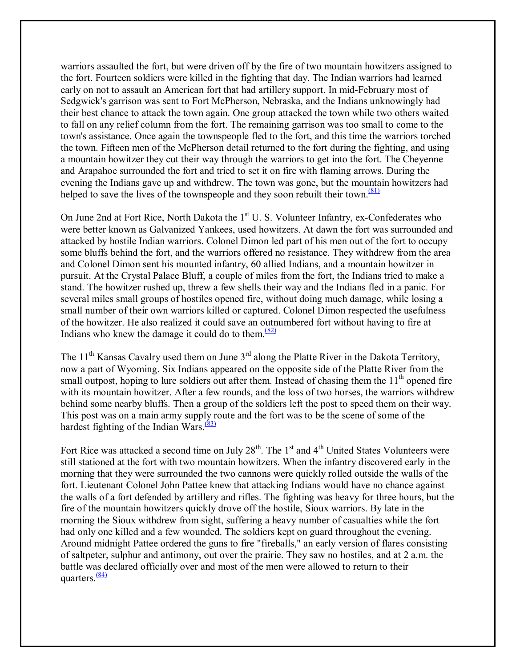warriors assaulted the fort, but were driven off by the fire of two mountain howitzers assigned to the fort. Fourteen soldiers were killed in the fighting that day. The Indian warriors had learned early on not to assault an American fort that had artillery support. In mid-February most of Sedgwick's garrison was sent to Fort McPherson, Nebraska, and the Indians unknowingly had their best chance to attack the town again. One group attacked the town while two others waited to fall on any relief column from the fort. The remaining garrison was too small to come to the town's assistance. Once again the townspeople fled to the fort, and this time the warriors torched the town. Fifteen men of the McPherson detail returned to the fort during the fighting, and using a mountain howitzer they cut their way through the warriors to get into the fort. The Cheyenne and Arapahoe surrounded the fort and tried to set it on fire with flaming arrows. During the evening the Indians gave up and withdrew. The town was gone, but the mountain howitzers had helped to save the lives of the townspeople and they soon rebuilt their town. $\frac{(81)}{21}$ 

On June 2nd at Fort Rice, North Dakota the 1<sup>st</sup> U. S. Volunteer Infantry, ex-Confederates who were better known as Galvanized Yankees, used howitzers. At dawn the fort was surrounded and attacked by hostile Indian warriors. Colonel Dimon led part of his men out of the fort to occupy some bluffs behind the fort, and the warriors offered no resistance. They withdrew from the area and Colonel Dimon sent his mounted infantry, 60 allied Indians, and a mountain howitzer in pursuit. At the Crystal Palace Bluff, a couple of miles from the fort, the Indians tried to make a stand. The howitzer rushed up, threw a few shells their way and the Indians fled in a panic. For several miles small groups of hostiles opened fire, without doing much damage, while losing a small number of their own warriors killed or captured. Colonel Dimon respected the usefulness of the howitzer. He also realized it could save an outnumbered fort without having to fire at Indians who knew the damage it could do to them. $\frac{(82)}{2}$ 

The 11<sup>th</sup> Kansas Cavalry used them on June  $3<sup>rd</sup>$  along the Platte River in the Dakota Territory, now a part of Wyoming. Six Indians appeared on the opposite side of the Platte River from the small outpost, hoping to lure soldiers out after them. Instead of chasing them the  $11<sup>th</sup>$  opened fire with its mountain howitzer. After a few rounds, and the loss of two horses, the warriors withdrew behind some nearby bluffs. Then a group of the soldiers left the post to speed them on their way. This post was on a main army supply route and the fort was to be the scene of some of the hardest fighting of the Indian Wars. $\frac{(83)}{2}$ 

Fort Rice was attacked a second time on July  $28<sup>th</sup>$ . The 1<sup>st</sup> and 4<sup>th</sup> United States Volunteers were still stationed at the fort with two mountain howitzers. When the infantry discovered early in the morning that they were surrounded the two cannons were quickly rolled outside the walls of the fort. Lieutenant Colonel John Pattee knew that attacking Indians would have no chance against the walls of a fort defended by artillery and rifles. The fighting was heavy for three hours, but the fire of the mountain howitzers quickly drove off the hostile, Sioux warriors. By late in the morning the Sioux withdrew from sight, suffering a heavy number of casualties while the fort had only one killed and a few wounded. The soldiers kept on guard throughout the evening. Around midnight Pattee ordered the guns to fire "fireballs," an early version of flares consisting of saltpeter, sulphur and antimony, out over the prairie. They saw no hostiles, and at 2 a.m. the battle was declared officially over and most of the men were allowed to return to their quarters. $\frac{(84)}{84}$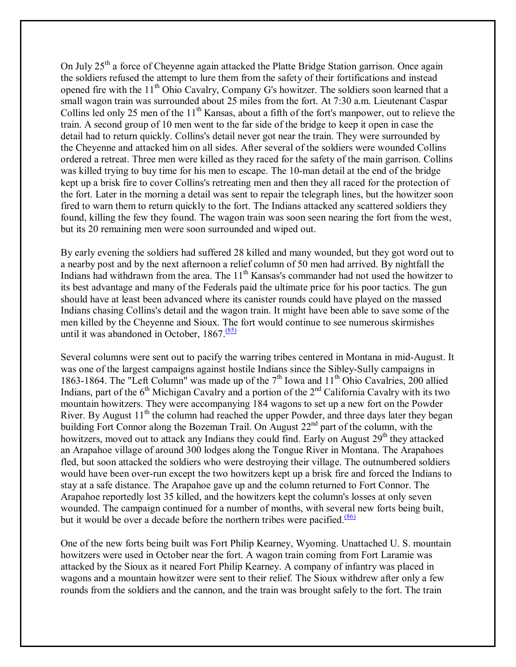On July 25<sup>th</sup> a force of Cheyenne again attacked the Platte Bridge Station garrison. Once again the soldiers refused the attempt to lure them from the safety of their fortifications and instead opened fire with the 11<sup>th</sup> Ohio Cavalry, Company G's howitzer. The soldiers soon learned that a small wagon train was surrounded about 25 miles from the fort. At 7:30 a.m. Lieutenant Caspar Collins led only 25 men of the  $11<sup>th</sup>$  Kansas, about a fifth of the fort's manpower, out to relieve the train. A second group of 10 men went to the far side of the bridge to keep it open in case the detail had to return quickly. Collins's detail never got near the train. They were surrounded by the Cheyenne and attacked him on all sides. After several of the soldiers were wounded Collins ordered a retreat. Three men were killed as they raced for the safety of the main garrison. Collins was killed trying to buy time for his men to escape. The 10-man detail at the end of the bridge kept up a brisk fire to cover Collins's retreating men and then they all raced for the protection of the fort. Later in the morning a detail was sent to repair the telegraph lines, but the howitzer soon fired to warn them to return quickly to the fort. The Indians attacked any scattered soldiers they found, killing the few they found. The wagon train was soon seen nearing the fort from the west, but its 20 remaining men were soon surrounded and wiped out.

By early evening the soldiers had suffered 28 killed and many wounded, but they got word out to a nearby post and by the next afternoon a relief column of 50 men had arrived. By nightfall the Indians had withdrawn from the area. The 11<sup>th</sup> Kansas's commander had not used the howitzer to its best advantage and many of the Federals paid the ultimate price for his poor tactics. The gun should have at least been advanced where its canister rounds could have played on the massed Indians chasing Collins's detail and the wagon train. It might have been able to save some of the men killed by the Cheyenne and Sioux. The fort would continue to see numerous skirmishes until it was abandoned in October,  $1867 \cdot \frac{(85)}{25}$ 

Several columns were sent out to pacify the warring tribes centered in Montana in mid-August. It was one of the largest campaigns against hostile Indians since the Sibley-Sully campaigns in 1863-1864. The "Left Column" was made up of the  $7<sup>th</sup>$  Iowa and  $11<sup>th</sup>$  Ohio Cavalries, 200 allied Indians, part of the  $6<sup>th</sup>$  Michigan Cavalry and a portion of the  $2<sup>nd</sup>$  California Cavalry with its two mountain howitzers. They were accompanying 184 wagons to set up a new fort on the Powder River. By August  $11<sup>th</sup>$  the column had reached the upper Powder, and three days later they began building Fort Connor along the Bozeman Trail. On August  $22<sup>nd</sup>$  part of the column, with the howitzers, moved out to attack any Indians they could find. Early on August  $29<sup>th</sup>$  they attacked an Arapahoe village of around 300 lodges along the Tongue River in Montana. The Arapahoes fled, but soon attacked the soldiers who were destroying their village. The outnumbered soldiers would have been over-run except the two howitzers kept up a brisk fire and forced the Indians to stay at a safe distance. The Arapahoe gave up and the column returned to Fort Connor. The Arapahoe reportedly lost 35 killed, and the howitzers kept the column's losses at only seven wounded. The campaign continued for a number of months, with several new forts being built, but it would be over a decade before the northern tribes were pacified.<sup> $(86)$ </sup>

One of the new forts being built was Fort Philip Kearney, Wyoming. Unattached U. S. mountain howitzers were used in October near the fort. A wagon train coming from Fort Laramie was attacked by the Sioux as it neared Fort Philip Kearney. A company of infantry was placed in wagons and a mountain howitzer were sent to their relief. The Sioux withdrew after only a few rounds from the soldiers and the cannon, and the train was brought safely to the fort. The train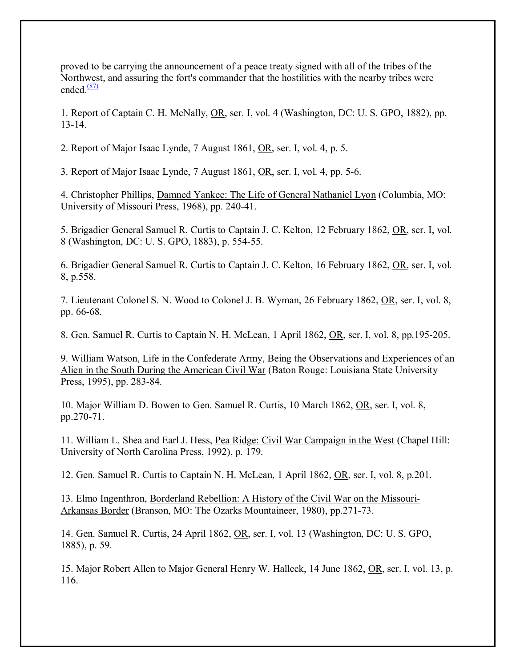proved to be carrying the announcement of a peace treaty signed with all of the tribes of the Northwest, and assuring the fort's commander that the hostilities with the nearby tribes were ended. $\frac{(87)}{2}$ 

1. Report of Captain C. H. McNally, OR, ser. I, vol. 4 (Washington, DC: U. S. GPO, 1882), pp. 13-14.

2. Report of Major Isaac Lynde, 7 August 1861, OR, ser. I, vol. 4, p. 5.

3. Report of Major Isaac Lynde, 7 August 1861, OR, ser. I, vol. 4, pp. 5-6.

4. Christopher Phillips, Damned Yankee: The Life of General Nathaniel Lyon (Columbia, MO: University of Missouri Press, 1968), pp. 240-41.

5. Brigadier General Samuel R. Curtis to Captain J. C. Kelton, 12 February 1862, OR, ser. I, vol. 8 (Washington, DC: U. S. GPO, 1883), p. 554-55.

6. Brigadier General Samuel R. Curtis to Captain J. C. Kelton, 16 February 1862, OR, ser. I, vol. 8, p.558.

7. Lieutenant Colonel S. N. Wood to Colonel J. B. Wyman, 26 February 1862, OR, ser. I, vol. 8, pp. 66-68.

8. Gen. Samuel R. Curtis to Captain N. H. McLean, 1 April 1862, OR, ser. I, vol. 8, pp.195-205.

9. William Watson, Life in the Confederate Army, Being the Observations and Experiences of an Alien in the South During the American Civil War (Baton Rouge: Louisiana State University Press, 1995), pp. 283-84.

10. Major William D. Bowen to Gen. Samuel R. Curtis, 10 March 1862, OR, ser. I, vol. 8, pp.270-71.

11. William L. Shea and Earl J. Hess, Pea Ridge: Civil War Campaign in the West (Chapel Hill: University of North Carolina Press, 1992), p. 179.

12. Gen. Samuel R. Curtis to Captain N. H. McLean, 1 April 1862, OR, ser. I, vol. 8, p.201.

13. Elmo Ingenthron, Borderland Rebellion: A History of the Civil War on the Missouri-Arkansas Border (Branson, MO: The Ozarks Mountaineer, 1980), pp.271-73.

14. Gen. Samuel R. Curtis, 24 April 1862, OR, ser. I, vol. 13 (Washington, DC: U. S. GPO, 1885), p. 59.

15. Major Robert Allen to Major General Henry W. Halleck, 14 June 1862, OR, ser. I, vol. 13, p. 116.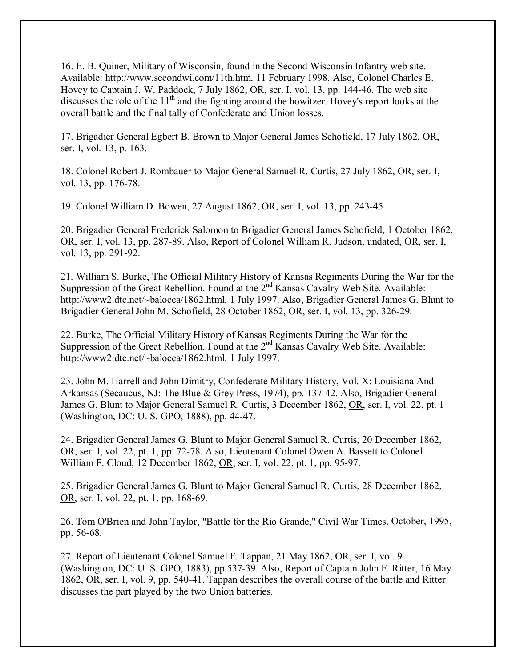16. E. B. Quiner, Military of Wisconsin, found in the Second Wisconsin Infantry web site. Available: http://www.secondwi.com/11th.htm. 11 February 1998. Also, Colonel Charles E. Hovey to Captain J. W. Paddock, 7 July 1862, OR, ser. I, vol. 13, pp. 144-46. The web site discusses the role of the 11<sup>th</sup> and the fighting around the howitzer. Hovey's report looks at the overall battle and the final tally of Confederate and Union losses.

17. Brigadier General Egbert B. Brown to Major General James Schofield, 17 July 1862, OR, ser. I, vol. 13, p. 163.

18. Colonel Robert J. Rombauer to Major General Samuel R. Curtis, 27 July 1862, OR, ser. I, vol. 13, pp. 176-78.

19. Colonel William D. Bowen, 27 August 1862, OR, ser. I, vol. 13, pp. 243-45.

20. Brigadier General Frederick Salomon to Brigadier General James Schofield, 1 October 1862, OR, ser. I, vol. 13, pp. 287-89. Also, Report of Colonel William R. Judson, undated, OR, ser. I, vol. 13, pp. 291-92.

21. William S. Burke, The Official Military History of Kansas Regiments During the War for the Suppression of the Great Rebellion. Found at the 2<sup>nd</sup> Kansas Cavalry Web Site. Available: http://www2.dtc.net/~balocca/1862.html. 1 July 1997. Also, Brigadier General James G. Blunt to Brigadier General John M. Schofield, 28 October 1862, OR, ser. I, vol. 13, pp. 326-29.

22. Burke, The Official Military History of Kansas Regiments During the War for the Suppression of the Great Rebellion. Found at the 2<sup>nd</sup> Kansas Cavalry Web Site. Available: http://www2.dtc.net/~balocca/1862.html. 1 July 1997.

23. John M. Harrell and John Dimitry, Confederate Military History, Vol. X: Louisiana And Arkansas (Secaucus, NJ: The Blue & Grey Press, 1974), pp. 137-42. Also, Brigadier General James G. Blunt to Major General Samuel R. Curtis, 3 December 1862, OR, ser. I, vol. 22, pt. 1 (Washington, DC: U. S. GPO, 1888), pp. 44-47.

24. Brigadier General James G. Blunt to Major General Samuel R. Curtis, 20 December 1862, OR, ser. I, vol. 22, pt. 1, pp. 72-78. Also, Lieutenant Colonel Owen A. Bassett to Colonel William F. Cloud, 12 December 1862, <u>OR</u>, ser. I, vol. 22, pt. 1, pp. 95-97.

25. Brigadier General James G. Blunt to Major General Samuel R. Curtis, 28 December 1862, OR, ser. I, vol. 22, pt. 1, pp. 168-69.

26. Tom O'Brien and John Taylor, "Battle for the Rio Grande," Civil War Times, October, 1995, pp. 56-68.

27. Report of Lieutenant Colonel Samuel F. Tappan, 21 May 1862, OR, ser. I, vol. 9 (Washington, DC: U. S. GPO, 1883), pp.537-39. Also, Report of Captain John F. Ritter, 16 May 1862, OR, ser. I, vol. 9, pp. 540-41. Tappan describes the overall course of the battle and Ritter discusses the part played by the two Union batteries.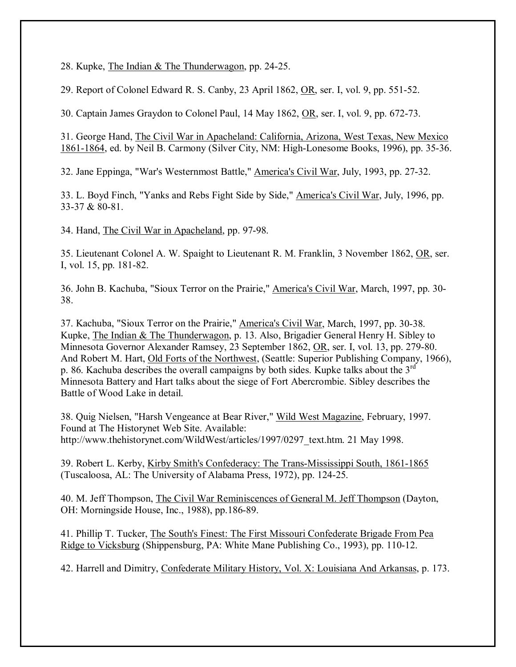28. Kupke, The Indian & The Thunderwagon, pp. 24-25.

29. Report of Colonel Edward R. S. Canby, 23 April 1862, OR, ser. I, vol. 9, pp. 551-52.

30. Captain James Graydon to Colonel Paul, 14 May 1862, OR, ser. I, vol. 9, pp. 672-73.

31. George Hand, The Civil War in Apacheland: California, Arizona, West Texas, New Mexico 1861-1864, ed. by Neil B. Carmony (Silver City, NM: High-Lonesome Books, 1996), pp. 35-36.

32. Jane Eppinga, "War's Westernmost Battle," America's Civil War, July, 1993, pp. 27-32.

33. L. Boyd Finch, "Yanks and Rebs Fight Side by Side," America's Civil War, July, 1996, pp. 33-37 & 80-81.

34. Hand, The Civil War in Apacheland, pp. 97-98.

35. Lieutenant Colonel A. W. Spaight to Lieutenant R. M. Franklin, 3 November 1862, OR, ser. I, vol. 15, pp. 181-82.

36. John B. Kachuba, "Sioux Terror on the Prairie," America's Civil War, March, 1997, pp. 30- 38.

37. Kachuba, "Sioux Terror on the Prairie," America's Civil War, March, 1997, pp. 30-38. Kupke, The Indian & The Thunderwagon, p. 13. Also, Brigadier General Henry H. Sibley to Minnesota Governor Alexander Ramsey, 23 September 1862, OR, ser. I, vol. 13, pp. 279-80. And Robert M. Hart, Old Forts of the Northwest, (Seattle: Superior Publishing Company, 1966), p. 86. Kachuba describes the overall campaigns by both sides. Kupke talks about the 3rd Minnesota Battery and Hart talks about the siege of Fort Abercrombie. Sibley describes the Battle of Wood Lake in detail.

38. Quig Nielsen, "Harsh Vengeance at Bear River," Wild West Magazine, February, 1997. Found at The Historynet Web Site. Available: http://www.thehistorynet.com/WildWest/articles/1997/0297\_text.htm. 21 May 1998.

39. Robert L. Kerby, Kirby Smith's Confederacy: The Trans-Mississippi South, 1861-1865 (Tuscaloosa, AL: The University of Alabama Press, 1972), pp. 124-25.

40. M. Jeff Thompson, The Civil War Reminiscences of General M. Jeff Thompson (Dayton, OH: Morningside House, Inc., 1988), pp.186-89.

41. Phillip T. Tucker, The South's Finest: The First Missouri Confederate Brigade From Pea Ridge to Vicksburg (Shippensburg, PA: White Mane Publishing Co., 1993), pp. 110-12.

42. Harrell and Dimitry, Confederate Military History, Vol. X: Louisiana And Arkansas, p. 173.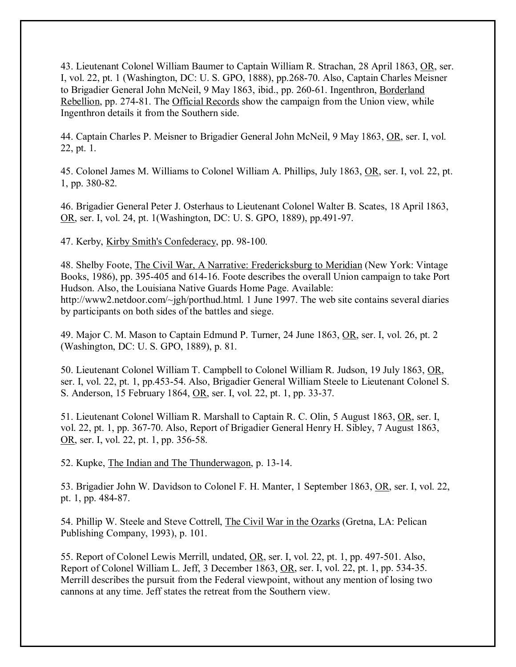43. Lieutenant Colonel William Baumer to Captain William R. Strachan, 28 April 1863, OR, ser. I, vol. 22, pt. 1 (Washington, DC: U. S. GPO, 1888), pp.268-70. Also, Captain Charles Meisner to Brigadier General John McNeil, 9 May 1863, ibid., pp. 260-61. Ingenthron, Borderland Rebellion, pp. 274-81. The Official Records show the campaign from the Union view, while Ingenthron details it from the Southern side.

44. Captain Charles P. Meisner to Brigadier General John McNeil, 9 May 1863, OR, ser. I, vol. 22, pt. 1.

45. Colonel James M. Williams to Colonel William A. Phillips, July 1863, OR, ser. I, vol. 22, pt. 1, pp. 380-82.

46. Brigadier General Peter J. Osterhaus to Lieutenant Colonel Walter B. Scates, 18 April 1863, OR, ser. I, vol. 24, pt. 1(Washington, DC: U. S. GPO, 1889), pp.491-97.

47. Kerby, Kirby Smith's Confederacy, pp. 98-100.

48. Shelby Foote, The Civil War, A Narrative: Fredericksburg to Meridian (New York: Vintage Books, 1986), pp. 395-405 and 614-16. Foote describes the overall Union campaign to take Port Hudson. Also, the Louisiana Native Guards Home Page. Available: http://www2.netdoor.com/~jgh/porthud.html. 1 June 1997. The web site contains several diaries by participants on both sides of the battles and siege.

49. Major C. M. Mason to Captain Edmund P. Turner, 24 June 1863, OR, ser. I, vol. 26, pt. 2 (Washington, DC: U. S. GPO, 1889), p. 81.

50. Lieutenant Colonel William T. Campbell to Colonel William R. Judson, 19 July 1863, OR, ser. I, vol. 22, pt. 1, pp.453-54. Also, Brigadier General William Steele to Lieutenant Colonel S. S. Anderson, 15 February 1864, OR, ser. I, vol. 22, pt. 1, pp. 33-37.

51. Lieutenant Colonel William R. Marshall to Captain R. C. Olin, 5 August 1863, OR, ser. I, vol. 22, pt. 1, pp. 367-70. Also, Report of Brigadier General Henry H. Sibley, 7 August 1863, OR, ser. I, vol. 22, pt. 1, pp. 356-58.

52. Kupke, The Indian and The Thunderwagon, p. 13-14.

53. Brigadier John W. Davidson to Colonel F. H. Manter, 1 September 1863, OR, ser. I, vol. 22, pt. 1, pp. 484-87.

54. Phillip W. Steele and Steve Cottrell, The Civil War in the Ozarks (Gretna, LA: Pelican Publishing Company, 1993), p. 101.

55. Report of Colonel Lewis Merrill, undated, OR, ser. I, vol. 22, pt. 1, pp. 497-501. Also, Report of Colonel William L. Jeff, 3 December 1863, OR, ser. I, vol. 22, pt. 1, pp. 534-35. Merrill describes the pursuit from the Federal viewpoint, without any mention of losing two cannons at any time. Jeff states the retreat from the Southern view.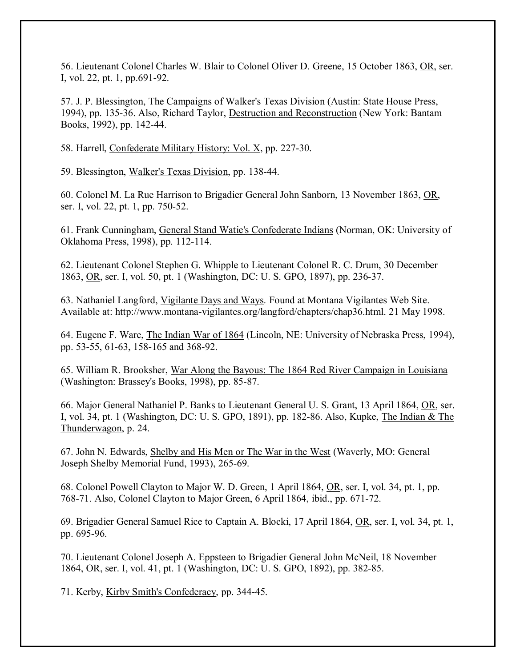56. Lieutenant Colonel Charles W. Blair to Colonel Oliver D. Greene, 15 October 1863, OR, ser. I, vol. 22, pt. 1, pp.691-92.

57. J. P. Blessington, The Campaigns of Walker's Texas Division (Austin: State House Press, 1994), pp. 135-36. Also, Richard Taylor, Destruction and Reconstruction (New York: Bantam Books, 1992), pp. 142-44.

58. Harrell, Confederate Military History: Vol. X, pp. 227-30.

59. Blessington, Walker's Texas Division, pp. 138-44.

60. Colonel M. La Rue Harrison to Brigadier General John Sanborn, 13 November 1863, OR, ser. I, vol. 22, pt. 1, pp. 750-52.

61. Frank Cunningham, General Stand Watie's Confederate Indians (Norman, OK: University of Oklahoma Press, 1998), pp. 112-114.

62. Lieutenant Colonel Stephen G. Whipple to Lieutenant Colonel R. C. Drum, 30 December 1863, OR, ser. I, vol. 50, pt. 1 (Washington, DC: U. S. GPO, 1897), pp. 236-37.

63. Nathaniel Langford, Vigilante Days and Ways. Found at Montana Vigilantes Web Site. Available at: http://www.montana-vigilantes.org/langford/chapters/chap36.html. 21 May 1998.

64. Eugene F. Ware, The Indian War of 1864 (Lincoln, NE: University of Nebraska Press, 1994), pp. 53-55, 61-63, 158-165 and 368-92.

65. William R. Brooksher, War Along the Bayous: The 1864 Red River Campaign in Louisiana (Washington: Brassey's Books, 1998), pp. 85-87.

66. Major General Nathaniel P. Banks to Lieutenant General U. S. Grant, 13 April 1864, OR, ser. I, vol. 34, pt. 1 (Washington, DC: U. S. GPO, 1891), pp. 182-86. Also, Kupke, The Indian & The Thunderwagon, p. 24.

67. John N. Edwards, Shelby and His Men or The War in the West (Waverly, MO: General Joseph Shelby Memorial Fund, 1993), 265-69.

68. Colonel Powell Clayton to Major W. D. Green, 1 April 1864, OR, ser. I, vol. 34, pt. 1, pp. 768-71. Also, Colonel Clayton to Major Green, 6 April 1864, ibid., pp. 671-72.

69. Brigadier General Samuel Rice to Captain A. Blocki, 17 April 1864, OR, ser. I, vol. 34, pt. 1, pp. 695-96.

70. Lieutenant Colonel Joseph A. Eppsteen to Brigadier General John McNeil, 18 November 1864, OR, ser. I, vol. 41, pt. 1 (Washington, DC: U. S. GPO, 1892), pp. 382-85.

71. Kerby, Kirby Smith's Confederacy, pp. 344-45.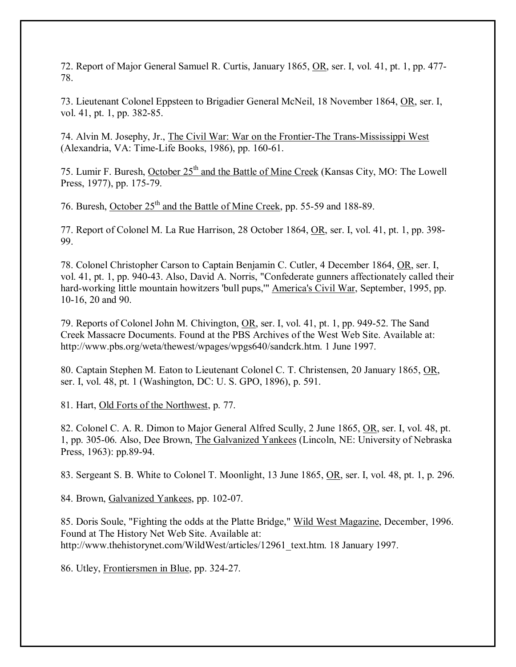72. Report of Major General Samuel R. Curtis, January 1865, OR, ser. I, vol. 41, pt. 1, pp. 477- 78.

73. Lieutenant Colonel Eppsteen to Brigadier General McNeil, 18 November 1864, OR, ser. I, vol. 41, pt. 1, pp. 382-85.

74. Alvin M. Josephy, Jr., The Civil War: War on the Frontier-The Trans-Mississippi West (Alexandria, VA: Time-Life Books, 1986), pp. 160-61.

75. Lumir F. Buresh, October 25<sup>th</sup> and the Battle of Mine Creek (Kansas City, MO: The Lowell Press, 1977), pp. 175-79.

76. Buresh, October 25<sup>th</sup> and the Battle of Mine Creek, pp. 55-59 and 188-89.

77. Report of Colonel M. La Rue Harrison, 28 October 1864, OR, ser. I, vol. 41, pt. 1, pp. 398- 99.

78. Colonel Christopher Carson to Captain Benjamin C. Cutler, 4 December 1864, OR, ser. I, vol. 41, pt. 1, pp. 940-43. Also, David A. Norris, "Confederate gunners affectionately called their hard-working little mountain howitzers 'bull pups,'" America's Civil War, September, 1995, pp. 10-16, 20 and 90.

79. Reports of Colonel John M. Chivington, OR, ser. I, vol. 41, pt. 1, pp. 949-52. The Sand Creek Massacre Documents. Found at the PBS Archives of the West Web Site. Available at: http://www.pbs.org/weta/thewest/wpages/wpgs640/sandcrk.htm. 1 June 1997.

80. Captain Stephen M. Eaton to Lieutenant Colonel C. T. Christensen, 20 January 1865, OR, ser. I, vol. 48, pt. 1 (Washington, DC: U. S. GPO, 1896), p. 591.

81. Hart, Old Forts of the Northwest, p. 77.

82. Colonel C. A. R. Dimon to Major General Alfred Scully, 2 June 1865, OR, ser. I, vol. 48, pt. 1, pp. 305-06. Also, Dee Brown, The Galvanized Yankees (Lincoln, NE: University of Nebraska Press, 1963): pp.89-94.

83. Sergeant S. B. White to Colonel T. Moonlight, 13 June 1865, OR, ser. I, vol. 48, pt. 1, p. 296.

84. Brown, Galvanized Yankees, pp. 102-07.

85. Doris Soule, "Fighting the odds at the Platte Bridge," Wild West Magazine, December, 1996. Found at The History Net Web Site. Available at: http://www.thehistorynet.com/WildWest/articles/12961\_text.htm. 18 January 1997.

86. Utley, Frontiersmen in Blue, pp. 324-27.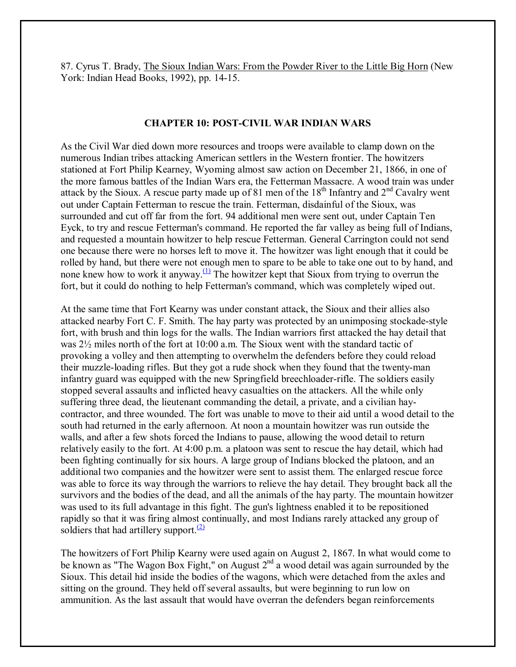87. Cyrus T. Brady, The Sioux Indian Wars: From the Powder River to the Little Big Horn (New York: Indian Head Books, 1992), pp. 14-15.

### **CHAPTER 10: POST-CIVIL WAR INDIAN WARS**

As the Civil War died down more resources and troops were available to clamp down on the numerous Indian tribes attacking American settlers in the Western frontier. The howitzers stationed at Fort Philip Kearney, Wyoming almost saw action on December 21, 1866, in one of the more famous battles of the Indian Wars era, the Fetterman Massacre. A wood train was under attack by the Sioux. A rescue party made up of 81 men of the  $18<sup>th</sup>$  Infantry and  $2<sup>nd</sup>$  Cavalry went out under Captain Fetterman to rescue the train. Fetterman, disdainful of the Sioux, was surrounded and cut off far from the fort. 94 additional men were sent out, under Captain Ten Eyck, to try and rescue Fetterman's command. He reported the far valley as being full of Indians, and requested a mountain howitzer to help rescue Fetterman. General Carrington could not send one because there were no horses left to move it. The howitzer was light enough that it could be rolled by hand, but there were not enough men to spare to be able to take one out to by hand, and none knew how to work it anyway.<sup>(1)</sup> The howitzer kept that Sioux from trying to overrun the fort, but it could do nothing to help Fetterman's command, which was completely wiped out.

At the same time that Fort Kearny was under constant attack, the Sioux and their allies also attacked nearby Fort C. F. Smith. The hay party was protected by an unimposing stockade-style fort, with brush and thin logs for the walls. The Indian warriors first attacked the hay detail that was 2½ miles north of the fort at 10:00 a.m. The Sioux went with the standard tactic of provoking a volley and then attempting to overwhelm the defenders before they could reload their muzzle-loading rifles. But they got a rude shock when they found that the twenty-man infantry guard was equipped with the new Springfield breechloader-rifle. The soldiers easily stopped several assaults and inflicted heavy casualties on the attackers. All the while only suffering three dead, the lieutenant commanding the detail, a private, and a civilian haycontractor, and three wounded. The fort was unable to move to their aid until a wood detail to the south had returned in the early afternoon. At noon a mountain howitzer was run outside the walls, and after a few shots forced the Indians to pause, allowing the wood detail to return relatively easily to the fort. At 4:00 p.m. a platoon was sent to rescue the hay detail, which had been fighting continually for six hours. A large group of Indians blocked the platoon, and an additional two companies and the howitzer were sent to assist them. The enlarged rescue force was able to force its way through the warriors to relieve the hay detail. They brought back all the survivors and the bodies of the dead, and all the animals of the hay party. The mountain howitzer was used to its full advantage in this fight. The gun's lightness enabled it to be repositioned rapidly so that it was firing almost continually, and most Indians rarely attacked any group of soldiers that had artillery support. $\frac{(2)}{2}$ 

The howitzers of Fort Philip Kearny were used again on August 2, 1867. In what would come to be known as "The Wagon Box Fight," on August  $2^{nd}$  a wood detail was again surrounded by the Sioux. This detail hid inside the bodies of the wagons, which were detached from the axles and sitting on the ground. They held off several assaults, but were beginning to run low on ammunition. As the last assault that would have overran the defenders began reinforcements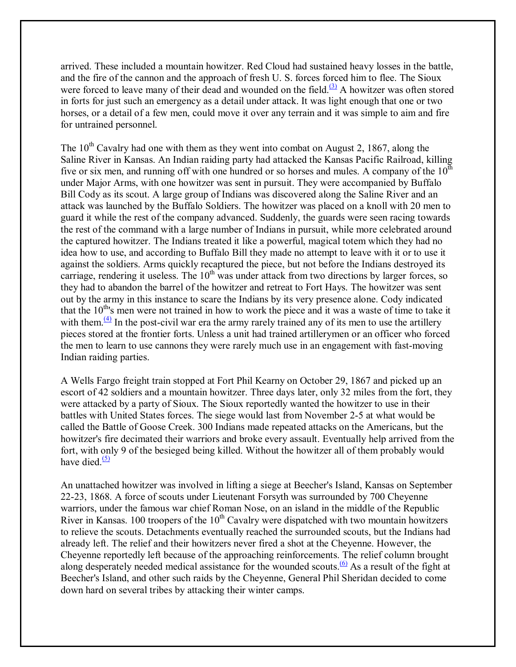arrived. These included a mountain howitzer. Red Cloud had sustained heavy losses in the battle, and the fire of the cannon and the approach of fresh U. S. forces forced him to flee. The Sioux were forced to leave many of their dead and wounded on the field.<sup> $(3)$ </sup> A howitzer was often stored in forts for just such an emergency as a detail under attack. It was light enough that one or two horses, or a detail of a few men, could move it over any terrain and it was simple to aim and fire for untrained personnel.

The  $10^{th}$  Cavalry had one with them as they went into combat on August 2, 1867, along the Saline River in Kansas. An Indian raiding party had attacked the Kansas Pacific Railroad, killing five or six men, and running off with one hundred or so horses and mules. A company of the  $10<sup>th</sup>$ under Major Arms, with one howitzer was sent in pursuit. They were accompanied by Buffalo Bill Cody as its scout. A large group of Indians was discovered along the Saline River and an attack was launched by the Buffalo Soldiers. The howitzer was placed on a knoll with 20 men to guard it while the rest of the company advanced. Suddenly, the guards were seen racing towards the rest of the command with a large number of Indians in pursuit, while more celebrated around the captured howitzer. The Indians treated it like a powerful, magical totem which they had no idea how to use, and according to Buffalo Bill they made no attempt to leave with it or to use it against the soldiers. Arms quickly recaptured the piece, but not before the Indians destroyed its carriage, rendering it useless. The  $10<sup>th</sup>$  was under attack from two directions by larger forces, so they had to abandon the barrel of the howitzer and retreat to Fort Hays. The howitzer was sent out by the army in this instance to scare the Indians by its very presence alone. Cody indicated that the  $10<sup>th</sup>$ 's men were not trained in how to work the piece and it was a waste of time to take it with them. $\frac{4}{4}$  In the post-civil war era the army rarely trained any of its men to use the artillery pieces stored at the frontier forts. Unless a unit had trained artillerymen or an officer who forced the men to learn to use cannons they were rarely much use in an engagement with fast-moving Indian raiding parties.

A Wells Fargo freight train stopped at Fort Phil Kearny on October 29, 1867 and picked up an escort of 42 soldiers and a mountain howitzer. Three days later, only 32 miles from the fort, they were attacked by a party of Sioux. The Sioux reportedly wanted the howitzer to use in their battles with United States forces. The siege would last from November 2-5 at what would be called the Battle of Goose Creek. 300 Indians made repeated attacks on the Americans, but the howitzer's fire decimated their warriors and broke every assault. Eventually help arrived from the fort, with only 9 of the besieged being killed. Without the howitzer all of them probably would have died. $(5)$ 

An unattached howitzer was involved in lifting a siege at Beecher's Island, Kansas on September 22-23, 1868. A force of scouts under Lieutenant Forsyth was surrounded by 700 Cheyenne warriors, under the famous war chief Roman Nose, on an island in the middle of the Republic River in Kansas. 100 troopers of the  $10<sup>th</sup>$  Cavalry were dispatched with two mountain howitzers to relieve the scouts. Detachments eventually reached the surrounded scouts, but the Indians had already left. The relief and their howitzers never fired a shot at the Cheyenne. However, the Cheyenne reportedly left because of the approaching reinforcements. The relief column brought along desperately needed medical assistance for the wounded scouts.<sup>(6)</sup> As a result of the fight at Beecher's Island, and other such raids by the Cheyenne, General Phil Sheridan decided to come down hard on several tribes by attacking their winter camps.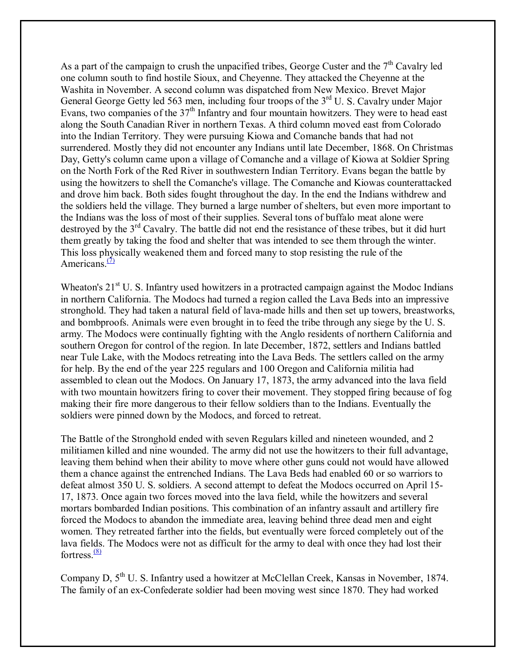As a part of the campaign to crush the unpacified tribes, George Custer and the  $7<sup>th</sup>$  Cavalry led one column south to find hostile Sioux, and Cheyenne. They attacked the Cheyenne at the Washita in November. A second column was dispatched from New Mexico. Brevet Major General George Getty led 563 men, including four troops of the 3<sup>rd</sup> U. S. Cavalry under Major Evans, two companies of the 37<sup>th</sup> Infantry and four mountain howitzers. They were to head east along the South Canadian River in northern Texas. A third column moved east from Colorado into the Indian Territory. They were pursuing Kiowa and Comanche bands that had not surrendered. Mostly they did not encounter any Indians until late December, 1868. On Christmas Day, Getty's column came upon a village of Comanche and a village of Kiowa at Soldier Spring on the North Fork of the Red River in southwestern Indian Territory. Evans began the battle by using the howitzers to shell the Comanche's village. The Comanche and Kiowas counterattacked and drove him back. Both sides fought throughout the day. In the end the Indians withdrew and the soldiers held the village. They burned a large number of shelters, but even more important to the Indians was the loss of most of their supplies. Several tons of buffalo meat alone were destroyed by the 3<sup>rd</sup> Cavalry. The battle did not end the resistance of these tribes, but it did hurt them greatly by taking the food and shelter that was intended to see them through the winter. This loss physically weakened them and forced many to stop resisting the rule of the Americans. $\frac{7}{2}$ 

Wheaton's  $21<sup>st</sup>$  U. S. Infantry used howitzers in a protracted campaign against the Modoc Indians in northern California. The Modocs had turned a region called the Lava Beds into an impressive stronghold. They had taken a natural field of lava-made hills and then set up towers, breastworks, and bombproofs. Animals were even brought in to feed the tribe through any siege by the U. S. army. The Modocs were continually fighting with the Anglo residents of northern California and southern Oregon for control of the region. In late December, 1872, settlers and Indians battled near Tule Lake, with the Modocs retreating into the Lava Beds. The settlers called on the army for help. By the end of the year 225 regulars and 100 Oregon and California militia had assembled to clean out the Modocs. On January 17, 1873, the army advanced into the lava field with two mountain howitzers firing to cover their movement. They stopped firing because of fog making their fire more dangerous to their fellow soldiers than to the Indians. Eventually the soldiers were pinned down by the Modocs, and forced to retreat.

The Battle of the Stronghold ended with seven Regulars killed and nineteen wounded, and 2 militiamen killed and nine wounded. The army did not use the howitzers to their full advantage, leaving them behind when their ability to move where other guns could not would have allowed them a chance against the entrenched Indians. The Lava Beds had enabled 60 or so warriors to defeat almost 350 U. S. soldiers. A second attempt to defeat the Modocs occurred on April 15- 17, 1873. Once again two forces moved into the lava field, while the howitzers and several mortars bombarded Indian positions. This combination of an infantry assault and artillery fire forced the Modocs to abandon the immediate area, leaving behind three dead men and eight women. They retreated farther into the fields, but eventually were forced completely out of the lava fields. The Modocs were not as difficult for the army to deal with once they had lost their fortress $\frac{(8)}{8}$ 

Company D, 5th U. S. Infantry used a howitzer at McClellan Creek, Kansas in November, 1874. The family of an ex-Confederate soldier had been moving west since 1870. They had worked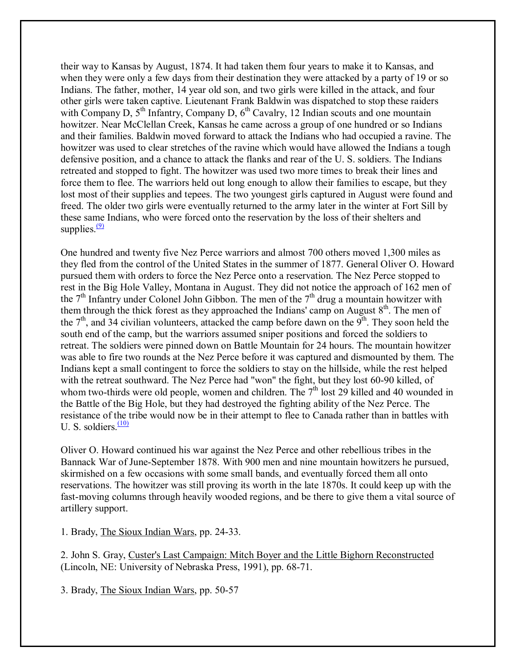their way to Kansas by August, 1874. It had taken them four years to make it to Kansas, and when they were only a few days from their destination they were attacked by a party of 19 or so Indians. The father, mother, 14 year old son, and two girls were killed in the attack, and four other girls were taken captive. Lieutenant Frank Baldwin was dispatched to stop these raiders with Company D,  $5<sup>th</sup>$  Infantry, Company D,  $6<sup>th</sup>$  Cavalry, 12 Indian scouts and one mountain howitzer. Near McClellan Creek, Kansas he came across a group of one hundred or so Indians and their families. Baldwin moved forward to attack the Indians who had occupied a ravine. The howitzer was used to clear stretches of the ravine which would have allowed the Indians a tough defensive position, and a chance to attack the flanks and rear of the U. S. soldiers. The Indians retreated and stopped to fight. The howitzer was used two more times to break their lines and force them to flee. The warriors held out long enough to allow their families to escape, but they lost most of their supplies and tepees. The two youngest girls captured in August were found and freed. The older two girls were eventually returned to the army later in the winter at Fort Sill by these same Indians, who were forced onto the reservation by the loss of their shelters and supplies. $\frac{(9)}{9}$ 

One hundred and twenty five Nez Perce warriors and almost 700 others moved 1,300 miles as they fled from the control of the United States in the summer of 1877. General Oliver O. Howard pursued them with orders to force the Nez Perce onto a reservation. The Nez Perce stopped to rest in the Big Hole Valley, Montana in August. They did not notice the approach of 162 men of the  $7<sup>th</sup>$  Infantry under Colonel John Gibbon. The men of the  $7<sup>th</sup>$  drug a mountain howitzer with them through the thick forest as they approached the Indians' camp on August  $8<sup>th</sup>$ . The men of the  $7<sup>th</sup>$ , and 34 civilian volunteers, attacked the camp before dawn on the  $9<sup>th</sup>$ . They soon held the south end of the camp, but the warriors assumed sniper positions and forced the soldiers to retreat. The soldiers were pinned down on Battle Mountain for 24 hours. The mountain howitzer was able to fire two rounds at the Nez Perce before it was captured and dismounted by them. The Indians kept a small contingent to force the soldiers to stay on the hillside, while the rest helped with the retreat southward. The Nez Perce had "won" the fight, but they lost 60-90 killed, of whom two-thirds were old people, women and children. The  $7<sup>th</sup>$  lost 29 killed and 40 wounded in the Battle of the Big Hole, but they had destroyed the fighting ability of the Nez Perce. The resistance of the tribe would now be in their attempt to flee to Canada rather than in battles with U. S. soldiers. $\frac{(10)}{10}$ 

Oliver O. Howard continued his war against the Nez Perce and other rebellious tribes in the Bannack War of June-September 1878. With 900 men and nine mountain howitzers he pursued, skirmished on a few occasions with some small bands, and eventually forced them all onto reservations. The howitzer was still proving its worth in the late 1870s. It could keep up with the fast-moving columns through heavily wooded regions, and be there to give them a vital source of artillery support.

1. Brady, The Sioux Indian Wars, pp. 24-33.

2. John S. Gray, Custer's Last Campaign: Mitch Boyer and the Little Bighorn Reconstructed (Lincoln, NE: University of Nebraska Press, 1991), pp. 68-71.

3. Brady, The Sioux Indian Wars, pp. 50-57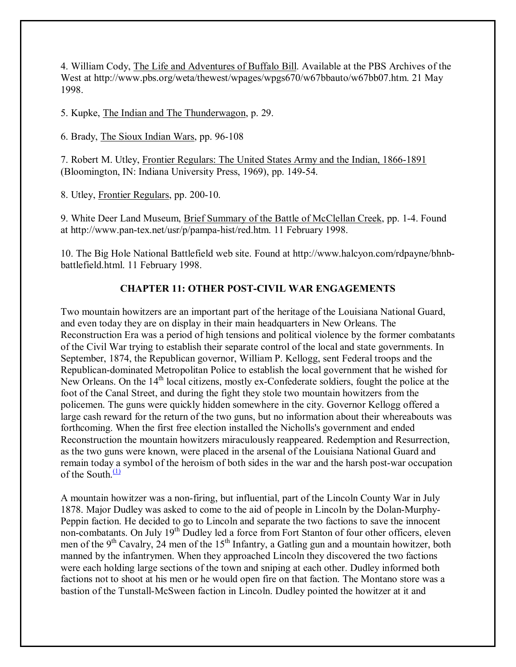4. William Cody, The Life and Adventures of Buffalo Bill. Available at the PBS Archives of the West at http://www.pbs.org/weta/thewest/wpages/wpgs670/w67bbauto/w67bb07.htm. 21 May 1998.

5. Kupke, The Indian and The Thunderwagon, p. 29.

6. Brady, The Sioux Indian Wars, pp. 96-108

7. Robert M. Utley, Frontier Regulars: The United States Army and the Indian, 1866-1891 (Bloomington, IN: Indiana University Press, 1969), pp. 149-54.

8. Utley, Frontier Regulars, pp. 200-10.

9. White Deer Land Museum, Brief Summary of the Battle of McClellan Creek, pp. 1-4. Found at http://www.pan-tex.net/usr/p/pampa-hist/red.htm. 11 February 1998.

10. The Big Hole National Battlefield web site. Found at http://www.halcyon.com/rdpayne/bhnbbattlefield.html. 11 February 1998.

# **CHAPTER 11: OTHER POST-CIVIL WAR ENGAGEMENTS**

Two mountain howitzers are an important part of the heritage of the Louisiana National Guard, and even today they are on display in their main headquarters in New Orleans. The Reconstruction Era was a period of high tensions and political violence by the former combatants of the Civil War trying to establish their separate control of the local and state governments. In September, 1874, the Republican governor, William P. Kellogg, sent Federal troops and the Republican-dominated Metropolitan Police to establish the local government that he wished for New Orleans. On the 14<sup>th</sup> local citizens, mostly ex-Confederate soldiers, fought the police at the foot of the Canal Street, and during the fight they stole two mountain howitzers from the policemen. The guns were quickly hidden somewhere in the city. Governor Kellogg offered a large cash reward for the return of the two guns, but no information about their whereabouts was forthcoming. When the first free election installed the Nicholls's government and ended Reconstruction the mountain howitzers miraculously reappeared. Redemption and Resurrection, as the two guns were known, were placed in the arsenal of the Louisiana National Guard and remain today a symbol of the heroism of both sides in the war and the harsh post-war occupation of the South  $\frac{11}{2}$ 

A mountain howitzer was a non-firing, but influential, part of the Lincoln County War in July 1878. Major Dudley was asked to come to the aid of people in Lincoln by the Dolan-Murphy-Peppin faction. He decided to go to Lincoln and separate the two factions to save the innocent non-combatants. On July 19<sup>th</sup> Dudley led a force from Fort Stanton of four other officers, eleven men of the 9<sup>th</sup> Cavalry, 24 men of the 15<sup>th</sup> Infantry, a Gatling gun and a mountain howitzer, both manned by the infantrymen. When they approached Lincoln they discovered the two factions were each holding large sections of the town and sniping at each other. Dudley informed both factions not to shoot at his men or he would open fire on that faction. The Montano store was a bastion of the Tunstall-McSween faction in Lincoln. Dudley pointed the howitzer at it and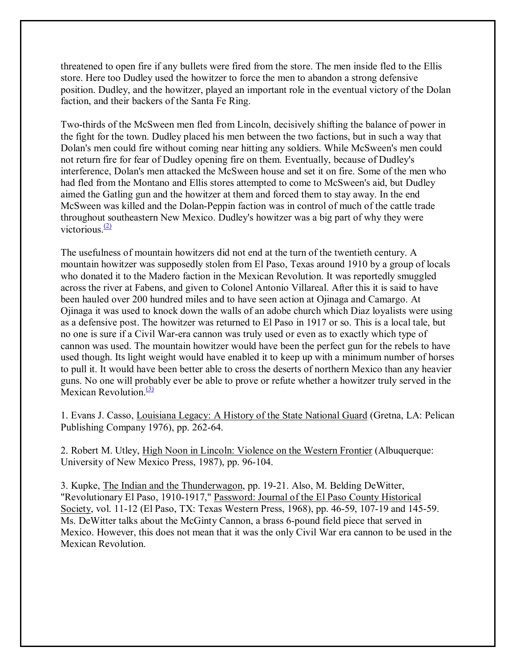threatened to open fire if any bullets were fired from the store. The men inside fled to the Ellis store. Here too Dudley used the howitzer to force the men to abandon a strong defensive position. Dudley, and the howitzer, played an important role in the eventual victory of the Dolan faction, and their backers of the Santa Fe Ring.

Two-thirds of the McSween men fled from Lincoln, decisively shifting the balance of power in the fight for the town. Dudley placed his men between the two factions, but in such a way that Dolan's men could fire without coming near hitting any soldiers. While McSween's men could not return fire for fear of Dudley opening fire on them. Eventually, because of Dudley's interference, Dolan's men attacked the McSween house and set it on fire. Some of the men who had fled from the Montano and Ellis stores attempted to come to McSween's aid, but Dudley aimed the Gatling gun and the howitzer at them and forced them to stay away. In the end McSween was killed and the Dolan-Peppin faction was in control of much of the cattle trade throughout southeastern New Mexico. Dudley's howitzer was a big part of why they were victorious $(2)$ 

The usefulness of mountain howitzers did not end at the turn of the twentieth century. A mountain howitzer was supposedly stolen from El Paso, Texas around 1910 by a group of locals who donated it to the Madero faction in the Mexican Revolution. It was reportedly smuggled across the river at Fabens, and given to Colonel Antonio Villareal. After this it is said to have been hauled over 200 hundred miles and to have seen action at Ojinaga and Camargo. At Ojinaga it was used to knock down the walls of an adobe church which Diaz loyalists were using as a defensive post. The howitzer was returned to El Paso in 1917 or so. This is a local tale, but no one is sure if a Civil War-era cannon was truly used or even as to exactly which type of cannon was used. The mountain howitzer would have been the perfect gun for the rebels to have used though. Its light weight would have enabled it to keep up with a minimum number of horses to pull it. It would have been better able to cross the deserts of northern Mexico than any heavier guns. No one will probably ever be able to prove or refute whether a howitzer truly served in the Mexican Revolution. $\frac{(3)}{2}$ 

1. Evans J. Casso, Louisiana Legacy: A History of the State National Guard (Gretna, LA: Pelican Publishing Company 1976), pp. 262-64.

2. Robert M. Utley, High Noon in Lincoln: Violence on the Western Frontier (Albuquerque: University of New Mexico Press, 1987), pp. 96-104.

3. Kupke, The Indian and the Thunderwagon, pp. 19-21. Also, M. Belding DeWitter, "Revolutionary El Paso, 1910-1917," Password: Journal of the El Paso County Historical Society, vol. 11-12 (El Paso, TX: Texas Western Press, 1968), pp. 46-59, 107-19 and 145-59. Ms. DeWitter talks about the McGinty Cannon, a brass 6-pound field piece that served in Mexico. However, this does not mean that it was the only Civil War era cannon to be used in the Mexican Revolution.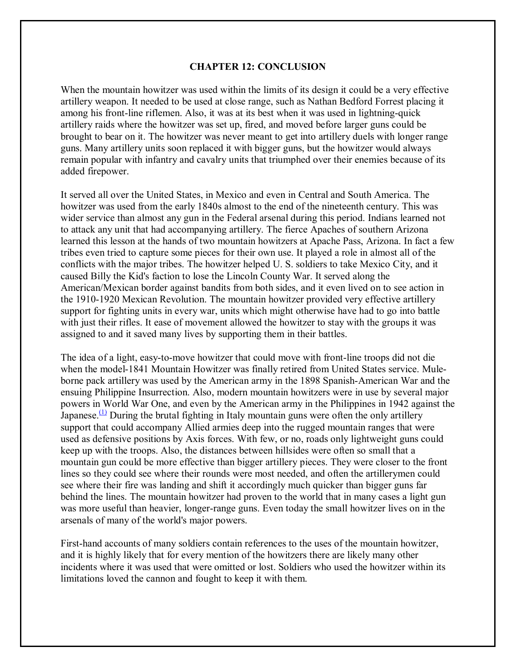## **CHAPTER 12: CONCLUSION**

When the mountain howitzer was used within the limits of its design it could be a very effective artillery weapon. It needed to be used at close range, such as Nathan Bedford Forrest placing it among his front-line riflemen. Also, it was at its best when it was used in lightning-quick artillery raids where the howitzer was set up, fired, and moved before larger guns could be brought to bear on it. The howitzer was never meant to get into artillery duels with longer range guns. Many artillery units soon replaced it with bigger guns, but the howitzer would always remain popular with infantry and cavalry units that triumphed over their enemies because of its added firepower.

It served all over the United States, in Mexico and even in Central and South America. The howitzer was used from the early 1840s almost to the end of the nineteenth century. This was wider service than almost any gun in the Federal arsenal during this period. Indians learned not to attack any unit that had accompanying artillery. The fierce Apaches of southern Arizona learned this lesson at the hands of two mountain howitzers at Apache Pass, Arizona. In fact a few tribes even tried to capture some pieces for their own use. It played a role in almost all of the conflicts with the major tribes. The howitzer helped U. S. soldiers to take Mexico City, and it caused Billy the Kid's faction to lose the Lincoln County War. It served along the American/Mexican border against bandits from both sides, and it even lived on to see action in the 1910-1920 Mexican Revolution. The mountain howitzer provided very effective artillery support for fighting units in every war, units which might otherwise have had to go into battle with just their rifles. It ease of movement allowed the howitzer to stay with the groups it was assigned to and it saved many lives by supporting them in their battles.

The idea of a light, easy-to-move howitzer that could move with front-line troops did not die when the model-1841 Mountain Howitzer was finally retired from United States service. Muleborne pack artillery was used by the American army in the 1898 Spanish-American War and the ensuing Philippine Insurrection. Also, modern mountain howitzers were in use by several major powers in World War One, and even by the American army in the Philippines in 1942 against the Japanese.<sup>(1)</sup> During the brutal fighting in Italy mountain guns were often the only artillery support that could accompany Allied armies deep into the rugged mountain ranges that were used as defensive positions by Axis forces. With few, or no, roads only lightweight guns could keep up with the troops. Also, the distances between hillsides were often so small that a mountain gun could be more effective than bigger artillery pieces. They were closer to the front lines so they could see where their rounds were most needed, and often the artillerymen could see where their fire was landing and shift it accordingly much quicker than bigger guns far behind the lines. The mountain howitzer had proven to the world that in many cases a light gun was more useful than heavier, longer-range guns. Even today the small howitzer lives on in the arsenals of many of the world's major powers.

First-hand accounts of many soldiers contain references to the uses of the mountain howitzer, and it is highly likely that for every mention of the howitzers there are likely many other incidents where it was used that were omitted or lost. Soldiers who used the howitzer within its limitations loved the cannon and fought to keep it with them.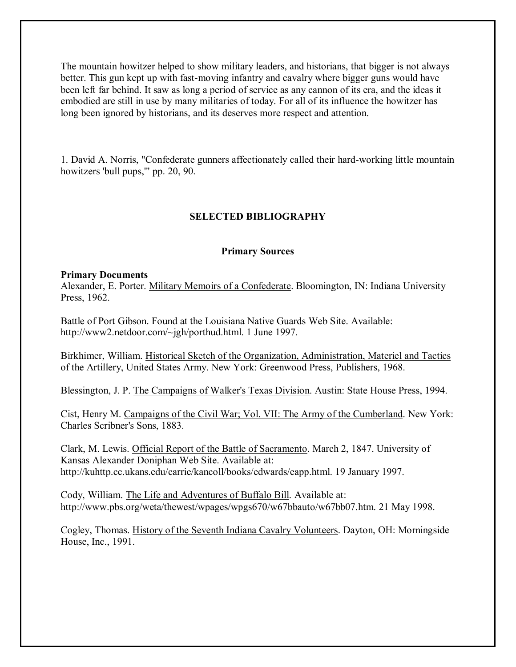The mountain howitzer helped to show military leaders, and historians, that bigger is not always better. This gun kept up with fast-moving infantry and cavalry where bigger guns would have been left far behind. It saw as long a period of service as any cannon of its era, and the ideas it embodied are still in use by many militaries of today. For all of its influence the howitzer has long been ignored by historians, and its deserves more respect and attention.

1. David A. Norris, "Confederate gunners affectionately called their hard-working little mountain howitzers 'bull pups,'" pp. 20, 90.

# **SELECTED BIBLIOGRAPHY**

#### **Primary Sources**

#### **Primary Documents**

Alexander, E. Porter. Military Memoirs of a Confederate. Bloomington, IN: Indiana University Press, 1962.

Battle of Port Gibson. Found at the Louisiana Native Guards Web Site. Available: http://www2.netdoor.com/~jgh/porthud.html. 1 June 1997.

Birkhimer, William. Historical Sketch of the Organization, Administration, Materiel and Tactics of the Artillery, United States Army. New York: Greenwood Press, Publishers, 1968.

Blessington, J. P. The Campaigns of Walker's Texas Division. Austin: State House Press, 1994.

Cist, Henry M. Campaigns of the Civil War; Vol. VII: The Army of the Cumberland. New York: Charles Scribner's Sons, 1883.

Clark, M. Lewis. Official Report of the Battle of Sacramento. March 2, 1847. University of Kansas Alexander Doniphan Web Site. Available at: http://kuhttp.cc.ukans.edu/carrie/kancoll/books/edwards/eapp.html. 19 January 1997.

Cody, William. The Life and Adventures of Buffalo Bill. Available at: http://www.pbs.org/weta/thewest/wpages/wpgs670/w67bbauto/w67bb07.htm. 21 May 1998.

Cogley, Thomas. History of the Seventh Indiana Cavalry Volunteers. Dayton, OH: Morningside House, Inc., 1991.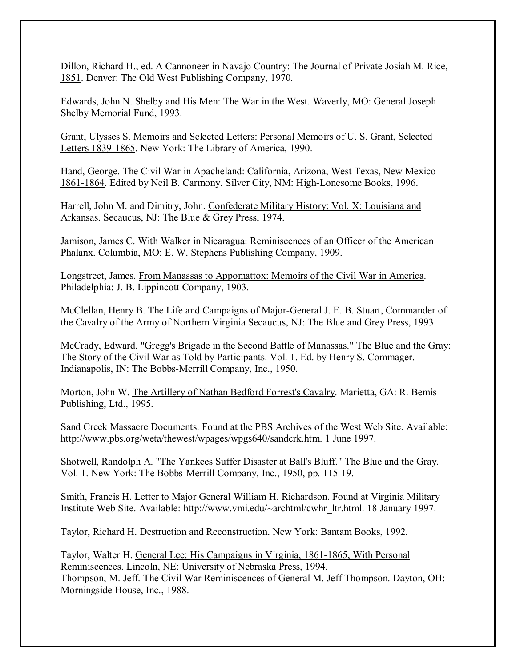Dillon, Richard H., ed. A Cannoneer in Navajo Country: The Journal of Private Josiah M. Rice, 1851. Denver: The Old West Publishing Company, 1970.

Edwards, John N. Shelby and His Men: The War in the West. Waverly, MO: General Joseph Shelby Memorial Fund, 1993.

Grant, Ulysses S. Memoirs and Selected Letters: Personal Memoirs of U. S. Grant, Selected Letters 1839-1865. New York: The Library of America, 1990.

Hand, George. The Civil War in Apacheland: California, Arizona, West Texas, New Mexico 1861-1864. Edited by Neil B. Carmony. Silver City, NM: High-Lonesome Books, 1996.

Harrell, John M. and Dimitry, John. Confederate Military History; Vol. X: Louisiana and Arkansas. Secaucus, NJ: The Blue & Grey Press, 1974.

Jamison, James C. With Walker in Nicaragua: Reminiscences of an Officer of the American Phalanx. Columbia, MO: E. W. Stephens Publishing Company, 1909.

Longstreet, James. From Manassas to Appomattox: Memoirs of the Civil War in America. Philadelphia: J. B. Lippincott Company, 1903.

McClellan, Henry B. The Life and Campaigns of Major-General J. E. B. Stuart, Commander of the Cavalry of the Army of Northern Virginia Secaucus, NJ: The Blue and Grey Press, 1993.

McCrady, Edward. "Gregg's Brigade in the Second Battle of Manassas." The Blue and the Gray: The Story of the Civil War as Told by Participants. Vol. 1. Ed. by Henry S. Commager. Indianapolis, IN: The Bobbs-Merrill Company, Inc., 1950.

Morton, John W. The Artillery of Nathan Bedford Forrest's Cavalry. Marietta, GA: R. Bemis Publishing, Ltd., 1995.

Sand Creek Massacre Documents. Found at the PBS Archives of the West Web Site. Available: http://www.pbs.org/weta/thewest/wpages/wpgs640/sandcrk.htm. 1 June 1997.

Shotwell, Randolph A. "The Yankees Suffer Disaster at Ball's Bluff." The Blue and the Gray. Vol. 1. New York: The Bobbs-Merrill Company, Inc., 1950, pp. 115-19.

Smith, Francis H. Letter to Major General William H. Richardson. Found at Virginia Military Institute Web Site. Available: http://www.vmi.edu/~archtml/cwhr\_ltr.html. 18 January 1997.

Taylor, Richard H. Destruction and Reconstruction. New York: Bantam Books, 1992.

Taylor, Walter H. General Lee: His Campaigns in Virginia, 1861-1865, With Personal Reminiscences. Lincoln, NE: University of Nebraska Press, 1994. Thompson, M. Jeff. The Civil War Reminiscences of General M. Jeff Thompson. Dayton, OH: Morningside House, Inc., 1988.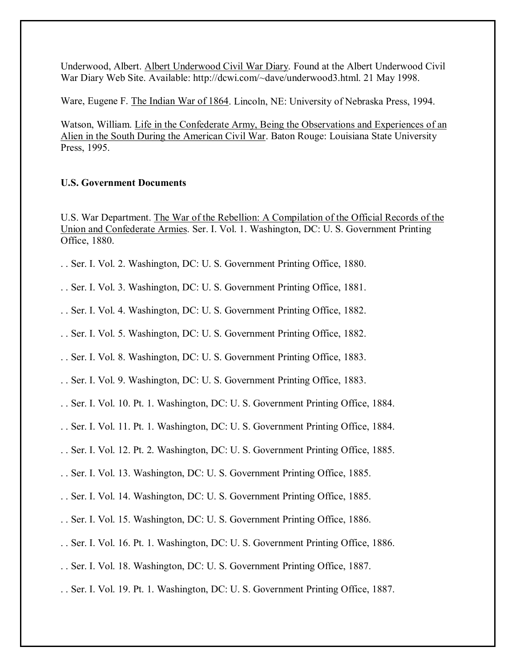Underwood, Albert. Albert Underwood Civil War Diary. Found at the Albert Underwood Civil War Diary Web Site. Available: http://dcwi.com/~dave/underwood3.html. 21 May 1998.

Ware, Eugene F. The Indian War of 1864. Lincoln, NE: University of Nebraska Press, 1994.

Watson, William. Life in the Confederate Army, Being the Observations and Experiences of an Alien in the South During the American Civil War. Baton Rouge: Louisiana State University Press, 1995.

# **U.S. Government Documents**

U.S. War Department. The War of the Rebellion: A Compilation of the Official Records of the Union and Confederate Armies. Ser. I. Vol. 1. Washington, DC: U. S. Government Printing Office, 1880.

- . . Ser. I. Vol. 2. Washington, DC: U. S. Government Printing Office, 1880.
- . . Ser. I. Vol. 3. Washington, DC: U. S. Government Printing Office, 1881.
- . . Ser. I. Vol. 4. Washington, DC: U. S. Government Printing Office, 1882.
- . . Ser. I. Vol. 5. Washington, DC: U. S. Government Printing Office, 1882.
- . . Ser. I. Vol. 8. Washington, DC: U. S. Government Printing Office, 1883.
- . . Ser. I. Vol. 9. Washington, DC: U. S. Government Printing Office, 1883.
- . . Ser. I. Vol. 10. Pt. 1. Washington, DC: U. S. Government Printing Office, 1884.
- . . Ser. I. Vol. 11. Pt. 1. Washington, DC: U. S. Government Printing Office, 1884.
- . . Ser. I. Vol. 12. Pt. 2. Washington, DC: U. S. Government Printing Office, 1885.
- . . Ser. I. Vol. 13. Washington, DC: U. S. Government Printing Office, 1885.
- . . Ser. I. Vol. 14. Washington, DC: U. S. Government Printing Office, 1885.
- . . Ser. I. Vol. 15. Washington, DC: U. S. Government Printing Office, 1886.
- . . Ser. I. Vol. 16. Pt. 1. Washington, DC: U. S. Government Printing Office, 1886.
- . . Ser. I. Vol. 18. Washington, DC: U. S. Government Printing Office, 1887.
- . . Ser. I. Vol. 19. Pt. 1. Washington, DC: U. S. Government Printing Office, 1887.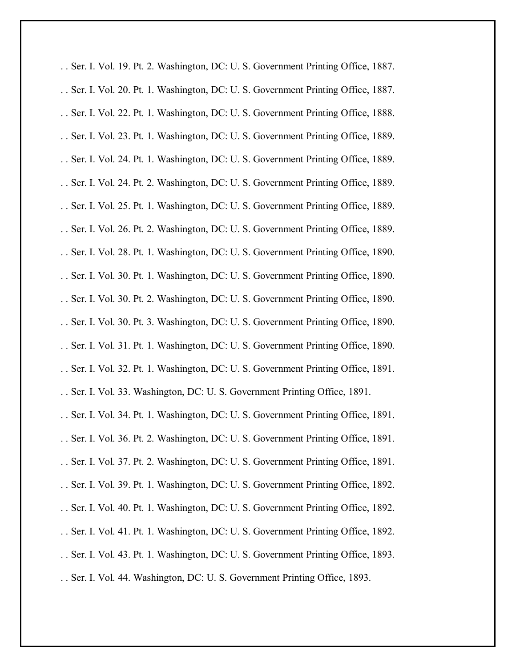. . Ser. I. Vol. 19. Pt. 2. Washington, DC: U. S. Government Printing Office, 1887.

- . . Ser. I. Vol. 20. Pt. 1. Washington, DC: U. S. Government Printing Office, 1887.
- . . Ser. I. Vol. 22. Pt. 1. Washington, DC: U. S. Government Printing Office, 1888.
- . . Ser. I. Vol. 23. Pt. 1. Washington, DC: U. S. Government Printing Office, 1889.
- . . Ser. I. Vol. 24. Pt. 1. Washington, DC: U. S. Government Printing Office, 1889.
- . . Ser. I. Vol. 24. Pt. 2. Washington, DC: U. S. Government Printing Office, 1889.
- . . Ser. I. Vol. 25. Pt. 1. Washington, DC: U. S. Government Printing Office, 1889.
- . . Ser. I. Vol. 26. Pt. 2. Washington, DC: U. S. Government Printing Office, 1889.
- . . Ser. I. Vol. 28. Pt. 1. Washington, DC: U. S. Government Printing Office, 1890.
- . . Ser. I. Vol. 30. Pt. 1. Washington, DC: U. S. Government Printing Office, 1890.
- . . Ser. I. Vol. 30. Pt. 2. Washington, DC: U. S. Government Printing Office, 1890.
- . . Ser. I. Vol. 30. Pt. 3. Washington, DC: U. S. Government Printing Office, 1890.
- . . Ser. I. Vol. 31. Pt. 1. Washington, DC: U. S. Government Printing Office, 1890.
- . . Ser. I. Vol. 32. Pt. 1. Washington, DC: U. S. Government Printing Office, 1891.
- . . Ser. I. Vol. 33. Washington, DC: U. S. Government Printing Office, 1891.
- . . Ser. I. Vol. 34. Pt. 1. Washington, DC: U. S. Government Printing Office, 1891.
- . . Ser. I. Vol. 36. Pt. 2. Washington, DC: U. S. Government Printing Office, 1891.
- . . Ser. I. Vol. 37. Pt. 2. Washington, DC: U. S. Government Printing Office, 1891.
- . . Ser. I. Vol. 39. Pt. 1. Washington, DC: U. S. Government Printing Office, 1892.
- . . Ser. I. Vol. 40. Pt. 1. Washington, DC: U. S. Government Printing Office, 1892.
- . . Ser. I. Vol. 41. Pt. 1. Washington, DC: U. S. Government Printing Office, 1892.
- . . Ser. I. Vol. 43. Pt. 1. Washington, DC: U. S. Government Printing Office, 1893.
- . . Ser. I. Vol. 44. Washington, DC: U. S. Government Printing Office, 1893.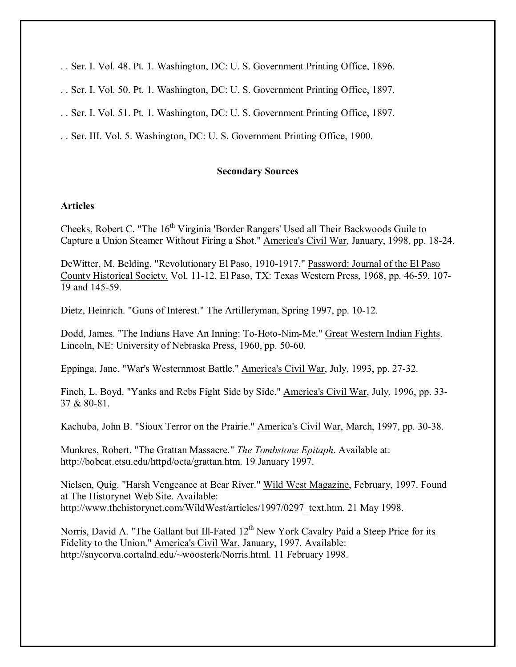- . . Ser. I. Vol. 48. Pt. 1. Washington, DC: U. S. Government Printing Office, 1896.
- . . Ser. I. Vol. 50. Pt. 1. Washington, DC: U. S. Government Printing Office, 1897.
- . . Ser. I. Vol. 51. Pt. 1. Washington, DC: U. S. Government Printing Office, 1897.
- . . Ser. III. Vol. 5. Washington, DC: U. S. Government Printing Office, 1900.

### **Secondary Sources**

### **Articles**

Cheeks, Robert C. "The 16<sup>th</sup> Virginia 'Border Rangers' Used all Their Backwoods Guile to Capture a Union Steamer Without Firing a Shot." America's Civil War, January, 1998, pp. 18-24.

DeWitter, M. Belding. "Revolutionary El Paso, 1910-1917," Password: Journal of the El Paso County Historical Society. Vol. 11-12. El Paso, TX: Texas Western Press, 1968, pp. 46-59, 107- 19 and 145-59.

Dietz, Heinrich. "Guns of Interest." The Artilleryman, Spring 1997, pp. 10-12.

Dodd, James. "The Indians Have An Inning: To-Hoto-Nim-Me." Great Western Indian Fights. Lincoln, NE: University of Nebraska Press, 1960, pp. 50-60.

Eppinga, Jane. "War's Westernmost Battle." America's Civil War, July, 1993, pp. 27-32.

Finch, L. Boyd. "Yanks and Rebs Fight Side by Side." America's Civil War, July, 1996, pp. 33- 37 & 80-81.

Kachuba, John B. "Sioux Terror on the Prairie." America's Civil War, March, 1997, pp. 30-38.

Munkres, Robert. "The Grattan Massacre." *The Tombstone Epitaph*. Available at: http://bobcat.etsu.edu/httpd/octa/grattan.htm. 19 January 1997.

Nielsen, Quig. "Harsh Vengeance at Bear River." Wild West Magazine, February, 1997. Found at The Historynet Web Site. Available: http://www.thehistorynet.com/WildWest/articles/1997/0297\_text.htm. 21 May 1998.

Norris, David A. "The Gallant but Ill-Fated  $12<sup>th</sup>$  New York Cavalry Paid a Steep Price for its Fidelity to the Union." America's Civil War, January, 1997. Available: http://snycorva.cortalnd.edu/~woosterk/Norris.html. 11 February 1998.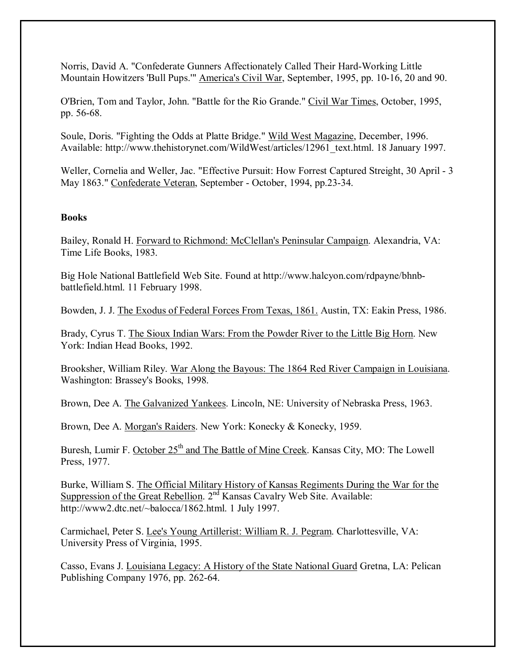Norris, David A. "Confederate Gunners Affectionately Called Their Hard-Working Little Mountain Howitzers 'Bull Pups.'" America's Civil War, September, 1995, pp. 10-16, 20 and 90.

O'Brien, Tom and Taylor, John. "Battle for the Rio Grande." Civil War Times, October, 1995, pp. 56-68.

Soule, Doris. "Fighting the Odds at Platte Bridge." Wild West Magazine, December, 1996. Available: http://www.thehistorynet.com/WildWest/articles/12961\_text.html. 18 January 1997.

Weller, Cornelia and Weller, Jac. "Effective Pursuit: How Forrest Captured Streight, 30 April - 3 May 1863." Confederate Veteran, September - October, 1994, pp.23-34.

## **Books**

Bailey, Ronald H. Forward to Richmond: McClellan's Peninsular Campaign. Alexandria, VA: Time Life Books, 1983.

Big Hole National Battlefield Web Site. Found at http://www.halcyon.com/rdpayne/bhnbbattlefield.html. 11 February 1998.

Bowden, J. J. The Exodus of Federal Forces From Texas, 1861. Austin, TX: Eakin Press, 1986.

Brady, Cyrus T. The Sioux Indian Wars: From the Powder River to the Little Big Horn. New York: Indian Head Books, 1992.

Brooksher, William Riley. War Along the Bayous: The 1864 Red River Campaign in Louisiana. Washington: Brassey's Books, 1998.

Brown, Dee A. The Galvanized Yankees. Lincoln, NE: University of Nebraska Press, 1963.

Brown, Dee A. Morgan's Raiders. New York: Konecky & Konecky, 1959.

Buresh, Lumir F. October 25<sup>th</sup> and The Battle of Mine Creek. Kansas City, MO: The Lowell Press, 1977.

Burke, William S. The Official Military History of Kansas Regiments During the War for the Suppression of the Great Rebellion. 2<sup>nd</sup> Kansas Cavalry Web Site. Available: http://www2.dtc.net/~balocca/1862.html. 1 July 1997.

Carmichael, Peter S. Lee's Young Artillerist: William R. J. Pegram. Charlottesville, VA: University Press of Virginia, 1995.

Casso, Evans J. Louisiana Legacy: A History of the State National Guard Gretna, LA: Pelican Publishing Company 1976, pp. 262-64.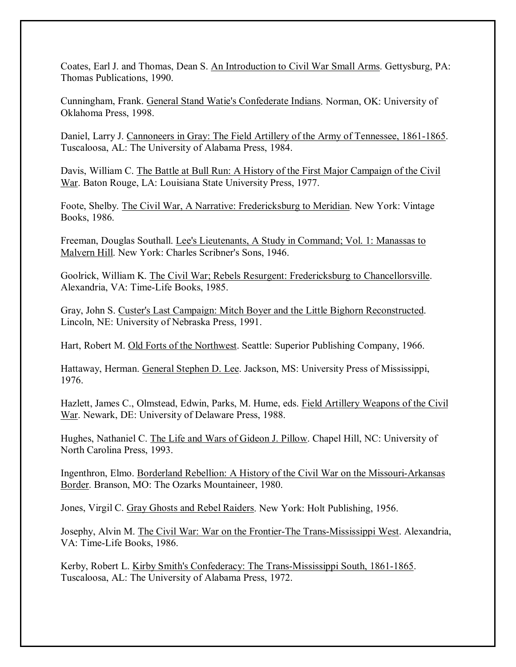Coates, Earl J. and Thomas, Dean S. An Introduction to Civil War Small Arms. Gettysburg, PA: Thomas Publications, 1990.

Cunningham, Frank. General Stand Watie's Confederate Indians. Norman, OK: University of Oklahoma Press, 1998.

Daniel, Larry J. Cannoneers in Gray: The Field Artillery of the Army of Tennessee, 1861-1865. Tuscaloosa, AL: The University of Alabama Press, 1984.

Davis, William C. The Battle at Bull Run: A History of the First Major Campaign of the Civil War. Baton Rouge, LA: Louisiana State University Press, 1977.

Foote, Shelby. The Civil War, A Narrative: Fredericksburg to Meridian. New York: Vintage Books, 1986.

Freeman, Douglas Southall. Lee's Lieutenants, A Study in Command; Vol. 1: Manassas to Malvern Hill. New York: Charles Scribner's Sons, 1946.

Goolrick, William K. The Civil War; Rebels Resurgent: Fredericksburg to Chancellorsville. Alexandria, VA: Time-Life Books, 1985.

Gray, John S. Custer's Last Campaign: Mitch Boyer and the Little Bighorn Reconstructed. Lincoln, NE: University of Nebraska Press, 1991.

Hart, Robert M. Old Forts of the Northwest. Seattle: Superior Publishing Company, 1966.

Hattaway, Herman. General Stephen D. Lee. Jackson, MS: University Press of Mississippi, 1976.

Hazlett, James C., Olmstead, Edwin, Parks, M. Hume, eds. Field Artillery Weapons of the Civil War. Newark, DE: University of Delaware Press, 1988.

Hughes, Nathaniel C. The Life and Wars of Gideon J. Pillow. Chapel Hill, NC: University of North Carolina Press, 1993.

Ingenthron, Elmo. Borderland Rebellion: A History of the Civil War on the Missouri-Arkansas Border. Branson, MO: The Ozarks Mountaineer, 1980.

Jones, Virgil C. Gray Ghosts and Rebel Raiders. New York: Holt Publishing, 1956.

Josephy, Alvin M. The Civil War: War on the Frontier-The Trans-Mississippi West. Alexandria, VA: Time-Life Books, 1986.

Kerby, Robert L. Kirby Smith's Confederacy: The Trans-Mississippi South, 1861-1865. Tuscaloosa, AL: The University of Alabama Press, 1972.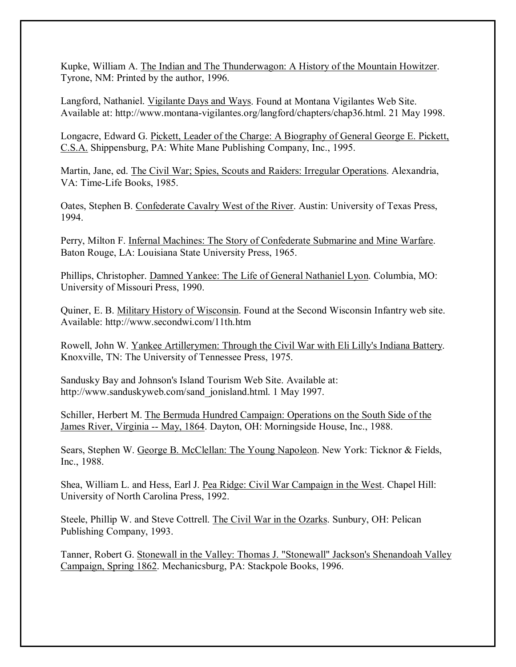Kupke, William A. The Indian and The Thunderwagon: A History of the Mountain Howitzer. Tyrone, NM: Printed by the author, 1996.

Langford, Nathaniel. Vigilante Days and Ways. Found at Montana Vigilantes Web Site. Available at: http://www.montana-vigilantes.org/langford/chapters/chap36.html. 21 May 1998.

Longacre, Edward G. Pickett, Leader of the Charge: A Biography of General George E. Pickett, C.S.A. Shippensburg, PA: White Mane Publishing Company, Inc., 1995.

Martin, Jane, ed. The Civil War; Spies, Scouts and Raiders: Irregular Operations. Alexandria, VA: Time-Life Books, 1985.

Oates, Stephen B. Confederate Cavalry West of the River. Austin: University of Texas Press, 1994.

Perry, Milton F. Infernal Machines: The Story of Confederate Submarine and Mine Warfare. Baton Rouge, LA: Louisiana State University Press, 1965.

Phillips, Christopher. Damned Yankee: The Life of General Nathaniel Lyon. Columbia, MO: University of Missouri Press, 1990.

Quiner, E. B. Military History of Wisconsin. Found at the Second Wisconsin Infantry web site. Available: http://www.secondwi.com/11th.htm

Rowell, John W. Yankee Artillerymen: Through the Civil War with Eli Lilly's Indiana Battery. Knoxville, TN: The University of Tennessee Press, 1975.

Sandusky Bay and Johnson's Island Tourism Web Site. Available at: http://www.sanduskyweb.com/sand\_jonisland.html. 1 May 1997.

Schiller, Herbert M. The Bermuda Hundred Campaign: Operations on the South Side of the James River, Virginia -- May, 1864. Dayton, OH: Morningside House, Inc., 1988.

Sears, Stephen W. George B. McClellan: The Young Napoleon. New York: Ticknor & Fields, Inc., 1988.

Shea, William L. and Hess, Earl J. Pea Ridge: Civil War Campaign in the West. Chapel Hill: University of North Carolina Press, 1992.

Steele, Phillip W. and Steve Cottrell. The Civil War in the Ozarks. Sunbury, OH: Pelican Publishing Company, 1993.

Tanner, Robert G. Stonewall in the Valley: Thomas J. "Stonewall" Jackson's Shenandoah Valley Campaign, Spring 1862. Mechanicsburg, PA: Stackpole Books, 1996.